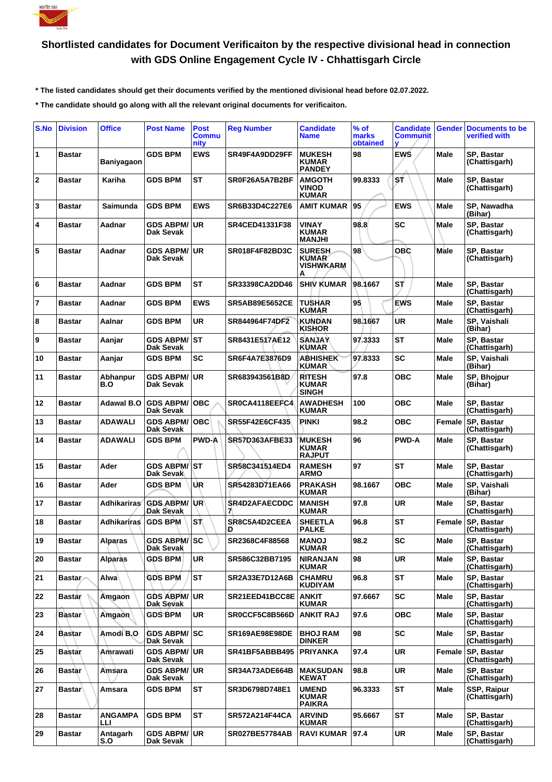

## **Shortlisted candidates for Document Verificaiton by the respective divisional head in connection with GDS Online Engagement Cycle IV - Chhattisgarh Circle**

 **\* The listed candidates should get their documents verified by the mentioned divisional head before 02.07.2022.**

 **\* The candidate should go along with all the relevant original documents for verificaiton.**

| S.No           | <b>Division</b> | <b>Office</b>          | <b>Post Name</b>                 | <b>Post</b><br><b>Commu</b><br>nity | <b>Reg Number</b>         | <b>Candidate</b><br><b>Name</b>                        | % of<br>marks<br>obtained | <b>Candidate</b><br><b>Communit</b><br>v | Gender        | <b>Documents to be</b><br>verified with |
|----------------|-----------------|------------------------|----------------------------------|-------------------------------------|---------------------------|--------------------------------------------------------|---------------------------|------------------------------------------|---------------|-----------------------------------------|
| 1              | <b>Bastar</b>   | <b>Baniyagaon</b>      | <b>GDS BPM</b>                   | <b>EWS</b>                          | SR49F4A9DD29FF            | <b>MUKESH</b><br><b>KUMAR</b><br><b>PANDEY</b>         | 98                        | <b>EWS</b>                               | <b>Male</b>   | SP, Bastar<br>(Chattisgarh)             |
| $\mathbf{2}$   | <b>Bastar</b>   | Kariha                 | <b>GDS BPM</b>                   | <b>ST</b>                           | SR0F26A5A7B2BF            | <b>AMGOTH</b><br><b>VINOD</b><br><b>KUMAR</b>          | 99.8333                   | 'sf                                      | Male          | SP, Bastar<br>(Chattisgarh)             |
| 3              | <b>Bastar</b>   | Saimunda               | <b>GDS BPM</b>                   | <b>EWS</b>                          | SR6B33D4C227E6            | <b>AMIT KUMAR</b>                                      | 95                        | <b>EWS</b>                               | Male          | SP, Nawadha<br>(Bihar)                  |
| 4              | <b>Bastar</b>   | Aadnar                 | <b>GDS ABPM/</b><br>Dak Sevak    | <b>UR</b>                           | SR4CED41331F38            | <b>VINAY</b><br><b>KUMAR</b><br><b>MANJHI</b>          | 98.8                      | <b>SC</b>                                | Male          | SP, Bastar<br>(Chattisgarh)             |
| 5              | Bastar          | Aadnar                 | <b>GDS ABPM/</b><br>Dak Sevak    | <b>UR</b>                           | SR018F4F82BD3C            | <b>SURESH</b><br><b>KUMAR</b><br><b>VISHWKARM</b><br>А | 98                        | <b>OBC</b>                               | Male          | SP, Bastar<br>(Chattisgarh)             |
| 6              | <b>Bastar</b>   | Aadnar                 | <b>GDS BPM</b>                   | <b>ST</b>                           | SR33398CA2DD46            | <b>SHIV KUMAR</b>                                      | 98.1667                   | ST                                       | Male          | SP, Bastar<br>(Chattisgarh)             |
| $\overline{7}$ | <b>Bastar</b>   | Aadnar                 | <b>GDS BPM</b>                   | <b>EWS</b>                          | <b>SR5AB89E5652CE</b>     | TUSHAR<br><b>KUMAR</b>                                 | 95                        | <b>EWS</b>                               | Male          | SP, Bastar<br>(Chattisgarh)             |
| 8              | <b>Bastar</b>   | Aalnar                 | <b>GDS BPM</b>                   | <b>UR</b>                           | SR844964F74DF2            | <b>KUNDAN</b><br><b>KISHOR</b>                         | 98.1667                   | <b>UR</b>                                | Male          | SP, Vaishali<br>(Bihar)                 |
| 9              | Bastar          | Aanjar                 | <b>GDS ABPM/</b><br>Dak Sevak    | <b>ST</b>                           | SR8431E517AE12            | <b>SANJAY</b><br><b>KUMAR</b>                          | 97.3333                   | <b>ST</b>                                | Male          | SP, Bastar<br>(Chattisgarh)             |
| 10             | <b>Bastar</b>   | Aanjar                 | <b>GDS BPM</b>                   | <b>SC</b>                           | SR6F4A7E3876D9            | <b>ABHISHEK</b><br><b>KUMAR</b>                        | 97.8333                   | <b>SC</b>                                | Male          | SP, Vaishali<br>(Bihar)                 |
| 11             | Bastar          | Abhanpur<br>B.O        | <b>GDS ABPM/</b><br>Dak Sevak    | <b>UR</b>                           | SR683943561B8D            | <b>RITESH</b><br>KUMAR<br><b>SINGH</b>                 | 97.8                      | <b>OBC</b>                               | Male          | SP, Bhojpur<br>(Bihar)                  |
| 12             | <b>Bastar</b>   | <b>Adawal B.O</b>      | <b>GDS ABPM/</b><br>Dak Sevak    | <b>OBC</b>                          | SR0CA4118EEFC4            | <b>AWADHESH</b><br><b>KUMAR</b>                        | 100                       | <b>OBC</b>                               | <b>Male</b>   | SP, Bastar<br>(Chattisgarh)             |
| 13             | <b>Bastar</b>   | <b>ADAWALI</b>         | <b>GDS ABPM/</b><br>Dak Sevak    | OBC                                 | <b>SR55F42E6CF435</b>     | <b>PINKI</b>                                           | 98.2                      | <b>OBC</b>                               | Female        | SP, Bastar<br>(Chattisgarh)             |
| 14             | Bastar          | ADAWALI                | <b>GDS BPM</b>                   | <b>PWD-A</b>                        | <b>SR57D363AFBE33</b>     | <b>MUKESH</b><br><b>KUMAR</b><br><b>RAJPUT</b>         | 96                        | <b>PWD-A</b>                             | Male          | SP, Bastar<br>(Chattisgarh)             |
| 15             | <b>Bastar</b>   | Ader                   | <b>GDS ABPM/</b><br>Dak Sevak    | <b>ST</b>                           | SR58C341514ED4            | <b>RAMESH</b><br>ARMO                                  | 97                        | <b>ST</b>                                | <b>Male</b>   | SP, Bastar<br>(Chattisgarh)             |
| 16             | Bastar          | Ader                   | <b>GDS BPM</b>                   | <b>UR</b>                           | SR54283D71EA66            | <b>PRAKASH</b><br><b>KUMAR</b>                         | 98.1667                   | <b>OBC</b>                               | Male          | SP, Vaishali<br>(Bihar)                 |
| 17             | <b>Bastar</b>   | <b>Adhikariras</b>     | <b>GDS ABPM/</b><br>Dak Sevak    | UR)                                 | <b>SR4D2AFAECDDC</b><br>7 | <b>MANISH</b><br><b>KUMAR</b>                          | 97.8                      | <b>UR</b>                                | Male          | SP, Bastar<br>(Chattisgarh)             |
| 18             | <b>Bastar</b>   | Adhikariras            | <b>GDS BPM</b>                   | ۱ST)                                | SR8C5A4D2CEEA<br>D        | <b>SHEETLA</b><br><b>PALKE</b>                         | 96.8                      | <b>ST</b>                                | <b>Female</b> | SP, Bastar<br>(Chattisgarh)             |
| 19             | Bastar          | Alparas                | GDS ABPM/ SC<br>Dak Sevak        |                                     | SR2368C4F88568            | <b>MANOJ</b><br><b>KUMAR</b>                           | 98.2                      | <b>SC</b>                                | Male          | SP, Bastar<br>(Chattisgarh)             |
| 20             | Bastar          | <b>Alparas</b>         | <b>GDS BPM</b>                   | <b>UR</b>                           | SR586C32BB7195            | <b>NIRANJAN</b><br>KUMAR                               | 98                        | <b>UR</b>                                | <b>Male</b>   | SP, Bastar<br>(Chattisgarh)             |
| 21             | <b>Bastar</b>   | Alwa                   | <b>GDS BPM</b>                   | <b>ST</b>                           | <b>SR2A33E7D12A6B</b>     | <b>CHAMRU</b><br><b>KUDIYAM</b>                        | 96.8                      | <b>ST</b>                                | Male          | SP, Bastar<br>(Chattisgarh)             |
| 22             | Bastar          | Amgaon                 | <b>GDS ABPM/</b><br>Dak Sevak    | UR.                                 | SR21EED41BCC8E            | <b>ANKIT</b><br><b>KUMAR</b>                           | 97.6667                   | <b>SC</b>                                | Male          | SP, Bastar<br>(Chattisgarh)             |
| 23             | <b>Bastar</b>   | Amgaon                 | <b>GDS BPM</b>                   | <b>UR</b>                           | SR0CCF5C8B566D            | <b>ANKIT RAJ</b>                                       | 97.6                      | <b>OBC</b>                               | Male          | SP, Bastar<br>(Chattisgarh)             |
| 24             | <b>Bastar</b>   | Amodi B.O              | <b>GDS ABPM/</b><br>Dak Sevak    | <b>SC</b>                           | <b>SR169AE98E98DE</b>     | <b>BHOJ RAM</b><br><b>DINKER</b>                       | 98                        | <b>SC</b>                                | Male          | SP, Bastar<br>(Chattisgarh)             |
| 25             | <b>Bastar</b>   | Amrawati               | <b>GDS ABPM/ UR</b><br>Dak Sevak |                                     | SR41BF5ABBB495            | PRIYANKA                                               | 97.4                      | UR.                                      | Female        | SP, Bastar<br>(Chattisgarh)             |
| 26             | Bastar          | Amsara                 | <b>GDS ABPM/</b><br>Dak Sevak    | <b>UR</b>                           | SR34A73ADE664B            | <b>MAKSUDAN</b><br><b>KEWAT</b>                        | 98.8                      | <b>UR</b>                                | Male          | <b>SP. Bastar</b><br>(Chattisgarh)      |
| 27             | <b>Bastar</b>   | Amsara                 | <b>GDS BPM</b>                   | <b>ST</b>                           | SR3D6798D748E1            | <b>UMEND</b><br><b>KUMAR</b><br><b>PAIKRA</b>          | 96.3333                   | <b>ST</b>                                | Male          | SSP, Raipur<br>(Chattisgarh)            |
| 28             | Bastar          | <b>ANGAMPA</b><br>LLI. | <b>GDS BPM</b>                   | <b>ST</b>                           | <b>SR572A214F44CA</b>     | <b>ARVIND</b><br><b>KUMAR</b>                          | 95.6667                   | <b>ST</b>                                | Male          | SP, Bastar<br>(Chattisgarh)             |
| 29             | Bastar          | Antagarh<br>S.O        | <b>GDS ABPM/</b><br>Dak Sevak    | <b>UR</b>                           | <b>SR027BE57784AB</b>     | <b>RAVI KUMAR</b>                                      | 97.4                      | <b>UR</b>                                | Male          | SP, Bastar<br>(Chattisgarh)             |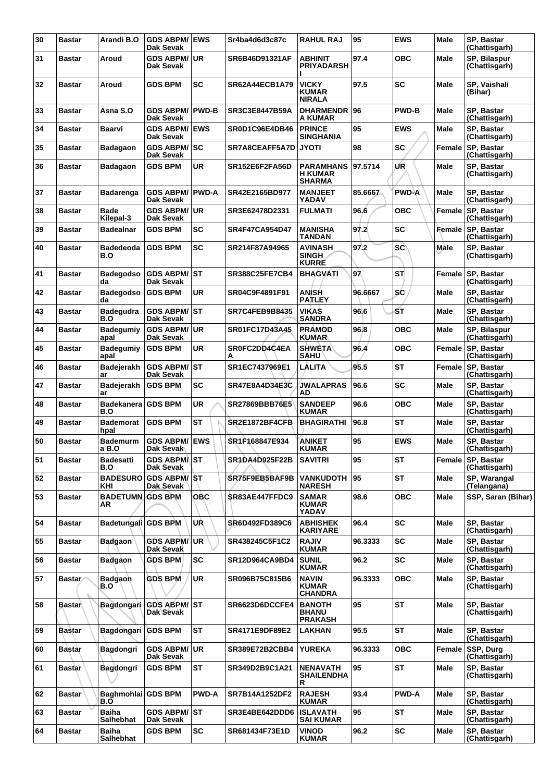| 30 | <b>Bastar</b> | Arandi B.O                       | <b>GDS ABPM/ EWS</b><br><b>Dak Sevak</b> |              | Sr4ba4d6d3c87c        | <b>RAHUL RAJ</b>                                    | 95      | <b>EWS</b>   | <b>Male</b> | SP. Bastar<br>(Chattisgarh)        |
|----|---------------|----------------------------------|------------------------------------------|--------------|-----------------------|-----------------------------------------------------|---------|--------------|-------------|------------------------------------|
| 31 | <b>Bastar</b> | Aroud                            | <b>GDS ABPM/ UR</b><br>Dak Sevak         |              | SR6B46D91321AF        | <b>ABHINIT</b><br>PRIYADARSH                        | 97.4    | овс          | Male        | SP, Bilaspur<br>(Chattisgarh)      |
| 32 | <b>Bastar</b> | Aroud                            | <b>GDS BPM</b>                           | <b>SC</b>    | <b>SR62A44ECB1A79</b> | <b>VICKY</b><br><b>KUMAR</b><br><b>NIRALA</b>       | 97.5    | <b>SC</b>    | <b>Male</b> | SP, Vaishali<br>(Bihar)            |
| 33 | <b>Bastar</b> | Asna S.O                         | <b>GDS ABPM/</b><br>Dak Sevak            | <b>PWD-B</b> | SR3C3E8447B59A        | <b>DHARMENDR</b><br>A KUMAR                         | 96      | <b>PWD-B</b> | <b>Male</b> | SP, Bastar<br>(Chattisgarh)        |
| 34 | <b>Bastar</b> | Baarvi                           | <b>GDS ABPM/ EWS</b><br>Dak Sevak        |              | SR0D1C96E4DB46        | <b>PRINCE</b><br><b>SINGHANIA</b>                   | 95      | <b>EWS</b>   | <b>Male</b> | SP, Bastar<br>(Chattisgarh)        |
| 35 | <b>Bastar</b> | <b>Badagaon</b>                  | <b>GDS ABPM/ SC</b><br>Dak Sevak         |              | SR7A8CEAFF5A7D        | <b>JYOTI</b>                                        | 98      | SC           | Female      | SP, Bastar<br>(Chattisgarh)        |
| 36 | <b>Bastar</b> | <b>Badagaon</b>                  | <b>GDS BPM</b>                           | <b>UR</b>    | <b>SR152E6F2FA56D</b> | <b>PARAMHANS</b><br><b>H KUMAR</b><br><b>SHARMA</b> | 97.5714 | UR           | <b>Male</b> | SP, Bastar<br>(Chattisgarh)        |
| 37 | <b>Bastar</b> | <b>Badarenga</b>                 | <b>GDS ABPM/ PWD-A</b><br>Dak Sevak      |              | SR42E2165BD977        | <b>MANJEET</b><br>YADAV                             | 85.6667 | <b>PWD-A</b> | Male        | SP, Bastar<br>(Chattisgarh)        |
| 38 | <b>Bastar</b> | Bade<br>Kilepal-3                | <b>GDS ABPM/ UR</b><br>Dak Sevak         |              | SR3E62478D2331        | <b>FULMATI</b>                                      | 96.6    | <b>OBC</b>   | Female      | SP, Bastar<br>(Chattisgarh)        |
| 39 | <b>Bastar</b> | <b>Badealnar</b>                 | <b>GDS BPM</b>                           | <b>SC</b>    | <b>SR4F47CA954D47</b> | <b>MANISHA</b><br>TANDAN                            | 97.2    | <b>SC</b>    | Female      | SP, Bastar<br>(Chattisgarh)        |
| 40 | <b>Bastar</b> | <b>Badedeoda</b><br>B.O          | <b>GDS BPM</b>                           | <b>SC</b>    | SR214F87A94965        | <b>AVINASH</b><br><b>SINGH</b><br><b>KURRE</b>      | 97.2    | <b>SC</b>    | Male        | SP, Bastar<br>(Chattisgarh)        |
| 41 | <b>Bastar</b> | <b>Badegodso</b><br>da           | GDS ABPM/ST<br>Dak Sevak                 |              | <b>SR388C25FE7CB4</b> | <b>BHAGVATI</b>                                     | 97      | ST           | Female      | <b>SP. Bastar</b><br>(Chattisgarh) |
| 42 | <b>Bastar</b> | <b>Badegodso</b><br>da           | <b>GDS BPM</b>                           | UR           | SR04C9F4891F91        | ANISH<br>PATLEY                                     | 96.6667 | SĆ           | Male        | SP, Bastar<br>(Chattisgarh)        |
| 43 | <b>Bastar</b> | <b>Badegudra</b><br>B.O          | <b>GDS ABPM/ST</b><br>Dak Sevak          |              | <b>SR7C4FEB9B8435</b> | <b>VIKAS</b><br><b>SANDRA</b>                       | 96.6    | SΤ           | <b>Male</b> | SP, Bastar<br>(Chattisgarh)        |
| 44 | <b>Bastar</b> | <b>Badegumiy</b><br>apal         | <b>GDS ABPM/ UR</b><br>Dak Sevak         |              | SR01FC17D43A45        | <b>PRAMOD</b><br><b>KUMAR</b>                       | 96.8    | <b>OBC</b>   | Male        | SP, Bilaspur<br>(Chattisgarh)      |
| 45 | <b>Bastar</b> | <b>Badegumiy</b><br>apal         | <b>GDS BPM</b>                           | UR           | SR0FC2DD4C4EA<br>А    | <b>SHWETA</b><br><b>SAHU</b>                        | 96.4    | овс          | Female      | SP, Bastar<br>(Chattisgarh)        |
| 46 | <b>Bastar</b> | Badejerakh<br>ar                 | <b>GDS ABPM/ST</b><br>Dak Sevak          |              | SR1EC7437969E1        | LALITA                                              | 95.5    | <b>ST</b>    | Female      | SP, Bastar<br>(Chattisgarh)        |
| 47 | <b>Bastar</b> | <b>Badejerakh</b><br>ar          | <b>GDS BPM</b>                           | <b>SC</b>    | <b>SR47E8A4D34E3C</b> | <b>JWALAPRAS</b><br>AD                              | 96.6    | <b>SC</b>    | Male        | SP, Bastar<br>(Chattisgarh)        |
| 48 | <b>Bastar</b> | Badekanera GDS BPM<br>B.O        |                                          | <b>UR</b>    | <b>SR27869BBB76E5</b> | <b>SANDEEP</b><br>KUMAR                             | 96.6    | овс          | Male        | SP, Bastar<br>(Chattisgarh)        |
| 49 | <b>Bastar</b> | <b>Bademorat</b><br>hpal         | <b>GDS BPM</b>                           | <b>ST</b>    | <b>SR2E1872BF4CFB</b> | <b>BHAGIRATHI</b>                                   | 96.8    | ST           | Male        | SP, Bastar<br>(Chattisgarh)        |
| 50 | <b>Bastar</b> | <b>Bademurm</b><br>a B.O         | <b>GDS ABPM/ EWS</b><br>∣Dak Sevak       |              | SR1F168847E934        | <b>ANIKET</b><br><b>KUMAR</b>                       | 95      | <b>EWS</b>   | Male        | SP, Bastar<br>(Chattisgarh)        |
| 51 | <b>Bastar</b> | <b>Badesatti</b><br>B.O          | <b>GDS ABRMAST</b><br>Dak Sevak          |              | <b>SR1DA4D925F22B</b> | <b>SAVITRI</b>                                      | 95      | ST           | Female      | SP, Bastar<br>(Chattisgarh)        |
| 52 | <b>Bastar</b> | <b>BADESURO</b><br>KHI           | ∣GDS ABPM/│ST<br>Dak Sevak               |              | SR75F9EB5BAF9B        | <b>VANKUDOTH</b><br><b>NARESH</b>                   | 95      | <b>ST</b>    | <b>Male</b> | SP, Warangal<br>(Telangana)        |
| 53 | <b>Bastar</b> | <b>BADETUMN GDS BPM</b><br>AR    |                                          | <b>OBC</b>   | SR83AE447FFDC9        | <b>SAMAR</b><br><b>KUMAR</b><br>YADAV               | 98.6    | <b>OBC</b>   | Male        | SSP, Saran (Bihar)                 |
| 54 | <b>Bastar</b> | Badetungali GDS BPM              |                                          | UŘ           | SR6D492FD389C6        | <b>ABHISHEK</b><br><b>KARIYARE</b>                  | 96.4    | <b>SC</b>    | Male        | SP, Bastar<br>(Chattisgarh)        |
| 55 | <b>Bastar</b> | <b>Badgaon</b>                   | <b>GDS ABPM/</b><br>Dak Sevak            | ∣ur          | SR438245C5F1C2        | <b>RAJIV</b><br><b>KUMAR</b>                        | 96.3333 | <b>SC</b>    | <b>Male</b> | SP, Bastar<br>(Chattisgarh)        |
| 56 | <b>Bastar</b> | <b>Badgaon</b>                   | <b>GDS BPM</b>                           | <b>SC</b>    | SR12D964CA9BD4        | <b>SUNIL</b><br><b>KUMAR</b>                        | 96.2    | <b>SC</b>    | Male        | SP, Bastar<br>(Chattisgarh)        |
| 57 | <b>Bastar</b> | <b>Badgaon</b><br>B.O            | <b>GDS BPM</b>                           | <b>UR</b>    | SR096B75C815B6        | <b>NAVIN</b><br><b>KUMAR</b><br><b>CHANDRA</b>      | 96.3333 | <b>OBC</b>   | Male        | SP, Bastar<br>(Chattisgarh)        |
| 58 | <b>Bastar</b> | Bagdongari                       | <b>GDS ABPM/ST</b><br>Dak Sevak          |              | SR6623D6DCCFE4        | <b>BANOTH</b><br><b>BHANU</b><br><b>PRAKASH</b>     | 95      | ST           | Male        | SP, Bastar<br>(Chattisgarh)        |
| 59 | <b>Bastar</b> | Bagdongari GDS BPM               |                                          | <b>ST</b>    | SR4171E9DF89E2        | LAKHAN                                              | 95.5    | <b>ST</b>    | <b>Male</b> | SP, Bastar<br>(Chattisgarh)        |
| 60 | <b>Bastar</b> | Bagdongri                        | <b>GDS ABPM/ UR</b><br>Dak Sevak         |              | SR389E72B2CBB4        | <b>YUREKA</b>                                       | 96.3333 | <b>OBC</b>   | Female      | SSP, Durg<br>(Chattisgarh)         |
| 61 | <b>Bastar</b> | <b>Bagdongri</b>                 | <b>GDS BPM</b>                           | <b>ST</b>    | SR349D2B9C1A21        | <b>NENAVATH</b><br><b>SHAILENDHA</b><br>R           | 95      | <b>ST</b>    | Male        | SP, Bastar<br>(Chattisgarh)        |
| 62 | <b>Bastar</b> | Baghmohlai GDS BPM<br>B.Ő        |                                          | <b>PWD-A</b> | SR7B14A1252DF2        | <b>RAJESH</b><br><b>KUMAR</b>                       | 93.4    | <b>PWD-A</b> | <b>Male</b> | SP, Bastar<br>(Chattisgarh)        |
| 63 | <b>Bastar</b> | <b>Baiha</b><br><b>Salhebhat</b> | <b>GDS ABPM/ST</b><br>Dak Sevak          |              | SR3E4BE642DDD6        | <b>ISLAVATH</b><br><b>SAI KUMAR</b>                 | 95      | <b>ST</b>    | <b>Male</b> | SP, Bastar<br>(Chattisgarh)        |
| 64 | <b>Bastar</b> | <b>Baiha</b><br>Salhebhat        | <b>GDS BPM</b>                           | <b>SC</b>    | SR681434F73E1D        | <b>VINOD</b><br><b>KUMAR</b>                        | 96.2    | <b>SC</b>    | Male        | SP, Bastar<br>(Chattisgarh)        |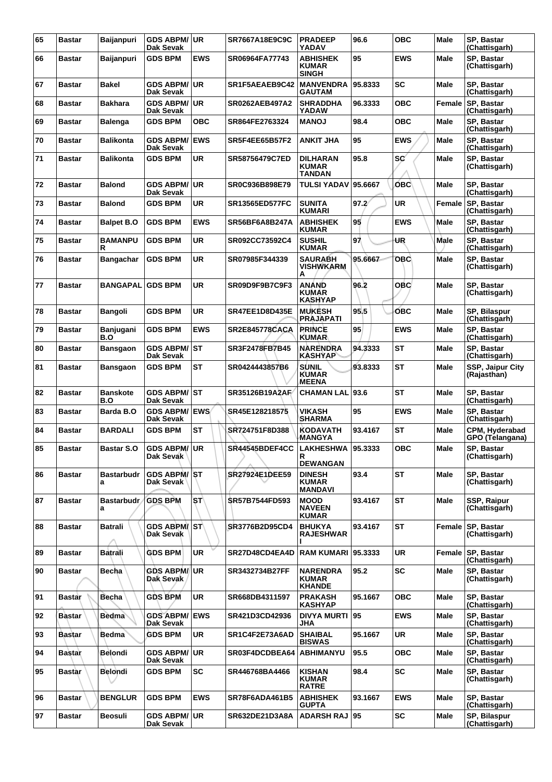| 65 | <b>Bastar</b> | <b>Baijanpuri</b>       | <b>GDS ABPM/ UR</b><br>Dak Sevak  |            | SR7667A18E9C9C        | <b>PRADEEP</b><br>YADAV                          | 96.6    | <b>OBC</b> | <b>Male</b> | SP, Bastar<br>(Chattisgarh)        |
|----|---------------|-------------------------|-----------------------------------|------------|-----------------------|--------------------------------------------------|---------|------------|-------------|------------------------------------|
| 66 | <b>Bastar</b> | <b>Baijanpuri</b>       | <b>GDS BPM</b>                    | <b>EWS</b> | SR06964FA77743        | ABHISHEK<br><b>KUMAR</b><br><b>SINGH</b>         | 95      | EWS        | Male        | SP, Bastar<br>(Chattisgarh)        |
| 67 | <b>Bastar</b> | <b>Bakel</b>            | GDS ABPM/UR<br>Dak Sevak          |            | SR1F5AEAEB9C42        | <b>MANVENDRA</b><br><b>GAUTAM</b>                | 95.8333 | <b>SC</b>  | Male        | <b>SP. Bastar</b><br>(Chattisgarh) |
| 68 | <b>Bastar</b> | <b>Bakhara</b>          | <b>GDS ABPM/ UR</b><br>Dak Sevak  |            | SR0262AEB497A2        | <b>SHRADDHA</b><br>YADAW                         | 96.3333 | <b>OBC</b> | Female      | SP, Bastar<br>(Chattisgarh)        |
| 69 | <b>Bastar</b> | <b>Balenga</b>          | <b>GDS BPM</b>                    | <b>OBC</b> | SR864FE2763324        | <b>MANOJ</b>                                     | 98.4    | <b>OBC</b> | <b>Male</b> | SP, Bastar<br>(Chattisgarh)        |
| 70 | <b>Bastar</b> | <b>Balikonta</b>        | <b>GDS ABPM/</b><br>Dak Sevak     | <b>EWS</b> | <b>SR5F4EE65B57F2</b> | <b>ANKIT JHA</b>                                 | 95      | <b>EWS</b> | <b>Male</b> | SP, Bastar<br>(Chattisgarh)        |
| 71 | <b>Bastar</b> | <b>Balikonta</b>        | <b>GDS BPM</b>                    | UR         | <b>SR58756479C7ED</b> | <b>DILHARAN</b><br><b>KUMAR</b><br><b>TANDAN</b> | 95.8    | SC'        | Male        | SP, Bastar<br>(Chattisgarh)        |
| 72 | <b>Bastar</b> | <b>Balond</b>           | GDS ABPM/UR<br>Dak Sevak          |            | SR0C936B898E79        | <b>TULSI YADAV 95.6667</b>                       |         | OBC        | Male        | SP, Bastar<br>(Chattisgarh)        |
| 73 | <b>Bastar</b> | <b>Balond</b>           | <b>GDS BPM</b>                    | UR         | <b>SR13565ED577FC</b> | <b>SUNITA</b><br>KUMARI                          | 97.2'   | <b>UR</b>  | Female      | SP, Bastar<br>(Chattisgarh)        |
| 74 | <b>Bastar</b> | <b>Balpet B.O</b>       | <b>GDS BPM</b>                    | <b>EWS</b> | SR56BF6A8B247A        | <b>ABHISHEK</b><br><b>KUMAR</b>                  | 95      | <b>EWS</b> | Male        | SP, Bastar<br>(Chattisgarh)        |
| 75 | <b>Bastar</b> | <b>BAMANPU</b><br>R     | <b>GDS BPM</b>                    | <b>UR</b>  | SR092CC73592C4        | <b>SUSHIL</b><br><b>KUMAR</b>                    | 97      | UŖ         | Male        | SP, Bastar<br>(Chattisgarh)        |
| 76 | <b>Bastar</b> | Bangachar               | <b>GDS BPM</b>                    | UR         | SR07985F344339        | SAURABH<br>VISHWKARM<br>А                        | 95.6667 | <b>OBC</b> | Male        | SP, Bastar<br>(Chattisgarh)        |
| 77 | <b>Bastar</b> | <b>BANGAPAL GDS BPM</b> |                                   | <b>UR</b>  | SR09D9F9B7C9F3        | <b>ANÁND</b><br><b>KUMAR</b><br><b>KASHYAP</b>   | 96.2    | <b>OBC</b> | Male        | SP, Bastar<br>(Chattisgarh)        |
| 78 | <b>Bastar</b> | <b>Bangoli</b>          | <b>GDS BPM</b>                    | <b>UR</b>  | <b>SR47EE1D8D435E</b> | <b>MUKESH</b><br><b>PRAJAPATI</b>                | 95.5    | ОВС        | <b>Male</b> | SP, Bilaspur<br>(Chattisgarh)      |
| 79 | <b>Bastar</b> | Banjugani<br>B.O        | <b>GDS BPM</b>                    | <b>EWS</b> | <b>SR2E845778CACA</b> | <b>PRINCE</b><br><b>KUMAR</b>                    | 95      | <b>EWS</b> | Male        | SP, Bastar<br>(Chattisgarh)        |
| 80 | <b>Bastar</b> | <b>Bansgaon</b>         | <b>GDS ABPM/ ST</b><br>Dak Sevak  |            | SR3F2478FB7B45        | NARENDRA<br><b>KASHYAP</b>                       | 94.3333 | ST         | Male        | SP, Bastar<br>(Chattisgarh)        |
| 81 | Bastar        | <b>Bansgaon</b>         | <b>GDS BPM</b>                    | <b>ST</b>  | SR0424443857B6        | <b>SUNIL</b><br>KUMAR<br><b>MEENA</b>            | 93.8333 | <b>ST</b>  | Male        | SSP, Jaipur City<br>(Rajasthan)    |
| 82 | <b>Bastar</b> | <b>Banskote</b><br>B.O  | <b>GDS ABPM/ ST</b><br>Dak Sevak  |            | SR35126B19A2AF        | CHAMAN LAL 93.6                                  |         | ST         | Male        | SP. Bastar<br>(Chattisgarh)        |
| 83 | <b>Bastar</b> | Barda B.O               | GDS ABPM/ EWS/<br>Dak Sevak       |            | SR45E128218575        | <b>VIKASH</b><br><b>SHARMA</b>                   | 95      | <b>EWS</b> | <b>Male</b> | SP, Bastar<br>(Chattisgarh)        |
| 84 | <b>Bastar</b> | <b>BARDALI</b>          | <b>GDS BPM</b>                    | <b>ST</b>  | SR724751F8D388        | <b>KODAVATH</b><br><b>MANGYA</b>                 | 93.4167 | <b>ST</b>  | Male        | CPM, Hyderabad<br>GPO (Telangana)  |
| 85 | <b>Bastar</b> | <b>Bastar S.O</b>       | GDS ABPM/ UR<br>Dak Sevak         |            | SR44545BDEF4CC        | LAKHESHWA   95.3333<br>R<br><b>DEWANGAN</b>      |         | <b>OBC</b> | Male        | SP, Bastar<br>(Chattisgarh)        |
| 86 | <b>Bastar</b> | <b>Bastarbudr</b><br>a  | <b>GDS ABPM/ST</b><br>Dak Sevak   |            | SR27924E1DEE59        | <b>DINESH</b><br><b>KUMAR</b><br><b>MANDAVI</b>  | 93.4    | <b>ST</b>  | <b>Male</b> | SP. Bastar<br>(Chattisgarh)        |
| 87 | <b>Bastar</b> | <b>Bastarbudr</b><br>a  | <b>GDS BPM</b>                    | `ST∖       | <b>SR57B7544FD593</b> | <b>MOOD</b><br><b>NAVEEN</b><br><b>KUMAR</b>     | 93.4167 | <b>ST</b>  | <b>Male</b> | SSP, Raipur<br>(Chattisgarh)       |
| 88 | <b>Bastar</b> | <b>Batrali</b>          | <b>GDS ABPM/ ST\</b><br>Dak Sevak |            | SR3776B2D95CD4        | <b>BHUKYA</b><br><b>RAJESHWAR</b>                | 93.4167 | ST         | Female      | SP, Bastar<br>(Chattisgarh)        |
| 89 | <b>Bastar</b> | <b>Batrali</b>          | <b>GDS BPM</b>                    | <b>UR</b>  | SR27D48CD4EA4D        | <b>RAM KUMARI 95.3333</b>                        |         | <b>UR</b>  | Female      | SP, Bastar<br>(Chattisgarh)        |
| 90 | <b>Bastar</b> | Becha                   | <b>GDS ABPM/UR</b><br>Dak Sevak   |            | SR3432734B27FF        | <b>NARENDRA</b><br>KUMAR<br><b>KHANDE</b>        | 95.2    | SC         | <b>Male</b> | SP, Bastar<br>(Chattisgarh)        |
| 91 | <b>Bastar</b> | <b>Becha</b>            | <b>GDS BPM</b>                    | <b>UR</b>  | SR668DB4311597        | <b>PRAKASH</b><br><b>KASHYAP</b>                 | 95.1667 | <b>OBC</b> | <b>Male</b> | SP, Bastar<br>(Chattisgarh)        |
| 92 | <b>Bastar</b> | <b>Bedma</b>            | <b>GDS ABPM/ EWS</b><br>Dak Sevak |            | SR421D3CD42936        | <b>DIVYA MURTI 195</b><br>JHA                    |         | <b>EWS</b> | <b>Male</b> | <b>SP. Bastar</b><br>(Chattisgarh) |
| 93 | <b>Bastar</b> | <b>Bedma</b>            | <b>GDS BPM</b>                    | <b>UR</b>  | SR1C4F2E73A6AD        | <b>SHAIBAL</b><br><b>BISWAS</b>                  | 95.1667 | <b>UR</b>  | Male        | SP, Bastar<br>(Chattisgarh)        |
| 94 | <b>Bastar</b> | Belondi                 | <b>GDS ABPM/ UR</b><br>Dak Sevak  |            | SR03F4DCDBEA64        | <b>ABHIMANYU</b>                                 | 95.5    | <b>OBC</b> | <b>Male</b> | SP, Bastar<br>(Chattisgarh)        |
| 95 | <b>Bastar</b> | <b>Belondi</b>          | <b>GDS BPM</b>                    | <b>SC</b>  | SR446768BA4466        | <b>KISHAN</b><br><b>KUMAR</b><br><b>RATRE</b>    | 98.4    | <b>SC</b>  | <b>Male</b> | <b>SP. Bastar</b><br>(Chattisgarh) |
| 96 | <b>Bastar</b> | <b>BENGLUR</b>          | <b>GDS BPM</b>                    | <b>EWS</b> | SR78F6ADA461B5        | <b>ABHISHEK</b><br><b>GUPTA</b>                  | 93.1667 | <b>EWS</b> | <b>Male</b> | SP, Bastar<br>(Chattisgarh)        |
| 97 | <b>Bastar</b> | <b>Beosuli</b>          | GDS ABPM/UR<br>Dak Sevak          |            | SR632DE21D3A8A        | <b>ADARSH RAJ 95</b>                             |         | <b>SC</b>  | Male        | SP, Bilaspur<br>(Chattisgarh)      |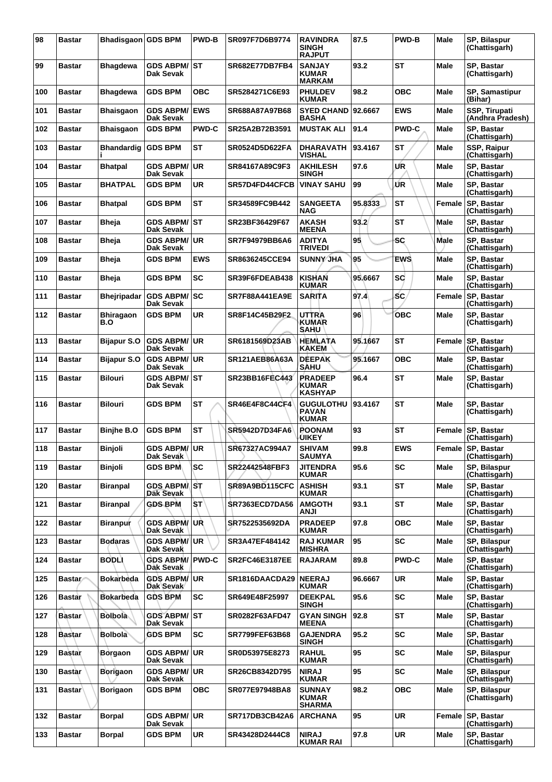| 98  | <b>Bastar</b> | Bhadisgaon GDS BPM      |                                         | <b>PWD-B</b> | SR097F7D6B9774        | <b>RAVINDRA</b><br><b>SINGH</b><br><b>RAJPUT</b> | 87.5    | <b>PWD-B</b> | <b>Male</b> | SP, Bilaspur<br>(Chattisgarh)            |
|-----|---------------|-------------------------|-----------------------------------------|--------------|-----------------------|--------------------------------------------------|---------|--------------|-------------|------------------------------------------|
| 99  | <b>Bastar</b> | <b>Bhagdewa</b>         | <b>GDS ABPM/ ST</b><br>Dak Sevak        |              | <b>SR682E77DB7FB4</b> | <b>SANJAY</b><br>KUMAR<br><b>MARKAM</b>          | 93.2    | <b>ST</b>    | <b>Male</b> | SP, Bastar<br>(Chattisgarh)              |
| 100 | <b>Bastar</b> | Bhagdewa                | <b>GDS BPM</b>                          | <b>OBC</b>   | SR5284271C6E93        | <b>PHULDEV</b><br><b>KUMAR</b>                   | 98.2    | ОВС          | <b>Male</b> | SP, Samastipur<br>(Bihar)                |
| 101 | <b>Bastar</b> | <b>Bhaisgaon</b>        | <b>GDS ABPM/</b><br>Dak Sevak           | <b>IEWS</b>  | SR688A87A97B68        | <b>SYED CHAND</b><br><b>BASHA</b>                | 92.6667 | <b>EWS</b>   | Male        | <b>SSP, Tirupati</b><br>(Andhra Pradesh) |
| 102 | <b>Bastar</b> | <b>Bhaisgaon</b>        | <b>GDS BPM</b>                          | <b>PWD-C</b> | SR25A2B72B3591        | <b>MUSTAK ALI</b>                                | 91.4    | <b>PWD-C</b> | <b>Male</b> | <b>SP. Bastar</b><br>(Chattisgarh)       |
| 103 | <b>Bastar</b> | Bhandardig              | <b>GDS BPM</b>                          | <b>ST</b>    | SR0524D5D622FA        | <b>DHARAVATH</b><br>VISHAL                       | 93.4167 | <b>ST</b>    | Male        | SSP, Raipur<br>(Chattisgarh)             |
| 104 | <b>Bastar</b> | <b>Bhatpal</b>          | <b>GDS ABPM/</b><br><b>Dak Sevak</b>    | ∣UR          | SR84167A89C9F3        | <b>AKHILESH</b><br><b>SINGH</b>                  | 97.6    | UR           | Male        | SP, Bastar<br>(Chattisgarh)              |
| 105 | <b>Bastar</b> | <b>BHATPAL</b>          | <b>GDS BPM</b>                          | <b>UR</b>    | SR57D4FD44CFCB        | <b>VINAY SAHU</b>                                | 99      | ŰR           | Male        | SP, Bastar<br>(Chattisgarh)              |
| 106 | Bastar        | Bhatpal                 | <b>GDS BPM</b>                          | <b>ST</b>    | SR34589FC9B442        | <b>SANGEETA</b><br><b>NAG</b>                    | 95.8333 | <b>ST</b>    | Female      | SP, Bastar<br>(Chattisgarh)              |
| 107 | <b>Bastar</b> | <b>Bheja</b>            | <b>GDS ABPM/ ST</b><br><b>Dak Sevak</b> |              | SR23BF36429F67        | <b>AKASH</b><br><b>MEENA</b>                     | 93.2    | <b>ST</b>    | Male        | <b>SP. Bastar</b><br>(Chattisgarh)       |
| 108 | <b>Bastar</b> | <b>Bheja</b>            | <b>GDS ABPM/UR</b><br>Dak Sevak         |              | SR7F94979BB6A6        | <b>ADITYA</b><br><b>TRIVEDI</b>                  | 95      | SC           | <b>Male</b> | SP. Bastar<br>(Chattisgarh)              |
| 109 | Bastar        | Bheja                   | <b>GDS BPM</b>                          | <b>EWS</b>   | SR8636245CCE94        | <b>SUNNY JHA</b>                                 | 95      | <b>EWS</b>   | <b>Male</b> | <b>SP. Bastar</b><br>(Chattisgarh)       |
| 110 | <b>Bastar</b> | Bheja                   | <b>GDS BPM</b>                          | <b>SC</b>    | SR39F6FDEAB438        | <b>KISHAN</b><br><b>KUMAR</b>                    | 95,6667 | <b>SC</b>    | Male        | <b>SP. Bastar</b><br>(Chattisgarh)       |
| 111 | <b>Bastar</b> | <b>Bheiripadar</b>      | <b>GDS ABPM/SC</b><br><b>Dak Sevak</b>  |              | <b>SR7F88A441EA9E</b> | <b>SARITA</b>                                    | 97.4    | SC.          | Female      | <b>SP. Bastar</b><br>(Chattisgarh)       |
| 112 | <b>Bastar</b> | <b>Bhiragaon</b><br>B.O | <b>GDS BPM</b>                          | UR           | SR8F14C45B29F2        | <b>UTTRA</b><br><b>KUMAR</b><br>SAHU             | 96      | ОВС          | Male        | SP, Bastar<br>(Chattisgarh)              |
| 113 | <b>Bastar</b> | <b>Bijapur S.O</b>      | <b>GDS ABPM/ UR</b><br>Dak Sevak        |              | SR6181569D23AB        | <b>HEMLATA</b><br><b>KAKEM</b>                   | 95.1667 | <b>ST</b>    | Female      | SP, Bastar<br>(Chattisgarh)              |
| 114 | Bastar        | Bijapur S.O             | <b>GDS ABPM/ UR</b><br>Dak Sevak        |              | SR121AEB86A63A        | <b>DEEPAK</b><br><b>SAHU</b>                     | 95.1667 | <b>OBC</b>   | Male        | SP, Bastar<br>(Chattisgarh)              |
| 115 | <b>Bastar</b> | <b>Bilouri</b>          | GDS ABPM/∣ST<br>Dak Sevak               |              | SR23BB16FEC443        | <b>PRADEEP</b><br><b>KUMAR</b><br><b>KASHYAP</b> | 96.4    | <b>ST</b>    | Male        | SP, Bastar<br>(Chattisgarh)              |
| 116 | Bastar        | Bilouri                 | <b>GDS BPM</b>                          | <b>ST</b>    | <b>SR46E4F8C44CF4</b> | <b>GUGULOTHU</b><br><b>PAVAN</b><br><b>KUMAR</b> | 93.4167 | <b>ST</b>    | Male        | SP, Bastar<br>(Chattisgarh)              |
| 117 | <b>Bastar</b> | <b>Binjhe B.O</b>       | <b>GDS BPM</b>                          | <b>ST</b>    | SR5942D7D34FA6        | <b>POONAM</b><br><b>UIKEY</b>                    | 93      | <b>ST</b>    | Female      | <b>SP, Bastar</b><br>(Chattisgarh)       |
| 118 | <b>Bastar</b> | <b>Binjoli</b>          | <b>GDS ABPM/ UR</b><br>Dak Sevak        |              | SR67327AC994A7        | <b>SHIVAM</b><br><b>SAUMYA</b>                   | 99.8    | <b>EWS</b>   |             | Female SP. Bastar<br>(Chattisgarh)       |
| 119 | <b>Bastar</b> | Binjoli                 | <b>GDS BPM</b>                          | <b>SC</b>    | SR22442548FBF3        | <b>JITENDRA</b><br><b>KUMAR</b>                  | 95.6    | <b>SC</b>    | Male        | SP, Bilaspur<br>(Chattisgarh)            |
| 120 | <b>Bastar</b> | Biranpal                | GDS ABPM/ST<br>Dak Sevak                |              | SR89A9BD115CFC        | <b>ASHISH</b><br><b>KUMAR</b>                    | 93.1    | <b>ST</b>    | <b>Male</b> | SP. Bastar<br>(Chattisgarh)              |
| 121 | Bastar        | <b>Biranpal</b>         | <b>GDS BPM</b>                          | <b>ST</b>    | <b>SR7363ECD7DA56</b> | <b>AMGOTH</b><br>ANJI                            | 93.1    | <b>ST</b>    | Male        | SP, Bastar<br>(Chattisgarh)              |
| 122 | <b>Bastar</b> | <b>Biranpur</b>         | <b>GDS ABPM/ UR</b><br>Dak Sevak        |              | SR7522535692DA        | <b>PRADEEP</b><br><b>KUMAR</b>                   | 97.8    | <b>OBC</b>   | Male        | SP, Bastar<br>(Chattisgarh)              |
| 123 | <b>Bastar</b> | Bodaras                 | GDS ABPM/ <sup> </sup> UR<br>Dak Sevak  |              | SR3A47EF484142        | <b>RAJ KUMAR</b><br><b>MISHRA</b>                | 95      | <b>SC</b>    | Male        | SP, Bilaspur<br>(Chattisgarh)            |
| 124 | <b>Bastar</b> | <b>BODLI</b>            | <b>GDS ABPM/ PWD-C</b><br>Dak Sevak     |              | <b>SR2FC46E3187EE</b> | <b>RAJARAM</b>                                   | 89.8    | <b>PWD-C</b> | Male        | SP, Bastar<br>(Chattisgarh)              |
| 125 | <b>Bastar</b> | <b>Bokarbeda</b>        | <b>GDS ABPM/UR</b><br>Dak Sevak         |              | SR1816DAACDA29        | <b>NEERAJ</b><br><b>KUMAR</b>                    | 96.6667 | <b>UR</b>    | Male        | SP, Bastar<br>(Chattisgarh)              |
| 126 | <b>Bastar</b> | <b>Bokarbeda</b>        | <b>GDS BPM</b>                          | <b>SC</b>    | SR649E48F25997        | <b>DEEKPAL</b><br><b>SINGH</b>                   | 95.6    | <b>SC</b>    | Male        | SP, Bastar<br>(Chattisgarh)              |
| 127 | <b>Bastar</b> | <b>Bolbola</b>          | <b>GDS ABPM/ST</b><br>Dak Sevak         |              | SR0282F63AFD47        | <b>GYAN SINGH</b><br><b>MEENA</b>                | 92.8    | <b>ST</b>    | Male        | <b>SP. Bastar</b><br>(Chattisgarh)       |
| 128 | <b>Bastar</b> | <b>Bolbola</b>          | <b>GDS BPM</b>                          | <b>SC</b>    | <b>SR7799FEF63B68</b> | <b>GAJENDRA</b><br><b>SINGH</b>                  | 95.2    | <b>SC</b>    | Male        | SP, Bastar<br>(Chattisgarh)              |
| 129 | <b>Bastar</b> | Borgaon                 | <b>GDS ABPM/ UR</b><br>Dak Sevak        |              | SR0D53975E8273        | <b>RAHUL</b><br><b>KUMAR</b>                     | 95      | <b>SC</b>    | Male        | SP, Bilaspur<br>(Chattisgarh)            |
| 130 | <b>Bastar</b> | <b>Borigaon</b>         | <b>GDS ABPM/UR</b><br>Dak Sevak         |              | SR26CB8342D795        | <b>NIRAJ</b><br><b>KUMAR</b>                     | 95      | <b>SC</b>    | Male        | SP, Bilaspur<br>(Chattisgarh)            |
| 131 | <b>Bastar</b> | <b>Borigaon</b>         | <b>GDS BPM</b>                          | ОВС          | SR077E97948BA8        | <b>SUNNAY</b><br><b>KUMAR</b><br><b>SHARMA</b>   | 98.2    | <b>OBC</b>   | Male        | SP, Bilaspur<br>(Chattisgarh)            |
| 132 | <b>Bastar</b> | <b>Borpal</b>           | <b>GDS ABPM/ UR</b><br>Dak Sevak        |              | <b>SR717DB3CB42A6</b> | <b>ARCHANA</b>                                   | 95      | <b>UR</b>    | Female      | SP, Bastar<br>(Chattisgarh)              |
| 133 | <b>Bastar</b> | <b>Borpal</b>           | <b>GDS BPM</b>                          | <b>UR</b>    | SR43428D2444C8        | <b>NIRAJ</b><br><b>KUMAR RAI</b>                 | 97.8    | <b>UR</b>    | Male        | SP, Bastar<br>(Chattisgarh)              |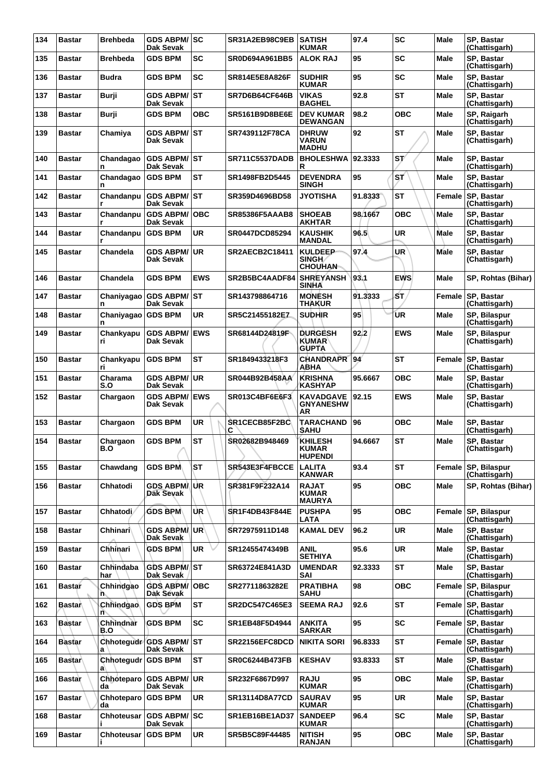| 134 | <b>Bastar</b> | <b>Brehbeda</b>  | <b>GDS ABPM/ SC</b><br>Dak Sevak           |             | SR31A2EB98C9EB        | <b>SATISH</b><br><b>KUMAR</b>                    | 97.4    | <b>SC</b>  | Male          | SP, Bastar<br>(Chattisgarh)          |
|-----|---------------|------------------|--------------------------------------------|-------------|-----------------------|--------------------------------------------------|---------|------------|---------------|--------------------------------------|
| 135 | <b>Bastar</b> | Brehbeda         | <b>GDS BPM</b>                             | <b>SC</b>   | SR0D694A961BB5        | <b>ALOK RAJ</b>                                  | 95      | <b>SC</b>  | Male          | <b>SP. Bastar</b><br>(Chattisgarh)   |
| 136 | <b>Bastar</b> | <b>Budra</b>     | <b>GDS BPM</b>                             | SC          | SR814E5E8A826F        | <b>SUDHIR</b><br><b>KUMAR</b>                    | 95      | <b>SC</b>  | <b>Male</b>   | SP, Bastar<br>(Chattisgarh)          |
| 137 | <b>Bastar</b> | Burji            | <b>GDS ABPM/ ST</b><br><b>Dak Sevak</b>    |             | SR7D6B64CF646B        | <b>VIKAS</b><br><b>BAGHEL</b>                    | 92.8    | <b>ST</b>  | <b>Male</b>   | SP, Bastar<br>(Chattisgarh)          |
| 138 | <b>Bastar</b> | Burji            | <b>GDS BPM</b>                             | <b>OBC</b>  | <b>SR5161B9D8BE6E</b> | <b>DEV KUMAR</b><br>DEWANGAN                     | 98.2    | <b>OBC</b> | Male          | SP, Raigarh<br>(Chattisgarh)         |
| 139 | Bastar        | Chamiya          | <b>GDS ABPM/ST</b><br>Dak Sevak            |             | SR7439112F78CA        | <b>DHRUW</b><br><b>VARUN</b><br><b>MADHU</b>     | 92      | <b>ST</b>  | <b>Male</b>   | SP, Bastar<br>(Chattisgarh)          |
| 140 | <b>Bastar</b> | Chandagao<br>n   | <b>GDS ABPM/ ST</b><br>Dak Sevak           |             | <b>SR711C5537DADB</b> | <b>BHOLESHWA</b><br>R                            | 92.3333 | ST/        | Male          | SP. Bastar<br>(Chattisgarh)          |
| 141 | Bastar        | Chandagao<br>n   | <b>GDS BPM</b>                             | ST          | SR1498FB2D5445        | <b>DEVENDRA</b><br><b>SINGH</b>                  | 95      | ST.        | <b>Male</b>   | SP, Bastar<br>(Chattisgarh)          |
| 142 | <b>Bastar</b> | Chandanpu        | <b>GDS ABPM/ST</b><br><b>Dak Sevak</b>     |             | SR359D4696BD58        | <b>JYOTISHA</b>                                  | 91.8333 | <b>ST</b>  | Female        | <b>SP, Bastar</b><br>(Chattisgarh)   |
| 143 | <b>Bastar</b> | Chandanpu        | <b>GDS ABPM/</b><br>Dak Sevak              | <b>OBC</b>  | <b>SR85386F5AAAB8</b> | <b>SHOEAB</b><br><b>AKHTAR</b>                   | 98.1667 | <b>OBC</b> | Male          | SP, Bastar<br>(Chattisgarh)          |
| 144 | <b>Bastar</b> | Chandanpu        | <b>GDS BPM</b>                             | UR          | <b>SR0447DCD85294</b> | <b>KAUSHIK</b><br><b>MANDAL</b>                  | 96.5    | UR         | Male          | SP, Bastar<br>(Chattisgarh)          |
| 145 | <b>Bastar</b> | Chandela         | GDS ABPM/UR<br>Dak Sevak                   |             | <b>SR2AECB2C18411</b> | <b>KULDEEP</b><br><b>SINGH</b><br><b>CHOUHAN</b> | 97.4    | <b>UR</b>  | Male          | SP, Bastar<br>(Chattisgarh)          |
| 146 | <b>Bastar</b> | Chandela         | <b>GDS BPM</b>                             | <b>EWS</b>  | SR2B5BC4AADF84        | <b>SHREYANSH</b><br><b>SINHA</b>                 | 93.1    | <b>EWS</b> | Male          | SP, Rohtas (Bihar)                   |
| 147 | <b>Bastar</b> | n                | Chaniyagao GDS ABPM/ST<br><b>Dak Sevak</b> |             | SR143798864716        | <b>MONESH</b><br><b>THAKUR</b>                   | 91.3333 | бT,        | <b>Female</b> | <b>SP, Bastar</b><br>(Chattisgarh)   |
| 148 | <b>Bastar</b> | Chaniyagao<br>n  | <b>GDS BPM</b>                             | <b>UR</b>   | SR5C21455182EZ        | <b>SUDHIR</b>                                    | 95      | UR         | Male          | SP, Bilaspur<br>(Chattisgarh)        |
| 149 | <b>Bastar</b> | Chankyapu<br>ri  | <b>GDS ABPM/</b><br>Dak Sevak              | <b>IEWS</b> | SR68144D24819F        | <b>DURGESH</b><br><b>KUMAR</b><br><b>GUPTA</b>   | 92.2    | <b>EWS</b> | Male          | SP, Bilaspur<br>(Chattisgarh)        |
| 150 | <b>Bastar</b> | Chankyapu<br>ri  | <b>GDS BPM</b>                             | ST          | SR1849433218F3        | <b>CHANDRAPR</b><br>ABHA                         | 94'     | ST         | Female        | SP, Bastar<br>(Chattisgarh)          |
| 151 | <b>Bastar</b> | Charama<br>S.O   | <b>GDS ABPM/ UR</b><br>Dak Sevak           |             | SR044B92B458AA        | <b>KRISHNA</b><br>KASHYAP                        | 95.6667 | <b>OBC</b> | Male          | SP, Bastar<br>(Chattisgarh)          |
| 152 | <b>Bastar</b> | Chargaon         | <b>GDS ABPM/ EWS</b><br>Dak Sevak          |             | SR013C4BF6E6F3        | <b>KAVADGAVE</b><br><b>GNYANESHW</b><br>AR       | 92.15   | <b>EWS</b> | <b>Male</b>   | SP, Bastar<br>(Chattisgarh)          |
| 153 | <b>Bastar</b> | Chargaon         | <b>GDS BPM</b>                             | UR          | SR1CECB85F2BC<br>С    | <b>TARACHAND</b><br><b>SAHU</b>                  | 96      | <b>OBC</b> | Male          | <b>SP. Bastar</b><br>(Chattisgarh)   |
| 154 | <b>Bastar</b> | Chargaon<br>B.O  | <b>GDS BPM</b>                             | <b>ST</b>   | SR02682B948469        | <b>KHILESH</b><br><b>KUMAR</b><br><b>HUPENDI</b> | 94.6667 | <b>ST</b>  | Male          | SP, Bastar<br>(Chattisgarh)          |
| 155 | <b>Bastar</b> | Chawdang         | <b>GDS BPM</b>                             | ST          | SR543E3F4FBCCE        | <b>LALITA</b><br><b>KANWAR</b>                   | 93.4    | <b>ST</b>  | Female        | SP, Bilaspur<br>(Chattisgarh)        |
| 156 | <b>Bastar</b> | Chhatodi         | <b>GDS ABPMAUR</b><br><b>Dak Sevak</b>     |             | SR381F9F232A14        | <b>RAJAT</b><br><b>KUMAR</b><br><b>MAURYA</b>    | 95      | <b>OBC</b> | <b>Male</b>   | SP, Rohtas (Bihar)                   |
| 157 | <b>Bastar</b> | Chhatodi ∕       | <b>GDS BPM</b>                             | UR.         | <b>SR1F4DB43F844E</b> | <b>PUSHPA</b><br>LATA                            | 95      | <b>OBC</b> | Female        | <b>SP, Bilaspur</b><br>(Chattisgarh) |
| 158 | <b>Bastar</b> | Chhinari∖        | <b>GDS ABPMAUR</b><br>Dak Sevak            |             | SR72975911D148        | <b>KAMAL DEV</b>                                 | 96.2    | <b>UR</b>  | <b>Male</b>   | SP, Bastar<br>(Chattisgarh)          |
| 159 | <b>Bastar</b> | Chhinari         | <b>GDS BPM</b>                             | UR.         | SR12455474349B        | ANIL<br><b>SETHIYA</b>                           | 95.6    | <b>UR</b>  | Male          | SP, Bastar<br>(Chattisgarh)          |
| 160 | <b>Bastar</b> | Chhindaba<br>har | GDS ABPM/ST<br>Dak Sevak                   |             | SR63724E841A3D        | <b>UMENDAR</b><br>SAI                            | 92.3333 | <b>ST</b>  | Male          | SP, Bastar<br>(Chattisgarh)          |
| 161 | <b>Bastar</b> | Chhindgao<br>ñ.  | <b>GDS ABPM/ OBC</b><br>Dak Sevak          |             | SR27711863282E        | <b>PRATIBHA</b><br><b>SAHU</b>                   | 98      | <b>OBC</b> |               | Female SP, Bilaspur<br>(Chattisgarh) |
| 162 | Bastar        | Chhindgao<br>n   | <b>GDS BPM</b>                             | <b>ST</b>   | SR2DC547C465E3        | <b>SEEMA RAJ</b>                                 | 92.6    | <b>ST</b>  | Female        | <b>SP, Bastar</b><br>(Chattisgarh)   |
| 163 | <b>Bastar</b> | Chhindnar<br>B.O | <b>GDS BPM</b>                             | <b>SC</b>   | SR1EB48F5D4944        | ANKITA<br><b>SARKAR</b>                          | 95      | <b>SC</b>  | Female        | <b>SP, Bastar</b><br>(Chattisgarh)   |
| 164 | <b>Bastar</b> | a                | Chhotequdr GDS ABPM/ST<br><b>Dak Sevak</b> |             | SR22156EFC8DCD        | <b>NIKITA SORI</b>                               | 96.8333 | <b>ST</b>  |               | Female SP, Bastar<br>(Chattisgarh)   |
| 165 | <b>Bastar</b> | Chhotegudr<br>a  | <b>GDS BPM</b>                             | <b>ST</b>   | <b>SR0C6244B473FB</b> | <b>KESHAV</b>                                    | 93.8333 | <b>ST</b>  | <b>Male</b>   | SP, Bastar<br>(Chattisgarh)          |
| 166 | <b>Bastar</b> | Chhoteparo<br>da | <b>GDS ABPM/</b><br>Dak Sevak              | ∣UR.        | SR232F6867D997        | <b>RAJU</b><br><b>KUMAR</b>                      | 95      | <b>OBC</b> | Male          | SP, Bastar<br>(Chattisgarh)          |
| 167 | <b>Bastar</b> | Chhoteparo<br>da | <b>GDS BPM</b>                             | UR          | <b>SR13114D8A77CD</b> | <b>SAURAV</b><br><b>KUMAR</b>                    | 95      | <b>UR</b>  | <b>Male</b>   | SP, Bastar<br>(Chattisgarh)          |
| 168 | <b>Bastar</b> | Chhoteusar       | <b>GDS ABPM/SC</b><br>Dak Sevak            |             | SR1EB16BE1AD37        | <b>SANDEEP</b><br><b>KUMAR</b>                   | 96.4    | <b>SC</b>  | Male          | SP, Bastar<br>(Chattisgarh)          |
| 169 | <b>Bastar</b> | Chhoteusar       | <b>GDS BPM</b>                             | <b>UR</b>   | SR5B5C89F44485        | <b>NITISH</b><br><b>RANJAN</b>                   | 95      | <b>OBC</b> | Male          | SP, Bastar<br>(Chattisgarh)          |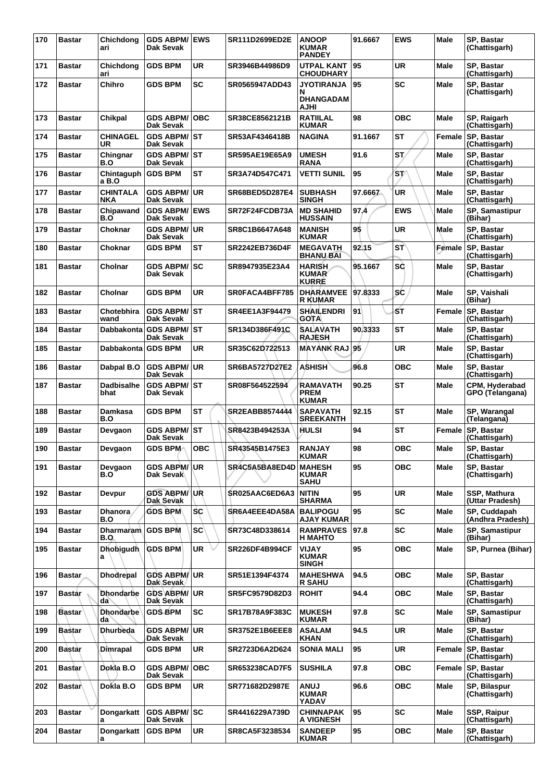| 170 | <b>Bastar</b> | Chichdong<br>ari           | <b>GDS ABPM/ EWS</b><br>Dak Sevak        |            | SR111D2699ED2E        | <b>ANOOP</b><br><b>KUMAR</b><br><b>PANDEY</b>      | 91.6667 | EWS        | Male        | SP, Bastar<br>(Chattisgarh)        |
|-----|---------------|----------------------------|------------------------------------------|------------|-----------------------|----------------------------------------------------|---------|------------|-------------|------------------------------------|
| 171 | <b>Bastar</b> | Chichdong<br>ari           | <b>GDS BPM</b>                           | <b>UR</b>  | SR3946B44986D9        | <b>UTPAL KANT</b><br><b>CHOUDHARY</b>              | 95      | UR         | <b>Male</b> | <b>SP. Bastar</b><br>(Chattisgarh) |
| 172 | <b>Bastar</b> | Chihro                     | <b>GDS BPM</b>                           | <b>SC</b>  | SR0565947ADD43        | <b>JYOTIRANJA</b><br>N<br><b>DHANGADAM</b><br>AJHI | 95      | SC         | Male        | SP, Bastar<br>(Chattisgarh)        |
| 173 | <b>Bastar</b> | Chikpal                    | <b>GDS ABPM/</b><br>Dak Sevak            | <b>OBC</b> | SR38CE8562121B        | <b>RATIILAL</b><br><b>KUMAR</b>                    | 98      | <b>OBC</b> | <b>Male</b> | SP, Raigarh<br>(Chattisgarh)       |
| 174 | <b>Bastar</b> | <b>CHINAGEL</b><br>UR      | <b>GDS ABPM/ST</b><br>Dak Sevak          |            | SR53AF4346418B        | <b>NAGINA</b>                                      | 91.1667 | <b>ST</b>  | Female      | SP, Bastar<br>(Chattisgarh)        |
| 175 | <b>Bastar</b> | Chingnar<br>B.O            | <b>GDS ABPM/ST</b><br>Dak Sevak          |            | SR595AE19E65A9        | <b>UMESH</b><br>RANA                               | 91.6    | ST.        | Male        | SP, Bastar<br>(Chattisgarh)        |
| 176 | <b>Bastar</b> | Chintaguph<br>a B.O        | <b>GDS BPM</b>                           | <b>ST</b>  | SR3A74D547C471        | <b>VETTI SUNIL</b>                                 | 95      | ST/        | Male        | SP, Bastar<br>(Chattisgarh)        |
| 177 | <b>Bastar</b> | <b>CHINTALA</b><br>NKA     | <b>GDS ABPM/ UR</b><br>Dak Sevak         |            | <b>SR68BED5D287E4</b> | <b>SUBHASH</b><br><b>SINGH</b>                     | 97.6667 | <b>UR</b>  | <b>Male</b> | SP, Bastar<br>(Chattisgarh)        |
| 178 | <b>Bastar</b> | Chipawand<br>B.O           | <b>GDS ABPM/ EWS</b><br>Dak Sevak        |            | SR72F24FCDB73A        | <b>MD SHAHID</b><br><b>HUSSAIN</b>                 | 97.4    | <b>EWS</b> | Male        | SP, Samastipur<br>(Bihar)          |
| 179 | <b>Bastar</b> | Choknar                    | GDS ABPM/UR<br>Dak Sevak                 |            | SR8C1B6647A648        | <b>MANISH</b><br><b>KUMAR</b>                      | 95      | <b>UR</b>  | Male        | SP, Bastar<br>(Chattisgarh)        |
| 180 | <b>Bastar</b> | Choknar                    | <b>GDS BPM</b>                           | <b>ST</b>  | SR2242EB736D4F        | <b>MEGAVATH</b><br><b>BHANU BAI</b>                | 92.15   | ST         | Female      | <b>SP. Bastar</b><br>(Chattisgarh) |
| 181 | <b>Bastar</b> | Cholnar                    | <b>GDS ABPM/ SC</b><br>Dak Sevak         |            | SR8947935E23A4        | <b>HARISH</b><br><b>KUMAR</b><br><b>KURRE</b>      | 95.1667 | SĠ         | <b>Male</b> | SP, Bastar<br>(Chattisgarh)        |
| 182 | <b>Bastar</b> | Cholnar                    | <b>GDS BPM</b>                           | <b>UR</b>  | SR0FACA4BFF785        | <b>DHARAMVEE</b><br><b>R KUMAR</b>                 | 97.8333 | SĆ         | <b>Male</b> | SP, Vaishali<br>(Bihar)            |
| 183 | <b>Bastar</b> | Chotebhira<br>wand         | <b>GDS ABPM/ST</b><br>Dak Sevak          |            | SR4EE1A3F94479        | <b>SHAILENDRI</b><br><b>GOTA</b>                   | 91      | SΤ         | Female      | SP, Bastar<br>(Chattisgarh)        |
| 184 | <b>Bastar</b> |                            | Dabbakonta   GDS ABPM/   ST<br>Dak Sevak |            | SR134D386F491C        | <b>SALAVATH</b><br><b>RAJESH</b>                   | 90.3333 | <b>ST</b>  | Male        | SP, Bastar<br>(Chattisgarh)        |
| 185 | <b>Bastar</b> | Dabbakonta GDS BPM         |                                          | UR         | SR35C62D722513        | <b>MAYANK RAJ</b>                                  | 95      | UR         | <b>Male</b> | SP, Bastar<br>(Chattisgarh)        |
| 186 | <b>Bastar</b> | Dabpal B.O                 | <b>GDS ABPM/ UR</b><br>Dak Sevak         |            | SR6BA5727D27E2        | <b>ASHISH</b>                                      | 96.8    | <b>OBC</b> | Male        | SP, Bastar<br>(Chattisgarh)        |
| 187 | <b>Bastar</b> | Dadbisalhe<br>bhat         | <b>GDS ABPM/ST</b><br>Dak Sevak          |            | SR08F564522594        | <b>RAMAVATH</b><br><b>PREM</b><br>KUMAR            | 90.25   | ST         | Male        | CPM, Hyderabad<br>GPO (Telangana)  |
| 188 | <b>Bastar</b> | Damkasa<br>B.O             | <b>GDS BPM</b>                           | <b>ST</b>  | SR2EABB8574444        | <b>SAPAVATH</b><br>SREEKANTH                       | 92.15   | <b>ST</b>  | <b>Male</b> | SP, Warangal<br>(Telangana)        |
| 189 | <b>Bastar</b> | Devgaon                    | GDS ABPM/ST<br>Dak Sevak                 |            | SR8423B494253A        | HULSI                                              | 94      | <b>ST</b>  | Female      | <b>SP. Bastar</b><br>(Chattisgarh) |
| 190 | <b>Bastar</b> | Devgaon                    | <b>GDS BPM</b>                           | <b>OBC</b> | SR43545B1475E3        | <b>RANJAY</b><br><b>KUMAR</b>                      | 98      | <b>OBC</b> | Male        | SP. Bastar<br>(Chattisgarh)        |
| 191 | <b>Bastar</b> | Devgaon<br>B.O             | <b>GDS ABPM/ UR</b><br>Dak Sevak         |            | SR4C5A5BA8ED4D        | <b>MAHESH</b><br>KUMAR<br><b>SAHU</b>              | 95      | <b>OBC</b> | Male        | SP, Bastar<br>(Chattisgarh)        |
| 192 | <b>Bastar</b> | <b>Devpur</b>              | <b>GDS ABPM/ UR</b><br><b>Dak Sevak</b>  |            | SR025AAC6ED6A3        | <b>NITIN</b><br><b>SHARMA</b>                      | 95      | UR         | <b>Male</b> | SSP, Mathura<br>(Uttar Pradesh)    |
| 193 | <b>Bastar</b> | <b>Dhanora</b><br>B.O      | <b>GDS BPM</b>                           | <b>SC</b>  | SR6A4EEE4DA58A        | <b>BALIPOGU</b><br><b>AJAY KUMAR</b>               | 95      | <b>SC</b>  | Male        | SP, Cuddapah<br>(Andhra Pradesh)   |
| 194 | <b>Bastar</b> | Dharmaram   GDS BPM<br>B.O |                                          | <b>SC</b>  | SR73C48D338614        | <b>RAMPRAVES</b><br><b>H MAHTO</b>                 | 97.8    | <b>SC</b>  | Male        | SP, Samastipur<br>(Bihar)          |
| 195 | <b>Bastar</b> | <b>Dhobigudh</b><br>a      | <b>GDS BPM</b>                           | UR         | <b>SR226DF4B994CF</b> | <b>VIJAY</b><br><b>KUMAR</b><br><b>SINGH</b>       | 95      | овс        | Male        | SP, Purnea (Bihar)                 |
| 196 | <b>Bastar</b> | <b>Dhodrepal</b>           | <b>GDS ABPM/ UR</b><br>Dak Sevak         |            | SR51E1394F4374        | <b>MAHESHWA</b><br><b>R SAHU</b>                   | 94.5    | <b>OBC</b> | Male        | SP, Bastar<br>(Chattisgarh)        |
| 197 | Bastar        | <b>Dhondarbe</b><br>da     | GDS ABPM/UR<br>Dak Sevak                 |            | SR5FC9579D82D3        | <b>ROHIT</b>                                       | 94.4    | <b>OBC</b> | <b>Male</b> | SP, Bastar<br>(Chattisgarh)        |
| 198 | <b>Bastar</b> | <b>Dhondarbe</b><br>da     | <b>GDS BPM</b>                           | <b>SC</b>  | <b>SR17B78A9F383C</b> | <b>MUKESH</b><br><b>KUMAR</b>                      | 97.8    | <b>SC</b>  | Male        | SP, Samastipur<br>(Bihar)          |
| 199 | <b>Bastar</b> | Dhurbeda                   | <b>GDS ABPM/ UR</b><br>Dak Sevak         |            | <b>SR3752E1B6EEE8</b> | <b>ASALAM</b><br><b>KHAN</b>                       | 94.5    | <b>UR</b>  | Male        | SP, Bastar<br>(Chattisgarh)        |
| 200 | <b>Bastar</b> | Dimrapal                   | <b>GDS BPM</b>                           | <b>UR</b>  | SR2723D6A2D624        | <b>SONIA MALI</b>                                  | 95      | <b>UR</b>  | Female      | SP, Bastar<br>(Chattisgarh)        |
| 201 | <b>Bastar</b> | Dokla B.O                  | <b>GDS ABPM/</b><br>Dak Sevak            | <b>OBC</b> | <b>SR653238CAD7F5</b> | <b>SUSHILA</b>                                     | 97.8    | <b>OBC</b> | Female      | SP, Bastar<br>(Chattisgarh)        |
| 202 | <b>Bastar</b> | Dokla B.O                  | <b>GDS BPM</b>                           | UR         | SR771682D2987E        | <b>LUNA</b><br><b>KUMAR</b><br>YADAV               | 96.6    | ОВС        | <b>Male</b> | SP, Bilaspur<br>(Chattisgarh)      |
| 203 | <b>Bastar</b> | Dongarkatt<br>a            | <b>GDS ABPM/SC</b><br>Dak Sevak          |            | SR4416229A739D        | <b>CHINNAPAK</b><br>A VIGNESH                      | 95      | <b>SC</b>  | Male        | SSP, Raipur<br>(Chattisgarh)       |
| 204 | <b>Bastar</b> | Dongarkatt<br>a            | <b>GDS BPM</b>                           | UR         | SR8CA5F3238534        | <b>SANDEEP</b><br><b>KUMAR</b>                     | 95      | ОВС        | Male        | SP, Bastar<br>(Chattisgarh)        |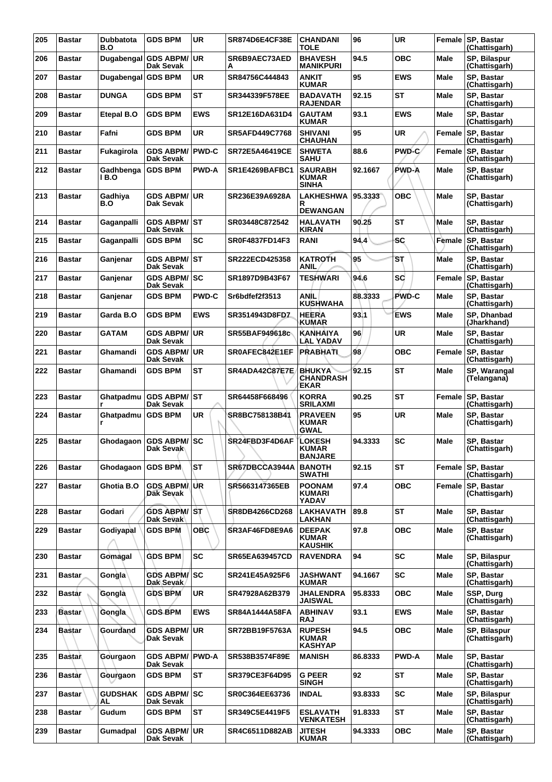| 205 | <b>Bastar</b> | <b>Dubbatota</b><br>B.O | <b>GDS BPM</b>                       | <b>UR</b>    | <b>SR874D6E4CF38E</b> | <b>CHANDANI</b><br>TOLE                          | 96      | <b>UR</b>    |             | Female SP, Bastar<br>(Chattisgarh)   |
|-----|---------------|-------------------------|--------------------------------------|--------------|-----------------------|--------------------------------------------------|---------|--------------|-------------|--------------------------------------|
| 206 | <b>Bastar</b> |                         | Dugabengal GDS ABPM/UR<br>Dak Sevak  |              | SR6B9AEC73AED<br>А    | <b>BHAVESH</b><br><b>MANIKPURI</b>               | 94.5    | <b>OBC</b>   | Male        | SP, Bilaspur<br>(Chattisgarh)        |
| 207 | <b>Bastar</b> | Dugabengal GDS BPM      |                                      | <b>UR</b>    | SR84756C444843        | <b>ANKIT</b><br><b>KUMAR</b>                     | 95      | <b>EWS</b>   | <b>Male</b> | SP, Bastar<br>(Chattisgarh)          |
| 208 | <b>Bastar</b> | <b>DUNGA</b>            | <b>GDS BPM</b>                       | <b>ST</b>    | SR344339F578EE        | <b>BADAVATH</b><br><b>RAJENDAR</b>               | 92.15   | <b>ST</b>    | Male        | SP, Bastar<br>(Chattisgarh)          |
| 209 | <b>Bastar</b> | Etepal B.O              | <b>GDS BPM</b>                       | <b>EWS</b>   | SR12E16DA631D4        | <b>GAUTAM</b><br><b>KUMAR</b>                    | 93.1    | <b>EWS</b>   | Male        | SP, Bastar<br>(Chattisgarh)          |
| 210 | <b>Bastar</b> | Fafni                   | <b>GDS BPM</b>                       | <b>UR</b>    | <b>SR5AFD449C7768</b> | <b>SHIVANI</b><br><b>CHAUHAN</b>                 | 95      | <b>UR</b>    | Female      | SP, Bastar<br>(Chattisgarh)          |
| 211 | <b>Bastar</b> | Fukagirola              | <b>GDS ABPM/</b><br><b>Dak Sevak</b> | <b>PWD-C</b> | <b>SR72E5A46419CE</b> | <b>SHWETA</b><br><b>SAHU</b>                     | 88.6    | PWD-C        | Female      | SP, Bastar<br>(Chattisgarh)          |
| 212 | <b>Bastar</b> | Gadhbenga<br>1 B.O      | <b>GDS BPM</b>                       | <b>PWD-A</b> | SR1E4269BAFBC1        | <b>SAURABH</b><br><b>KUMAR</b><br><b>SINHA</b>   | 92.1667 | PWD-A        | Male        | SP, Bastar<br>(Chattisgarh)          |
| 213 | <b>Bastar</b> | Gadhiya<br>B.O          | GDS ABPM/UR<br>Dak Sevak             |              | SR236E39A6928A        | LAKHESHWA<br>R<br><b>DEWANGAN</b>                | 95.3333 | <b>OBC</b>   | Male        | SP, Bastar<br>(Chattisgarh)          |
| 214 | <b>Bastar</b> | Gaganpalli              | <b>GDS ABPM/ST</b><br>Dak Sevak      |              | SR03448C872542        | <b>HALAVATH</b><br>KIRAN                         | 90.25   | <b>ST</b>    | Male        | SP, Bastar<br>(Chattisgarh)          |
| 215 | <b>Bastar</b> | Gaganpalli              | <b>GDS BPM</b>                       | <b>SC</b>    | SR0F4837FD14F3        | RANI                                             | 94.4    | <b>SC</b>    | Female      | SP, Bastar<br>(Chattisgarh)          |
| 216 | <b>Bastar</b> | Ganjenar                | GDS ABPM/ST<br>Dak Sevak             |              | SR222ECD425358        | KATROTH<br>ANIL                                  | 95      | SТ           | Male        | SP, Bastar<br>(Chattisgarh)          |
| 217 | <b>Bastar</b> | Ganienar                | GDS ABPM/SC<br>Dak Sevak             |              | SR1897D9B43F67        | <b>TESHWARI</b>                                  | 94.6    | <b>SC</b>    | Female      | SP, Bastar<br>(Chattisgarh)          |
| 218 | <b>Bastar</b> | Ganjenar                | <b>GDS BPM</b>                       | <b>PWD-C</b> | Sr6bdfef2f3513        | ANİL<br><b>KUSHWAHA</b>                          | 88.3333 | PWD-C        | <b>Male</b> | SP. Bastar<br>(Chattisgarh)          |
| 219 | <b>Bastar</b> | Garda B.O               | <b>GDS BPM</b>                       | <b>EWS</b>   | SR3514943D8FDZ        | <b>HEERA</b><br>KUMAR                            | 93.1    | EWS          | Male        | SP, Dhanbad<br>(Jharkhand)           |
| 220 | <b>Bastar</b> | <b>GATAM</b>            | <b>GDS ABPM/ UR</b><br>Dak Sevak     |              | SR55BAF949618c        | <b>KANHAIYA</b><br>LAL YADAV                     | 96      | UR           | <b>Male</b> | SP, Bastar<br>(Chattisgarh)          |
| 221 | <b>Bastar</b> | Ghamandi                | <b>GDS ABPM/ UR</b><br>Dak Sevak     |              | SR0AFEC842E1EF        | <b>PRABHATL</b>                                  | 98      | <b>OBC</b>   | Female      | SP, Bastar<br>(Chattisgarh)          |
| 222 | <b>Bastar</b> | Ghamandi                | <b>GDS BPM</b>                       | ST           | SR4ADA42C87E7E        | <b>BHUKYA</b><br><b>CHANDRASH</b><br><b>EKAR</b> | 92.15   | ST           | Male        | SP, Warangal<br>(Telangana)          |
| 223 | <b>Bastar</b> |                         | Ghatpadmu GDS ABPM/ST<br>Dak Sevak   |              | SR64458F668496        | <b>KORRA</b><br><b>SRILAXMI</b>                  | 90.25   | <b>ST</b>    | Female      | SP, Bastar<br>(Chattisgarh)          |
| 224 | <b>Bastar</b> | Ghatpadmu<br>r          | <b>GDS BPM</b>                       | UR           | SR8BC758138B41        | <b>PRAVEEN</b><br><b>KUMAR</b><br>GWAL           | 95      | UR           | Male        | SP, Bastar<br>(Chattisgarh)          |
| 225 | <b>Bastar</b> |                         | Ghodagaon GDS ABPM/SC<br>Dak Sevak   |              | SR24FBD3F4D6AF        | <b>LOKESH</b><br><b>KUMAR</b><br><b>BANJARE</b>  | 94.3333 | <b>SC</b>    | <b>Male</b> | SP, Bastar<br>(Chattisgarh)          |
| 226 | <b>Bastar</b> | Ghodagaon               | <b>GDS BPM</b>                       | ST           | SR67DBCCA3944A        | <b>BANOTH</b><br><b>SWATHI</b>                   | 92.15   | ST           | Female      | SP, Bastar<br>(Chattisgarh)          |
| 227 | <b>Bastar</b> | Ghotia B.O              | GDS ABPM/UR<br><b>Dak Sevak</b>      |              | SR5663147365EB        | <b>POONAM</b><br><b>KUMARI</b><br>YADAV          | 97.4    | <b>OBC</b>   | Female      | SP, Bastar<br>(Chattisgarh)          |
| 228 | <b>Bastar</b> | Godari                  | <b>GDS ABPM/ ST</b><br>Dak Sevak     |              | SR8DB4266CD268        | <b>LAKHAVATH</b><br><b>LAKHAN</b>                | 89.8    | <b>ST</b>    | Male        | SP, Bastar<br>(Chattisgarh)          |
| 229 | <b>Bastar</b> | Godiyapal               | <b>GDS BPM</b>                       | <b>OBC</b>   | SR3AF46FD8E9A6        | <b>DEEPAK</b><br><b>KUMAR</b><br>KAUSHIK         | 97.8    | <b>OBC</b>   | <b>Male</b> | SP, Bastar<br>(Chattisgarh)          |
| 230 | <b>Bastar</b> | Gomagal                 | <b>GDS BPM</b>                       | <b>SC</b>    | <b>SR65EA639457CD</b> | <b>RAVENDRA</b>                                  | 94      | <b>SC</b>    | Male        | <b>SP. Bilaspur</b><br>(Chattisgarh) |
| 231 | <b>Bastar</b> | Gongla                  | <b>GDS ABPM/SC</b><br>Dak Sevak      |              | SR241E45A925F6        | <b>JASHWANT</b><br><b>KUMAR</b>                  | 94.1667 | <b>SC</b>    | <b>Male</b> | SP, Bastar<br>(Chattisgarh)          |
| 232 | <b>Bastar</b> | Gongla                  | <b>GDS BPM</b>                       | <b>UR</b>    | SR47928A62B379        | <b>JHALENDRA</b><br><b>JAISWAL</b>               | 95.8333 | <b>OBC</b>   | <b>Male</b> | SSP, Durg<br>(Chattisgarh)           |
| 233 | <b>Bastar</b> | Gongla                  | <b>GDS BPM</b>                       | <b>EWS</b>   | SR84A1444A58FA        | <b>ABHINAV</b><br>RAJ                            | 93.1    | <b>EWS</b>   | Male        | SP, Bastar<br>(Chattisgarh)          |
| 234 | <b>Bastar</b> | Gourdand                | <b>GDS ABPM/ UR</b><br>Dak Sevak     |              | SR72BB19F5763A        | <b>RUPESH</b><br><b>KUMAR</b><br><b>KASHYAP</b>  | 94.5    | <b>OBC</b>   | <b>Male</b> | SP, Bilaspur<br>(Chattisgarh)        |
| 235 | <b>Bastan</b> | Gourgaon                | <b>GDS ABPM/</b><br>Dak Sevak        | <b>PWD-A</b> | SR538B3574F89E        | <b>MANISH</b>                                    | 86.8333 | <b>PWD-A</b> | <b>Male</b> | SP, Bastar<br>(Chattisgarh)          |
| 236 | <b>Bastar</b> | Gourgaon                | <b>GDS BPM</b>                       | <b>ST</b>    | <b>SR379CE3F64D95</b> | <b>G PEER</b><br><b>SINGH</b>                    | 92      | <b>ST</b>    | <b>Male</b> | SP, Bastar<br>(Chattisgarh)          |
| 237 | <b>Bastar</b> | <b>GUDSHAK</b><br>AL    | <b>GDS ABPM/SC</b><br>Dak Sevak      |              | SR0C364EE63736        | INDAL                                            | 93.8333 | SC           | Male        | SP, Bilaspur<br>(Chattisgarh)        |
| 238 | <b>Bastar</b> | Gudum                   | <b>GDS BPM</b>                       | <b>ST</b>    | SR349C5E4419F5        | <b>ESLAVATH</b><br><b>VENKATESH</b>              | 91.8333 | <b>ST</b>    | <b>Male</b> | SP, Bastar<br>(Chattisgarh)          |
| 239 | <b>Bastar</b> | Gumadpal                | <b>GDS ABPM/ UR</b><br>Dak Sevak     |              | <b>SR4C6511D882AB</b> | <b>JITESH</b><br><b>KUMAR</b>                    | 94.3333 | <b>OBC</b>   | Male        | SP, Bastar<br>(Chattisgarh)          |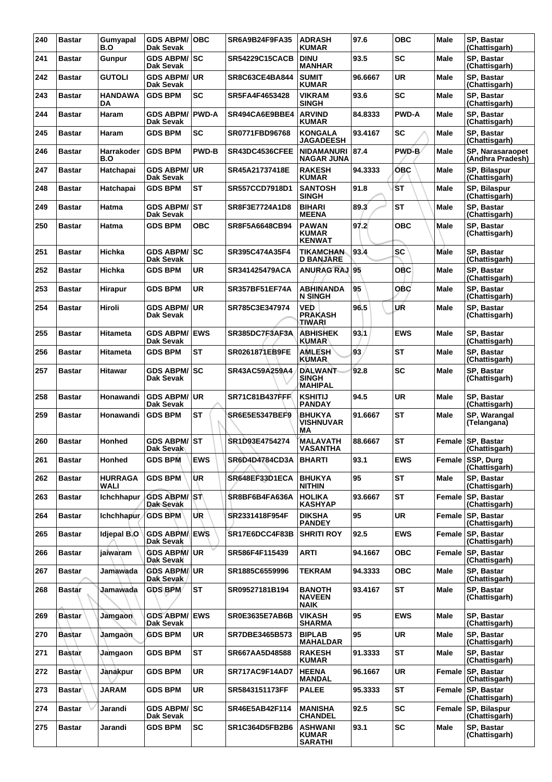| 240 | <b>Bastar</b> | Gumyapal<br>B.O        | <b>GDS ABPM/OBC</b><br><b>Dak Sevak</b> |              | <b>SR6A9B24F9FA35</b> | <b>ADRASH</b><br><b>KUMAR</b>                    | 97.6    | <b>OBC</b>   | <b>Male</b>   | SP, Bastar<br>(Chattisgarh)          |
|-----|---------------|------------------------|-----------------------------------------|--------------|-----------------------|--------------------------------------------------|---------|--------------|---------------|--------------------------------------|
| 241 | <b>Bastar</b> | <b>Gunpur</b>          | <b>GDS ABPM/ SC</b><br>Dak Sevak        |              | <b>SR54229C15CACB</b> | <b>DINU</b><br><b>MANHAR</b>                     | 93.5    | <b>SC</b>    | Male          | <b>SP. Bastar</b><br>(Chattisgarh)   |
| 242 | <b>Bastar</b> | <b>GUTOLI</b>          | <b>GDS ABPM/ UR</b><br>Dak Sevak        |              | <b>SR8C63CE4BA844</b> | <b>SUMIT</b><br><b>KUMAR</b>                     | 96.6667 | UR           | Male          | SP, Bastar<br>(Chattisgarh)          |
| 243 | <b>Bastar</b> | HANDAWA<br>DA          | <b>GDS BPM</b>                          | <b>SC</b>    | SR5FA4F4653428        | <b>VIKRAM</b><br><b>SINGH</b>                    | 93.6    | <b>SC</b>    | <b>Male</b>   | SP, Bastar<br>(Chattisgarh)          |
| 244 | <b>Bastar</b> | Haram                  | <b>GDS ABPM/ PWD-A</b><br>Dak Sevak     |              | SR494CA6E9BBE4        | <b>ARVIND</b><br><b>KUMAR</b>                    | 84.8333 | <b>PWD-A</b> | Male          | <b>SP. Bastar</b><br>(Chattisgarh)   |
| 245 | <b>Bastar</b> | Haram                  | <b>GDS BPM</b>                          | <b>SC</b>    | SR0771FBD96768        | <b>KONGALA</b><br><b>JAGADEESH</b>               | 93.4167 | <b>SC</b>    | Male          | SP, Bastar<br>(Chattisgarh)          |
| 246 | <b>Bastar</b> | Harrakoder<br>B.O      | <b>GDS BPM</b>                          | <b>PWD-B</b> | SR43DC4536CFEE        | NIDAMANURI<br><b>NAGAR JUNA</b>                  | 87.4    | PWD-B        | <b>Male</b>   | SP, Narasaraopet<br>(Andhra Pradesh) |
| 247 | <b>Bastar</b> | Hatchapai              | <b>GDS ABPM/ UR</b><br>Dak Sevak        |              | SR45A21737418E        | <b>RAKESH</b><br><b>KUMAR</b>                    | 94.3333 | <b>OBC</b>   | Male          | SP, Bilaspur<br>(Chattisgarh)        |
| 248 | <b>Bastar</b> | Hatchapai              | <b>GDS BPM</b>                          | <b>ST</b>    | SR557CCD7918D1        | <b>SANTOSH</b><br><b>SINGH</b>                   | 91.8    | ŚТ           | Male          | SP, Bilaspur<br>(Chattisgarh)        |
| 249 | <b>Bastar</b> | <b>Hatma</b>           | <b>GDS ABPM/ ST</b><br>Dak Sevak        |              | SR8F3E7724A1D8        | <b>BIHARI</b><br><b>MEENA</b>                    | 89.3    | <b>ST</b>    | <b>Male</b>   | SP, Bastar<br>(Chattisgarh)          |
| 250 | <b>Bastar</b> | Hatma                  | <b>GDS BPM</b>                          | <b>OBC</b>   | SR8F5A6648CB94        | <b>PAWAN</b><br><b>KUMAR</b><br><b>KENWAT</b>    | 97.2    | ОВС          | <b>Male</b>   | SP, Bastar<br>(Chattisgarh)          |
| 251 | <b>Bastar</b> | Hichka                 | <b>GDS ABPM/ SC</b><br>Dak Sevak        |              | SR395C474A35F4        | <b>TIKAMCHAN</b><br><b>D BANJARE</b>             | 93.4    | <b>SC</b>    | <b>Male</b>   | SP, Bastar<br>(Chattisgarh)          |
| 252 | <b>Bastar</b> | Hichka                 | <b>GDS BPM</b>                          | <b>UR</b>    | SR341425479ACA        | <b>ANURAG RAJ 95</b>                             |         | OBC          | Male          | <b>SP. Bastar</b><br>(Chattisgarh)   |
| 253 | <b>Bastar</b> | Hirapur                | <b>GDS BPM</b>                          | <b>UR</b>    | <b>SR357BF51EF74A</b> | ABHINANDA<br>N SINGH                             | 95      | <b>OBC</b>   | Male          | SP, Bastar<br>(Chattisgarh)          |
| 254 | <b>Bastar</b> | Hiroli                 | <b>GDS ABPM/ UR</b><br>Dak Sevak        |              | SR785C3E347974        | VED<br><b>PRAKASH</b><br>TIWARI                  | 96.5    | UŔ           | <b>Male</b>   | SP, Bastar<br>(Chattisgarh)          |
| 255 | <b>Bastar</b> | Hitameta               | <b>GDS ABPM/</b><br>Dak Sevak           | <b>EWS</b>   | SR385DC7F3AF3A        | <b>ABHISHEK</b><br><b>KUMAR</b>                  | 93.1    | <b>EWS</b>   | Male          | SP, Bastar<br>(Chattisgarh)          |
| 256 | <b>Bastar</b> | Hitameta               | <b>GDS BPM</b>                          | <b>ST</b>    | SR0261871EB9FE        | <b>AMLESH</b><br><b>KUMAR</b>                    | 93      | <b>ST</b>    | <b>Male</b>   | SP, Bastar<br>(Chattisgarh)          |
| 257 | <b>Bastar</b> | Hitawar                | <b>GDS ABPM/ SC</b><br>Dak Sevak        |              | SR43AC59A259A4        | <b>DALWANT</b><br><b>SINGH</b><br><b>MAHIPAL</b> | 92.8    | SC           | Male          | SP, Bastar<br>(Chattisgarh)          |
| 258 | <b>Bastar</b> | Honawandi              | <b>GDS ABPM/ UR</b><br><b>Dak Sevak</b> |              | <b>SR71C81B437FFF</b> | <b>KSHITIJ</b><br><b>PANDAY</b>                  | 94.5    | <b>UR</b>    | <b>Male</b>   | SP, Bastar<br>(Chattisgarh)          |
| 259 | <b>Bastar</b> | Honawandi              | <b>GDS BPM</b>                          | <b>ST</b>    | SR6E5E5347BEF9        | <b>BHUKYA</b><br>VISHNUVAR<br>MΑ                 | 91.6667 | <b>ST</b>    | Male          | SP, Warangal<br>(Telangana)          |
| 260 | <b>Bastar</b> | <b>Honhed</b>          | <b>GDS ABPM/ ST</b><br>Dak Sevak        |              | SR1D93E4754274        | <b>MALAVATH</b><br>VASANTHA                      | 88.6667 | <b>ST</b>    | Female        | <b>SP, Bastar</b><br>(Chattisgarh)   |
| 261 | <b>Bastar</b> | Honhed                 | <b>GDS BPM</b>                          | <b>EWS</b>   | SR6D4D4784CD3A        | <b>BHARTI</b>                                    | 93.1    | <b>EWS</b>   | Female        | SSP, Durg<br>(Chattisgarh)           |
| 262 | <b>Bastar</b> | <b>HURRAGA</b><br>WALI | <b>GDS BPM</b>                          | ÙR           | SR648EF33D1ECA        | <b>BHUKYA</b><br><b>NITHIN</b>                   | 95      | <b>ST</b>    | Male          | SP, Bastar<br>(Chattisgarh)          |
| 263 | <b>Bastar</b> | <b>Ichchhapur</b>      | <b>GDS ABPM/ST</b><br>Dak Sevak         |              | SR8BF6B4FA636A        | <b>HOLIKA</b><br><b>KASHYAP</b>                  | 93.6667 | ST           | Female        | SP, Bastar<br>(Chattisgarh)          |
| 264 | <b>Bastar</b> | Ichchhapur             | <b>GDS BPM</b>                          | UR           | SR2331418F954F        | <b>DIKSHA</b><br><b>PANDEY</b>                   | 95      | <b>UR</b>    | <b>Female</b> | <b>SP. Bastar</b><br>(Chattisgarh)   |
| 265 | <b>Bastar</b> | Idjepal B.O            | <b>GDS ABPM/LEWS</b><br>Dak Sevak       |              | SR17E6DCC4F83B        | <b>SHRITI ROY</b>                                | 92.5    | <b>EWS</b>   | Female        | SP, Bastar<br>(Chattisgarh)          |
| 266 | <b>Bastar</b> | jaiwaram               | <b>GDS ABPM/UR</b><br><b>Dak Sevak</b>  |              | SR586F4F115439        | <b>ARTI</b>                                      | 94.1667 | <b>OBC</b>   | Female        | SP, Bastar<br>(Chattisgarh)          |
| 267 | <b>Bastar</b> | Jamawada               | <b>GDS ABPM/UR</b><br>Dak Sevak         |              | SR1885C6559996        | TEKRAM                                           | 94.3333 | <b>OBC</b>   | <b>Male</b>   | SP, Bastar<br>(Chattisgarh)          |
| 268 | <b>Bastar</b> | Jamawada               | <b>GDS BPM</b>                          | <b>ST</b>    | SR09527181B194        | <b>BANOTH</b><br><b>NAVEEN</b><br><b>NAIK</b>    | 93.4167 | <b>ST</b>    | <b>Male</b>   | SP, Bastar<br>(Chattisgarh)          |
| 269 | <b>Bastar</b> | Jamgaon                | <b>GDS ABPM/ EWS</b><br>Dak Sevak       |              | <b>SR0E3635E7AB6B</b> | <b>VIKASH</b><br>SHARMA                          | 95      | <b>EWS</b>   | <b>Male</b>   | SP, Bastar<br>(Chattisgarh)          |
| 270 | <b>Bastar</b> | Jamgaon                | <b>GDS BPM</b>                          | <b>UR</b>    | SR7DBE3465B573        | <b>BIPLAB</b><br><b>MAHALDAR</b>                 | 95      | <b>UR</b>    | Male          | SP, Bastar<br>(Chattisgarh)          |
| 271 | <b>Bastar</b> | Jamgaon                | <b>GDS BPM</b>                          | <b>ST</b>    | SR667AA5D48588        | <b>RAKESH</b><br><b>KUMAR</b>                    | 91.3333 | ST           | <b>Male</b>   | SP, Bastar<br>(Chattisgarh)          |
| 272 | <b>Bastar</b> | Jànakpur               | <b>GDS BPM</b>                          | <b>UR</b>    | SR717AC9F14AD7        | <b>HEENA</b><br>MANDAL                           | 96.1667 | <b>UR</b>    | Female        | SP, Bastar<br>(Chattisgarh)          |
| 273 | <b>Bastar</b> | <b>JARAM</b>           | <b>GDS BPM</b>                          | <b>UR</b>    | SR5843151173FF        | <b>PALEE</b>                                     | 95.3333 | <b>ST</b>    | Female        | SP, Bastar<br>(Chattisgarh)          |
| 274 | <b>Bastar</b> | Jarandi                | <b>GDS ABPM/ SC</b><br>Dak Sevak        |              | SR46E5AB42F114        | <b>MANISHA</b><br><b>CHANDEL</b>                 | 92.5    | <b>SC</b>    | Female        | SP, Bilaspur<br>(Chattisgarh)        |
| 275 | <b>Bastar</b> | Jarandi                | <b>GDS BPM</b>                          | <b>SC</b>    | SR1C364D5FB2B6        | <b>ASHWANI</b><br>KUMAR<br><b>SARATHI</b>        | 93.1    | <b>SC</b>    | <b>Male</b>   | SP, Bastar<br>(Chattisgarh)          |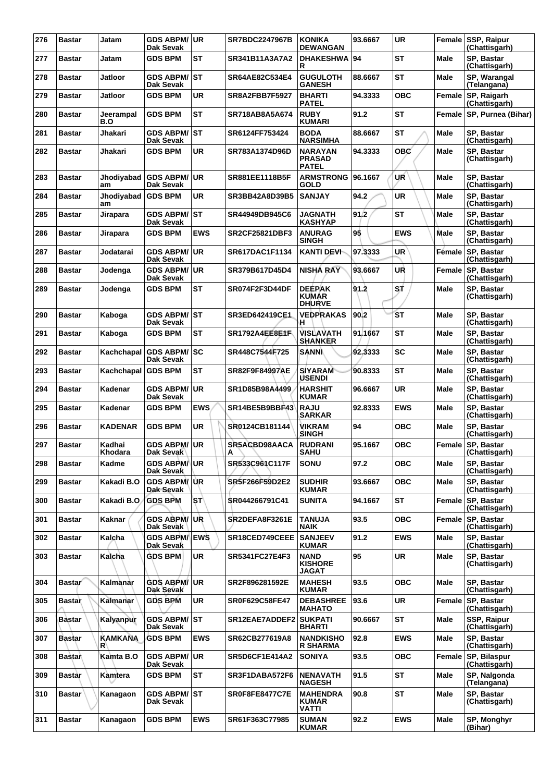| 276 | <b>Bastar</b>       | Jatam                    | <b>GDS ABPM/ UR</b><br>Dak Sevak  |            | <b>SR7BDC2247967B</b> | <b>KONIKA</b><br><b>DEWANGAN</b>                | 93.6667 | <b>UR</b>  |               | Female SSP, Raipur<br>(Chattisgarh) |
|-----|---------------------|--------------------------|-----------------------------------|------------|-----------------------|-------------------------------------------------|---------|------------|---------------|-------------------------------------|
| 277 | <b>Bastar</b>       | Jatam                    | <b>GDS BPM</b>                    | ST         | SR341B11A3A7A2        | <b>DHAKESHWA</b><br>R                           | 94      | <b>ST</b>  | Male          | SP, Bastar<br>(Chattisgarh)         |
| 278 | <b>Bastar</b>       | Jatloor                  | <b>GDS ABPM/ ST</b><br>Dak Sevak  |            | SR64AE82C534E4        | <b>GUGULOTH</b><br><b>GANESH</b>                | 88.6667 | <b>ST</b>  | Male          | SP, Warangal<br>(Telangana)         |
| 279 | <b>Bastar</b>       | Jatloor                  | <b>GDS BPM</b>                    | <b>UR</b>  | <b>SR8A2FBB7F5927</b> | <b>BHARTI</b><br><b>PATEL</b>                   | 94.3333 | <b>OBC</b> |               | Female SP, Raigarh<br>(Chattisgarh) |
| 280 | Bastar              | Jeerampal<br>B.O         | <b>GDS BPM</b>                    | ST         | SR718AB8A5A674        | <b>RUBY</b><br><b>KUMARI</b>                    | 91.2    | <b>ST</b>  | Female        | SP, Purnea (Bihar)                  |
| 281 | <b>Bastar</b>       | Jhakari                  | <b>GDS ABPM/ ST</b><br>Dak Sevak  |            | SR6124FF753424        | <b>BODA</b><br><b>NARSIMHA</b>                  | 88.6667 | <b>ST</b>  | Male          | SP, Bastar<br>(Chattisgarh)         |
| 282 | <b>Bastar</b>       | Jhakari                  | <b>GDS BPM</b>                    | <b>UR</b>  | SR783A1374D96D        | <b>NARAYAN</b><br><b>PRASAD</b><br><b>PATEL</b> | 94.3333 | <b>OBC</b> | Male          | SP, Bastar<br>(Chattisgarh)         |
| 283 | <b>Bastar</b>       | Jhodiyabad<br>am         | <b>GDS ABPM/ UR</b><br>Dak Sevak  |            | SR881EE1118B5F        | <b>ARMSTRONG</b><br>GOLD                        | 96.1667 | UŔ         | Male          | SP, Bastar<br>(Chattisgarh)         |
| 284 | <b>Bastar</b>       | Jhodiyabad GDS BPM<br>am |                                   | <b>UR</b>  | SR3BB42A8D39B5        | <b>SANJAY</b>                                   | 94.2    | <b>UR</b>  | Male          | SP, Bastar<br>(Chattisgarh)         |
| 285 | Bastar              | Jirapara                 | GDS ABPM/ST<br><b>Dak Sevak</b>   |            | SR44949DB945C6        | <b>JAGNATH</b><br><b>KASHYAP</b>                | 91.2    | <b>ST</b>  | Male          | SP, Bastar<br>(Chattisgarh)         |
| 286 | <b>Bastar</b>       | Jirapara                 | <b>GDS BPM</b>                    | <b>EWS</b> | <b>SR2CF25821DBF3</b> | <b>ANURAG</b><br><b>SINGH</b>                   | 95      | <b>EWS</b> | <b>Male</b>   | SP, Bastar<br>(Chattisgarh)         |
| 287 | <b>Bastar</b>       | Jodatarai                | <b>GDS ABPM/ UR</b><br>Dak Sevak  |            | SR617DAC1F1134        | KANTI DEVI-                                     | 97.3333 | UR         | Fémale        | <b>SP, Bastar</b><br>(Chattisgarh)  |
| 288 | <b>Bastar</b>       | Jodenga                  | <b>GDS ABPM/ UR</b><br>Dak Sevak  |            | SR379B617D45D4        | <b>NISHA RAY</b>                                | 93.6667 | UR         | Female        | <b>SP. Bastar</b><br>(Chattisgarh)  |
| 289 | <b>Bastar</b>       | Jodenga                  | <b>GDS BPM</b>                    | ST         | SR074F2F3D44DF        | <b>DEEPAK</b><br><b>KUMAR</b><br><b>DHURVE</b>  | 91.2    | st         | <b>Male</b>   | SP, Bastar<br>(Chattisgarh)         |
| 290 | <b>Bastar</b>       | Kaboga                   | GDS ABPM/ST<br>Dak Sevak          |            | SR3ED642419CE1        | <b>VEDPRAKAS</b><br>н                           | 90.2    | <b>ST</b>  | Male          | SP, Bastar<br>(Chattisgarh)         |
| 291 | <b>Bastar</b>       | Kaboga                   | <b>GDS BPM</b>                    | ST         | SR1792A4EE8E1F        | <b>VISLAVATH</b><br><b>SHANKER</b>              | 91.1667 | <b>ST</b>  | <b>Male</b>   | SP, Bastar<br>(Chattisgarh)         |
| 292 | <b>Bastar</b>       | Kachchapal               | <b>GDS ABPM/SC</b><br>Dak Sevak   |            | SR448C7544F725        | <b>SANNI</b>                                    | 92.3333 | <b>SC</b>  | Male          | SP, Bastar<br>(Chattisgarh)         |
| 293 | Bastar              | Kachchapal               | <b>GDS BPM</b>                    | ST         | SR82F9F84997AE        | <b>SIYARAM</b><br><b>USENDI</b>                 | 90.8333 | <b>ST</b>  | Male          | SP, Bastar<br>(Chattisgarh)         |
| 294 | <b>Bastar</b>       | Kadenar                  | <b>GDS ABPM/</b><br>Dak Sevak     | ∣UR        | SR1D85B98A4499        | <b>HARSHIT</b><br><b>KUMAR</b>                  | 96.6667 | <b>UR</b>  | <b>Male</b>   | <b>SP. Bastar</b><br>(Chattisgarh)  |
| 295 | <b>Bastar</b>       | Kadenar                  | <b>GDS BPM</b>                    | <b>EWS</b> | SR14BE5B9BBF43        | <b>RAJU</b><br><b>SARKAR</b>                    | 92.8333 | <b>EWS</b> | Male          | <b>SP. Bastar</b><br>(Chattisgarh)  |
| 296 | Bastar              | KADENAR                  | <b>GDS BPM</b>                    | <b>UR</b>  | SR0124CB181144        | VIKRAM<br><b>SINGH</b>                          | 94      | <b>OBC</b> | Male          | SP, Bastar<br>(Chattisgarh)         |
| 297 | <b>Bastar</b>       | Kadhai<br>Khodara        | <b>GDS ABPM/ UR</b><br>Dak Sevak  |            | SR5ACBD98AACA<br>A    | <b>RUDRANI</b><br>SANU                          | 95.1667 | <b>OBC</b> |               | Female SP, Bastar<br>(Chattisgarh)  |
| 298 | <b>Bastar</b>       | Kadme                    | <b>GDS ABPM/ UR</b><br>Dak Sevak  |            | SR533C961C117F        | <b>SONU</b>                                     | 97.2    | <b>OBC</b> | Male          | SP, Bastar<br>(Chattisgarh)         |
| 299 | <b>Bastar</b>       | Kakadi B.O               | <b>GDS ABPM/UR</b><br>Dak Sevak   |            | SR5F266F59D2E2        | <b>SUDHIR</b><br><b>KUMAR</b>                   | 93.6667 | <b>OBC</b> | Male          | SP, Bastar<br>(Chattisgarh)         |
| 300 | <b>Bastar</b>       | Kakadi B.O               | <b>GDS BPM</b>                    | 'ST        | SR044266791C41        | <b>SUNITA</b>                                   | 94.1667 | ST         | Female        | <b>SP, Bastar</b><br>(Chattisgarh)  |
| 301 | <b>Bastar</b>       | Kaknar                   | <b>GDS ABPM/UR</b><br>Dak Sevak   |            | SR2DEFA8F3261E        | <b>TANUJA</b><br><b>NAIK</b>                    | 93.5    | <b>OBC</b> | <b>Female</b> | <b>SP, Bastar</b><br>(Chattisgarh)  |
| 302 | <b>Bastar</b>       | Kalcha                   | <b>GDS ABPM/ EWS</b><br>Dak Sevak |            | SR18CED749CEEE        | <b>SANJEEV</b><br><b>KUMAR</b>                  | 91.2    | <b>EWS</b> | Male          | SP, Bastar<br>(Chattisgarh)         |
| 303 | <b>Bastar</b>       | Kalcha                   | <b>GDS BPM</b>                    | <b>UR</b>  | SR5341FC27E4F3        | <b>NAND</b><br><b>KISHORE</b><br>JAGAT          | 95      | <b>UR</b>  | Male          | SP. Bastar<br>(Chattisgarh)         |
| 304 | Bastar <sup>®</sup> | Kalmanar                 | <b>GDS ABPM/ UR</b><br>Dak Sevak  |            | SR2F896281592E        | <b>MAHESH</b><br><b>KUMAR</b>                   | 93.5    | <b>OBC</b> | Male          | SP, Bastar<br>(Chattisgarh)         |
| 305 | <b>Bastar</b>       | Kalmanar                 | <b>GDS BPM</b>                    | UR         | SR0F629C58FE47        | <b>DEBASHREE</b><br><b>MAHATO</b>               | 93.6    | <b>UR</b>  | Female        | <b>SP, Bastar</b><br>(Chattisgarh)  |
| 306 | Båstar              | Kalyanpur                | <b>GDS ABPM/ST</b><br>Dak Sevak   |            | SR12EAE7ADDEF2        | <b>SUKPATI</b><br><b>BHARTI</b>                 | 90.6667 | <b>ST</b>  | Male          | SSP, Raipur<br>(Chattisgarh)        |
| 307 | Bastar              | <b>KAMKANA</b><br>R      | <b>GDS BPM</b>                    | <b>EWS</b> | SR62CB277619A8        | <b>NANDKISHO</b><br><b>R SHARMA</b>             | 92.8    | EWS        | Male          | SP, Bastar<br>(Chattisgarh)         |
| 308 | <b>Bastar</b>       | Kamta B.O                | <b>GDS ABPM/</b><br>Dak Sevak     | ∣UR.       | <b>SR5D6CF1E414A2</b> | <b>SONIYA</b>                                   | 93.5    | <b>OBC</b> | Female        | SP, Bilaspur<br>(Chattisgarh)       |
| 309 | <b>Bastar</b>       | Kamtera                  | <b>GDS BPM</b>                    | <b>ST</b>  | SR3F1DABA572F6        | <b>NENAVATH</b><br><b>NAGESH</b>                | 91.5    | <b>ST</b>  | Male          | SP, Nalgonda<br>(Telangana)         |
| 310 | <b>Bastar</b>       | Kanagaon                 | <b>GDS ABPM/ ST</b><br>Dak Sevak  |            | <b>SR0F8FE8477C7E</b> | <b>MAHENDRA</b><br><b>KUMAR</b><br><b>VATTI</b> | 90.8    | ST         | Male          | SP, Bastar<br>(Chattisgarh)         |
| 311 | <b>Bastar</b>       | Kanagaon                 | <b>GDS BPM</b>                    | <b>EWS</b> | SR61F363C77985        | <b>SUMAN</b><br><b>KUMAR</b>                    | 92.2    | <b>EWS</b> | Male          | SP, Monghyr<br>(Bihar)              |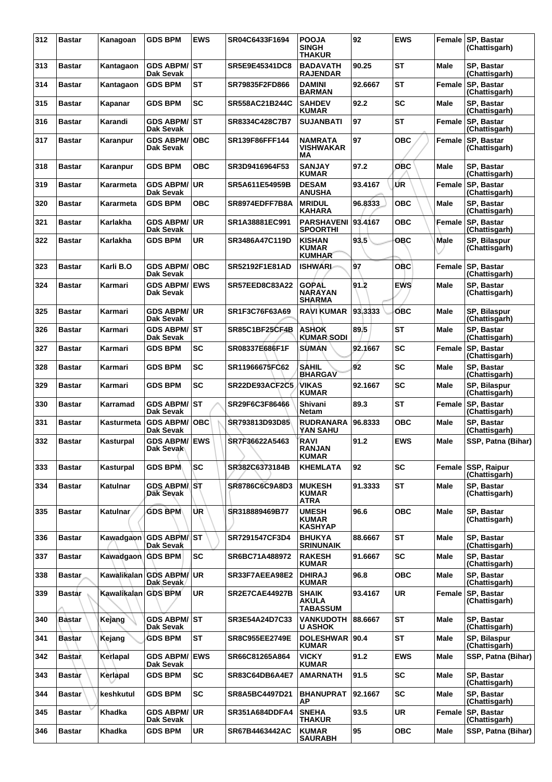| 312 | <b>Bastar</b> | Kanagoan            | <b>GDS BPM</b>                         | <b>EWS</b> | SR04C6433F1694        | <b>POOJA</b><br><b>SINGH</b><br>THAKUR          | 92      | <b>EWS</b> | Female      | <b>SP. Bastar</b><br>(Chattisgarh)  |
|-----|---------------|---------------------|----------------------------------------|------------|-----------------------|-------------------------------------------------|---------|------------|-------------|-------------------------------------|
| 313 | <b>Bastar</b> | Kantagaon           | <b>GDS ABPM/ST</b><br>Dak Sevak        |            | SR5E9E45341DC8        | <b>BADAVATH</b><br><b>RAJENDAR</b>              | 90.25   | <b>ST</b>  | Male        | SP, Bastar<br>(Chattisgarh)         |
| 314 | <b>Bastar</b> | Kantagaon           | <b>GDS BPM</b>                         | <b>ST</b>  | SR79835F2FD866        | <b>DAMINI</b><br><b>BARMAN</b>                  | 92.6667 | <b>ST</b>  | Female      | <b>SP. Bastar</b><br>(Chattisgarh)  |
| 315 | <b>Bastar</b> | Kapanar             | <b>GDS BPM</b>                         | <b>SC</b>  | SR558AC21B244C        | <b>SAHDEV</b><br><b>KUMAR</b>                   | 92.2    | <b>SC</b>  | <b>Male</b> | SP. Bastar<br>(Chattisgarh)         |
| 316 | <b>Bastar</b> | Karandi             | <b>GDS ABPM/ ST</b><br>Dak Sevak       |            | SR8334C428C7B7        | <b>SUJANBATI</b>                                | 97      | ST         | Female      | SP, Bastar<br>(Chattisgarh)         |
| 317 | <b>Bastar</b> | Karanpur            | <b>GDS ABPM/</b><br>Dak Sevak          | <b>OBC</b> | SR139F86FFF144        | NAMRATA<br><b>VISHWAKAR</b><br>МA               | 97      | <b>OBC</b> | Female      | <b>SP. Bastar</b><br>(Chattisgarh)  |
| 318 | <b>Bastar</b> | Karanpur            | <b>GDS BPM</b>                         | овс        | SR3D9416964F53        | <b>SANJAY</b><br><b>KUMAR</b>                   | 97.2    | OBC        | Male        | SP, Bastar<br>(Chattisgarh)         |
| 319 | <b>Bastar</b> | Kararmeta           | <b>GDS ABPM/</b><br>Dak Sevak          | UR         | SR5A611E54959B        | <b>DESAM</b><br><b>ANUSHA</b>                   | 93.4167 | ŰR         | Female      | SP, Bastar<br>(Chattisgarh)         |
| 320 | <b>Bastar</b> | Kararmeta           | <b>GDS BPM</b>                         | ОВС        | SR8974EDFF7B8A        | <b>MRIDUL</b><br>KAHARA                         | 96.8333 | <b>OBC</b> | Male        | SP, Bastar<br>(Chattisgarh)         |
| 321 | <b>Bastar</b> | Karlakha            | <b>GDS ABPM/</b><br>Dak Sevak          | ∣UR        | SR1A38881EC991        | PARSHAVENI 93.4167<br><b>SPOORTHI</b>           |         | <b>OBC</b> | Female      | <b>SP. Bastar</b><br>(Chattisgarh)  |
| 322 | <b>Bastar</b> | Karlakha            | <b>GDS BPM</b>                         | <b>UR</b>  | SR3486A47C119D        | <b>KISHAN</b><br><b>KUMAR</b><br><b>KUMHAR</b>  | 93.5    | OBC        | Male        | SP, Bilaspur<br>(Chattisgarh)       |
| 323 | <b>Bastar</b> | Karli B.O           | <b>GDS ABPM/</b><br>Dak Sevak          | ∣OBC       | SR52192F1E81AD        | <b>ISHWARL</b>                                  | 97      | OBC        | Female      | SP, Bastar<br>(Chattisgarh)         |
| 324 | <b>Bastar</b> | Karmari             | <b>GDS ABPM/ EWS</b><br>Dak Sevak      |            | <b>SR57EED8C83A22</b> | <b>GOPAL</b><br><b>NARAYAN</b><br><b>SHARMA</b> | 91.2    | <b>EWS</b> | <b>Male</b> | SP. Bastar<br>(Chattisgarh)         |
| 325 | <b>Bastar</b> | Karmari             | <b>GDS ABPM/ UR</b><br>Dak Sevak       |            | SR1F3C76F63A69        | RAVI KUMAR                                      | 93.3333 | <b>OBC</b> | Male        | SP, Bilaspur<br>(Chattisgarh)       |
| 326 | <b>Bastar</b> | Karmari             | <b>GDS ABPM/ST</b><br><b>Dak Sevak</b> |            | <b>SR85C1BF25CF4B</b> | <b>ASHOK</b><br><b>KUMAR SODI</b>               | 89.5    | <b>ST</b>  | <b>Male</b> | SP, Bastar<br>(Chattisgarh)         |
| 327 | <b>Bastar</b> | Karmari             | <b>GDS BPM</b>                         | <b>SC</b>  | SR08337E686F1F        | <b>SUMAN</b>                                    | 92.1667 | <b>SC</b>  | Female      | SP, Bastar<br>(Chattisgarh)         |
| 328 | <b>Bastar</b> | Karmari             | <b>GDS BPM</b>                         | <b>SC</b>  | SR11966675FC62        | <b>SAHIL</b><br><b>BHARGAV</b>                  | 92      | <b>SC</b>  | <b>Male</b> | SP, Bastar<br>(Chattisgarh)         |
| 329 | <b>Bastar</b> | Karmari             | <b>GDS BPM</b>                         | <b>SC</b>  | SR22DE93ACF2C5        | VIKAS<br><b>KUMAR</b>                           | 92.1667 | SC         | <b>Male</b> | SP, Bilaspur<br>(Chattisgarh)       |
| 330 | <b>Bastar</b> | Karramad            | <b>GDS ABPM/ST</b><br>Dak Sevak        |            | SR29F6C3F86466        | Shivani<br>Netam                                | 89.3    | <b>ST</b>  | Female      | SP, Bastar<br>(Chattisgarh)         |
| 331 | <b>Bastar</b> | Kasturmeta          | <b>GDS ABPM/</b><br>Dak Sevak          | OBC        | SR793813D93D85        | RUDRANARA<br><b>YAN SAHU</b>                    | 96.8333 | <b>OBC</b> | Male        | SP, Bastar<br>(Chattisgarh)         |
| 332 | <b>Bastar</b> | Kasturpal           | <b>GDS ABPM/ EWS</b><br>Dak Sevak      |            | SR7F36622A5463        | RAVI<br><b>RANJAN</b><br><b>KUMAR</b>           | 91.2    | <b>EWS</b> | <b>Male</b> | SSP, Patna (Bihar)                  |
| 333 | <b>Bastar</b> | Kasturpal           | <b>GDS BPM</b>                         | <b>SC</b>  | SR382C6373184B        | <b>KHEMLATA</b>                                 | 92      | SC         | Female      | <b>SSP, Raipur</b><br>(Chattisgarh) |
| 334 | <b>Bastar</b> | Katulnar            | <b>GDS ABPM/ST</b><br>Dak Sevak        |            | SR8786C6C9A8D3        | <b>MUKESH</b><br><b>KUMAR</b><br><b>ATRA</b>    | 91.3333 | ST         | <b>Male</b> | SP, Bastar<br>(Chattisgarh)         |
| 335 | <b>Bastar</b> | <b>Katulnar</b>     | <b>GDS BPM</b>                         | UR.        | SR318889469B77        | <b>UMESH</b><br><b>KUMAR</b><br><b>KASHYAP</b>  | 96.6    | <b>OBC</b> | <b>Male</b> | SP, Bastar<br>(Chattisgarh)         |
| 336 | <b>Bastar</b> |                     | Kawadgaon GDS ABPM/ST<br>Dak Sevak     |            | SR7291547CF3D4        | <b>BHUKYA</b><br><b>SRINUNAIK</b>               | 88.6667 | <b>ST</b>  | <b>Male</b> | SP, Bastar<br>(Chattisgarh)         |
| 337 | <b>Bastar</b> | Kawadgaon GDS BPM   |                                        | <b>SC</b>  | SR6BC71A488972        | <b>RAKESH</b><br><b>KUMAR</b>                   | 91.6667 | <b>SC</b>  | <b>Male</b> | SP. Bastar<br>(Chattisgarh)         |
| 338 | <b>Bastar</b> |                     | Kawalikalan GDS ABPM/UR<br>Dak Sevak   |            | SR33F7AEEA98E2        | <b>DHIRAJ</b><br><b>KUMAR</b>                   | 96.8    | <b>OBC</b> | <b>Male</b> | SP, Bastar<br>(Chattisgarh)         |
| 339 | <b>Bastar</b> | Kawalikalan GDS BPM |                                        | <b>UR</b>  | <b>SR2E7CAE44927B</b> | <b>SHAIK</b><br><b>AKULA</b><br><b>TABASSUM</b> | 93.4167 | UR         | Female      | SP, Bastar<br>(Chattisgarh)         |
| 340 | <b>Bastar</b> | Kejang              | <b>GDS ABPM/ST</b><br>Dak Sevak        |            | SR3E54A24D7C33        | VANKUDOTH<br><b>U ASHOK</b>                     | 88.6667 | ST         | <b>Male</b> | SP, Bastar<br>(Chattisgarh)         |
| 341 | Bastar        | Kejang              | <b>GDS BPM</b>                         | <b>ST</b>  | <b>SR8C955EE2749E</b> | <b>DOLESHWAR</b><br><b>KUMAR</b>                | 90.4    | <b>ST</b>  | <b>Male</b> | SP, Bilaspur<br>(Chattisgarh)       |
| 342 | <b>Bastan</b> | Kerlapal            | <b>GDS ABPM/</b><br>Dak Sevak          | <b>EWS</b> | SR66C81265A864        | <b>VICKY</b><br><b>KUMAR</b>                    | 91.2    | <b>EWS</b> | Male        | SSP, Patna (Bihar)                  |
| 343 | <b>Bastar</b> | Kerlapal            | <b>GDS BPM</b>                         | <b>SC</b>  | SR83C64DB6A4E7        | <b>AMARNATH</b>                                 | 91.5    | SC         | Male        | SP, Bastar<br>(Chattisgarh)         |
| 344 | <b>Bastar</b> | keshkutul           | <b>GDS BPM</b>                         | <b>SC</b>  | SR8A5BC4497D21        | <b>BHANUPRAT</b><br>ΑP                          | 92.1667 | <b>SC</b>  | <b>Male</b> | <b>SP. Bastar</b><br>(Chattisgarh)  |
| 345 | <b>Bastar</b> | Khadka              | <b>GDS ABPM/</b><br>Dak Sevak          | <b>UR</b>  | SR351A684DDFA4        | <b>SNEHA</b><br>THAKUR                          | 93.5    | <b>UR</b>  | Female      | SP, Bastar<br>(Chattisgarh)         |
| 346 | <b>Bastar</b> | Khadka              | <b>GDS BPM</b>                         | <b>UR</b>  | SR67B4463442AC        | <b>KUMAR</b><br><b>SAURABH</b>                  | 95      | <b>OBC</b> | Male        | SSP, Patna (Bihar)                  |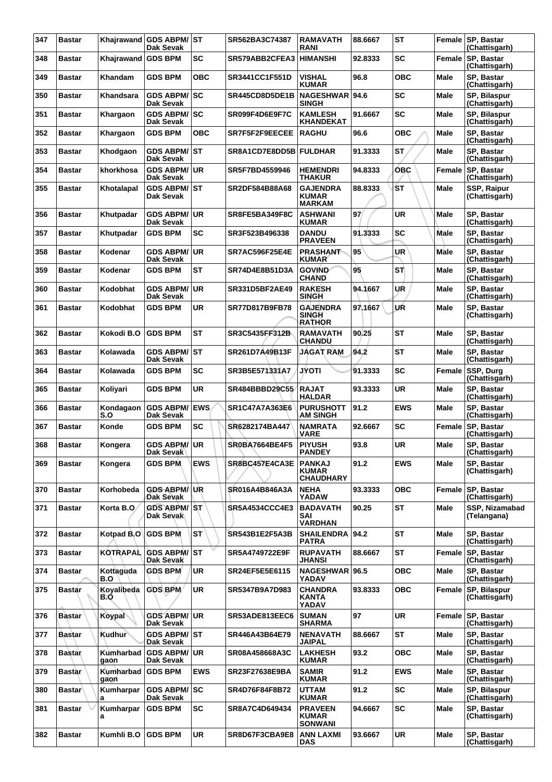| 347 | <b>Bastar</b> |                   | Khajrawand GDS ABPM/ST<br>Dak Sevak     |            | SR562BA3C74387        | <b>RAMAVATH</b><br><b>RANI</b>                    | 88.6667 | <b>ST</b>  |               | Female SP, Bastar<br>(Chattisgarh) |
|-----|---------------|-------------------|-----------------------------------------|------------|-----------------------|---------------------------------------------------|---------|------------|---------------|------------------------------------|
| 348 | <b>Bastar</b> | Khajrawand        | <b>GDS BPM</b>                          | SC         | SR579ABB2CFEA3        | <b>HIMANSHI</b>                                   | 92.8333 | SC         | Female        | SP, Bastar<br>(Chattisgarh)        |
| 349 | <b>Bastar</b> | Khandam           | <b>GDS BPM</b>                          | <b>OBC</b> | <b>SR3441CC1F551D</b> | <b>VISHAL</b><br><b>KUMAR</b>                     | 96.8    | <b>OBC</b> | Male          | SP, Bastar<br>(Chattisgarh)        |
| 350 | Bastar        | Khandsara         | GDS ABPM/SC<br><b>Dak Sevak</b>         |            | SR445CD8D5DE1B        | NAGESHWAR 94.6<br><b>SINGH</b>                    |         | <b>SC</b>  | Male          | SP, Bilaspur<br>(Chattisgarh)      |
| 351 | <b>Bastar</b> | Khargaon          | <b>GDS ABPM/ SC</b><br>Dak Sevak        |            | SR099F4D6E9F7C        | <b>KAMLESH</b><br><b>KHANDEKAT</b>                | 91.6667 | SC         | Male          | SP, Bilaspur<br>(Chattisgarh)      |
| 352 | <b>Bastar</b> | Khargaon          | <b>GDS BPM</b>                          | <b>OBC</b> | SR7F5F2F9EECEE        | <b>RAGHU</b>                                      | 96.6    | <b>OBC</b> | Male          | SP, Bastar<br>(Chattisgarh)        |
| 353 | Bastar        | Khodgaon          | <b>GDS ABPM/ST</b><br><b>Dak Sevak</b>  |            | SR8A1CD7E8DD5B        | <b>FULDHAR</b>                                    | 91.3333 | <b>ST</b>  | Male          | SP, Bastar<br>(Chattisgarh)        |
| 354 | <b>Bastar</b> | khorkhosa         | <b>GDS ABPM/ UR</b><br>Dak Sevak        |            | SR5F7BD4559946        | <b>HEMENDRI</b><br><b>THAKUR</b>                  | 94.8333 | <b>OBC</b> | Female        | SP, Bastar<br>(Chattisgarh)        |
| 355 | <b>Bastar</b> | Khotalapal        | <b>GDS ABPM/ST</b><br>Dak Sevak         |            | SR2DF584B88A68        | <b>GAJENDRA</b><br><b>KUMAR</b><br><b>MARKAM</b>  | 88.8333 | ŚТ         | Male          | SSP, Raipur<br>(Chattisgarh)       |
| 356 | <b>Bastar</b> | Khutpadar         | <b>GDS ABPM/ UR</b><br>Dak Sevak        |            | SR8FE5BA349F8C        | ASHWANI<br><b>KUMAR</b>                           | 97      | UR         | Male          | SP. Bastar<br>(Chattisgarh)        |
| 357 | Bastar        | Khutpadar         | <b>GDS BPM</b>                          | SC         | SR3F523B496338        | <b>DANDU</b><br><b>PRAVEEN</b>                    | 91.3333 | <b>SC</b>  | Male          | SP, Bastar<br>(Chattisgarh)        |
| 358 | Bastar        | Kodenar           | <b>GDS ABPM/</b><br>Dak Sevak           | <b>UR</b>  | <b>SR7AC596F25E4E</b> | <b>PRASHANT</b><br><b>KUMAR</b>                   | 95      | <b>UR</b>  | Male          | SP, Bastar<br>(Chattisgarh)        |
| 359 | <b>Bastar</b> | Kodenar           | <b>GDS BPM</b>                          | ST         | SR74D4E8B51D3A        | <b>GOVIND</b><br><b>CHAND</b>                     | 95      | STÌ        | Male          | SP, Bastar<br>(Chattisgarh)        |
| 360 | <b>Bastar</b> | Kodobhat          | <b>GDS ABPM/</b><br>Dak Sevak           | ∣UR        | SR331D5BF2AE49        | <b>RAKESH</b><br><b>SINGH</b>                     | 94.1667 | UŔ         | Male          | SP, Bastar<br>(Chattisgarh)        |
| 361 | Bastar        | Kodobhat          | <b>GDS BPM</b>                          | <b>UR</b>  | SR77D817B9FB78        | <b>GAJENDRA</b><br><b>SINGH</b><br><b>RATHOR</b>  | 97.1667 | UŔ         | Male          | SP, Bastar<br>(Chattisgarh)        |
| 362 | <b>Bastar</b> | Kokodi B.O        | <b>GDS BPM</b>                          | ST         | SR3C5435FF312B        | <b>RAMAVATH</b><br><b>CHANDU</b>                  | 90.25   | <b>ST</b>  | Male          | SP. Bastar<br>(Chattisgarh)        |
| 363 | Bastar        | Kolawada          | GDS ABPM/ST<br>Dak Sevak                |            | SR261D7A49B13F        | <b>JAGAT RAM</b>                                  | 94.2    | <b>ST</b>  | Male          | SP, Bastar<br>(Chattisgarh)        |
| 364 | <b>Bastar</b> | Kolawada          | <b>GDS BPM</b>                          | SC         | SR3B5E571331A7        | <b>JYOTI</b>                                      | 91.3333 | SC         | Female        | SSP, Durg<br>(Chattisgarh)         |
| 365 | Bastar        | Koliyari          | <b>GDS BPM</b>                          | <b>UR</b>  | SR484BBBD29C55        | <b>RAJAT</b><br><b>HALDAR</b>                     | 93.3333 | UR         | Male          | SP, Bastar<br>(Chattisgarh)        |
| 366 | Bastar        | Kondagaon<br>S.O  | <b>GDS ABPM/</b><br>Dak Sevak           | <b>EWS</b> | <b>SR1C47A7A363E6</b> | <b>PURUSHOTT</b><br><b>AM SINGH</b>               | 91.2    | <b>EWS</b> | Male          | SP, Bastar<br>(Chattisgarh)        |
| 367 | <b>Bastar</b> | Konde             | <b>GDS BPM</b>                          | SC         | SR6282174BA447        | <b>NAMRATA</b><br><b>VARE</b>                     | 92.6667 | SC         | Female        | SP, Bastar<br>(Chattisgarh)        |
| 368 | Bastar        | Kongera           | <b>GDS ABPM/</b><br>рак эеvак           | <b>UR</b>  | SR0BA7664BE4F5        | <b>PIYUSH</b><br><b>PANDEY</b>                    | 93.8    | UR         | Male          | SP, Bastar<br>(Chattisgarh)        |
| 369 | Bastar        | Kongera           | <b>GDS BPM</b>                          | <b>EWS</b> | SR8BC457E4CA3E        | <b>PANKAJ</b><br><b>KUMAR</b><br><b>CHAUDHARY</b> | 91.2    | EWS        | Male          | SP, Bastar<br>(Chattisgarh)        |
| 370 | Bastar        | Korhobeda         | <b>GDS ABPM/ UR</b><br>Dak Sevak        |            | SR016A4B846A3A        | <b>NEHA</b><br><b>YADAW</b>                       | 93.3333 | <b>OBC</b> | Female        | SP, Bastar<br>(Chattisgarh)        |
| 371 | Bastar        | Korta B.O.        | <b>GDS ABPM/ST</b><br><b>Dak Sevak</b>  |            | <b>SR5A4534CCC4E3</b> | <b>BADAVATH</b><br>SAI<br><b>VARDHAN</b>          | 90.25   | <b>ST</b>  | Male          | SSP, Nizamabad<br>(Telangana)      |
| 372 | Bastar        | Kotpad B.O        | <b>GDS BPM</b>                          | <b>ST</b>  | SR543B1E2F5A3B        | SHAILENDRA 94.2<br><b>PATRA</b>                   |         | <b>ST</b>  | Male          | SP, Bastar<br>(Chattisgarh)        |
| 373 | Bastar        | <b>KOTRAPAL</b>   | <b>GDS ABPM/ST</b><br><b>Dak Sevak</b>  |            | SR5A4749722E9F        | <b>RUPAVATH</b><br><b>JHANSI</b>                  | 88.6667 | <b>ST</b>  | <b>Female</b> | <b>SP, Bastar</b><br>(Chattisgarh) |
| 374 | Bastar        | Kottaguda<br>B.O  | <b>GDS BPM</b>                          | UR.        | SR24EF5E5E6115        | NAGESHWAR 96.5<br>YADAV                           |         | <b>OBC</b> | Male          | SP, Bastar<br>(Chattisgarh)        |
| 375 | <b>Bastar</b> | Koyalibeda<br>B.O | GDS BPM                                 | <b>UR</b>  | SR5347B9A7D983        | <b>CHANDRA</b><br><b>KANTA</b><br>YADAV           | 93.8333 | <b>OBC</b> | Female        | SP, Bilaspur<br>(Chattisgarh)      |
| 376 | <b>Bastar</b> | Koypal            | <b>GDS ABPM/ UR</b><br><b>Dak Sevak</b> |            | SR53ADE813EEC6        | <b>SUMAN</b><br><b>SHARMA</b>                     | 97      | UR         | Female        | <b>SP, Bastar</b><br>(Chattisgarh) |
| 377 | Bastar        | Kudhur            | <b>GDS ABPM/ST</b><br>Dak Sevak         |            | SR446A43B64E79        | <b>NENAVATH</b><br><b>JAIPAL</b>                  | 88.6667 | <b>ST</b>  | Male          | SP, Bastar<br>(Chattisgarh)        |
| 378 | <b>Bastar</b> | Kumharbad<br>gaon | <b>GDS ABPM/ UR</b><br>Dak Sevak        |            | SR08A458668A3C        | <b>LAKHESH</b><br><b>KUMAR</b>                    | 93.2    | <b>OBC</b> | Male          | SP, Bastar<br>(Chattisgarh)        |
| 379 | <b>Bastar</b> | Kumharbad<br>gaon | <b>GDS BPM</b>                          | <b>EWS</b> | SR23F27638E9BA        | <b>SAMIR</b><br><b>KUMAR</b>                      | 91.2    | <b>EWS</b> | Male          | SP, Bastar<br>(Chattisgarh)        |
| 380 | <b>Bastar</b> | Kumharpar<br>a    | <b>GDS ABPM/SC</b><br>Dak Sevak         |            | SR4D76F84F8B72        | <b>UTTAM</b><br><b>KUMAR</b>                      | 91.2    | <b>SC</b>  | Male          | SP, Bilaspur<br>(Chattisgarh)      |
| 381 | Bastar        | Kumharpar<br>a    | <b>GDS BPM</b>                          | <b>SC</b>  | SR8A7C4D649434        | <b>PRAVEEN</b><br><b>KUMAR</b><br><b>SONWANI</b>  | 94.6667 | <b>SC</b>  | Male          | SP, Bastar<br>(Chattisgarh)        |
| 382 | Bastar        | Kumhli B.O        | <b>GDS BPM</b>                          | <b>UR</b>  | SR8D67F3CBA9E8        | <b>ANN LAXMI</b><br>DAS                           | 93.6667 | UR         | Male          | SP, Bastar<br>(Chattisgarh)        |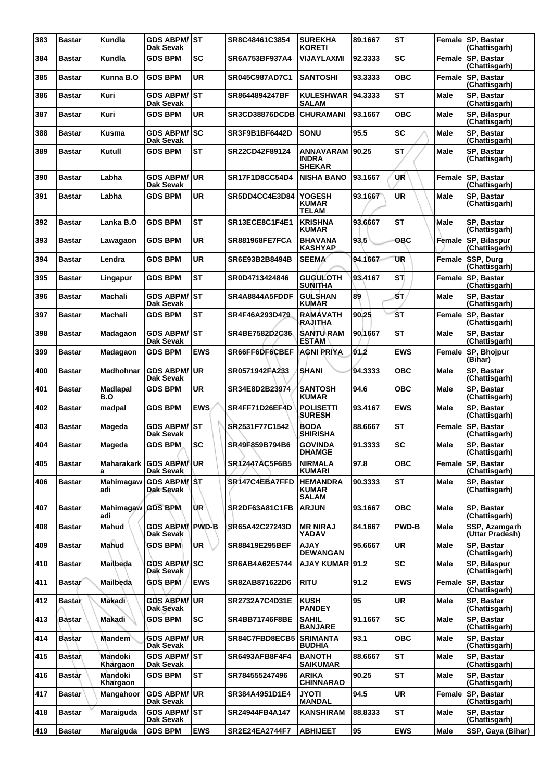| 383 | <b>Bastar</b> | Kundla                   | <b>GDS ABPM/ST</b><br>Dak Sevak            |            | SR8C48461C3854        | <b>SUREKHA</b><br><b>KORETI</b>                   | 89.1667 | <b>ST</b>    |             | Female SP, Bastar<br>(Chattisgarh)   |
|-----|---------------|--------------------------|--------------------------------------------|------------|-----------------------|---------------------------------------------------|---------|--------------|-------------|--------------------------------------|
| 384 | <b>Bastar</b> | Kundla                   | <b>GDS BPM</b>                             | SC         | SR6A753BF937A4        | VIJAYLAXMI                                        | 92.3333 | <b>SC</b>    | Female      | SP, Bastar<br>(Chattisgarh)          |
| 385 | <b>Bastar</b> | Kunna B.O                | <b>GDS BPM</b>                             | <b>UR</b>  | SR045C987AD7C1        | <b>SANTOSHI</b>                                   | 93.3333 | <b>OBC</b>   | Female      | <b>SP, Bastar</b><br>(Chattisgarh)   |
| 386 | <b>Bastar</b> | Kuri                     | GDS ABPM/ST<br>Dak Sevak                   |            | SR8644894247BF        | <b>KULESHWAR</b><br><b>SALAM</b>                  | 94.3333 | <b>ST</b>    | <b>Male</b> | SP. Bastar<br>(Chattisgarh)          |
| 387 | Bastar        | Kuri                     | <b>GDS BPM</b>                             | <b>UR</b>  | <b>SR3CD38876DCDB</b> | <b>CHURAMANI</b>                                  | 93.1667 | <b>OBC</b>   | Male        | SP, Bilaspur<br>(Chattisgarh)        |
| 388 | <b>Bastar</b> | Kusma                    | <b>GDS ABPM/ SC</b><br>Dak Sevak           |            | SR3F9B1BF6442D        | <b>SONU</b>                                       | 95.5    | <b>SC</b>    | Male        | SP, Bastar<br>(Chattisgarh)          |
| 389 | <b>Bastar</b> | Kutull                   | <b>GDS BPM</b>                             | <b>ST</b>  | SR22CD42F89124        | <b>ANNAVARAM</b><br><b>INDRA</b><br><b>SHEKAR</b> | 90.25   | <b>ST</b>    | Male        | <b>SP. Bastar</b><br>(Chattisgarh)   |
| 390 | <b>Bastar</b> | Labha                    | <b>GDS ABPM/ UR</b><br>Dak Sevak           |            | <b>SR17F1D8CC54D4</b> | <b>NISHA BANO</b>                                 | 93.1667 | UŔ           | Female      | SP, Bastar<br>(Chattisgarh)          |
| 391 | <b>Bastar</b> | Labha                    | <b>GDS BPM</b>                             | <b>UR</b>  | SR5DD4CC4E3D84        | <b>YOGESH</b><br><b>KUMAR</b><br><b>TELAM</b>     | 93.1667 | <b>UR</b>    | Male        | SP, Bastar<br>(Chattisgarh)          |
| 392 | <b>Bastar</b> | Lanka B.O                | <b>GDS BPM</b>                             | <b>ST</b>  | SR13ECE8C1F4E1        | <b>KRISHNA</b><br><b>KUMAR</b>                    | 93.6667 | <b>ST</b>    | Male        | SP, Bastar<br>(Chattisgarh)          |
| 393 | <b>Bastar</b> | Lawagaon                 | <b>GDS BPM</b>                             | <b>UR</b>  | <b>SR881968FE7FCA</b> | <b>BHAVANA</b><br><b>KASHYAP</b>                  | 93.5    | OBC          | Female      | SP, Bilaspur<br>(Chattisgarh)        |
| 394 | <b>Bastar</b> | Lendra                   | <b>GDS BPM</b>                             | <b>UR</b>  | SR6E93B2B8494B        | <b>SEEMA</b>                                      | 94.1667 | UR           | Female      | <b>SSP, Durg</b><br>(Chattisgarh)    |
| 395 | <b>Bastar</b> | Lingapur                 | <b>GDS BPM</b>                             | ST         | SR0D4713424846        | <b>GUGULOTH</b><br><b>SUNITHA</b>                 | 93,4167 | ST.          | Female      | SP, Bastar<br>(Chattisgarh)          |
| 396 | <b>Bastar</b> | Machali                  | GDS ABPM/ST<br>Dak Sevak                   |            | SR4A8844A5FDDF        | <b>GULSHAN</b><br><b>KUMAR</b>                    | 89      | SΤ,          | Male        | SP, Bastar<br>(Chattisgarh)          |
| 397 | <b>Bastar</b> | Machali                  | <b>GDS BPM</b>                             | ST         | SR4F46A293D479        | <b>RAMAVATH</b><br>RAJITHA                        | 90.25   | <b>ST</b>    | Female      | <b>SP, Bastar</b><br>(Chattisgarh)   |
| 398 | <b>Bastar</b> | Madagaon                 | <b>GDS ABPM/ST</b><br>Dak Sevak            |            | SR4BE7582D2C36        | <b>SANTU\RAM</b><br><b>ESTAM</b>                  | 90.1667 | <b>ST</b>    | Male        | SP, Bastar<br>(Chattisgarh)          |
| 399 | <b>Bastar</b> | Madagaon                 | <b>GDS BPM</b>                             | <b>EWS</b> | SR66FF6DF6CBEF        | <b>AGNI PRIYA</b>                                 | 91.2    | <b>EWS</b>   | Female      | SP, Bhojpur<br>(Bihar)               |
| 400 | <b>Bastar</b> | <b>Madhohnar</b>         | <b>GDS ABPM/</b><br>Dak Sevak              | ∣UR        | SR0571942FA233        | <b>SHANI</b>                                      | 94.3333 | <b>OBC</b>   | Male        | SP, Bastar<br>(Chattisgarh)          |
| 401 | <b>Bastar</b> | Madlapal<br>B.O          | <b>GDS BPM</b>                             | <b>UR</b>  | SR34E8D2B23974        | <b>SANTOSH</b><br><b>KUMAR</b>                    | 94.6    | <b>OBC</b>   | <b>Male</b> | SP. Bastar<br>(Chattisgarh)          |
| 402 | <b>Bastar</b> | madpal                   | <b>GDS BPM</b>                             | <b>EWS</b> | SR4FF71D26EF4D        | <b>POLISETTI</b><br><b>SURESH</b>                 | 93.4167 | <b>EWS</b>   | Male        | SP, Bastar<br>(Chattisgarh)          |
| 403 | Bastar        | Mageda                   | <b>GDS ABPM/</b><br><b>Dak Sevak</b>       | lst        | SR2531F77C1542        | <b>BODA</b><br><b>SHIRISHA</b>                    | 88.6667 | ST           | Female      | <b>SP, Bastar</b><br>(Chattisgarh)   |
| 404 | <b>Bastar</b> | Mageda                   | <b>GDS BPM</b>                             | <b>SC</b>  | SR49F859B794B6        | <b>GOVINDA</b><br><b>DHAMGE</b>                   | 91.3333 | <b>SC</b>    | Male        | <b>SP. Bastar</b><br>(Chattisgarh)   |
| 405 | <b>Bastar</b> | Maharakark I<br>a        | <b>GDS ABPM/UR</b><br>Dak Sevak            |            | SR12447AC5F6B5        | <b>NIRMALA</b><br><b>KUMARI</b>                   | 97.8    | <b>OBC</b>   |             | Female   SP, Bastar<br>(Chattisgarh) |
| 406 | <b>Bastar</b> | Mahimagaw<br>adi         | <b>GDS ABPM/ST</b><br>Dak Sevak            |            | SR147C4EBA7FFD        | <b>HEMANDRA</b><br><b>KUMAR</b><br><b>SALAM</b>   | 90.3333 | <b>ST</b>    | Male        | SP, Bastar<br>(Chattisgarh)          |
| 407 | <b>Bastar</b> | Mahimagaw GDS BPM<br>adi |                                            | ÙR.        | SR2DF63A81C1FB        | <b>ARJUN</b>                                      | 93.1667 | <b>OBC</b>   | <b>Male</b> | SP, Bastar<br>(Chattisgarh)          |
| 408 | <b>Bastar</b> | Mahud                    | <b>GDS ABPM/ PWD-B</b><br><b>Dak Sevak</b> |            | SR65A42C27243D        | <b>MR NIRAJ</b><br>YADAV                          | 84.1667 | <b>PWD-B</b> | Male        | SSP, Azamgarh<br>(Uttar Pradesh)     |
| 409 | <b>Bastar</b> | Mahud                    | <b>GDS BPM</b>                             | UR         | SR88419E295BEF        | <b>AJAY</b><br><b>DEWANGAN</b>                    | 95.6667 | <b>UR</b>    | Male        | SP, Bastar<br>(Chattisgarh)          |
| 410 | <b>Bastar</b> | Mailbeda                 | <b>GDS ABPM/SC</b><br>Dak Sevak            |            | SR6AB4A62E5744        | AJAY KUMAR 91.2                                   |         | <b>SC</b>    | Male        | <b>SP. Bilaspur</b><br>(Chattisgarh) |
| 411 | <b>Bastar</b> | Mailbeda                 | <b>GDS BPM</b>                             | <b>EWS</b> | SR82AB871622D6        | <b>RITU</b>                                       | 91.2    | <b>EWS</b>   | Female      | <b>SP, Bastar</b><br>(Chattisgarh)   |
| 412 | <b>Bastar</b> | Makadi                   | GDS ABPM/│UR<br>Dak Sevak                  |            | <b>SR2732A7C4D31E</b> | <b>KUSH</b><br><b>PANDEY</b>                      | 95      | <b>UR</b>    | <b>Male</b> | SP, Bastar<br>(Chattisgarh)          |
| 413 | Bastar        | <b>Makadi</b>            | <b>GDS BPM</b>                             | <b>SC</b>  | SR4BB71746F8BE        | <b>SAHIL</b><br><b>BANJARE</b>                    | 91.1667 | <b>SC</b>    | Male        | SP, Bastar<br>(Chattisgarh)          |
| 414 | Bastar        | <b>Mandem</b>            | GDS ABPM/∣UR<br>Dak Sevak                  |            | SR84C7FBD8ECB5        | <b>SRIMANTA</b><br><b>BUDHIA</b>                  | 93.1    | <b>OBC</b>   | Male        | SP, Bastar<br>(Chattisgarh)          |
| 415 | <b>Bastar</b> | Mandoki<br>Khargaon      | <b>GDS ABPM/ST</b><br>Dak Sevak            |            | SR6493AFB8F4F4        | <b>BANOTH</b><br><b>SAIKUMAR</b>                  | 88.6667 | ST           | Male        | SP, Bastar<br>(Chattisgarh)          |
| 416 | <b>Bastar</b> | Mandoki<br>Khargaon      | <b>GDS BPM</b>                             | <b>ST</b>  | SR784555247496        | <b>ARIKA</b><br><b>CHINNARAO</b>                  | 90.25   | <b>ST</b>    | Male        | SP, Bastar<br>(Chattisgarh)          |
| 417 | <b>Bastar</b> | Mangahoor                | <b>GDS ABPM/ UR</b><br>Dak Sevak           |            | SR384A4951D1E4        | <b>ITOYL</b><br><b>MANDAL</b>                     | 94.5    | <b>UR</b>    | Female      | SP, Bastar<br>(Chattisgarh)          |
| 418 | <b>Bastar</b> | Maraiguda                | <b>GDS ABPM/ST</b><br>Dak Sevak            |            | SR24944FB4A147        | KANSHIRAM                                         | 88.8333 | ST           | Male        | SP, Bastar<br>(Chattisgarh)          |
| 419 | <b>Bastar</b> | Maraiguda                | <b>GDS BPM</b>                             | <b>EWS</b> | <b>SR2E24EA2744F7</b> | <b>ABHIJEET</b>                                   | 95      | <b>EWS</b>   | Male        | SSP, Gaya (Bihar)                    |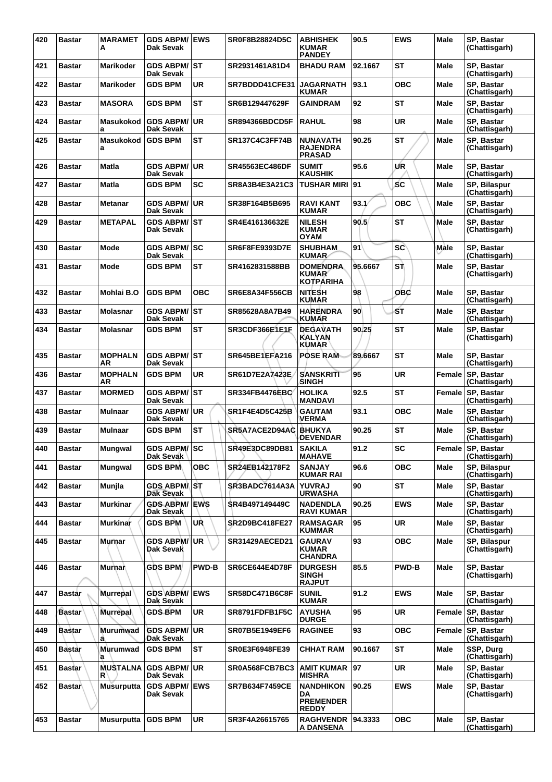| 420 | <b>Bastar</b> | <b>MARAMET</b><br>Α   | <b>GDS ABPM/ EWS</b><br>Dak Sevak |              | SR0F8B28824D5C        | <b>ABHISHEK</b><br><b>KUMAR</b><br><b>PANDEY</b>           | 90.5    | <b>EWS</b>   | <b>Male</b> | SP, Bastar<br>(Chattisgarh)        |
|-----|---------------|-----------------------|-----------------------------------|--------------|-----------------------|------------------------------------------------------------|---------|--------------|-------------|------------------------------------|
| 421 | <b>Bastar</b> | <b>Marikoder</b>      | <b>GDS ABPM/ST</b><br>Dak Sevak   |              | SR2931461A81D4        | <b>BHADU RAM</b>                                           | 92.1667 | <b>ST</b>    | <b>Male</b> | <b>SP. Bastar</b><br>(Chattisgarh) |
| 422 | <b>Bastar</b> | Marikoder             | <b>GDS BPM</b>                    | <b>UR</b>    | SR7BDDD41CFE31        | <b>JAGARNATH</b><br><b>KUMAR</b>                           | 93.1    | <b>OBC</b>   | Male        | SP, Bastar<br>(Chattisgarh)        |
| 423 | <b>Bastar</b> | <b>MASORA</b>         | <b>GDS BPM</b>                    | <b>ST</b>    | SR6B129447629F        | <b>GAINDRAM</b>                                            | 92      | ST           | Male        | SP, Bastar<br>(Chattisgarh)        |
| 424 | <b>Bastar</b> | Masukokod<br>a        | <b>GDS ABPM/</b><br>Dak Sevak     | UR           | <b>SR894366BDCD5F</b> | <b>RAHUL</b>                                               | 98      | <b>UR</b>    | Male        | SP, Bastar<br>(Chattisgarh)        |
| 425 | <b>Bastar</b> | Masukokod<br>a        | <b>GDS BPM</b>                    | <b>ST</b>    | <b>SR137C4C3FF74B</b> | NUNAVATH<br><b>RAJENDRA</b><br><b>PRASAD</b>               | 90.25   | <b>ST</b>    | Male        | SP, Bastar<br>(Chattisgarh)        |
| 426 | <b>Bastar</b> | Matla                 | <b>GDS ABPM/</b><br>Dak Sevak     | ∣UR          | <b>SR45563EC486DF</b> | <b>SUMIT</b><br><b>KAUSHIK</b>                             | 95.6    | UR           | Male        | <b>SP. Bastar</b><br>(Chattisgarh) |
| 427 | <b>Bastar</b> | Matla                 | <b>GDS BPM</b>                    | <b>SC</b>    | SR8A3B4E3A21C3        | <b>TUSHAR MIRI 91</b>                                      |         | <b>SC</b>    | Male        | SP, Bilaspur<br>(Chattisgarh)      |
| 428 | <b>Bastar</b> | Metanar               | <b>GDS ABPM/ UR</b><br>Dak Sevak  |              | SR38F164B5B695        | <b>RAVI KANT</b><br>KUMAR                                  | 93.1/   | <b>OBC</b>   | Male        | SP, Bastar<br>(Chattisgarh)        |
| 429 | <b>Bastar</b> | <b>METAPAL</b>        | <b>GDS ABPM/ST</b><br>Dak Sevak   |              | SR4E416136632E        | <b>NILESH</b><br><b>KUMAR</b><br><b>OYAM</b>               | 90.5    | <b>ST</b>    | Male        | SP. Bastar<br>(Chattisgarh)        |
| 430 | <b>Bastar</b> | Mode                  | <b>GDS ABPM/ SC</b><br>Dak Sevak  |              | <b>SR6F8FE9393D7E</b> | <b>SHUBHAM</b><br>KUMAR                                    | 91      | <b>SC</b>    | Male        | SP, Bastar<br>(Chattisgarh)        |
| 431 | <b>Bastar</b> | Mode                  | <b>GDS BPM</b>                    | <b>ST</b>    | SR4162831588BB        | <b>DOMENDRA</b><br><b>KUMAR</b><br><b>KOTPÁRIHA</b>        | 95.6667 | SΤÌ          | Male        | SP, Bastar<br>(Chattisgarh)        |
| 432 | <b>Bastar</b> | Mohlai B.O            | <b>GDS BPM</b>                    | овс          | <b>SR6E8A34F556CB</b> | NITESH<br>KUMAR                                            | 98      | <b>OBC</b>   | Male        | SP, Bastar<br>(Chattisgarh)        |
| 433 | <b>Bastar</b> | <b>Molasnar</b>       | <b>GDS ABPM/ST</b><br>Dak Sevak   |              | SR85628A8A7B49        | <b>HARENDRA</b><br>KUMAR                                   | 90      | ŚΤ           | <b>Male</b> | SP, Bastar<br>(Chattisgarh)        |
| 434 | <b>Bastar</b> | <b>Molasnar</b>       | <b>GDS BPM</b>                    | <b>ST</b>    | SR3CDF366E1E1F        | <b>DEGAVATH</b><br><b>KALYAN</b><br>KUMAR                  | 90.25   | <b>ST</b>    | Male        | SP, Bastar<br>(Chattisgarh)        |
| 435 | <b>Bastar</b> | <b>MOPHALN</b><br>AR  | <b>GDS ABPM/ST</b><br>Dak Sevak   |              | <b>SR645BE1EFA216</b> | <b>POSE RAM</b>                                            | 89.6667 | <b>ST</b>    | <b>Male</b> | SP, Bastar<br>(Chattisgarh)        |
| 436 | <b>Bastar</b> | <b>MOPHALN</b><br>AR  | <b>GDS BPM</b>                    | <b>UR</b>    | SR61D7E2A7423E        | <b>SANSKRITI</b><br>SINGH                                  | 95      | <b>UR</b>    | Female      | <b>SP, Bastar</b><br>(Chattisgarh) |
| 437 | <b>Bastar</b> | <b>MORMED</b>         | <b>GDS ABPM/ ST</b><br>Dak Sevak  |              | <b>SR334FB4476EBC</b> | <b>HOLIKA</b><br><b>MANDAVI</b>                            | 92.5    | ST           | Female      | SP, Bastar<br>(Chattisgarh)        |
| 438 | <b>Bastar</b> | <b>Mulnaar</b>        | <b>GDS ABPM/ UR</b><br>Dak Sevak  |              | SR1F4E4D5C425B        | <b>GAUTAM</b><br>VERMA                                     | 93.1    | <b>OBC</b>   | <b>Male</b> | SP. Bastar<br>(Chattisgarh)        |
| 439 | <b>Bastar</b> | <b>Mulnaar</b>        | <b>GDS BPM</b>                    | <b>ST</b>    | SR5A7ACE2D94AC        | <b>BHUKYA</b><br><b>DEVENDAR</b>                           | 90.25   | <b>ST</b>    | Male        | SP, Bastar<br>(Chattisgarh)        |
| 440 | <b>Bastar</b> | <b>Mungwal</b>        | GDS ABPM/SC<br>Dak Sevak          |              | <b>SR49E3DC89DB81</b> | <b>SAKILA</b><br><b>MAHAVE</b>                             | 91.2    | <b>SC</b>    |             | Female SP, Bastar<br>(Chattisgarh) |
| 441 | <b>Bastar</b> | Mungwal               | <b>GDS BPM</b>                    | <b>OBC</b>   | SR24EB142178F2        | <b>SANJAY</b><br><b>KUMAR RAI</b>                          | 96.6    | <b>OBC</b>   | <b>Male</b> | SP, Bilaspur<br>(Chattisgarh)      |
| 442 | <b>Bastar</b> | Munjla                | GDS ABPM/ST<br>Dak Sevak          |              | SR3BADC7614A3A        | <b>YUVRAJ</b><br><b>URWASHA</b>                            | 90      | <b>ST</b>    | <b>Male</b> | SP, Bastar<br>(Chattisgarh)        |
| 443 | <b>Bastar</b> | <b>Murkinar</b>       | <b>GDS ABPM/ EWS</b><br>Dak Sevak |              | SR4B497149449C        | <b>NADENDLA</b><br><b>RAVI KUMAR</b>                       | 90.25   | EWS          | Male        | SP, Bastar<br>(Chattisgarh)        |
| 444 | <b>Bastar</b> | <b>Murkinar</b>       | <b>GDS BPM</b>                    | UŘ           | SR2D9BC418FE27        | <b>RAMSAGAR</b><br><b>KUMMAR</b>                           | 95      | UR           | Male        | SP, Bastar<br>(Chattisgarh)        |
| 445 | <b>Bastar</b> | Murnar                | <b>GDS ABPM/</b><br>Dak Sevak     | ∣UR          | <b>SR31429AECED21</b> | <b>GAURAV</b><br><b>KUMAR</b><br>CHANDRA                   | 93      | <b>OBC</b>   | <b>Male</b> | SP, Bilaspur<br>(Chattisgarh)      |
| 446 | <b>Bastar</b> | <b>Murnar</b>         | <b>GDS BPM</b>                    | <b>PWD-B</b> | SR6CE644E4D78F        | <b>DURGESH</b><br><b>SINGH</b><br><b>RAJPUT</b>            | 85.5    | <b>PWD-B</b> | <b>Male</b> | SP, Bastar<br>(Chattisgarh)        |
| 447 | <b>Bastar</b> | <b>Murrepal</b>       | GDS ABPM/ EWS<br>Dak Sevak        |              | <b>SR58DC471B6C8F</b> | <b>SUNIL</b><br><b>KUMAR</b>                               | 91.2    | <b>EWS</b>   | <b>Male</b> | SP, Bastar<br>(Chattisgarh)        |
| 448 | <b>Bastar</b> | <b>Murrepal</b>       | <b>GDS BPM</b>                    | <b>UR</b>    | SR8791FDFB1F5C        | <b>AYUSHA</b><br><b>DURGE</b>                              | 95      | UR           | Female      | SP, Bastar<br>(Chattisgarh)        |
| 449 | <b>Bastar</b> | <b>Murumwad</b><br>a  | <b>GDS ABPM/ UR</b><br>Dak Sevak  |              | SR07B5E1949EF6        | <b>RAGINEE</b>                                             | 93      | <b>OBC</b>   | Female      | SP, Bastar<br>(Chattisgarh)        |
| 450 | <b>Bastar</b> | Murumwad<br>a         | <b>GDS BPM</b>                    | <b>ST</b>    | <b>SR0E3F6948FE39</b> | <b>CHHAT RAM</b>                                           | 90.1667 | ST           | <b>Male</b> | SSP, Durg<br>(Chattisgarh)         |
| 451 | <b>Bastar</b> | <b>MUSTALNA</b><br>R. | <b>GDS ABPM/</b><br>Dak Sevak     | ∣UR.         | SR0A568FCB7BC3        | <b>AMIT KUMAR</b><br>MISHRA                                | 97      | UR           | Male        | SP, Bastar<br>(Chattisgarh)        |
| 452 | <b>Bastar</b> | <b>Musurputta</b>     | <b>GDS ABPM/ EWS</b><br>Dak Sevak |              | <b>SR7B634F7459CE</b> | <b>NANDHIKON</b><br>DA<br><b>PREMENDER</b><br><b>REDDY</b> | 90.25   | <b>EWS</b>   | Male        | SP, Bastar<br>(Chattisgarh)        |
| 453 | <b>Bastar</b> | <b>Musurputta</b>     | <b>GDS BPM</b>                    | <b>UR</b>    | SR3F4A26615765        | RAGHVENDR 94.3333<br>A DANSENA                             |         | <b>OBC</b>   | Male        | SP, Bastar<br>(Chattisgarh)        |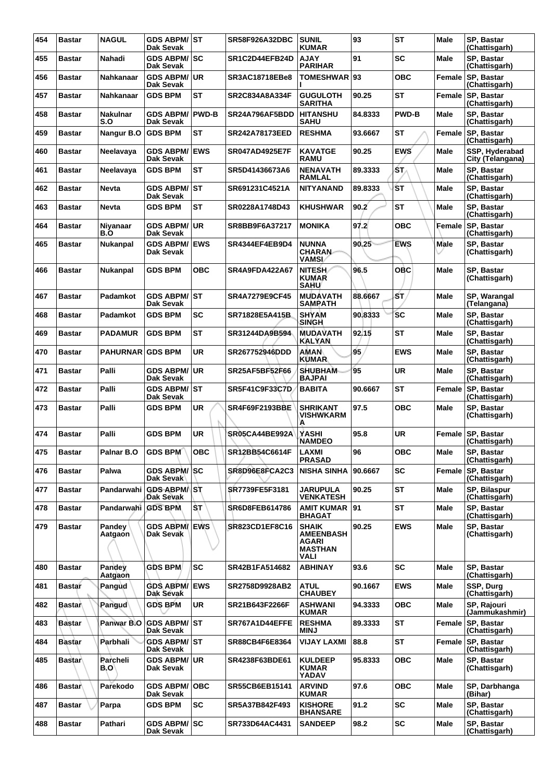| 454 | <b>Bastar</b> | <b>NAGUL</b>            | GDS ABPM/ST<br>Dak Sevak                   |              | <b>SR58F926A32DBC</b> | <b>SUNIL</b><br><b>KUMAR</b>                                        | 93      | <b>ST</b>    | Male        | SP, Bastar<br>(Chattisgarh)        |
|-----|---------------|-------------------------|--------------------------------------------|--------------|-----------------------|---------------------------------------------------------------------|---------|--------------|-------------|------------------------------------|
| 455 | <b>Bastar</b> | Nahadi                  | <b>GDS ABPM/ SC</b><br>Dak Sevak           |              | SR1C2D44EFB24D        | <b>AJAY</b><br><b>PARIHAR</b>                                       | 91      | SC           | Male        | SP. Bastar<br>(Chattisgarh)        |
| 456 | <b>Bastar</b> | Nahkanaar               | <b>GDS ABPM/ UR</b><br>Dak Sevak           |              | SR3AC18718EBe8        | <b>TOMESHWAR</b>                                                    | 93      | <b>OBC</b>   | Female      | <b>SP, Bastar</b><br>(Chattisgarh) |
| 457 | <b>Bastar</b> | Nahkanaar               | <b>GDS BPM</b>                             | <b>ST</b>    | SR2C834A8A334F        | <b>GUGULOTH</b><br><b>SARITHA</b>                                   | 90.25   | <b>ST</b>    |             | Female SP, Bastar<br>(Chattisgarh) |
| 458 | <b>Bastar</b> | <b>Nakulnar</b><br>S.O  | <b>GDS ABPM/</b><br>Dak Sevak              | <b>PWD-B</b> | SR24A796AF5BDD        | <b>HITANSHU</b><br><b>SAHU</b>                                      | 84.8333 | <b>PWD-B</b> | Male        | SP. Bastar<br>(Chattisgarh)        |
| 459 | <b>Bastar</b> | Nangur B.O              | <b>GDS BPM</b>                             | <b>ST</b>    | <b>SR242A78173EED</b> | <b>RESHMA</b>                                                       | 93.6667 | ST           | Female      | <b>SP. Bastar</b><br>(Chattisgarh) |
| 460 | <b>Bastar</b> | Neelavaya               | <b>GDS ABPM/ EWS</b><br>Dak Sevak          |              | <b>SR047AD4925E7F</b> | <b>KAVATGE</b><br><b>RAMU</b>                                       | 90.25   | <b>EWS</b>   | Male        | SSP, Hyderabad<br>City (Telangana) |
| 461 | <b>Bastar</b> | Neelavaya               | <b>GDS BPM</b>                             | ST           | SR5D41436673A6        | <b>NENAVATH</b><br>RAMLAL                                           | 89.3333 | ST.          | Male        | SP. Bastar<br>(Chattisgarh)        |
| 462 | <b>Bastar</b> | <b>Nevta</b>            | <b>GDS ABPM/ ST</b><br>Dak Sevak           |              | SR691231C4521A        | <b>NITYANAND</b>                                                    | 89.8333 | ŚΤ           | Male        | SP, Bastar<br>(Chattisgarh)        |
| 463 | <b>Bastar</b> | <b>Nevta</b>            | <b>GDS BPM</b>                             | <b>ST</b>    | SR0228A1748D43        | <b>KHUSHWAR</b>                                                     | 90.2    | <b>ST</b>    | Male        | SP, Bastar<br>(Chattisgarh)        |
| 464 | <b>Bastar</b> | Niyanaar<br>B.O         | <b>GDS ABPM/ UR</b><br>Dak Sevak           |              | SR8BB9F6A37217        | <b>MONIKA</b>                                                       | 97.2    | <b>OBC</b>   | Female      | <b>SP. Bastar</b><br>(Chattisgarh) |
| 465 | Bastar        | <b>Nukanpal</b>         | <b>GDS ABPM/</b><br>Dak Sevak              | <b>EWS</b>   | SR4344EF4EB9D4        | <b>NUNNA</b><br><b>CHARAN-</b><br><b>VAMSI</b>                      | 90.25   | <b>EWS</b>   | Male        | SP. Bastar<br>(Chattisgarh)        |
| 466 | <b>Bastar</b> | Nukanpal                | <b>GDS BPM</b>                             | ОВС          | <b>SR4A9FDA422A67</b> | <b>NITESH</b><br><b>KUMAR</b><br><b>SAHU</b>                        | 96.5    | OBC          | Male        | SP, Bastar<br>(Chattisgarh)        |
| 467 | <b>Bastar</b> | Padamkot                | GDS ABPM/ST<br>Dak Sevak                   |              | <b>SR4A7279E9CF45</b> | <b>MUDAVATH</b><br><b>SAMPATH</b>                                   | 88.6667 | ŚΤ,          | Male        | SP, Warangal<br>(Telangana)        |
| 468 | <b>Bastar</b> | Padamkot                | <b>GDS BPM</b>                             | SC           | SR71828E5A415B        | <b>SHYAM</b><br>SINGH                                               | 90.8333 | <b>SC</b>    | Male        | SP. Bastar<br>(Chattisgarh)        |
| 469 | Bastar        | <b>PADAMUR</b>          | <b>GDS BPM</b>                             | <b>ST</b>    | SR31244DA9B594        | <b>MUDAVATH</b><br><b>KALYAN</b>                                    | 92.15   | <b>ST</b>    | <b>Male</b> | SP, Bastar<br>(Chattisgarh)        |
| 470 | <b>Bastar</b> | <b>PAHURNAR GDS BPM</b> |                                            | <b>UR</b>    | SR267752946DDD        | AMAN<br><b>KUMAR</b>                                                | 95      | <b>EWS</b>   | Male        | SP, Bastar<br>(Chattisgarh)        |
| 471 | <b>Bastar</b> | Palli                   | <b>GDS ABPM/ UR</b><br>Dak Sevak           |              | <b>SR25AF5BF52F66</b> | <b>SHUBHAM</b><br><b>BAJPAI</b>                                     | 95      | UR           | Male        | SP. Bastar<br>(Chattisgarh)        |
| 472 | <b>Bastar</b> | Palli                   | <b>GDS ABPM/ST</b><br>Dak Sevak            |              | <b>SR5F41C9F33C7D</b> | <b>BABITA</b>                                                       | 90.6667 | <b>ST</b>    | Female      | SP, Bastar<br>(Chattisgarh)        |
| 473 | <b>Bastar</b> | Palli                   | <b>GDS BPM</b>                             | UR           | <b>SR4F69F2193BBE</b> | <b>SHRIKANT</b><br><b>VISHWKARM</b><br>Ά                            | 97.5    | <b>OBC</b>   | Male        | SP. Bastar<br>(Chattisgarh)        |
| 474 | <b>Bastar</b> | Palli                   | <b>GDS BPM</b>                             | <b>UR</b>    | <b>SR05CA44BE992A</b> | YASHI<br><b>NAMDEO</b>                                              | 95.8    | UR           | Female      | SP, Bastar<br>(Chattisgarh)        |
| 475 | Bastar        | Palnar B.O              | GDS BPM                                    | OBC          | SR12BB54C6614F        | <b>LAXMI</b><br><b>PRASAD</b>                                       | 96      | <b>OBC</b>   | <b>Male</b> | SP, Bastar<br>(Chattisgarh)        |
| 476 | <b>Bastar</b> | Palwa                   | <b>GDS ABPM/ SC</b><br>Dak Sevak           |              | SR8D96E8FCA2C3        | <b>NISHA SINHA</b>                                                  | 90.6667 | <b>SC</b>    | Female      | SP, Bastar<br>(Chattisgarh)        |
| 477 | <b>Bastar</b> | Pandarwahi              | <b>GDS ABPM</b> <sup>ST</sup><br>Dak Sevak |              | SR7739FE5F3181        | <b>JARUPULA</b><br><b>VENKATESH</b>                                 | 90.25   | <b>ST</b>    | Male        | SP, Bilaspur<br>(Chattisgarh)      |
| 478 | <b>Bastar</b> | Pandarwahi GDS BPM      |                                            | IST.         | SR6D8FEB614786        | AMIT KUMAR   91<br><b>BHAGAT</b>                                    |         | <b>ST</b>    | Male        | SP, Bastar<br>(Chattisgarh)        |
| 479 | <b>Bastar</b> | Pandey<br>Aatgaon       | <b>GDS ABPM/ EWS</b><br>Dak Sevak          |              | <b>SR823CD1EF8C16</b> | <b>SHAIK</b><br><b>AMEENBASH</b><br>AGARI<br><b>MASTHAN</b><br>VALI | 90.25   | <b>EWS</b>   | Male        | SP, Bastar<br>(Chattisgarh)        |
| 480 | <b>Bastar</b> | Pandev<br>Aatgaon       | <b>GDS BPM</b>                             | SC           | SR42B1FA514682        | <b>ABHINAY</b>                                                      | 93.6    | <b>SC</b>    | Male        | SP. Bastar<br>(Chattisgarh)        |
| 481 | <b>Bastar</b> | Pangud                  | <b>GDS ABPM/ EWS</b><br>Dak Sevak          |              | <b>SR2758D9928AB2</b> | <b>ATUL</b><br><b>CHAUBEY</b>                                       | 90.1667 | <b>EWS</b>   | Male        | SSP, Durg<br>(Chattisgarh)         |
| 482 | Bastar        | Pangud                  | <b>GDS BPM</b>                             | UR.          | SR21B643F2266F        | <b>ASHWANI</b><br><b>KUMAR</b>                                      | 94.3333 | <b>OBC</b>   | Male        | SP, Rajouri<br>(Jammukashmir)      |
| 483 | <b>Bastar</b> | Panwar B.O              | <b>GDS ABPM/ ST</b><br>Dak Sevak           |              | SR767A1D44EFFE        | <b>RESHMA</b><br>MINJ                                               | 89.3333 | <b>ST</b>    | Female      | SP, Bastar<br>(Chattisgarh)        |
| 484 | <b>Bastar</b> | Parbhali                | <b>GDS ABPM/ ST</b><br>Dak Sevak           |              | SR88CB4F6E8364        | <b>VIJAY LAXMI</b>                                                  | 88.8    | <b>ST</b>    |             | Female SP, Bastar<br>(Chattisgarh) |
| 485 | <b>Bastar</b> | Parcheli<br>B.O'        | <b>GDS ABPM/ UR</b><br>Dak Sevak           |              | SR4238F63BDE61        | <b>KULDEEP</b><br><b>KUMAR</b><br>YADAV                             | 95.8333 | <b>OBC</b>   | Male        | SP. Bastar<br>(Chattisgarh)        |
| 486 | <b>Bastar</b> | Parekodo                | <b>GDS ABPM/OBC</b><br>Dak Sevak           |              | SR55CB6EB15141        | <b>ARVIND</b><br><b>KUMAR</b>                                       | 97.6    | <b>OBC</b>   | Male        | SP, Darbhanga<br>(Bihar)           |
| 487 | <b>Bastar</b> | Parpa                   | <b>GDS BPM</b>                             | <b>SC</b>    | SR5A37B842F493        | <b>KISHORE</b><br><b>BHANSARE</b>                                   | 91.2    | <b>SC</b>    | Male        | SP. Bastar<br>(Chattisgarh)        |
| 488 | <b>Bastar</b> | Pathari                 | <b>GDS ABPM/ SC</b><br>Dak Sevak           |              | SR733D64AC4431        | <b>SANDEEP</b>                                                      | 98.2    | SC           | Male        | SP, Bastar<br>(Chattisgarh)        |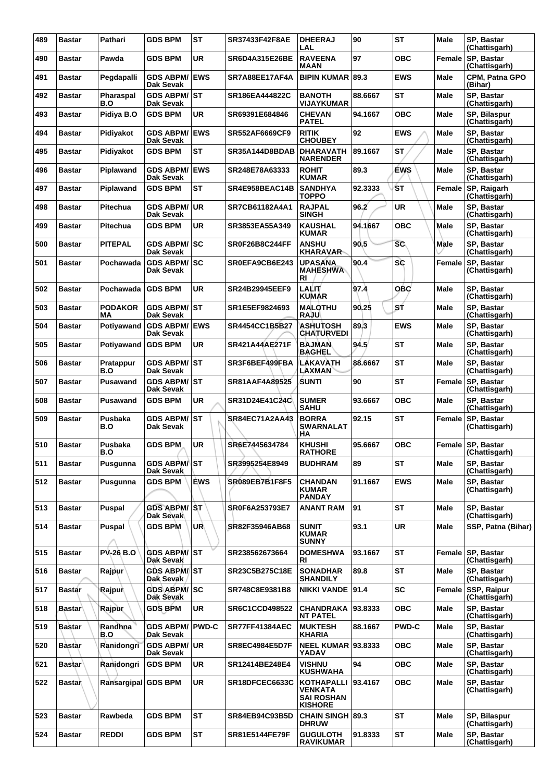| 489 | <b>Bastar</b> | Pathari              | <b>GDS BPM</b>                      | <b>ST</b>  | SR37433F42F8AE        | <b>DHEERAJ</b><br>LAL                                                      | 90      | <b>ST</b>    | Male        | SP, Bastar<br>(Chattisgarh)          |
|-----|---------------|----------------------|-------------------------------------|------------|-----------------------|----------------------------------------------------------------------------|---------|--------------|-------------|--------------------------------------|
| 490 | <b>Bastar</b> | Pawda                | <b>GDS BPM</b>                      | <b>UR</b>  | SR6D4A315E26BE        | <b>RAVEENA</b><br>MAAN                                                     | 97      | <b>OBC</b>   | Female      | <b>SP. Bastar</b><br>(Chattisgarh)   |
| 491 | Bastar        | Pegdapalli           | <b>GDS ABPM/</b><br>Dak Sevak       | <b>EWS</b> | SR7A88EE17AF4A        | <b>BIPIN KUMAR</b>                                                         | 89.3    | <b>EWS</b>   | <b>Male</b> | CPM, Patna GPO<br>(Bihar)            |
| 492 | <b>Bastar</b> | Pharaspal<br>B.O     | <b>GDS ABPM/ ST</b><br>Dak Sevak    |            | SR186EA444822C        | <b>BANOTH</b><br><b>VIJAYKUMAR</b>                                         | 88.6667 | <b>ST</b>    | <b>Male</b> | SP, Bastar<br>(Chattisgarh)          |
| 493 | <b>Bastar</b> | Pidiya B.O           | <b>GDS BPM</b>                      | <b>UR</b>  | SR69391E684846        | <b>CHEVAN</b><br><b>PATEL</b>                                              | 94.1667 | <b>OBC</b>   | Male        | SP, Bilaspur<br>(Chattisgarh)        |
| 494 | <b>Bastar</b> | Pidiyakot            | <b>GDS ABPM/</b><br>Dak Sevak       | <b>EWS</b> | SR552AF6669CF9        | <b>RITIK</b><br><b>CHOUBEY</b>                                             | 92      | <b>EWS</b>   | <b>Male</b> | SP, Bastar<br>(Chattisgarh)          |
| 495 | <b>Bastar</b> | Pidiyakot            | <b>GDS BPM</b>                      | <b>ST</b>  | SR35A144D8BDAB        | <b>DHARAVATH</b><br><b>NARENDER</b>                                        | 89.1667 | <b>ST</b>    | Male        | SP. Bastar<br>(Chattisgarh)          |
| 496 | <b>Bastar</b> | Piplawand            | <b>GDS ABPM/</b><br>Dak Sevak       | <b>EWS</b> | SR248E78A63333        | <b>ROHIT</b><br><b>KUMAR</b>                                               | 89.3    | <b>EWS</b>   | Male        | SP, Bastar<br>(Chattisgarh)          |
| 497 | <b>Bastar</b> | Piplawand            | <b>GDS BPM</b>                      | ST         | SR4E958BEAC14B        | <b>SANDHYA</b><br><b>TOPPO</b>                                             | 92.3333 | ŚТ           | Female      | SP, Raigarh<br>(Chattisgarh)         |
| 498 | <b>Bastar</b> | Pitechua             | <b>GDS ABPM/ UR</b><br>Dak Sevak    |            | SR7CB61182A4A1        | <b>RAJPAL</b><br><b>SINGH</b>                                              | 96.2    | <b>UR</b>    | <b>Male</b> | SP, Bastar<br>(Chattisgarh)          |
| 499 | <b>Bastar</b> | Pitechua             | <b>GDS BPM</b>                      | <b>UR</b>  | SR3853EA55A349        | <b>KAUSHAL</b><br><b>KUMAR</b>                                             | 94.1667 | <b>OBC</b>   | Male        | SP, Bastar<br>(Chattisgarh)          |
| 500 | <b>Bastar</b> | <b>PITEPAL</b>       | GDS ABPM/SC<br>Dak Sevak            |            | <b>SR0F26B8C244FF</b> | <b>ANSHU</b><br><b>KHARAVAR</b>                                            | 90.5    | <b>SC</b>    | Male        | SP, Bastar<br>(Chattisgarh)          |
| 501 | <b>Bastar</b> | Pochawada            | <b>GDS ABPM/ SC</b><br>Dak Sevak    |            | SR0EFA9CB6E243        | <b>UPASANA</b><br><b>MAHESHWA</b><br>RI                                    | 90.4    | <b>SC</b>    | Female      | <b>SP. Bastar</b><br>(Chattisgarh)   |
| 502 | <b>Bastar</b> | Pochawada            | <b>GDS BPM</b>                      | UR         | <b>SR24B29945EEF9</b> | LALIT<br><b>KUMAR</b>                                                      | 97.4    | <b>OBC</b>   | Male        | SP, Bastar<br>(Chattisgarh)          |
| 503 | <b>Bastar</b> | <b>PODAKOR</b><br>ΜA | <b>GDS ABPM/ST</b><br>Dak Sevak     |            | SR1E5EF9824693        | <b>MALOTHU</b><br><b>RAJU</b>                                              | 90.25   | SŤ           | <b>Male</b> | SP, Bastar<br>(Chattisgarh)          |
| 504 | <b>Bastar</b> | Potiyawand           | <b>GDS ABPM/ EWS</b><br>Dak Sevak   |            | SR4454CC1B5B27        | <b>ASHUTOSH</b><br><b>CHATURVEDI</b>                                       | 89.3    | <b>EWS</b>   | Male        | SP, Bastar<br>(Chattisgarh)          |
| 505 | <b>Bastar</b> | Potiyawand           | <b>GDS BPM</b>                      | UR         | SR421A44AE271F        | <b>BAJMAN</b><br><b>BAGHEL</b>                                             | 94.5    | <b>ST</b>    | Male        | SP, Bastar<br>(Chattisgarh)          |
| 506 | <b>Bastar</b> | Pratappur<br>B.O     | <b>GDS ABPM/ST</b><br>Dak Sevak     |            | SR3F6BEF499FBA        | LAKAVATH<br><b>LAXMAN</b>                                                  | 88.6667 | <b>ST</b>    | Male        | SP, Bastar<br>(Chattisgarh)          |
| 507 | <b>Bastar</b> | Pusawand             | <b>GDS ABPM/ ST</b><br>Dak Sevak    |            | SR81AAF4A89525        | SUNTI                                                                      | 90      | ST           | Female      | SP, Bastar<br>(Chattisgarh)          |
| 508 | <b>Bastar</b> | Pusawand             | <b>GDS BPM</b>                      | <b>UR</b>  | SR31D24E41C24C        | <b>SUMER</b><br><b>SAHU</b>                                                | 93.6667 | <b>OBC</b>   | Male        | SP, Bastar<br>(Chattisgarh)          |
| 509 | <b>Bastar</b> | Pusbaka<br>B.O       | <b>GDS ABPM/ ST</b><br>Dak Sevak    |            | <b>SR84EC71A2AA43</b> | <b>BORRA</b><br><b>SWARNALAT</b><br>ΗA                                     | 92.15   | <b>ST</b>    | Female      | <b>SP. Bastar</b><br>(Chattisgarh)   |
| 510 | <b>Bastar</b> | Pusbaka<br>B.O       | <b>GDS BPM</b>                      | <b>UR</b>  | SR6E7445634784        | <b>KHUSHI</b><br><b>RAIHORE</b>                                            | 95.6667 | <b>OBC</b>   |             | Female   SP, Bastar<br>(Chattisgarh) |
| 511 | <b>Bastar</b> | Pusgunna             | <b>GDS ABPM/IST</b><br>Dak Sevak    |            | SR3995254E8949        | <b>BUDHRAM</b>                                                             | 89      | ST           | Male        | SP, Bastar<br>(Chattisgarh)          |
| 512 | <b>Bastar</b> | Pusgunna             | <b>GDS BPM</b>                      | <b>EWS</b> | SR089EB7B1F8F5        | <b>CHANDAN</b><br>KUMAR<br><b>PANDAY</b>                                   | 91.1667 | <b>EWS</b>   | <b>Male</b> | SP, Bastar<br>(Chattisgarh)          |
| 513 | <b>Bastar</b> | Puspal               | <b>GDS ABPM/ST</b><br>Dak Sevak     |            | SR0F6A253793E7        | ANANT RAM                                                                  | 91      | <b>ST</b>    | <b>Male</b> | SP, Bastar<br>(Chattisgarh)          |
| 514 | <b>Bastar</b> | Puspal               | <b>GDS BPM</b>                      | UR         | SR82F35946AB68        | <b>SUNIT</b><br><b>KUMAR</b><br><b>SUNNY</b>                               | 93.1    | <b>UR</b>    | Male        | SSP, Patna (Bihar)                   |
| 515 | <b>Bastar</b> | <b>PV-26 B.O</b>     | <b>GDS ABPM/ ST</b><br>Dak Sevak    |            | SR238562673664        | <b>DOMESHWA</b><br>RI                                                      | 93.1667 | <b>ST</b>    |             | Female SP, Bastar<br>(Chattisgarh)   |
| 516 | <b>Bastar</b> | Rajpur               | <b>GDS ABPM/ ST</b><br>Dak Sevak    |            | SR23C5B275C18E        | <b>SONADHAR</b><br><b>SHANDILY</b>                                         | 89.8    | <b>ST</b>    | <b>Male</b> | SP, Bastar<br>(Chattisgarh)          |
| 517 | <b>Bastar</b> | Rajpur               | GDS ABPM/ SC<br>Dak Sevak           |            | SR748C8E9381B8        | NIKKI VANDE   91.4                                                         |         | <b>SC</b>    | Female      | <b>SSP, Raipur</b><br>(Chattisgarh)  |
| 518 | <b>Bastar</b> | Rajpur               | <b>GDS BPM</b>                      | UR         | SR6C1CCD498522        | <b>CHANDRAKA</b><br><b>NT PATEL</b>                                        | 93.8333 | <b>OBC</b>   | <b>Male</b> | SP. Bastar<br>(Chattisgarh)          |
| 519 | <b>Bastar</b> | Randhna<br>B.O       | <b>GDS ABPM/ PWD-C</b><br>Dak Sevak |            | <b>SR77FF41384AEC</b> | <b>MUKTESH</b><br>KHARIA                                                   | 88.1667 | <b>PWD-C</b> | Male        | SP, Bastar<br>(Chattisgarh)          |
| 520 | <b>Bastar</b> | Ranidongri           | <b>GDS ABPM/ UR</b><br>Dak Sevak    |            | <b>SR8EC4984E5D7F</b> | <b>NEEL KUMAR 93.8333</b><br>YADAV                                         |         | <b>OBC</b>   | Male        | SP, Bastar<br>(Chattisgarh)          |
| 521 | <b>Bastar</b> | Ranidongri           | <b>GDS BPM</b>                      | UR         | SR12414BE248E4        | <b>VISHNU</b><br><b>KUSHWAHA</b>                                           | 94      | <b>OBC</b>   | <b>Male</b> | SP, Bastar<br>(Chattisgarh)          |
| 522 | <b>Bastan</b> | Ransargipal          | <b>GDS BPM</b>                      | UR         | SR18DFCEC6633C        | <b>KOTHAPALLI</b><br><b>VENKATA</b><br><b>SAI ROSHAN</b><br><b>KISHORE</b> | 93.4167 | <b>OBC</b>   | Male        | SP, Bastar<br>(Chattisgarh)          |
| 523 | <b>Bastar</b> | Rawbeda              | <b>GDS BPM</b>                      | ST         | <b>SR84EB94C93B5D</b> | <b>CHAIN SINGH 89.3</b><br><b>DHRUW</b>                                    |         | <b>ST</b>    | Male        | SP, Bilaspur<br>(Chattisgarh)        |
| 524 | <b>Bastar</b> | <b>REDDI</b>         | <b>GDS BPM</b>                      | <b>ST</b>  | SR81E5144FE79F        | <b>GUGULOTH</b><br><b>RAVIKUMAR</b>                                        | 91.8333 | <b>ST</b>    | Male        | SP, Bastar<br>(Chattisgarh)          |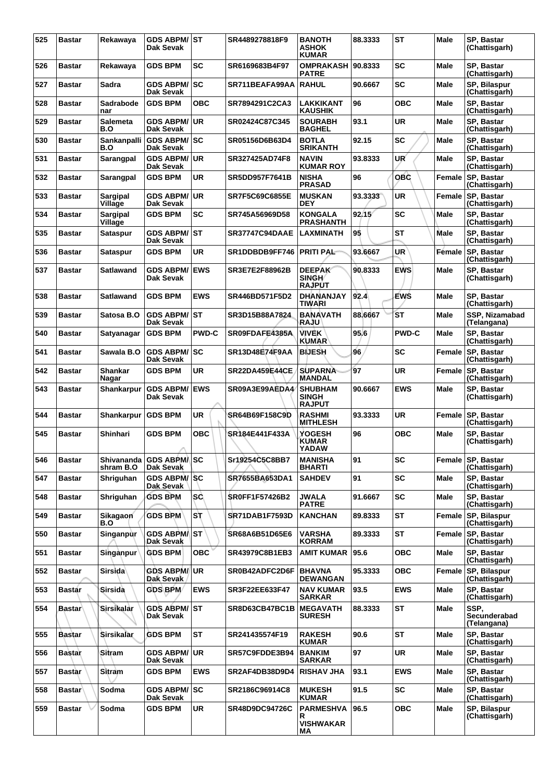| 525 | <b>Bastar</b> | Rekawaya                   | <b>GDS ABPM/</b><br>Dak Sevak           | IST          | SR4489278818F9        | <b>BANOTH</b><br><b>ASHOK</b><br><b>KUMAR</b>   | 88.3333 | <b>ST</b>    | <b>Male</b>   | SP, Bastar<br>(Chattisgarh)         |
|-----|---------------|----------------------------|-----------------------------------------|--------------|-----------------------|-------------------------------------------------|---------|--------------|---------------|-------------------------------------|
| 526 | <b>Bastar</b> | Rekawaya                   | <b>GDS BPM</b>                          | <b>SC</b>    | SR6169683B4F97        | OMPRAKASH 90.8333<br><b>PATRE</b>               |         | SC           | Male          | SP, Bastar<br>(Chattisgarh)         |
| 527 | <b>Bastar</b> | Sadra                      | <b>GDS ABPM/</b><br>Dak Sevak           | <b>SC</b>    | SR711BEAFA99AA        | <b>RAHUL</b>                                    | 90.6667 | <b>SC</b>    | <b>Male</b>   | SP, Bilaspur<br>(Chattisgarh)       |
| 528 | <b>Bastar</b> | Sadrabode<br>nar           | <b>GDS BPM</b>                          | <b>OBC</b>   | SR7894291C2CA3        | LAKKIKANT<br>KAUSHIK                            | 96      | ОВС          | Male          | SP, Bastar<br>(Chattisgarh)         |
| 529 | <b>Bastar</b> | <b>Salemeta</b><br>B.O     | <b>GDS ABPM/</b><br>Dak Sevak           | <b>UR</b>    | SR02424C87C345        | <b>SOURABH</b><br><b>BAGHEL</b>                 | 93.1    | UR           | Male          | SP, Bastar<br>(Chattisgarh)         |
| 530 | <b>Bastar</b> | Sankanpalli<br>B.O         | <b>GDS ABPM/SC</b><br>Dak Sevak         |              | SR05156D6B63D4        | <b>BOTLA</b><br><b>SRIKANTH</b>                 | 92.15   | <b>SC</b>    | Male          | SP, Bastar<br>(Chattisgarh)         |
| 531 | <b>Bastar</b> | Sarangpal                  | <b>GDS ABPM/</b><br>Dak Sevak           | UR           | SR327425AD74F8        | <b>NAVIN</b><br><b>KUMAR ROY</b>                | 93.8333 | UR           | Male          | SP, Bastar<br>(Chattisgarh)         |
| 532 | <b>Bastar</b> | Sarangpal                  | <b>GDS BPM</b>                          | UR           | <b>SR5DD957F7641B</b> | <b>NISHA</b><br><b>PRASAD</b>                   | 96      | <b>OBC</b>   | Female        | SP, Bastar<br>(Chattisgarh)         |
| 533 | <b>Bastar</b> | <b>Sargipal</b><br>Village | <b>GDS ABPM/</b><br>Dak Sevak           | <b>UR</b>    | SR7F5C69C6855E        | <b>MUSKAN</b><br><b>DEY</b>                     | 93.3333 | <b>UR</b>    | Female        | SP, Bastar<br>(Chattisgarh)         |
| 534 | <b>Bastar</b> | <b>Sargipal</b><br>Village | <b>GDS BPM</b>                          | <b>SC</b>    | SR745A56969D58        | <b>KONGALA</b><br><b>PRASHANTH</b>              | 92/15'  | <b>SC</b>    | Male          | SP, Bastar<br>(Chattisgarh)         |
| 535 | <b>Bastar</b> | Sataspur                   | <b>GDS ABPM/ ST</b><br><b>Dak Sevak</b> |              | <b>SR37747C94DAAE</b> | LAXMINATH                                       | 95      | ST           | Male          | SP. Bastar<br>(Chattisgarh)         |
| 536 | <b>Bastar</b> | Sataspur                   | <b>GDS BPM</b>                          | <b>UR</b>    | SR1DDBDB9FF746        | <b>PRITI PAL-</b>                               | 93.6667 | <b>UR</b>    | <b>Fémale</b> | SP, Bastar<br>(Chattisgarh)         |
| 537 | Bastar        | Satlawand                  | <b>GDS ABPM/</b><br>Dak Sevak           | <b>EWS</b>   | SR3E7E2F88962B        | <b>DEEPAK</b><br>SINGH/<br><b>RAJPUT</b>        | 90.8333 | <b>EWS</b>   | <b>Male</b>   | SP, Bastar<br>(Chattisgarh)         |
| 538 | <b>Bastar</b> | Satlawand                  | <b>GDS BPM</b>                          | <b>EWS</b>   | SR446BD571F5D2        | <b>DHANANJAY</b><br>TIWARI                      | 92.4    | EWŚ          | <b>Male</b>   | SP, Bastar<br>(Chattisgarh)         |
| 539 | Bastar        | Satosa B.O                 | <b>GDS ABPM/ ST</b><br>Dak Sevak        |              | SR3D15B88A7824        | <b>BANAVATH</b><br><b>RAJU</b>                  | 88.6667 | <b>ST</b>    | <b>Male</b>   | SSP, Nizamabad<br>(Telangana)       |
| 540 | <b>Bastar</b> | Satyanagar                 | <b>GDS BPM</b>                          | <b>PWD-C</b> | SR09FDAFE4385A        | <b>VIVEK</b><br><b>KUMAR</b>                    | 95.6    | <b>PWD-C</b> | Male          | SP, Bastar<br>(Chattisgarh)         |
| 541 | <b>Bastar</b> | Sawala B.O                 | <b>GDS ABPM/</b><br>Dak Sevak           | <b>SC</b>    | <b>SR13D48E74F9AA</b> | <b>BIJESH</b>                                   | 96      | SC           | Female        | <b>SP, Bastar</b><br>(Chattisgarh)  |
| 542 | <b>Bastar</b> | <b>Shankar</b><br>Nagar    | <b>GDS BPM</b>                          | UR           | <b>SR22DA459E44CE</b> | <b>SUPARNA</b><br>MANDAL                        | 97      | <b>UR</b>    | Female        | SP, Bastar<br>(Chattisgarh)         |
| 543 | <b>Bastar</b> | Shankarpur                 | <b>GDS ABPM/</b><br>Dak Sevak           | <b>EWS</b>   | SR09A3E99AEDA4        | <b>SHUBHAM</b><br><b>SINGH</b><br><b>RAJPUT</b> | 90.6667 | <b>EWS</b>   | <b>Male</b>   | SP, Bastar<br>(Chattisgarh)         |
| 544 | <b>Bastar</b> | Shankarpur                 | <b>GDS BPM</b>                          | UR           | SR64B69F158C9D        | <b>RASHMI</b><br><b>MITHLESH</b>                | 93.3333 | <b>UR</b>    | Female        | SP. Bastar<br>(Chattisgarh)         |
| 545 | <b>Bastar</b> | Shinhari                   | <b>GDS BPM</b>                          | <b>OBC</b>   | SR184E441F433A        | YOGESH<br>KUMAR<br><b>YADAW</b>                 | 96      | ОВС          | <b>Male</b>   | SP, Bastar<br>(Chattisgarh)         |
| 546 | <b>Bastar</b> | Shivananda<br>shram B.O    | <b>GDS ABPMASC</b><br>Dak Sevak         |              | Sr19254C5C8BB7        | <b>MANISHA</b><br><b>BHARTI</b>                 | 91      | <b>SC</b>    | Female        | SP. Bastar<br>(Chattisgarh)         |
| 547 | <b>Bastar</b> | Shriguhan                  | GDS ABPM/SC<br>Dak Sevak                |              | SR7655BA653DA1        | <b>SAHDEV</b>                                   | 91      | <b>SC</b>    | <b>Male</b>   | SP, Bastar<br>(Chattisgarh)         |
| 548 | <b>Bastar</b> | Shriguhan                  | <b>GDS BPM</b>                          | <b>SC</b>    | <b>SR0FF1F57426B2</b> | <b>JWALA</b><br><b>PATRE</b>                    | 91.6667 | <b>SC</b>    | <b>Male</b>   | SP, Bastar<br>(Chattisgarh)         |
| 549 | Bastar        | Sikagaon<br>B.O            | <b>GDS BPM</b>                          | Sτ           | <b>SR71DAB1F7593D</b> | <b>KANCHAN</b>                                  | 89.8333 | <b>ST</b>    | Female        | SP, Bilaspur<br>(Chattisgarh)       |
| 550 | <b>Bastar</b> | Singanpur                  | <b>GDS ABPM/IST</b><br>Dak Sevak        |              | SR68A6B51D65E6        | <b>VARSHA</b><br><b>KORRAM</b>                  | 89.3333 | <b>ST</b>    |               | Female SP, Bastar<br>(Chattisgarh)  |
| 551 | Bastar        | <b>Singanpur</b>           | <b>GDS BPM</b>                          | <b>OBC</b>   | SR43979C8B1EB3        | <b>AMIT KUMAR</b>                               | 95.6    | <b>OBC</b>   | <b>Male</b>   | SP, Bastar<br>(Chattisgarh)         |
| 552 | <b>Bastar</b> | Sirsida                    | <b>GDS ABPM/UR</b><br>Dak Sevak         |              | SR0B42ADFC2D6F        | <b>BHAVNA</b><br><b>DEWANGAN</b>                | 95.3333 | <b>OBC</b>   | Female        | SP, Bilaspur<br>(Chattisgarh)       |
| 553 | <b>Bastar</b> | Sirsida                    | <b>GDS BPM</b>                          | <b>EWS</b>   | SR3F22EE633F47        | <b>NAV KUMAR</b><br><b>SARKAR</b>               | 93.5    | <b>EWS</b>   | Male          | SP, Bastar<br>(Chattisgarh)         |
| 554 | <b>Bastar</b> | Sirsikalar                 | <b>GDS ABPM/ ST</b><br>Dak Sevak        |              | SR8D63CB47BC1B        | <b>MEGAVATH</b><br><b>SURESH</b>                | 88.3333 | <b>ST</b>    | Male          | SSP,<br>Secunderabad<br>(Telangana) |
| 555 | Bastar        | <b>Sirsikalar</b>          | <b>GDS BPM</b>                          | <b>ST</b>    | SR241435574F19        | <b>RAKESH</b><br><b>KUMAR</b>                   | 90.6    | <b>ST</b>    | <b>Male</b>   | SP, Bastar<br>(Chattisgarh)         |
| 556 | <b>Bastar</b> | Sitram                     | <b>GDS ABPM/</b><br>Dak Sevak           | UR.          | SR57C9FDDE3B94        | <b>BANKIM</b><br><b>SARKAR</b>                  | 97      | <b>UR</b>    | Male          | SP, Bastar<br>(Chattisgarh)         |
| 557 | <b>Bastar</b> | Sitram                     | <b>GDS BPM</b>                          | <b>EWS</b>   | SR2AF4DB38D9D4        | <b>RISHAV JHA</b>                               | 93.1    | <b>EWS</b>   | <b>Male</b>   | <b>SP. Bastar</b><br>(Chattisgarh)  |
| 558 | <b>Bastar</b> | Sodma                      | <b>GDS ABPM/ SC</b><br>Dak Sevak        |              | SR2186C96914C8        | <b>MUKESH</b><br><b>KUMAR</b>                   | 91.5    | <b>SC</b>    | Male          | SP, Bastar<br>(Chattisgarh)         |
| 559 | <b>Bastar</b> | Sodma                      | <b>GDS BPM</b>                          | <b>UR</b>    | SR48D9DC94726C        | <b>PARMESHVA</b><br>R                           | 96.5    | <b>OBC</b>   | Male          | SP, Bilaspur<br>(Chattisgarh)       |
|     |               |                            |                                         |              |                       | <b>VISHWAKAR</b><br>ΜA                          |         |              |               |                                     |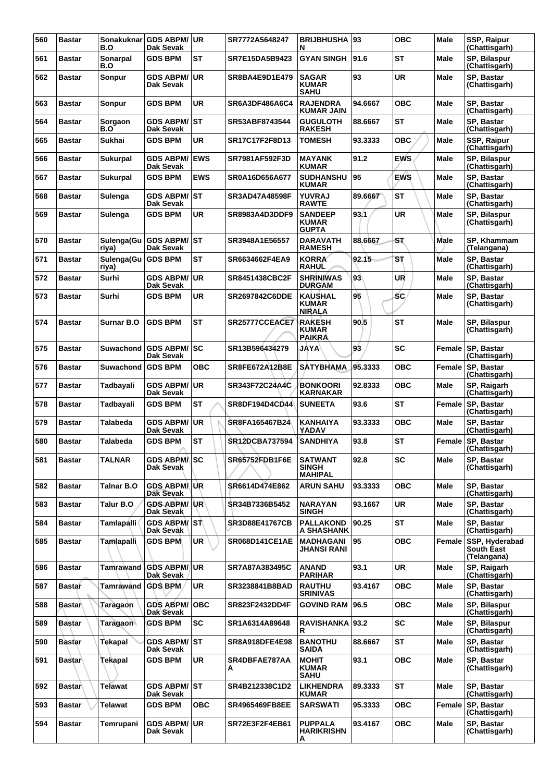| 560 | <b>Bastar</b> | B.O                 | Sonakuknar GDS ABPM/UR<br>Dak Sevak |            | SR7772A5648247        | <b>BRIJBHUSHA 93</b><br>N                        |         | <b>OBC</b> | Male        | SSP, Raipur<br>(Chattisgarh)                |
|-----|---------------|---------------------|-------------------------------------|------------|-----------------------|--------------------------------------------------|---------|------------|-------------|---------------------------------------------|
| 561 | <b>Bastar</b> | Sonarpal<br>B.O     | <b>GDS BPM</b>                      | <b>ST</b>  | SR7E15DA5B9423        | <b>GYAN SINGH</b>                                | 91.6    | ST         | Male        | SP, Bilaspur<br>(Chattisgarh)               |
| 562 | <b>Bastar</b> | Sonpur              | <b>GDS ABPM/</b><br>Dak Sevak       | UR         | SR8BA4E9D1E479        | <b>SAGAR</b><br><b>KUMAR</b><br><b>SAHU</b>      | 93      | UR         | Male        | SP, Bastar<br>(Chattisgarh)                 |
| 563 | <b>Bastar</b> | Sonpur              | <b>GDS BPM</b>                      | <b>UR</b>  | SR6A3DF486A6C4        | <b>RAJENDRA</b><br><b>KUMAR JAIN</b>             | 94.6667 | <b>OBC</b> | Male        | <b>SP. Bastar</b><br>(Chattisgarh)          |
| 564 | <b>Bastar</b> | Sorgaon<br>B.O      | <b>GDS ABPM/ ST</b><br>Dak Sevak    |            | SR53ABF8743544        | <b>GUGULOTH</b><br><b>RAKESH</b>                 | 88.6667 | <b>ST</b>  | <b>Male</b> | SP, Bastar<br>(Chattisgarh)                 |
| 565 | <b>Bastar</b> | <b>Sukhai</b>       | <b>GDS BPM</b>                      | <b>UR</b>  | SR17C17F2F8D13        | <b>TOMESH</b>                                    | 93.3333 | <b>OBC</b> | <b>Male</b> | SSP, Raipur<br>(Chattisgarh)                |
| 566 | <b>Bastar</b> | Sukurpal            | <b>GDS ABPM/</b><br>Dak Sevak       | <b>EWS</b> | SR7981AF592F3D        | <b>MAYANK</b><br><b>KUMAR</b>                    | 91.2    | <b>EWS</b> | Male        | SP, Bilaspur<br>(Chattisgarh)               |
| 567 | <b>Bastar</b> | <b>Sukurpal</b>     | <b>GDS BPM</b>                      | <b>EWS</b> | SR0A16D656A677        | <b>SUDHANSHU</b><br><b>KUMAR</b>                 | 95      | <b>EWS</b> | Male        | SP, Bastar<br>(Chattisgarh)                 |
| 568 | <b>Bastar</b> | Sulenga             | GDS ABPM/ST<br>Dak Sevak            |            | <b>SR3AD47A48598F</b> | YUVRAJ<br><b>RAWTE</b>                           | 89.6667 | <b>ST</b>  | Male        | SP, Bastar<br>(Chattisgarh)                 |
| 569 | <b>Bastar</b> | Sulenga             | <b>GDS BPM</b>                      | UR         | SR8983A4D3DDF9        | <b>SANDEEP</b><br><b>KUMAR</b><br><b>GUPTA</b>   | 93.1    | <b>UR</b>  | Male        | SP, Bilaspur<br>(Chattisgarh)               |
| 570 | <b>Bastar</b> | riya)               | Sulenga(Gu GDS ABPM/ST<br>Dak Sevak |            | SR3948A1E56557        | <b>DARAVATH</b><br><b>RAMESH</b>                 | 88.6667 | SŢ.        | <b>Male</b> | <b>SP. Khammam</b><br>(Telangana)           |
| 571 | <b>Bastar</b> | Sulenga(Gu<br>riya) | <b>GDS BPM</b>                      | ST         | SR6634662F4EA9        | <b>KORRA</b><br><b>RAHUL</b>                     | 92.15   | SТ         | Male        | SP, Bastar<br>(Chattisgarh)                 |
| 572 | <b>Bastar</b> | Surhi               | <b>GDS ABPM/</b><br>Dak Sevak       | ∣UR        | <b>SR8451438CBC2F</b> | <b>SHRINIWAS</b><br><b>DURGAM</b>                | 93      | UR         | <b>Male</b> | SP, Bastar<br>(Chattisgarh)                 |
| 573 | <b>Bastar</b> | Surhi               | <b>GDS BPM</b>                      | <b>UR</b>  | SR2697842C6DDE        | <b>KAUSHAL</b><br><b>KUMAR</b><br><b>NIRALA</b>  | 95      | <b>SC</b>  | <b>Male</b> | SP, Bastar<br>(Chattisgarh)                 |
| 574 | <b>Bastar</b> | <b>Surnar B.O</b>   | <b>GDS BPM</b>                      | <b>ST</b>  | SR25777CCEACE7        | <b>RAKESH</b><br><b>KUMAR</b><br><b>PAIKRA</b>   | 90.5    | <b>ST</b>  | Male        | SP, Bilaspur<br>(Chattisgarh)               |
| 575 | <b>Bastar</b> | Suwachond           | <b>GDS ABPM/ SC</b><br>Dak Sevak    |            | SR13B596434279        | <b>JAYA</b>                                      | 93      | SC         | Female      | SP, Bastar<br>(Chattisgarh)                 |
| 576 | <b>Bastar</b> | Suwachond           | <b>GDS BPM</b>                      | <b>OBC</b> | <b>SR8FE672A12B8E</b> | <b>SATYBHAMA</b>                                 | 95.3333 | <b>OBC</b> | Female      | SP, Bastar<br>(Chattisgarh)                 |
| 577 | <b>Bastar</b> | Tadbayali           | <b>GDS ABPM/</b><br>Dak Sevak       | ∣UR        | SR343F72C24A4C        | <b>BONKOORI</b><br>KARNAKAR                      | 92.8333 | <b>OBC</b> | <b>Male</b> | SP, Raigarh<br>(Chattisgarh)                |
| 578 | <b>Bastar</b> | Tadbayali           | <b>GDS BPM</b>                      | ST         | <b>SR8DF194D4CD44</b> | <b>SUNEETA</b>                                   | 93.6    | ST         | Female      | SP, Bastar<br>(Chattisgarh)                 |
| 579 | <b>Bastar</b> | Talabeda            | <b>GDS ABPM/</b><br>Dak Sevak       | ∣UR        | SR8FA165467B24        | KANHAIYA<br>YADAV                                | 93.3333 | <b>OBC</b> | Male        | SP, Bastar<br>(Chattisgarh)                 |
| 580 | <b>Bastar</b> | Talabeda            | <b>GDS BPM</b>                      | <b>ST</b>  | <b>SR12DCBA737594</b> | <b>SANDHIYA</b>                                  | 93.8    | <b>ST</b>  |             | Female SP, Bastar<br>(Chattisgarh)          |
| 581 | <b>Bastar</b> | <b>TALNAR</b>       | <b>GDS ABPMASC</b><br>Dak Sevak     |            | <b>SR65752FDB1F6E</b> | <b>SATWANT</b><br><b>SINGH</b><br><b>MAHIPAL</b> | 92.8    | SC         | Male        | SP, Bastar<br>(Chattisgarh)                 |
| 582 | <b>Bastar</b> | <b>Talnar B.O</b>   | GDS ABPM/UR<br>Dak Sevak            |            | SR6614D474E862        | <b>ARUN SAHU</b>                                 | 93.3333 | <b>OBC</b> | Male        | SP, Bastar<br>(Chattisgarh)                 |
| 583 | <b>Bastar</b> | Talur B.O           | <b>GDS ABPM/UR</b><br>Dak Sevak     |            | SR34B7336B5452        | <b>NARAYAN</b><br><b>SINGH</b>                   | 93.1667 | UR         | Male        | SP, Bastar<br>(Chattisgarh)                 |
| 584 | <b>Bastar</b> | Tamlapalli          | GDS ABPM/ST<br>Dak Sevak            |            | <b>SR3D88E41767CB</b> | <b>PALLAKOND</b><br>A SHASHANK                   | 90.25   | <b>ST</b>  | Male        | SP, Bastar<br>(Chattisgarh)                 |
| 585 | <b>Bastar</b> | <b>Tamlapalli</b>   | <b>GDS BPM</b>                      | <b>UR</b>  | <b>SR068D141CE1AE</b> | <b>MADHAGANI</b><br>JHANSI RANI                  | 95      | <b>OBC</b> | Female      | SSP, Hyderabad<br>South East<br>(Telangana) |
| 586 | <b>Bastar</b> | Tamrawand           | GDS ABPM/UR<br>Dak Sevak            |            | SR7A87A383495C        | <b>ANAND</b><br><b>PARIHAR</b>                   | 93.1    | <b>UR</b>  | Male        | SP, Raigarh<br>(Chattisgarh)                |
| 587 | <b>Bastar</b> | Tamrawand GDS BPM   |                                     | <b>UR</b>  | SR3238841B8BAD        | <b>RAUTHU</b><br><b>SRINIVAS</b>                 | 93.4167 | <b>OBC</b> | Male        | SP, Bastar<br>(Chattisgarh)                 |
| 588 | <b>Bastar</b> | Taragaon            | <b>GDS ABPM/OBC</b><br>Dak Sevak    |            | SR823F2432DD4F        | <b>GOVIND RAM</b>                                | 96.5    | <b>OBC</b> | Male        | SP, Bilaspur<br>(Chattisgarh)               |
| 589 | <b>Bastar</b> | Taragaon            | <b>GDS BPM</b>                      | <b>SC</b>  | SR1A6314A89648        | RAVISHANKA 93.2<br>R                             |         | <b>SC</b>  | Male        | SP, Bilaspur<br>(Chattisgarh)               |
| 590 | <b>Bastar</b> | Tekapal             | GDS ABPM/ST<br>Dak Sevak            |            | <b>SR8A918DFE4E98</b> | <b>BANOTHU</b><br><b>SAIDA</b>                   | 88.6667 | <b>ST</b>  | Male        | SP, Bastar<br>(Chattisgarh)                 |
| 591 | <b>Bastar</b> | Tekapal             | <b>GDS BPM</b>                      | UR         | SR4DBFAE787AA<br>A    | <b>MOHIT</b><br><b>KUMAR</b><br><b>SAHU</b>      | 93.1    | <b>OBC</b> | Male        | <b>SP. Bastar</b><br>(Chattisgarh)          |
| 592 | <b>Bastar</b> | <b>Telawat</b>      | GDS ABPM/ST<br>Dak Sevak            |            | SR4B212338C1D2        | <b>LIKHENDRA</b><br><b>KUMAR</b>                 | 89.3333 | <b>ST</b>  | Male        | SP, Bastar<br>(Chattisgarh)                 |
| 593 | <b>Bastar</b> | Telawat             | <b>GDS BPM</b>                      | ОВС        | <b>SR4965469FB8EE</b> | <b>SARSWATI</b>                                  | 95.3333 | овс        | Female      | SP, Bastar<br>(Chattisgarh)                 |
| 594 | <b>Bastar</b> | Temrupani           | <b>GDS ABPM/ UR</b><br>Dak Sevak    |            | SR72E3F2F4EB61        | <b>PUPPALA</b><br>HARIKRISHN<br>А                | 93.4167 | <b>OBC</b> | <b>Male</b> | SP, Bastar<br>(Chattisgarh)                 |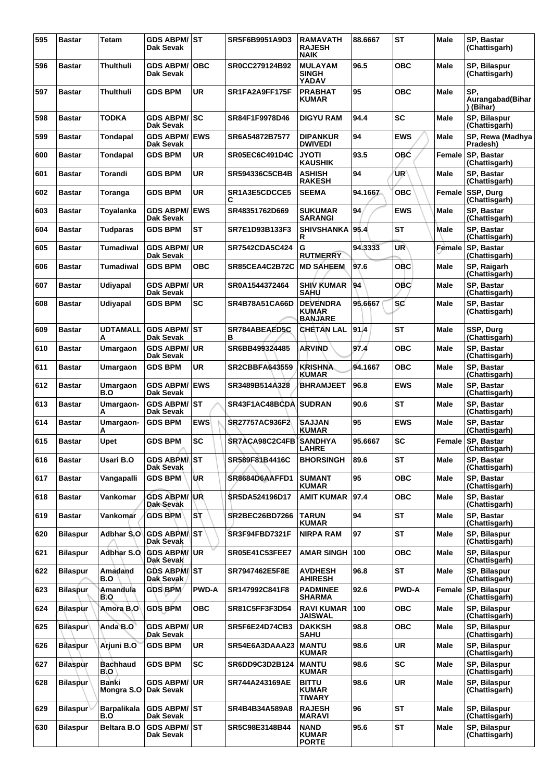| 595 | <b>Bastar</b>   | Tetam                     | <b>GDS ABPM/ST</b><br>Dak Sevak        |              | SR5F6B9951A9D3        | <b>RAMAVATH</b><br><b>RAJESH</b><br><b>NAIK</b>   | 88.6667 | <b>ST</b>  | <b>Male</b> | SP, Bastar<br>(Chattisgarh)          |
|-----|-----------------|---------------------------|----------------------------------------|--------------|-----------------------|---------------------------------------------------|---------|------------|-------------|--------------------------------------|
| 596 | Bastar          | Thulthuli                 | <b>GDS ABPM/</b><br>Dak Sevak          | <b>OBC</b>   | SR0CC279124B92        | <b>MULAYAM</b><br><b>SINGH</b><br>YADAV           | 96.5    | ОВС        | Male        | SP, Bilaspur<br>(Chattisgarh)        |
| 597 | Bastar          | Thulthuli                 | <b>GDS BPM</b>                         | UR           | SR1FA2A9FF175F        | <b>PRABHAT</b><br><b>KUMAR</b>                    | 95      | OBC        | Male        | SP,<br>Aurangabad(Bihar<br>) (Bihar) |
| 598 | <b>Bastar</b>   | <b>TODKA</b>              | <b>GDS ABPM/</b><br><b>Dak Sevak</b>   | lsc          | SR84F1F9978D46        | <b>DIGYU RAM</b>                                  | 94.4    | SC         | <b>Male</b> | SP, Bilaspur<br>(Chattisgarh)        |
| 599 | <b>Bastar</b>   | <b>Tondapal</b>           | <b>GDS ABPM/</b><br>Dak Sevak          | <b>EWS</b>   | SR6A54872B7577        | <b>DIPANKUR</b><br><b>DWIVEDI</b>                 | 94      | <b>EWS</b> | Male        | SP, Rewa (Madhya<br>Pradesh)         |
| 600 | <b>Bastar</b>   | <b>Tondapal</b>           | <b>GDS BPM</b>                         | <b>UR</b>    | <b>SR05EC6C491D4C</b> | <b>JYOTI</b><br><b>KAUSHIK</b>                    | 93.5    | <b>OBC</b> | Female      | SP. Bastar<br>(Chattisgarh)          |
| 601 | <b>Bastar</b>   | Torandi                   | <b>GDS BPM</b>                         | <b>UR</b>    | SR594336C5CB4B        | <b>ASHISH</b><br><b>RAKESH</b>                    | 94      | UR'        | <b>Male</b> | SP, Bastar<br>(Chattisgarh)          |
| 602 | Bastar          | Toranga                   | <b>GDS BPM</b>                         | <b>UR</b>    | SR1A3E5CDCCE5<br>С    | <b>SEEMA</b>                                      | 94.1667 | <b>OBC</b> | Female      | SSP, Durg<br>(Chattisgarh)           |
| 603 | <b>Bastar</b>   | Toyalanka                 | <b>GDS ABPM/</b><br>Dak Sevak          | <b>EWS</b>   | SR48351762D669        | <b>SUKUMAR</b><br><b>SARANGI</b>                  | 94      | <b>EWS</b> | Male        | <b>SP. Bastar</b><br>(Chattisgarh)   |
| 604 | <b>Bastar</b>   | <b>Tudparas</b>           | <b>GDS BPM</b>                         | <b>ST</b>    | SR7E1D93B133F3        | <b>SHIVSHANKA</b><br>R                            | 95.4    | <b>ST</b>  | Male        | SP, Bastar<br>(Chattisgarh)          |
| 605 | <b>Bastar</b>   | Tumadiwal                 | <b>GDS ABPM/</b><br>Dak Sevak          | <b>UR</b>    | <b>SR7542CDA5C424</b> | G<br><b>RUTMERRY</b>                              | 94.3333 | UR         | Female      | SP, Bastar<br>(Chattisgarh)          |
| 606 | <b>Bastar</b>   | Tumadiwal                 | <b>GDS BPM</b>                         | овс          | SR85CEA4C2B72C        | <b>MD SAHEEM</b>                                  | 97.6    | OBC        | Male        | SP, Raigarh<br>(Chattisgarh)         |
| 607 | <b>Bastar</b>   | <b>Udiyapal</b>           | <b>GDS ABPM/</b><br><b>Dak Sevak</b>   | <b>UR</b>    | SR0A1544372464        | <b>SHIV KUMAR</b><br><b>SAHU</b>                  | 94      | OBC        | <b>Male</b> | SP, Bastar<br>(Chattisgarh)          |
| 608 | <b>Bastar</b>   | Udiyapal                  | <b>GDS BPM</b>                         | <b>SC</b>    | <b>SR4B78A51CA66D</b> | <b>DEVENDRA</b><br><b>KUMAR</b><br><b>BANJARE</b> | 95.6667 | <b>SC</b>  | Male        | SP, Bastar<br>(Chattisgarh)          |
| 609 | <b>Bastar</b>   | <b>UDTAMALL</b><br>Α      | <b>GDS ABPM/ST</b><br><b>Dak Sevak</b> |              | SR784ABEAED5C<br>в    | <b>CHETAN LAL</b>                                 | 91.4    | <b>ST</b>  | <b>Male</b> | SSP, Durg<br>(Chattisgarh)           |
| 610 | <b>Bastar</b>   | Umargaon                  | <b>GDS ABPM/</b><br>Dak Sevak          | <b>UR</b>    | SR6BB499324485        | <b>ARVIND</b>                                     | 97.4    | <b>OBC</b> | Male        | SP, Bastar<br>(Chattisgarh)          |
| 611 | <b>Bastar</b>   | Umargaon                  | <b>GDS BPM</b>                         | UR           | <b>SR2CBBFA643559</b> | <b>KRISHNA</b><br><b>KUMAR</b>                    | 94.1667 | ОВС        | Male        | <b>SP. Bastar</b><br>(Chattisgarh)   |
| 612 | <b>Bastar</b>   | Umargaon<br>B.O           | <b>GDS ABPM/</b><br><b>Dak Sevak</b>   | <b>EWS</b>   | SR3489B514A328        | <b>BHRAMJEET</b>                                  | 96.8    | <b>EWS</b> | <b>Male</b> | SP, Bastar<br>(Chattisgarh)          |
| 613 | <b>Bastar</b>   | Umargaon-<br>Α            | <b>GDS ABPM/</b><br>Dak Sevak          | <b>ST</b>    | SR43F1AC48BCDA        | <b>SUDRAN</b>                                     | 90.6    | <b>ST</b>  | Male        | SP, Bastar<br>(Chattisgarh)          |
| 614 | <b>Bastar</b>   | Umargaon-<br>А            | <b>GDS BPM</b>                         | <b>EWS</b>   | SR27757AC936F2        | <b>SAJJAN</b><br><b>KUMAR</b>                     | 95      | <b>EWS</b> | Male        | SP, Bastar<br>(Chattisgarh)          |
| 615 | <b>Bastar</b>   | Upet                      | <b>GDS BPM</b>                         | <b>SC</b>    | SR7ACA98C2C4FB        | <b>SANDHYA</b><br><b>LAHRE</b>                    | 95.6667 | <b>SC</b>  | Female      | SP, Bastar<br>(Chattisgarh)          |
| 616 | <b>Bastar</b>   | Usari B.O                 | <b>GDS ABPMAST</b><br>Dak Sevak        |              | SR589F81B4416C        | <b>BHORSINGH</b>                                  | 89.6    | <b>ST</b>  | Male        | SP, Bastar<br>(Chattisgarh)          |
| 617 | <b>Bastar</b>   | Vangapalli                | <b>GDS BPM</b>                         | UR           | SR8684D6AAFFD1        | <b>SUMANT</b><br><b>KUMAR</b>                     | 95      | OBC        | Male        | SP, Bastar<br>(Chattisgarh)          |
| 618 | <b>Bastar</b>   | Vankomar                  | <b>GDS ABPM/</b><br>Dak Sevak          | ∣∪Ŕ          | \$R5DA524196D17       | <b>AMIT KUMAR</b>                                 | 97.4    | OBC        | <b>Male</b> | SP. Bastar<br>(Chattisgarh)          |
| 619 | <b>Bastar</b>   | Vankomar                  | <b>GDS BPM</b>                         | Sτ           | SR2BEC26BD7266        | <b>TARUN</b><br><b>KUMAR</b>                      | 94      | <b>ST</b>  | Male        | SP. Bastar<br>(Chattisgarh)          |
| 620 | <b>Bilaspur</b> | Adbhar S.O                | <b>GDS ABPM/IST</b><br>Dak Sevak       |              | SR3F94FBD7321F        | <b>NIRPA RAM</b>                                  | 97      | ST         | Male        | SP, Bilaspur<br>(Chattisgarh)        |
| 621 | <b>Bilaspur</b> | Adbhar S.O                | <b>GDS ABPM/</b><br>Dak Sevak          | <b>UR</b>    | <b>SR05E41C53FEE7</b> | <b>AMAR SINGH</b>                                 | 100     | OBC        | <b>Male</b> | SP, Bilaspur<br>(Chattisgarh)        |
| 622 | <b>Bilaspur</b> | Amadand<br>B.O            | <b>GDS ABPM/IST</b><br>Dak Sevak       |              | SR7947462E5F8E        | <b>AVDHESH</b><br><b>AHIRESH</b>                  | 96.8    | <b>ST</b>  | <b>Male</b> | SP, Bilaspur<br>(Chattisgarh)        |
| 623 | <b>Bilaspur</b> | Amandula<br>B.O           | GDS BPM                                | <b>PWD-A</b> | SR147992C841F8        | <b>PADMINEE</b><br><b>SHARMA</b>                  | 92.6    | PWD-A      | Female      | SP, Bilaspur<br>(Chattisgarh)        |
| 624 | Bilaspur        | Amora B.O                 | <b>GDS BPM</b>                         | <b>OBC</b>   | SR81C5FF3F3D54        | <b>RAVI KUMAR</b><br><b>JAISWAL</b>               | 100     | OBC        | <b>Male</b> | SP, Bilaspur<br>(Chattisgarh)        |
| 625 | <b>Bilaspur</b> | Anda B.O                  | <b>GDS ABPM/</b><br>Dak Sevak          | <b>UR</b>    | <b>SR5F6E24D74CB3</b> | <b>DAKKSH</b><br><b>SAHU</b>                      | 98.8    | <b>OBC</b> | <b>Male</b> | SP, Bilaspur<br>(Chattisgarh)        |
| 626 | <b>Bilaspur</b> | Arjuni B.O                | <b>GDS BPM</b>                         | UR           | SR54E6A3DAAA23        | <b>MANTU</b><br><b>KUMAR</b>                      | 98.6    | UR         | Male        | SP, Bilaspur<br>(Chattisgarh)        |
| 627 | <b>Bilaspur</b> | <b>Bachhaud</b><br>B.O    | <b>GDS BPM</b>                         | <b>SC</b>    | SR6DD9C3D2B124        | <b>MANTU</b><br><b>KUMAR</b>                      | 98.6    | SC         | <b>Male</b> | SP, Bilaspur<br>(Chattisgarh)        |
| 628 | <b>Bilaspur</b> | Banki<br>Mongra S.O       | <b>GDS ABPM/</b><br>Dak Sevak          | <b>UR</b>    | SR744A243169AE        | <b>BITTU</b><br><b>KUMAR</b><br><b>TIWARY</b>     | 98.6    | <b>UR</b>  | <b>Male</b> | SP, Bilaspur<br>(Chattisgarh)        |
| 629 | <b>Bilaspur</b> | <b>Barpalikala</b><br>B.O | <b>GDS ABPM/ST</b><br>Dak Sevak        |              | SR4B4B34A589A8        | <b>RAJESH</b><br><b>MARAVI</b>                    | 96      | ST         | <b>Male</b> | SP, Bilaspur<br>(Chattisgarh)        |
| 630 | <b>Bilaspur</b> | Beltara B.O               | <b>GDS ABPM/ST</b><br>Dak Sevak        |              | SR5C98E3148B44        | <b>NAND</b><br><b>KUMAR</b><br><b>PORTE</b>       | 95.6    | <b>ST</b>  | <b>Male</b> | SP, Bilaspur<br>(Chattisgarh)        |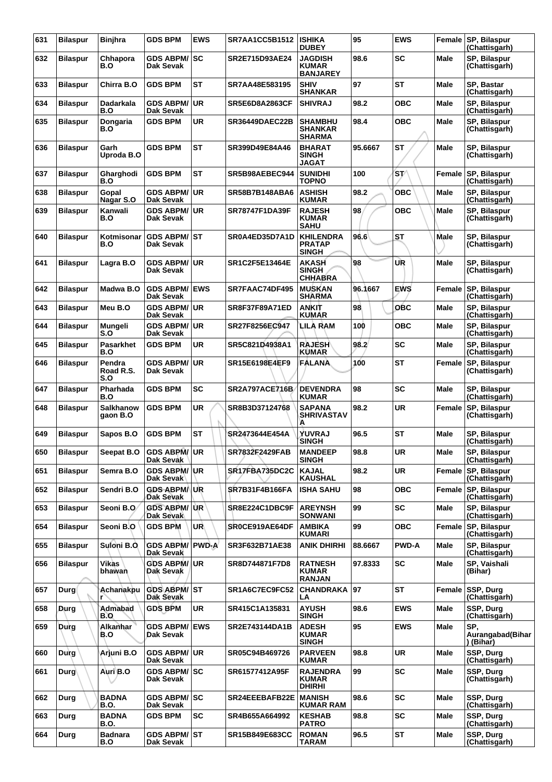| 631 | <b>Bilaspur</b> | Binjhra                      | <b>GDS BPM</b>                             | <b>EWS</b> | <b>SR7AA1CC5B1512</b> | <b>ISHIKA</b><br><b>DUBEY</b>                     | 95      | <b>EWS</b>   | Female      | SP, Bilaspur<br>(Chattisgarh)        |
|-----|-----------------|------------------------------|--------------------------------------------|------------|-----------------------|---------------------------------------------------|---------|--------------|-------------|--------------------------------------|
| 632 | <b>Bilaspur</b> | Chhapora<br>B.O              | GDS ABPM/ SC<br>Dak Sevak                  |            | SR2E715D93AE24        | <b>JAGDISH</b><br><b>KUMAR</b><br><b>BANJAREY</b> | 98.6    | SC           | <b>Male</b> | SP, Bilaspur<br>(Chattisgarh)        |
| 633 | <b>Bilaspur</b> | Chirra B.O                   | <b>GDS BPM</b>                             | <b>ST</b>  | SR7AA48E583195        | <b>SHIV</b><br><b>SHANKAR</b>                     | 97      | <b>ST</b>    | <b>Male</b> | SP, Bastar<br>(Chattisgarh)          |
| 634 | <b>Bilaspur</b> | Dadarkala<br>B.O             | <b>GDS ABPM/ UR</b><br>Dak Sevak           |            | <b>SR5E6D8A2863CF</b> | <b>SHIVRAJ</b>                                    | 98.2    | <b>OBC</b>   | Male        | SP, Bilaspur<br>(Chattisgarh)        |
| 635 | <b>Bilaspur</b> | Dongaria<br>B.O              | <b>GDS BPM</b>                             | <b>UR</b>  | <b>SR36449DAEC22B</b> | <b>SHAMBHU</b><br><b>SHANKAR</b><br><b>SHARMA</b> | 98.4    | <b>OBC</b>   | Male        | SP, Bilaspur<br>(Chattisgarh)        |
| 636 | <b>Bilaspur</b> | Garh<br>Uproda B.O           | <b>GDS BPM</b>                             | <b>ST</b>  | SR399D49E84A46        | <b>BHARAT</b><br><b>SINGH</b><br><b>JAGAT</b>     | 95.6667 | <b>ST</b>    | <b>Male</b> | SP, Bilaspur<br>(Chattisgarh)        |
| 637 | <b>Bilaspur</b> | Gharghodi<br>B.O             | <b>GDS BPM</b>                             | <b>ST</b>  | SR5B98AEBEC944        | <b>SUNIDHI</b><br><b>TOPNO</b>                    | 100     | 'ST⁄         | Female      | SP, Bilaspur<br>(Chattisgarh)        |
| 638 | <b>Bilaspur</b> | Gopal<br>Nagar S.O           | <b>GDS ABPM/ UR</b><br>Dak Sevak           |            | <b>SR58B7B148ABA6</b> | <b>ASHISH</b><br><b>KUMAR</b>                     | 98.2    | ОВС          | <b>Male</b> | SP, Bilaspur<br>(Chattisgarh)        |
| 639 | <b>Bilaspur</b> | Kanwali<br>B.O               | <b>GDS ABPM/</b><br>Dak Sevak              | <b>UR</b>  | <b>SR78747F1DA39F</b> | <b>RAJESH</b><br><b>KUMAR</b><br><b>SAHU</b>      | 98      | <b>OBC</b>   | Male        | SP, Bilaspur<br>(Chattisgarh)        |
| 640 | <b>Bilaspur</b> | Kotmisonar<br>B.O            | <b>GDS ABPM/ST</b><br>Dak Sevak            |            | SR0A4ED35D7A1D        | <b>KHILENDRA</b><br><b>PRATAP</b><br><b>SINGH</b> | 96.6    | <b>ST</b>    | <b>Male</b> | SP, Bilaspur<br>(Chattisgarh)        |
| 641 | <b>Bilaspur</b> | Lagra B.O                    | <b>GDS ABPM/</b><br>Dak Sevak              | UR         | SR1C2F5E13464E        | <b>AKASH</b><br><b>SINGH</b><br><b>CHHABRA</b>    | 98      | UR           | <b>Male</b> | SP, Bilaspur<br>(Chattisgarh)        |
| 642 | <b>Bilaspur</b> | Madwa B.O                    | <b>GDS ABPM/</b><br>Dak Sevak              | <b>EWS</b> | SR7FAAC74DF495        | <b>MUSKAN</b><br><b>SHARMA</b>                    | 96.1667 | <b>EWS</b>   | Female      | SP, Bilaspur<br>(Chattisgarh)        |
| 643 | <b>Bilaspur</b> | Meu B.O                      | <b>GDS ABPM/ UR</b><br>Dak Sevak           |            | <b>SR8F37F89A71ED</b> | ANKIT<br><b>KUMAR</b>                             | 98      | <b>OBC</b>   | <b>Male</b> | SP, Bilaspur<br>(Chattisgarh)        |
| 644 | <b>Bilaspur</b> | Mungeli<br>S.O               | <b>GDS ABPM/ UR</b><br>Dak Sevak           |            | SR27F8256EC947        | LILA RAM                                          | 100     | <b>OBC</b>   | <b>Male</b> | SP, Bilaspur<br>(Chattisgarh)        |
| 645 | <b>Bilaspur</b> | <b>Pasarkhet</b><br>B.O      | <b>GDS BPM</b>                             | <b>UR</b>  | SR5C821D4938A1        | <b>RAJESH</b><br><b>KUMAR</b>                     | 98.2    | <b>SC</b>    | <b>Male</b> | SP, Bilaspur<br>(Chattisgarh)        |
| 646 | <b>Bilaspur</b> | Pendra<br>Road R.S.<br>S.O   | <b>GDS ABPM/</b><br>Dak Sevak              | UR         | SR15E6198E4EF9        | <b>FALANA</b>                                     | 100     | <b>ST</b>    | Female      | SP, Bilaspur<br>(Chattisgarh)        |
| 647 | <b>Bilaspur</b> | Pharhada<br>B.O              | <b>GDS BPM</b>                             | <b>SC</b>  | <b>SR2A797ACE716B</b> | <b>DEVENDRA</b><br><b>KUMAR</b>                   | 98      | <b>SC</b>    | Male        | SP, Bilaspur<br>(Chattisgarh)        |
| 648 | <b>Bilaspur</b> | <b>Salkhanow</b><br>aaon B.O | <b>GDS BPM</b>                             | <b>UR</b>  | SR8B3D37124768        | <b>SAPANA</b><br><b>SHRIVASTAV</b><br>Α           | 98.2    | <b>UR</b>    | Female      | SP, Bilaspur<br>(Chattisgarh)        |
| 649 | <b>Bilaspur</b> | Sapos B.O                    | <b>GDS BPM</b>                             | <b>ST</b>  | SR2473644E454A        | YUVRAJ<br><b>SINGH</b>                            | 96.5    | <b>ST</b>    | Male        | SP, Bilaspur<br>(Chattisgarh)        |
| 650 | <b>Bilaspur</b> | Seepat B.O                   | <b>GDS ABPM/UR</b><br>Dak Sevak            |            | SR7832F2429FAB        | <b>MANDEEP</b><br><b>SINGH</b>                    | 98.8    | UR           | Male        | SP, Bilaspur<br>(Chattisgarh)        |
| 651 | <b>Bilaspur</b> | Semra B.O                    | <b>GDS ABPM/ UR</b><br>Dak Sevak           |            | SR17FBA735DC2C        | <b>KAJAL</b><br><b>KAUSHAL</b>                    | 98.2    | <b>UR</b>    | Female      | SP, Bilaspur<br>(Chattisgarh)        |
| 652 | <b>Bilaspur</b> | Sendri B.O                   | <b>GDS ABPM/ UR</b><br>Dak Sevak           |            | <b>SR7B31F4B166FA</b> | <b>ISHA SAHU</b>                                  | 98      | <b>OBC</b>   | Female      | <b>SP. Bilaspur</b><br>(Chattisgarh) |
| 653 | <b>Bilaspur</b> | Seoni B.O                    | <b>GDS ABPM/ UR</b><br>Dak Sevak           |            | SR8E224C1DBC9F        | <b>AREYNSH</b><br><b>SONWANI</b>                  | 99      | <b>SC</b>    | <b>Male</b> | SP, Bilaspur<br>(Chattisgarh)        |
| 654 | <b>Bilaspur</b> | Seoni B.O                    | <b>GDS BPM</b>                             | UR         | SR0CE919AE64DF        | <b>AMBIKA</b><br>KUMARI                           | 99      | <b>OBC</b>   | Female      | SP, Bilaspur<br>(Chattisgarh)        |
| 655 | <b>Bilaspur</b> | Suloni B.O.                  | <b>GDS ABPM/ PWD-A</b><br><b>Dak Sevak</b> |            | SR3F632B71AE38        | <b>ANIK DHIRHI</b>                                | 88.6667 | <b>PWD-A</b> | Male        | SP, Bilaspur<br>(Chattisgarh)        |
| 656 | <b>Bilaspur</b> | Vikas<br>bhawan              | <b>GDS ABPM/UR</b><br>Dak Sevak            |            | SR8D744871F7D8        | <b>RATNESH</b><br><b>KUMAR</b><br><b>RANJAN</b>   | 97.8333 | SC           | Male        | SP, Vaishali<br>(Bihar)              |
| 657 | Durg            | Achanakpu                    | GDS ABPM/ST<br>Dak Sevak                   |            | SR1A6C7EC9FC52        | <b>CHANDRAKA</b><br>LA                            | 97      | <b>ST</b>    | Female      | SSP, Durg<br>(Chattisgarh)           |
| 658 | Durg            | Admabad<br>B.O               | <b>GDS BPM</b>                             | UR.        | SR415C1A135831        | <b>AYUSH</b><br><b>SINGH</b>                      | 98.6    | <b>EWS</b>   | <b>Male</b> | SSP, Durg<br>(Chattisgarh)           |
| 659 | Durg            | <b>Alkanhar</b><br>B.O       | <b>GDS ABPM/ EWS</b><br>Dak Sevak          |            | SR2E743144DA1B        | <b>ADESH</b><br><b>KUMAR</b><br><b>SINGH</b>      | 95      | <b>EWS</b>   | Male        | SP.<br>Aurangabad(Bihar<br>) (Bihar) |
| 660 | Durg            | Arjuni B.O                   | <b>GDS ABPM/ UR</b><br>Dak Sevak           |            | SR05C94B469726        | <b>PARVEEN</b><br><b>KUMAR</b>                    | 98.8    | <b>UR</b>    | Male        | SSP, Durg<br>(Chattisgarh)           |
| 661 | Durg            | Auri B.O                     | <b>GDS ABPM/ SC</b><br>Dak Sevak           |            | SR61577412A95F        | <b>RAJENDRA</b><br><b>KUMAR</b><br><b>DHIRHI</b>  | 99      | <b>SC</b>    | Male        | SSP, Durg<br>(Chattisgarh)           |
| 662 | Durg            | <b>BADNA</b><br><b>B.O.</b>  | <b>GDS ABPM/ SC</b><br>Dak Sevak           |            | SR24EEEBAFB22E        | <b>MANISH</b><br><b>KUMAR RAM</b>                 | 98.6    | <b>SC</b>    | Male        | SSP, Durg<br>(Chattisgarh)           |
| 663 | Durg            | <b>BADNA</b><br>B.O.         | <b>GDS BPM</b>                             | SC         | SR4B655A664992        | <b>KESHAB</b><br><b>PATRO</b>                     | 98.8    | <b>SC</b>    | Male        | SSP, Durg<br>(Chattisgarh)           |
| 664 | Durg            | <b>Badnara</b><br>B.O        | GDS ABPM/ST<br>Dak Sevak                   |            | <b>SR15B849E683CC</b> | <b>ROMAN</b><br>TARAM                             | 96.5    | <b>ST</b>    | <b>Male</b> | SSP, Durg<br>(Chattisgarh)           |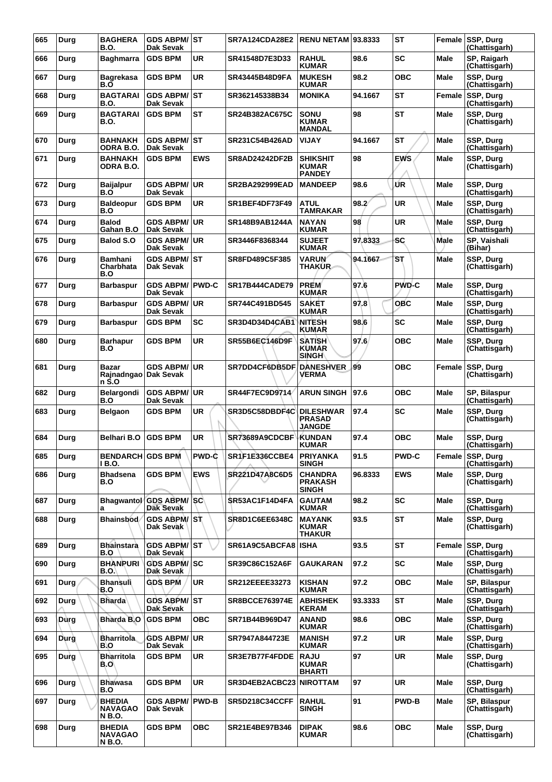| 665 | Durg | <b>BAGHERA</b><br><b>B.O.</b>                    | GDS ABPM/ST<br><b>Dak Sevak</b>            |              | SR7A124CDA28E2            | <b>RENU NETAM 93.8333</b>                          |         | <b>ST</b>    |             | Female SSP, Durg<br>(Chattisgarh) |
|-----|------|--------------------------------------------------|--------------------------------------------|--------------|---------------------------|----------------------------------------------------|---------|--------------|-------------|-----------------------------------|
| 666 | Durg | <b>Baghmarra</b>                                 | <b>GDS BPM</b>                             | UR           | SR41548D7E3D33            | <b>RAHUL</b><br><b>KUMAR</b>                       | 98.6    | <b>SC</b>    | Male        | SP, Raigarh<br>(Chattisgarh)      |
| 667 | Durg | <b>Bagrekasa</b><br>B.O                          | <b>GDS BPM</b>                             | <b>UR</b>    | SR43445B48D9FA            | <b>MUKESH</b><br><b>KUMAR</b>                      | 98.2    | <b>OBC</b>   | Male        | SSP, Durg<br>(Chattisgarh)        |
| 668 | Durg | <b>BAGTARAI</b><br><b>B.O.</b>                   | <b>GDS ABPM/</b><br><b>Dak Sevak</b>       | IST.         | SR362145338B34            | <b>MONIKA</b>                                      | 94.1667 | <b>ST</b>    | Female      | SSP, Durg<br>(Chattisgarh)        |
| 669 | Durg | <b>BAGTARAI</b><br><b>B.O.</b>                   | <b>GDS BPM</b>                             | ST           | SR24B382AC675C            | <b>SONU</b><br><b>KUMAR</b><br><b>MANDAL</b>       | 98      | <b>ST</b>    | Male        | SSP, Durg<br>(Chattisgarh)        |
| 670 | Durg | <b>BAHNAKH</b><br>ODRA B.O.                      | <b>GDS ABPM/ST</b><br><b>Dak Sevak</b>     |              | SR231C54B426AD            | <b>VIJAY</b>                                       | 94.1667 | <b>ST</b>    | Male        | SSP, Durg<br>(Chattisgarh)        |
| 671 | Durg | <b>BAHNAKH</b><br>ODRA B.O.                      | <b>GDS BPM</b>                             | <b>EWS</b>   | <b>SR8AD24242DF2B</b>     | <b>SHIKSHIT</b><br><b>KUMAR</b><br><b>PANDEY</b>   | 98      | <b>EWS</b>   | Male        | SSP, Durg<br>(Chattisgarh)        |
| 672 | Durg | Baijalpur<br>B.O                                 | <b>GDS ABPM/</b><br><b>Dak Sevak</b>       | UR.          | <b>SR2BA292999EAD</b>     | <b>MANDEEP</b>                                     | 98.6    | ŰR           | Male        | SSP, Durg<br>(Chattisgarh)        |
| 673 | Durg | <b>Baldeopur</b><br>B.O                          | <b>GDS BPM</b>                             | UR           | SR1BEF4DF73F49            | <b>ATUL</b><br><b>TAMRAKAR</b>                     | 98.2    | UR           | Male        | SSP, Durg<br>(Chattisgarh)        |
| 674 | Durg | <b>Balod</b><br>Gahan B.O                        | <b>GDS ABPM/</b><br>Dak Sevak              | <b>UR</b>    | SR148B9AB1244A            | <b>NAYAN</b><br><b>KUMAR</b>                       | 98      | <b>UR</b>    | Male        | SSP, Durg<br>(Chattisgarh)        |
| 675 | Durg | <b>Balod S.O</b>                                 | <b>GDS ABPM/ UR</b><br><b>Dak Sevak</b>    |              | SR3446F8368344            | <b>SUJEET</b><br><b>KUMAR</b>                      | 97.8333 | <b>SC</b>    | <b>Male</b> | SP, Vaishali<br>(Bihar)           |
| 676 | Durg | <b>Bamhani</b><br>Charbhata<br>B.O               | <b>GDS ABPM/ST</b><br>Dak Sevak            |              | SR8FD489C5F385            | <b>VARUN</b><br><b>THAKUR</b>                      | 94.1667 | SТ           | <b>Male</b> | SSP, Durg<br>(Chattisgarh)        |
| 677 | Durg | <b>Barbaspur</b>                                 | <b>GDS ABPM/ PWD-C</b><br><b>Dak Sevak</b> |              | SR17B444CADE79            | <b>PREM</b><br><b>KUMAR</b>                        | 97.6    | <b>PWD-C</b> | Male        | SSP, Durg<br>(Chattisgarh)        |
| 678 | Durg | <b>Barbaspur</b>                                 | GDS ABPM/UR<br><b>Dak Sevak</b>            |              | SR744C491BD545            | <b>SAKET</b><br><b>KUMAR</b>                       | 97.8    | OBC          | Male        | SSP, Durg<br>(Chattisgarh)        |
| 679 | Durg | <b>Barbaspur</b>                                 | <b>GDS BPM</b>                             | SC           | SR3D4D34D4CAB1            | NITESH<br><b>KUMAR</b>                             | 98.6    | SC           | <b>Male</b> | SSP, Durg<br>(Chattisgarh)        |
| 680 | Durg | <b>Barhapur</b><br>B.O                           | <b>GDS BPM</b>                             | <b>UR</b>    | SR55B6EC146D9F            | <b>SATISH</b><br>KUMAR<br><b>SINGH</b>             | 97.6    | <b>OBC</b>   | Male        | SSP, Durg<br>(Chattisgarh)        |
| 681 | Durg | <b>Bazar</b><br>Rajnadngao Dak Sevak<br>n Ś.O    | <b>GDS ABPM/</b>                           | <b>UR</b>    | <b>SR7DD4CF6DB5DF</b>     | <b>DANESHVER</b><br>VERMA                          | 99      | <b>OBC</b>   | Female      | SSP, Durg<br>(Chattisgarh)        |
| 682 | Durg | Belargondi<br>B.O                                | GDS ABPM/<br><b>Dak Sevak</b>              | <b>UR</b>    | SR44F7EC9D9714            | ARUN SINGH                                         | 97.6    | <b>OBC</b>   | Male        | SP, Bilaspur<br>(Chattisgarh)     |
| 683 | Durg | Belgaon                                          | <b>GDS BPM</b>                             | <b>UR</b>    | SR3D5C58DBDF4C            | <b>DILESHWAR</b><br><b>PRASAD</b><br><b>JANGDE</b> | 97.4    | SC           | <b>Male</b> | SSP, Durg<br>(Chattisgarh)        |
| 684 | Durg | <b>Belhari B.O</b>                               | <b>GDS BPM</b>                             | <b>UR</b>    | SR73689A9CDCBF            | <b>KUNDAN</b><br><b>KUMAR</b>                      | 97.4    | <b>OBC</b>   | Male        | SSP, Durg<br>(Chattisgarh)        |
| 685 | Durg | <b>BENDARCH GDS BPM</b><br>1 B.O.                |                                            | <b>PWD-C</b> | SR1F1E336CCBE4            | <b>PRIYANKA</b><br><b>SINGH</b>                    | 91.5    | <b>PWD-C</b> |             | Female SSP, Durg<br>(Chattisgarh) |
| 686 | Durg | <b>Bhadsena</b><br>B.O                           | <b>GDS BPM</b>                             | <b>EWS</b>   | SR221D47A8C6D5            | <b>CHANDRA</b><br><b>PRAKASH</b><br><b>SINGH</b>   | 96.8333 | <b>EWS</b>   | Male        | SSP, Durg<br>(Chattisgarh)        |
| 687 | Durg | <b>Bhagwantol</b><br>a                           | <b>GDS ABPM/SC</b><br><b>Dak Sevak</b>     |              | SR53AC1F14D4FA            | <b>GAUTAM</b><br><b>KUMAR</b>                      | 98.2    | SC           | <b>Male</b> | SSP, Durg<br>(Chattisgarh)        |
| 688 | Durg | <b>Bhainsbod</b>                                 | <b>GDS ABPM/ST</b><br>Dak Sevak            |              | <b>SR8D1C6EE6348C</b>     | <b>MAYANK</b><br><b>KUMAR</b><br><b>THAKUR</b>     | 93.5    | <b>ST</b>    | Male        | SSP, Durg<br>(Chattisgarh)        |
| 689 | Durg | <b>Bhainstara</b><br>B.O                         | <b>GDS ABPM/ ST</b><br>Dak Sevak           |              | SR61A9C5ABCFA8            | <b>ISHA</b>                                        | 93.5    | ST           | Female      | <b>SSP, Durg</b><br>(Chattisgarh) |
| 690 | Durg | <b>BHANPURI</b><br><b>B.O.</b>                   | <b>GDS ABPM/SC</b><br>Dak Sevak            |              | SR39C86C152A6F            | <b>GAUKARAN</b>                                    | 97.2    | <b>SC</b>    | Male        | SSP, Durg<br>(Chattisgarh)        |
| 691 | Durg | <b>Bhansuli</b><br>B.O                           | <b>GDS BPM</b>                             | UR.          | SR212EEEE33273            | <b>KISHAN</b><br><b>KUMAR</b>                      | 97.2    | <b>OBC</b>   | Male        | SP, Bilaspur<br>(Chattisgarh)     |
| 692 | Durg | <b>Bharda</b>                                    | <b>GDS ABPM/ ST</b><br>Dak Sevak           |              | <b>SR8BCCE763974E</b>     | <b>ABHISHEK</b><br><b>KERAM</b>                    | 93.3333 | ST           | Male        | SSP, Durg<br>(Chattisgarh)        |
| 693 | Dùrg | Bharda B.O                                       | <b>GDS BPM</b>                             | <b>OBC</b>   | SR71B44B969D47            | <b>ANAND</b><br><b>KUMAR</b>                       | 98.6    | <b>OBC</b>   | Male        | SSP, Durg<br>(Chattisgarh)        |
| 694 | Durg | <b>Bharritola</b><br>B.O                         | <b>GDS ABPM/ UR</b><br>Dak Sevak           |              | SR7947A844723E            | <b>MANISH</b><br><b>KUMAR</b>                      | 97.2    | UR           | Male        | SSP, Durg<br>(Chattisgarh)        |
| 695 | Durg | Bharritola<br>B.O                                | <b>GDS BPM</b>                             | UR.          | SR3E7B77F4FDDE            | <b>RAJU</b><br><b>KUMAR</b><br><b>BHARTI</b>       | 97      | <b>UR</b>    | Male        | SSP, Durg<br>(Chattisgarh)        |
| 696 | Durg | <b>Bhawasa</b><br>B.O                            | <b>GDS BPM</b>                             | UR.          | SR3D4EB2ACBC23   NIROTTAM |                                                    | 97      | UR           | Male        | SSP, Durg<br>(Chattisgarh)        |
| 697 | Durg | <b>BHEDIA</b><br><b>NAVAGAO</b><br><b>N B.O.</b> | <b>GDS ABPM/</b><br>Dak Sevak              | <b>PWD-B</b> | <b>SR5D218C34CCFF</b>     | <b>RAHUL</b><br><b>SINGH</b>                       | 91      | <b>PWD-B</b> | Male        | SP, Bilaspur<br>(Chattisgarh)     |
| 698 | Durg | <b>BHEDIA</b><br><b>NAVAGAO</b><br><b>N B.O.</b> | <b>GDS BPM</b>                             | ОВС          | <b>SR21E4BE97B346</b>     | <b>DIPAK</b><br><b>KUMAR</b>                       | 98.6    | <b>OBC</b>   | Male        | SSP, Durg<br>(Chattisgarh)        |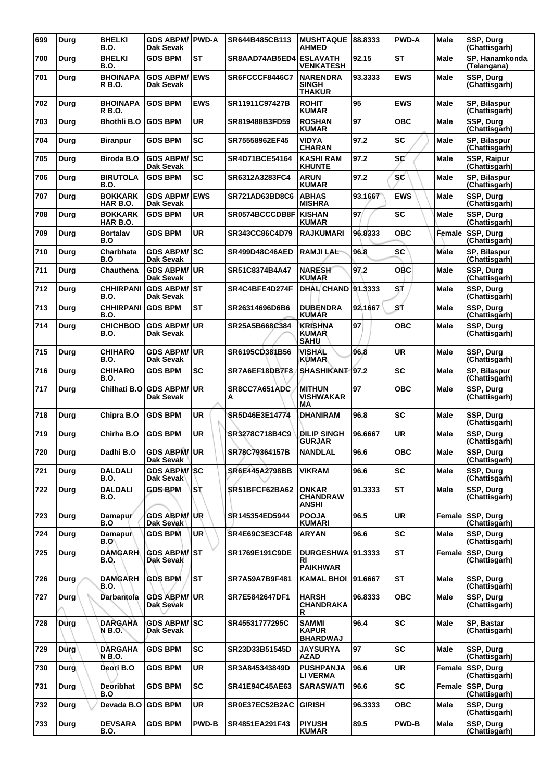| 699 | Durg        | <b>BHELKI</b><br><b>B.O.</b>            | GDS ABPM/ PWD-A<br><b>Dak Sevak</b>     |              | SR644B485CB113        | <b>MUSHTAQUE</b><br><b>AHMED</b>              | 88.8333 | <b>PWD-A</b> | Male        | SSP, Durg<br>(Chattisgarh)        |
|-----|-------------|-----------------------------------------|-----------------------------------------|--------------|-----------------------|-----------------------------------------------|---------|--------------|-------------|-----------------------------------|
| 700 | Durg        | <b>BHELKI</b><br>B.O.                   | <b>GDS BPM</b>                          | <b>ST</b>    | SR8AAD74AB5ED4        | <b>ESLAVATH</b><br>VENKATESH                  | 92.15   | <b>ST</b>    | Male        | SP. Hanamkonda<br>(Telangana)     |
| 701 | Durg        | <b>BHOINAPA</b><br>R B.O.               | <b>GDS ABPM/</b><br>Dak Sevak           | <b>EWS</b>   | SR6FCCCF8446C7        | <b>NARENDRA</b><br><b>SINGH</b><br>THAKUR     | 93.3333 | <b>EWS</b>   | Male        | SSP, Durg<br>(Chattisgarh)        |
| 702 | Durg        | <b>BHOINAPA</b><br>R B.O.               | <b>GDS BPM</b>                          | <b>EWS</b>   | SR11911C97427B        | <b>ROHIT</b><br><b>KUMAR</b>                  | 95      | <b>EWS</b>   | Male        | SP, Bilaspur<br>(Chattisgarh)     |
| 703 | Durg        | <b>Bhothli B.O</b>                      | <b>GDS BPM</b>                          | <b>UR</b>    | SR819488B3FD59        | <b>ROSHAN</b><br><b>KUMAR</b>                 | 97      | <b>OBC</b>   | Male        | SSP, Durg<br>(Chattisgarh)        |
| 704 | Durg        | <b>Biranpur</b>                         | <b>GDS BPM</b>                          | <b>SC</b>    | SR75558962EF45        | VIDYA<br><b>CHARAN</b>                        | 97.2    | <b>SC</b>    | Male        | SP, Bilaspur<br>(Chattisgarh)     |
| 705 | Durg        | <b>Biroda B.O</b>                       | <b>GDS ABPM/ SC</b><br>Dak Sevak        |              | SR4D71BCE54164        | <b>KASHI RAM</b><br><b>KHUNTE</b>             | 97.2    | <b>SC</b>    | Male        | SSP, Raipur<br>(Chattisgarh)      |
| 706 | Durg        | <b>BIRUTOLA</b><br>B.O.                 | <b>GDS BPM</b>                          | <b>SC</b>    | SR6312A3283FC4        | <b>ARUN</b><br><b>KUMAR</b>                   | 97.2    | sc           | Male        | SP, Bilaspur<br>(Chattisgarh)     |
| 707 | Durg        | <b>BOKKARK</b><br>HAR B.O.              | <b>GDS ABPM/</b><br>Dak Sevak           | <b>EWS</b>   | <b>SR721AD63BD8C6</b> | <b>ABHAS</b><br><b>MISHRA</b>                 | 93.1667 | <b>EWS</b>   | <b>Male</b> | SSP, Durg<br>(Chattisgarh)        |
| 708 | Durg        | <b>BOKKARK</b><br>HAR B.O.              | <b>GDS BPM</b>                          | <b>UR</b>    | SR0574BCCCDB8F        | <b>KISHAN</b><br><b>KUMAR</b>                 | 97/     | <b>SC</b>    | Male        | SSP, Durg<br>(Chattisgarh)        |
| 709 | Durg        | <b>Bortalav</b><br>B.O                  | <b>GDS BPM</b>                          | <b>UR</b>    | SR343CC86C4D79        | <b>RAJKUMARI</b>                              | 96.8333 | <b>OBC</b>   | Female      | <b>SSP. Dura</b><br>(Chattisgarh) |
| 710 | Durg        | Charbhata<br>B.O                        | <b>GDS ABPM/ SC</b><br><b>Dak Sevak</b> |              | <b>SR499D48C46AED</b> | <b>RAMJILAL</b>                               | 96.8    | <b>SC</b>    | Male        | SP, Bilaspur<br>(Chattisgarh)     |
| 711 | Durg        | Chauthena                               | <b>GDS ABPM/ UR</b><br>Dak Sevak        |              | SR51C8374B4A47        | <b>NARESH</b><br><b>KUMAR</b>                 | 97.2    | OBC          | Male        | <b>SSP. Dura</b><br>(Chattisgarh) |
| 712 | Durg        | <b>CHHIRPANI</b><br>B.O.                | <b>GDS ABPM/ST</b><br>Dak Sevak         |              | SR4C4BFE4D274F        | <b>DHAL CHAND 91.3333</b>                     |         | SŤ           | Male        | SSP, Durg<br>(Chattisgarh)        |
| 713 | Durg        | <b>CHHIRPANI GDS BPM</b><br><b>B.O.</b> |                                         | <b>ST</b>    | SR26314696D6B6        | <b>DUBENDRA</b><br><b>KUMAR</b>               | 92.1667 | SŤ           | Male        | SSP, Durg<br>(Chattisgarh)        |
| 714 | Durg        | CHICHBOD<br>B.O.                        | <b>GDS ABPM/</b><br>Dak Sevak           | ∣UR          | SR25A5B668C384        | <b>KRISHNA</b><br><b>KUMAR</b><br><b>SAHU</b> | 97      | <b>OBC</b>   | Male        | SSP, Durg<br>(Chattisgarh)        |
| 715 | Durg        | <b>CHIHARO</b><br><b>B.O.</b>           | <b>GDS ABPM/ UR</b><br>Dak Sevak        |              | SR6195CD381B56        | <b>VISHAL</b><br><b>KUMAR</b>                 | 96.8    | UR           | <b>Male</b> | SSP, Durg<br>(Chattisgarh)        |
| 716 | Durg        | <b>CHIHARO</b><br>B.O.                  | <b>GDS BPM</b>                          | <b>SC</b>    | SR7A6EF18DB7F8        | <b>SHASHIKANT</b>                             | 97.2    | SC           | Male        | SP, Bilaspur<br>(Chattisgarh)     |
| 717 | Durg        | Chilhati B.O                            | <b>GDS ABPM/</b><br>Dak Sevak           | <b>UR</b>    | SR8CC7A651ADC<br>А    | <b>MITHUN</b><br><b>VISHWAKAR</b><br>МA       | 97      | <b>OBC</b>   | <b>Male</b> | SSP, Durg<br>(Chattisgarh)        |
| 718 | Durg        | Chipra B.O                              | <b>GDS BPM</b>                          | UR           | SR5D46E3E14774        | <b>DHANIRAM</b>                               | 96.8    | SC           | Male        | SSP, Durg<br>(Chattisgarh)        |
| 719 | Durg        | Chirha B.O                              | <b>GDS BPM</b>                          | UR           | SR3278C718B4C9        | <b>DILIP SINGH</b><br><b>GURJAR</b>           | 96.6667 | <b>UR</b>    | Male        | SSP, Durg<br>(Chattisgarh)        |
| 720 | Durg        | Dadhi B.O                               | GDS ABPM/UR<br>Dak Sevak                |              | SR78C79364157B        | <b>NANDLAL</b>                                | 96.6    | <b>OBC</b>   | Male        | SSP, Durg<br>(Chattisgarh)        |
| 721 | Durg        | DALDALI<br>B.O.                         | <b>GDS ABPM/SC</b><br>Dak Sevak         |              | SR6E445A2798BB        | <b>VIKRAM</b>                                 | 96.6    | SC           | Male        | SSP, Durg<br>(Chattisgarh)        |
| 722 | Durg        | <b>DALDALI</b><br>B.O.                  | <b>GDS-BPM</b>                          | Sτ           | SR51BFCF62BA62        | <b>ONKAR</b><br><b>CHANDRAW</b><br>ANSHI      | 91.3333 | <b>ST</b>    | Male        | SSP, Durg<br>(Chattisgarh)        |
| 723 | Durg        | Damapur<br>B.O                          | <b>GDS ABPM/ UR</b><br>Dak Sevak        |              | SR145354ED5944        | <b>POOJA</b><br>KUMARI                        | 96.5    | UR           | Female      | SSP, Durg<br>(Chattisgarh)        |
| 724 | Durg        | <b>Damapur</b><br>B.O\                  | <b>GDS BPM</b>                          | <b>UR</b>    | <b>SR4E69C3E3CF48</b> | <b>ARYAN</b>                                  | 96.6    | <b>SC</b>    | Male        | SSP, Durg<br>(Chattisgarh)        |
| 725 | Durg        | <b>DAMGARH</b><br>B.O.                  | <b>GDS ABPM/ST</b><br>Dak Sevak         |              | SR1769E191C9DE        | DURGESHWA 91.3333<br>RI<br><b>PAIKHWAR</b>    |         | <b>ST</b>    | Female      | SSP, Durg<br>(Chattisgarh)        |
| 726 | Durg        | DAMGARH<br>B.O.                         | <b>GDS BPM</b>                          | <b>ST</b>    | SR7A59A7B9F481        | KAMAL BHOI   91.6667                          |         | <b>ST</b>    | Male        | SSP, Durg<br>(Chattisgarh)        |
| 727 | Durg        | <b>Darbantola</b>                       | <b>GDS ABPM/ UR</b><br>Dak Sevak        |              | SR7E5842647DF1        | <b>HARSH</b><br>CHANDRAKA<br>R                | 96.8333 | <b>OBC</b>   | <b>Male</b> | SSP, Durg<br>(Chattisgarh)        |
| 728 | Durg        | <b>DARGAHA</b><br>N B.O.                | <b>GDS ABPM/ SC</b><br>Dak Sevak        |              | SR45531777295C        | SAMMI<br><b>KAPUR</b><br><b>BHARDWAJ</b>      | 96.4    | <b>SC</b>    | Male        | SP, Bastar<br>(Chattisgarh)       |
| 729 | <b>Durg</b> | <b>DARGAHA</b><br>N B.O.                | <b>GDS BPM</b>                          | <b>SC</b>    | SR23D33B51545D        | <b>JAYSURYA</b><br>AZAD                       | 97      | <b>SC</b>    | <b>Male</b> | SSP, Durg<br>(Chattisgarh)        |
| 730 | <b>Durg</b> | Deori B.O                               | <b>GDS BPM</b>                          | <b>UR</b>    | SR3A845343849D        | <b>PUSHPANJA</b><br>LI VERMA                  | 96.6    | <b>UR</b>    | Female      | SSP, Durg<br>(Chattisgarh)        |
| 731 | Durg        | <b>Deoribhat</b><br>B.O                 | <b>GDS BPM</b>                          | <b>SC</b>    | SR41E94C45AE63        | <b>SARASWATI</b>                              | 96.6    | <b>SC</b>    | Female      | SSP, Durg<br>(Chattisgarh)        |
| 732 | Durg        | Devada B.O   GDS BPM                    |                                         | <b>UR</b>    | SR0E37EC52B2AC        | <b>GIRISH</b>                                 | 96.3333 | <b>OBC</b>   | Male        | SSP, Durg<br>(Chattisgarh)        |
| 733 | Durg        | <b>DEVSARA</b><br>B.O.                  | <b>GDS BPM</b>                          | <b>PWD-B</b> | SR4851EA291F43        | <b>PIYUSH</b><br><b>KUMAR</b>                 | 89.5    | <b>PWD-B</b> | Male        | SSP, Durg<br>(Chattisgarh)        |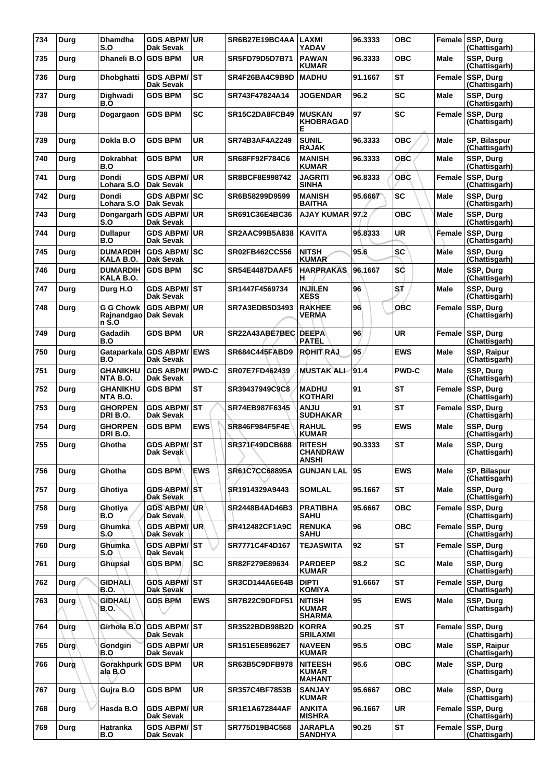| 734 | Durg        | <b>Dhamdha</b><br>S.O            | <b>GDS ABPM/ UR</b><br>Dak Sevak           |              | SR6B27E19BC4AA        | <b>LAXMI</b><br><b>YADAV</b>                    | 96.3333 | <b>OBC</b>   | Female      | SSP, Durg<br>(Chattisgarh)        |
|-----|-------------|----------------------------------|--------------------------------------------|--------------|-----------------------|-------------------------------------------------|---------|--------------|-------------|-----------------------------------|
| 735 | Durg        | Dhaneli B.O                      | <b>GDS BPM</b>                             | <b>UR</b>    | SR5FD79D5D7B71        | <b>PAWAN</b><br><b>KUMAR</b>                    | 96.3333 | OBC          | Male        | SSP, Durg<br>(Chattisgarh)        |
| 736 | Durg        | Dhobghatti                       | <b>GDS ABPM/ST</b><br>Dak Sevak            |              | SR4F26BA4C9B9D        | <b>MADHU</b>                                    | 91.1667 | <b>ST</b>    | Female      | <b>SSP, Durg</b><br>(Chattisgarh) |
| 737 | Durg        | Dighwadi<br>B.O                  | <b>GDS BPM</b>                             | <b>SC</b>    | SR743F47824A14        | <b>JOGENDAR</b>                                 | 96.2    | <b>SC</b>    | Male        | SSP, Durg<br>(Chattisgarh)        |
| 738 | Durg        | Dogargaon                        | <b>GDS BPM</b>                             | SC           | SR15C2DA8FCB49        | <b>MUSKAN</b><br><b>KHOBRAGAD</b><br>Е          | 97      | SC           | Female      | SSP, Durg<br>(Chattisgarh)        |
| 739 | Durg        | Dokla B.O                        | <b>GDS BPM</b>                             | <b>UR</b>    | SR74B3AF4A2249        | <b>SUNIL</b><br><b>RAJAK</b>                    | 96.3333 | OBC          | Male        | SP, Bilaspur<br>(Chattisgarh)     |
| 740 | Durg        | <b>Dokrabhat</b><br>B.O          | <b>GDS BPM</b>                             | UR           | SR68FF92F784C6        | <b>MANISH</b><br><b>KUMAR</b>                   | 96.3333 | OBC          | Male        | SSP, Durg<br>(Chattisgarh)        |
| 741 | Durg        | <b>Dondi</b><br>Lohara S.O       | <b>GDS ABPM/</b><br>Dak Sevak              | ∣UR          | SR8BCF8E998742        | <b>JAGRITI</b><br><b>SINHA</b>                  | 96.8333 | <b>OBC</b>   | Female      | <b>SSP, Durg</b><br>(Chattisgarh) |
| 742 | Durg        | <b>Dondi</b><br>Lohara S.O       | <b>GDS ABPM/ SC</b><br>Dak Sevak           |              | SR6B58299D9599        | <b>MANISH</b><br><b>BAITHA</b>                  | 95.6667 | <b>SC</b>    | Male        | SSP, Durg<br>(Chattisgarh)        |
| 743 | Durg        | Dongargarh<br>S.O                | <b>GDS ABPM/ UR</b><br>Dak Sevak           |              | SR691C36E4BC36        | <b>AJAY KUMAR</b>                               | 97.2    | <b>OBC</b>   | Male        | SSP, Durg<br>(Chattisgarh)        |
| 744 | Durg        | <b>Dullapur</b><br>B.O           | <b>GDS ABPM/</b><br>Dak Sevak              | ∣UR          | <b>SR2AAC99B5A838</b> | <b>KAVITA</b>                                   | 95.8333 | <b>UR</b>    | Female      | SSP, Durg<br>(Chattisgarh)        |
| 745 | Durg        | <b>DUMARDIH</b><br>KALA B.O.     | <b>GDS ABPM/SC</b><br><b>Dak Sevak</b>     |              | <b>SR02FB462CC556</b> | <b>NITSH</b><br><b>KUMAR</b>                    | 95.6    | <b>SC</b>    | Male        | SSP, Durg<br>(Chattisgarh)        |
| 746 | Durg        | <b>DUMARDIH</b><br>KALA B.O.     | <b>GDS BPM</b>                             | SC           | <b>SR54E4487DAAF5</b> | <b>HARPRAKAS</b><br>н                           | 96.1667 | SĊ           | Male        | SSP, Durg<br>(Chattisgarh)        |
| 747 | Durg        | Durg H.O                         | <b>GDS ABPM/ST</b><br>Dak Sevak            |              | SR1447F4569734        | <b>INJÍLÉN</b><br><b>XESS</b>                   | 96      | SŤ           | Male        | SSP, Durg<br>(Chattisgarh)        |
| 748 | Durg        | G G Chowk<br>Rajnandgao<br>n S.O | <b>GDS ABPM/ UR</b><br>Dak Sevak           |              | SR7A3EDB5D3493        | <b>RAKHEE</b><br><b>VERMA</b>                   | 96      | <b>OBC</b>   | Female      | SSP, Durg<br>(Chattisgarh)        |
| 749 | Durg        | Gadadih<br>B.O                   | <b>GDS BPM</b>                             | UR           | SR22A43ABE7BEC        | <b>DEEPA</b><br><b>PATEL</b>                    | 96      | <b>UR</b>    | Female      | SSP, Durg<br>(Chattisgarh)        |
| 750 | Durg        | B.O                              | Gataparkala GDS ABPM/<br>Dak Sevak         | <b>IEWS</b>  | <b>SR684C445FABD9</b> | <b>ROHIT RAJ</b>                                | 95      | <b>EWS</b>   | Male        | SSP, Raipur<br>(Chattisgarh)      |
| 751 | Durg        | <b>GHANIKHU</b><br>NTA B.O.      | <b>GDS ABPM/</b><br>Dak Sevak              | <b>PWD-C</b> | SR07E7FD462439        | <b>MUSTAK ALI</b>                               | 91.4    | <b>PWD-C</b> | Male        | SSP, Durg<br>(Chattisgarh)        |
| 752 | Durg        | <b>GHANIKHU</b><br>NTA B.O.      | <b>GDS BPM</b>                             | ST           | SR39437949C9C8        | <b>MADHU</b><br><b>KOTHARI</b>                  | 91      | <b>ST</b>    | Female      | SSP, Durg<br>(Chattisgarh)        |
| 753 | Durg        | <b>GHORPEN</b><br>DRI B.O.       | <b>GDS ABPM/</b><br>Dak Sevak              | IST          | SR74EB987F6345        | <b>ANJU</b><br><b>SUDHAKAR</b>                  | 91      | ST           | Female      | SSP, Durg<br>(Chattisgarh)        |
| 754 | Durg        | <b>GHORPEN</b><br>DRI B.O.       | <b>GDS BPM</b>                             | <b>EWS</b>   | SR846F984F5F4E        | <b>RAHUL</b><br><b>KUMAR</b>                    | 95      | <b>EWS</b>   | Male        | SSP, Durg<br>(Chattisgarh)        |
| 755 | Durg        | Ghotha                           | <b>GDS ABPM/ST</b><br>Dak Sevak            |              | SR371F49DCB688        | <b>RITESH</b><br>CHANDRAW<br>ANSHI              | 90.3333 | <b>ST</b>    | Male        | SSP, Durg<br>(Chattisgarh)        |
| 756 | Durg        | Ghotha                           | <b>GDS BPM</b>                             | <b>EWS</b>   | SR61C7CC68895A        | <b>GUNJAN LAL</b>                               | 95      | <b>EWS</b>   | Male        | SP, Bilaspur<br>(Chattisgarh)     |
| 757 | Durg        | Ghotiya                          | <b>GDS ABPM</b> <sup>ST</sup><br>Dak Sevak |              | SR1914329A9443        | <b>SOMLAL</b>                                   | 95.1667 | ST           | <b>Male</b> | <b>SSP. Dura</b><br>(Chattisgarh) |
| 758 | Durg        | Ghotiya<br>B.O                   | <b>GDS ABPM/ UR</b><br>Dak Sevak           |              | <b>SR2448B4AD46B3</b> | <b>PRATIBHA</b><br><b>SAHU</b>                  | 95.6667 | <b>OBC</b>   | Female      | SSP, Durg<br>(Chattisgarh)        |
| 759 | Durg        | Ghumka<br>S.O                    | <b>GDS ABPM/UR</b><br>Dak Sevak            |              | SR412482CF1A9C        | <b>RENUKA</b><br><b>SAHU</b>                    | 96      | <b>OBC</b>   | Female      | SSP, Durg<br>(Chattisgarh)        |
| 760 | Durg        | Ghumka<br>S.O                    | <b>GDS ABPM/ ST</b><br>Dak Sevak           |              | SR7771C4F4D167        | <b>TEJASWITA</b>                                | 92      | ST           | Female      | SSP, Durg<br>(Chattisgarh)        |
| 761 | Durg        | Ghupsal                          | <b>GDS BPM</b>                             | <b>SC</b>    | SR82F279E89634        | <b>PARDEEP</b><br><b>KUMAR</b>                  | 98.2    | <b>SC</b>    | Male        | SSP, Durg<br>(Chattisgarh)        |
| 762 | Durg        | <b>GIDHALI</b><br><b>B.O.</b>    | <b>GDS ABPM/ST</b><br>Dak Sevak            |              | SR3CD144A6E64B        | <b>DIPTI</b><br><b>KOMIYA</b>                   | 91.6667 | <b>ST</b>    | Female      | SSP, Durg<br>(Chattisgarh)        |
| 763 | Durg        | GÌDHALI<br><b>B.O.</b>           | <b>GDS BPM</b>                             | <b>EWS</b>   | SR7B22C9DFDF51        | <b>NITISH</b><br><b>KUMAR</b><br><b>SHARMA</b>  | 95      | <b>EWS</b>   | <b>Male</b> | SSP, Durg<br>(Chattisgarh)        |
| 764 | Durg        | Girhola B.O                      | <b>GDS ABPM/ ST</b><br>Dak Sevak           |              | SR3522BDB98B2D        | <b>KORRA</b><br><b>SRILAXMI</b>                 | 90.25   | ST           | Female      | SSP, Durg<br>(Chattisgarh)        |
| 765 | <b>Durg</b> | Gondgiri<br>B.O                  | <b>GDS ABPM/</b><br>Dak Sevak              | ∣UR.         | SR151E5E8962E7        | <b>NAVEEN</b><br><b>KUMAR</b>                   | 95.5    | <b>OBC</b>   | <b>Male</b> | SSP, Raipur<br>(Chattisgarh)      |
| 766 | Durg        | <b>Gorakhpurk</b><br>ala B.O     | <b>GDS BPM</b>                             | UR.          | SR63B5C9DFB978        | <b>NITEESH</b><br><b>KUMAR</b><br><b>MAHANT</b> | 95.6    | <b>OBC</b>   | Male        | SSP, Durg<br>(Chattisgarh)        |
| 767 | Durg        | Gujra B.O                        | <b>GDS BPM</b>                             | UR           | <b>SR357C4BF7853B</b> | <b>SANJAY</b><br><b>KUMAR</b>                   | 95.6667 | OBC          | <b>Male</b> | SSP, Durg<br>(Chattisgarh)        |
| 768 | Durg        | Hasda B.O                        | <b>GDS ABPM/ UR</b><br>Dak Sevak           |              | SR1E1A672844AF        | <b>ANKITA</b><br><b>MISHRA</b>                  | 96.1667 | <b>UR</b>    | Female      | SSP, Durg<br>(Chattisgarh)        |
| 769 | Durg        | Hatranka<br>B.O                  | <b>GDS ABPM/ST</b><br>Dak Sevak            |              | SR775D19B4C568        | JARAPLA<br><b>SANDHYA</b>                       | 90.25   | <b>ST</b>    | Female      | SSP, Durg<br>(Chattisgarh)        |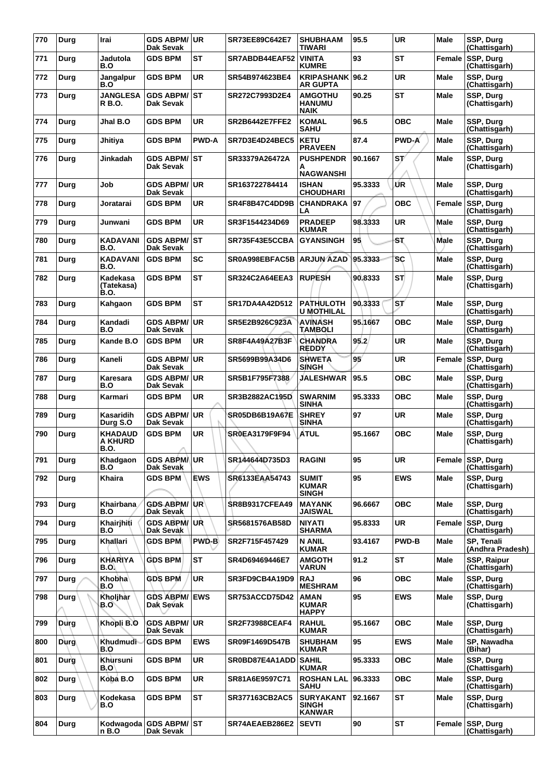| 770 | Durg        | Irai                                     | <b>GDS ABPM/ UR</b><br>Dak Sevak   |              | SR73EE89C642E7        | <b>SHUBHAAM</b><br><b>TIWARI</b>                  | 95.5    | <b>UR</b>    | Male        | SSP, Durg<br>(Chattisgarh)        |
|-----|-------------|------------------------------------------|------------------------------------|--------------|-----------------------|---------------------------------------------------|---------|--------------|-------------|-----------------------------------|
| 771 | Durg        | Jadutola<br>B.O                          | <b>GDS BPM</b>                     | ST           | SR7ABDB44EAF52        | <b>VINITA</b><br><b>KUMRE</b>                     | 93      | <b>ST</b>    | Female      | <b>SSP, Durg</b><br>(Chattisgarh) |
| 772 | Durg        | Jangalpur<br>B.O                         | <b>GDS BPM</b>                     | <b>UR</b>    | SR54B974623BE4        | KRIPASHANK 96.2<br><b>AR GUPTA</b>                |         | <b>UR</b>    | <b>Male</b> | SSP, Durg<br>(Chattisgarh)        |
| 773 | Durg        | <b>JANGLESA</b><br>R B.O.                | GDS ABPM/ST<br>Dak Sevak           |              | SR272C7993D2E4        | <b>AMGOTHU</b><br><b>HANUMU</b><br><b>NAIK</b>    | 90.25   | <b>ST</b>    | <b>Male</b> | SSP, Durg<br>(Chattisgarh)        |
| 774 | Durg        | Jhal B.O                                 | <b>GDS BPM</b>                     | UR           | <b>SR2B6442E7FFE2</b> | <b>KOMAL</b><br><b>SAHU</b>                       | 96.5    | <b>OBC</b>   | Male        | SSP, Durg<br>(Chattisgarh)        |
| 775 | Durg        | Jhitiya                                  | <b>GDS BPM</b>                     | <b>PWD-A</b> | SR7D3E4D24BEC5        | <b>KETU</b><br><b>PRAVEEN</b>                     | 87.4    | <b>PWD-A</b> | Male        | SSP, Durg<br>(Chattisgarh)        |
| 776 | Durg        | Jinkadah                                 | GDS ABPM/ST<br>Dak Sevak           |              | SR33379A26472A        | <b>PUSHPENDR</b><br>А<br><b>NAGWANSHI</b>         | 90.1667 | SV           | Male        | SSP, Durg<br>(Chattisgarh)        |
| 777 | Durg        | Job                                      | <b>GDS ABPM/</b><br>Dak Sevak      | ∣UR.         | SR163722784414        | <b>ISHAN</b><br><b>CHOUDHARI</b>                  | 95.3333 | ŰR           | Male        | SSP, Durg<br>(Chattisgarh)        |
| 778 | Durg        | Joratarai                                | <b>GDS BPM</b>                     | UR           | SR4F8B47C4DD9B        | CHANDRAKA<br>LA                                   | 97      | <b>OBC</b>   | Female      | SSP, Durg<br>(Chattisgarh)        |
| 779 | Durg        | Junwani                                  | <b>GDS BPM</b>                     | <b>UR</b>    | SR3F1544234D69        | <b>PRADEEP</b><br><b>KUMAR</b>                    | 98.3333 | <b>UR</b>    | Male        | SSP, Durg<br>(Chattisgarh)        |
| 780 | Durg        | KADAVANI<br>B.O.                         | <b>GDS ABPM/ST</b><br>Dak Sevak    |              | SR735F43E5CCBA        | <b>GYANSINGH</b>                                  | 95      | ST           | Male        | SSP, Durg<br>(Chattisgarh)        |
| 781 | Durg        | <b>KADAVANI</b><br><b>B.O.</b>           | <b>GDS BPM</b>                     | SC           | SR0A998EBFAC5B        | <b>ARJUN AZAD</b>                                 | 95.3333 | <b>SC</b>    | <b>Male</b> | SSP, Durg<br>(Chattisgarh)        |
| 782 | Durg        | Kadekasa<br>(Tatekasa)<br>B.O.           | <b>GDS BPM</b>                     | ST           | SR324C2A64EEA3        | <b>RUPESH</b>                                     | 90,8333 | <b>ST</b>    | <b>Male</b> | SSP, Durg<br>(Chattisgarh)        |
| 783 | Durg        | Kahgaon                                  | <b>GDS BPM</b>                     | ST           | SR17DA4A42D512        | <b>PATHULOTH</b><br><b>U MOTHILAL</b>             | 90.3333 | ST'          | Male        | SSP, Durg<br>(Chattisgarh)        |
| 784 | Durg        | Kandadi<br>B.O                           | <b>GDS ABPM/</b><br>Dak Sevak      | ∣UR          | SR5E2B926C923A        | <b>AVINASH</b><br>TAMBOLI                         | 95.1667 | <b>OBC</b>   | <b>Male</b> | SSP, Durg<br>(Chattisgarh)        |
| 785 | Durg        | Kande B.O                                | <b>GDS BPM</b>                     | <b>UR</b>    | SR8F4A49A27B3F        | <b>CHANDRA</b><br><b>REDDY</b>                    | 95.2    | <b>UR</b>    | Male        | SSP, Durg<br>(Chattisgarh)        |
| 786 | Durg        | Kaneli                                   | <b>GDS ABPM/</b><br>Dak Sevak      | ∣UR          | SR5699B99A34D6        | <b>SHWETA</b><br><b>SINGH</b>                     | 95'     | UR           | Female      | SSP, Durg<br>(Chattisgarh)        |
| 787 | Durg        | Karesara<br>B.O                          | <b>GDS ABPM/</b><br>Dak Sevak      | ∣UR          | SR5B1F795F7388        | <b>JALESHWAR</b>                                  | 95.5    | <b>OBC</b>   | <b>Male</b> | SSP, Durg<br>(Chattisgarh)        |
| 788 | Durg        | Karmari                                  | <b>GDS BPM</b>                     | <b>UR</b>    | SR3B2882AC195D        | <b>SWARNIM</b><br><b>SINHA</b>                    | 95.3333 | <b>OBC</b>   | Male        | SSP, Durg<br>(Chattisgarh)        |
| 789 | Durg        | Kasaridih<br>Durg S.O                    | <b>GDS ABPM/</b><br>Dak Sevak      | <b>UR</b>    | SR05DB6B19A67E        | <b>SHREY</b><br><b>SINHA</b>                      | 97      | UR           | Male        | SSP, Durg<br>(Chattisgarh)        |
| 790 | Durg        | <b>KHADAUD</b><br>A KHURD<br><b>B.O.</b> | <b>GDS BPM</b>                     | UR           | <b>SROEA3179F9F94</b> | <b>ATUL</b>                                       | 95.1667 | <b>OBC</b>   | <b>Male</b> | SSP, Durg<br>(Chattisgarh)        |
| 791 | Durg        | Khadgaon<br>B.O                          | <b>GDS ABPMAUR</b><br>Dak Sevak    |              | SR144644D735D3        | <b>RAGINI</b>                                     | 95      | <b>UR</b>    |             | Female SSP, Durg<br>(Chattisgarh) |
| 792 | Durg        | <b>Khaira</b>                            | <b>GDS BPM</b>                     | <b>EWS</b>   | SR6133EAA54743        | <b>SUMIT</b><br><b>KUMAR</b><br><b>SINGH</b>      | 95      | <b>EWS</b>   | Male        | <b>SSP. Dura</b><br>(Chattisgārh) |
| 793 | Durg        | Khairbana<br>B.O                         | <b>GDS ABPM/UR</b><br>Dak Sevak    |              | <b>SR8B9317CFEA49</b> | <b>MAYANK</b><br><b>JAISWAL</b>                   | 96.6667 | <b>OBC</b>   | Male        | SSP, Durg<br>(Chattisgarh)        |
| 794 | Durg        | Khairjhiti<br>B.O                        | <b>GDS ABPM/UR</b><br>Dak Sevak    |              | SR5681576AB58D        | <b>NIYATI</b><br><b>SHARMA</b>                    | 95.8333 | <b>UR</b>    | Female      | <b>SSP. Dura</b><br>(Chattisgarh) |
| 795 | Durg        | Khallari                                 | <b>GDS BPM</b>                     | PWD-B        | SR2F715F457429        | <b>N ANIL</b><br><b>KUMAR</b>                     | 93.4167 | <b>PWD-B</b> | Male        | SP, Tenali<br>(Andhra Pradesh)    |
| 796 | Durg        | <b>KHARIYA</b><br>B.O.                   | <b>GDS BPM</b>                     | <b>ST</b>    | SR4D69469446E7        | <b>AMGOTH</b><br><b>VARUN</b>                     | 91.2    | <b>ST</b>    | Male        | SSP, Raipur<br>(Chattisgarh)      |
| 797 | Durg        | Khobha<br>B.O                            | <b>GDS BPM</b>                     | <b>UR</b>    | SR3FD9CB4A19D9        | <b>RAJ</b><br><b>MESHRAM</b>                      | 96      | <b>OBC</b>   | Male        | SSP, Durg<br>(Chattisgarh)        |
| 798 | <b>Durg</b> | Kholjhar<br>B.O`                         | <b>GDS ABPM/ EWS</b><br>Dak Sevak  |              | <b>SR753ACCD75D42</b> | AMAN<br><b>KUMAR</b><br><b>HAPPY</b>              | 95      | <b>EWS</b>   | Male        | SSP, Durg<br>(Chattisgarh)        |
| 799 | Durg        | Khopli B.O                               | <b>GDS ABPM/UR</b><br>Dak Sevak    |              | <b>SR2F73988CEAF4</b> | <b>RAHUL</b><br><b>KUMAR</b>                      | 95.1667 | <b>OBC</b>   | <b>Male</b> | SSP, Durg<br>(Chattisgarh)        |
| 800 | <b>Durg</b> | Khudmudi<br>B.O                          | <b>GDS BPM</b>                     | <b>EWS</b>   | SR09F1469D547B        | <b>SHUBHAM</b><br><b>KUMAR</b>                    | 95      | <b>EWS</b>   | Male        | SP, Nawadha<br>(Bihar)            |
| 801 | Durg        | Khursuni<br>B.O'                         | <b>GDS BPM</b>                     | UR           | SR0BD87E4A1ADD        | <b>SAHIL</b><br><b>KUMAR</b>                      | 95.3333 | ОВС          | Male        | SSP, Durg<br>(Chattisgarh)        |
| 802 | Durg        | Koba B.O                                 | <b>GDS BPM</b>                     | <b>UR</b>    | SR81A6E9597C71        | <b>ROSHAN LAL</b><br><b>SAHU</b>                  | 96.3333 | <b>OBC</b>   | Male        | SSP, Durg<br>(Chattisgarh)        |
| 803 | Durg        | Kodekasa<br>B.O                          | <b>GDS BPM</b>                     | <b>ST</b>    | <b>SR377163CB2AC5</b> | <b>SURYAKANT</b><br><b>SINGH</b><br><b>KANWAR</b> | 92.1667 | <b>ST</b>    | Male        | SSP, Durg<br>(Chattisgarh)        |
| 804 | Durg        | n B.O                                    | Kodwagoda GDS ABPM/ST<br>Dak Sevak |              | SR74AEAEB286E2        | <b>SEVTI</b>                                      | 90      | ST           | Female      | <b>SSP, Durg</b><br>(Chattisgarh) |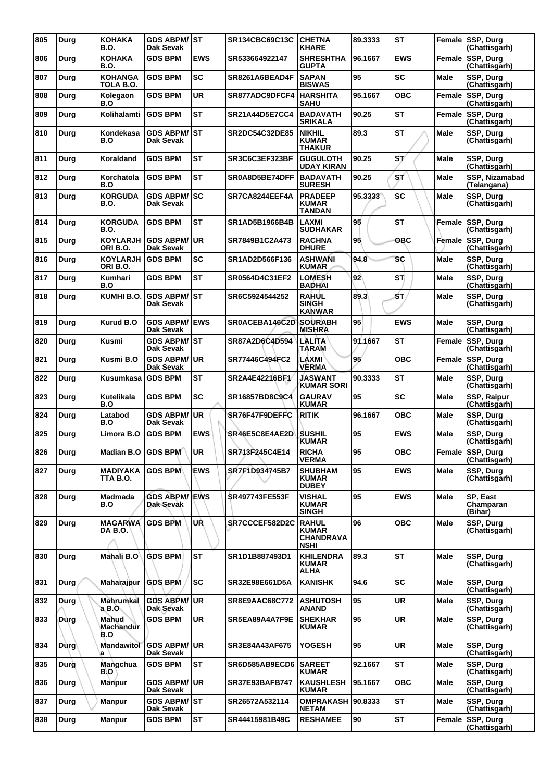| 805 | Durg        | <b>KOHAKA</b><br><b>B.O.</b>  | <b>GDS ABPM/ST</b><br>Dak Sevak   |            | SR134CBC69C13C        | <b>CHETNA</b><br><b>KHARE</b>                                   | 89.3333 | <b>ST</b>  |             | Female SSP, Durg<br>(Chattisgarh)   |
|-----|-------------|-------------------------------|-----------------------------------|------------|-----------------------|-----------------------------------------------------------------|---------|------------|-------------|-------------------------------------|
| 806 | Durg        | <b>KOHAKA</b><br><b>B.O.</b>  | <b>GDS BPM</b>                    | <b>EWS</b> | SR533664922147        | <b>SHRESHTHA</b><br><b>GUPTA</b>                                | 96.1667 | <b>EWS</b> | Female      | SSP, Durg<br>(Chattisgarh)          |
| 807 | Durg        | <b>KOHANGA</b><br>TOLA B.O.   | <b>GDS BPM</b>                    | SC         | SR8261A6BEAD4F        | <b>SAPAN</b><br><b>BISWAS</b>                                   | 95      | <b>SC</b>  | <b>Male</b> | SSP, Durg<br>(Chattisgarh)          |
| 808 | Durg        | Kolegaon<br>B.O               | <b>GDS BPM</b>                    | <b>UR</b>  | SR877ADC9DFCF4        | <b>HARSHITA</b><br><b>SAHU</b>                                  | 95.1667 | <b>OBC</b> | Female      | SSP, Durg<br>(Chattisgarh)          |
| 809 | Durg        | Kolihalamti                   | <b>GDS BPM</b>                    | ST         | <b>SR21A44D5E7CC4</b> | <b>BADAVATH</b><br><b>SRIKALA</b>                               | 90.25   | <b>ST</b>  | Female      | SSP, Durg<br>(Chattisgarh)          |
| 810 | Durg        | Kondekasa<br>B.O              | <b>GDS ABPM/ ST</b><br>Dak Sevak  |            | <b>SR2DC54C32DE85</b> | <b>NIKHIL</b><br><b>KUMAR</b><br><b>THAKUR</b>                  | 89.3    | <b>ST</b>  | <b>Male</b> | SSP, Durg<br>(Chattisgarh)          |
| 811 | Durg        | Koraldand                     | <b>GDS BPM</b>                    | ST         | SR3C6C3EF323BF        | <b>GUGULOTH</b><br><b>UDAY KIRAN</b>                            | 90.25   | ST         | Male        | SSP, Durg<br>(Chattisgarh)          |
| 812 | Durg        | Korchatola<br>B.O             | <b>GDS BPM</b>                    | ST         | <b>SR0A8D5BE74DFF</b> | <b>BADAVATH</b><br><b>SURESH</b>                                | 90.25   | ST.        | Male        | SSP, Nizamabad<br>(Telangana)       |
| 813 | Durg        | <b>KORGUDA</b><br><b>B.O.</b> | <b>GDS ABPM/</b><br>Dak Sevak     | lsc        | SR7CA8244EEF4A        | <b>PRADEEP</b><br><b>KUMAR</b><br><b>TANDAN</b>                 | 95.3333 | <b>SC</b>  | Male        | SSP, Durg<br>(Chattisgarh)          |
| 814 | Durg        | <b>KORGUDA</b><br><b>B.O.</b> | <b>GDS BPM</b>                    | ST         | SR1AD5B1966B4B        | <b>LAXMI</b><br><b>SUDHAKAR</b>                                 | 95      | ST         | Female      | <b>SSP. Dura</b><br>(Chattisgarh)   |
| 815 | Durg        | <b>KOYLARJH</b><br>ORIB.O.    | <b>GDS ABPM/</b><br>Dak Sevak     | <b>UR</b>  | SR7849B1C2A473        | <b>RACHNA</b><br><b>DHURE</b>                                   | 95      | OBC        | Female      | SSP, Durg<br>(Chattisgarh)          |
| 816 | Durg        | <b>KOYLARJH</b><br>ORIB.O.    | <b>GDS BPM</b>                    | SC         | SR1AD2D566F136        | ASHWANI<br><b>KUMAR</b>                                         | 94.8    | SC         | Male        | SSP, Durg<br>(Chattisgarh)          |
| 817 | Durg        | Kumhari<br>B.O                | <b>GDS BPM</b>                    | ST         | SR0564D4C31EF2        | <b>LOMESH</b><br><b>BADHAI</b>                                  | 92      | STI        | Male        | SSP, Durg<br>(Chattisgarh)          |
| 818 | Durg        | KUMHI B.O.                    | <b>GDS ABPM/ST</b><br>Dak Sevak   |            | SR6C5924544252        | <b>RAHUL</b><br><b>SINGH</b><br><b>KANWAR</b>                   | 89.3    | бT,        | Male        | SSP, Durg<br>(Chattisgarh)          |
| 819 | Durg        | <b>Kurud B.O</b>              | <b>GDS ABPM/</b><br>Dak Sevak     | <b>EWS</b> | SR0ACEBA146C2D        | <b>SOURABH</b><br><b>MISHRA</b>                                 | 95      | <b>EWS</b> | <b>Male</b> | SSP, Durg<br>(Chattisgarh)          |
| 820 | Durg        | <b>Kusmi</b>                  | <b>GDS ABPM/ST</b><br>Dak Sevak   |            | SR87A2D6C4D594        | LALITA<br>TARAM                                                 | 91.1667 | <b>ST</b>  | Female      | SSP, Durg<br>(Chattisgarh)          |
| 821 | Durg        | Kusmi B.O                     | <b>GDS ABPM/ UR</b><br>Dak Sevak  |            | SR77446C494FC2        | <b>LAXMI</b><br><b>VERMA</b>                                    | 95      | <b>OBC</b> | Female      | SSP, Durg<br>(Chattisgarh)          |
| 822 | Durg        | Kusumkasa                     | <b>GDS BPM</b>                    | ST         | SR2A4E42216BF1        | <b>JASWANT</b><br><b>KUMAR SORI</b>                             | 90.3333 | ST         | <b>Male</b> | SSP, Durg<br>(Chattisgarh)          |
| 823 | Durg        | Kutelikala<br>B.O             | <b>GDS BPM</b>                    | <b>SC</b>  | SR16857BD8C9C4        | <b>GAURAV</b><br><b>KUMAR</b>                                   | 95      | <b>SC</b>  | Male        | <b>SSP, Raipur</b><br>(Chattisgarh) |
| 824 | Durg        | Latabod<br>B.O                | <b>GDS ABPM/</b><br>Dak Sevak     | <b>UR</b>  | SR76F47F9DEFFC        | <b>RITIK</b>                                                    | 96.1667 | овс        | Male        | SSP, Durg<br>(Chattisgarh)          |
| 825 | Durg        | Limora B.O                    | <b>GDS BPM</b>                    | <b>EWS</b> | SR46E5C8E4AE2D        | <b>SUSHIL</b><br><b>KUMAR</b>                                   | 95      | <b>EWS</b> | Male        | SSP, Durg<br>(Chattisgarh)          |
| 826 | Durg        | <b>Madian B.O</b>             | GDS BPM                           | UR         | SR713F245C4E14        | <b>RICHA</b><br><b>VERMA</b>                                    | 95      | <b>OBC</b> |             | Female SSP, Durg<br>(Chattisgarh)   |
| 827 | Durg        | MADIYAKA<br>TTA B.O.          | <b>GDS BPM</b>                    | <b>EWS</b> | <b>SR7F1D934745B7</b> | <b>SHUBHAM</b><br><b>KUMAR</b><br><b>DUBEY</b>                  | 95      | <b>EWS</b> | Male        | SSP, Durg<br>(Chattisgarh)          |
| 828 | Durg        | Madmada<br>B.O                | <b>GDS ABPM/ EWS</b><br>Dak Sevak |            | <b>SR497743FE553F</b> | <b>VISHAL</b><br><b>KUMAR</b><br><b>SINGH</b>                   | 95      | <b>EWS</b> | Male        | SP, East<br>Champaran<br>(Bihar)    |
| 829 | Durg        | <b>MAGARWA</b><br>DA B.O.     | <b>GDS BPM</b>                    | UŔ         | SR7CCCEF582D2C        | <b>RAHUL</b><br><b>KUMAR</b><br><b>CHANDRAVA</b><br><b>NSHI</b> | 96      | <b>OBC</b> | Male        | <b>SSP. Dura</b><br>(Chattisgarh)   |
| 830 | Durg        | Mahali B.O                    | <b>GDS BPM</b>                    | <b>ST</b>  | SR1D1B887493D1        | <b>KHILENDRA</b><br><b>KUMAR</b><br><b>ALHA</b>                 | 89.3    | ST         | <b>Male</b> | SSP, Durg<br>(Chattisgarh)          |
| 831 | Durg        | Maharajpur                    | <b>GDS BPM</b>                    | <b>SC</b>  | SR32E98E661D5A        | <b>KANISHK</b>                                                  | 94.6    | <b>SC</b>  | Male        | SSP, Durg<br>(Chattisgarh)          |
| 832 | Durg        | <b>Mahrumkal</b><br>$a$ B.O.  | <b>GDS ABPM/UR</b><br>Dak Sevak   |            | <b>SR8E9AAC68C772</b> | <b>ASHUTOSH</b><br><b>ANAND</b>                                 | 95      | <b>UR</b>  | Male        | SSP, Durg<br>(Chattisgarh)          |
| 833 | Dùrg        | Mahud<br>Machandur<br>B.O     | <b>GDS BPM</b>                    | <b>UR</b>  | SR5EA89A4A7F9E        | <b>SHEKHAR</b><br><b>KUMAR</b>                                  | 95      | UR         | Male        | SSP, Durg<br>(Chattisgarh)          |
| 834 | <b>Durg</b> | Mandawitol<br>a               | <b>GDS ABPM/UR</b><br>Dak Sevak   |            | SR3E84A43AF675        | <b>YOGESH</b>                                                   | 95      | UR         | Male        | SSP, Durg<br>(Chattisgarh)          |
| 835 | Durg        | Mangchua<br>B.O               | <b>GDS BPM</b>                    | <b>ST</b>  | SR6D585AB9ECD6        | <b>SAREET</b><br><b>KUMAR</b>                                   | 92.1667 | <b>ST</b>  | Male        | SSP, Durg<br>(Chattisgarh)          |
| 836 | Durg        | <b>Manpur</b>                 | <b>GDS ABPM/ UR</b><br>Dak Sevak  |            | <b>SR37E93BAFB747</b> | <b>KAUSHLESH</b><br><b>KUMAR</b>                                | 95.1667 | овс        | Male        | SSP, Durg<br>(Chattisgarh)          |
| 837 | Durg        | <b>Manpur</b>                 | <b>GDS ABPM/ST</b><br>Dak Sevak   |            | SR26572A532114        | OMPRAKASH 90.8333<br><b>NETAM</b>                               |         | ST         | Male        | SSP, Durg<br>(Chattisgarh)          |
| 838 | Durg        | <b>Manpur</b>                 | <b>GDS BPM</b>                    | <b>ST</b>  | SR44415981B49C        | <b>RESHAMEE</b>                                                 | 90      | <b>ST</b>  | Female      | SSP, Durg<br>(Chattisgarh)          |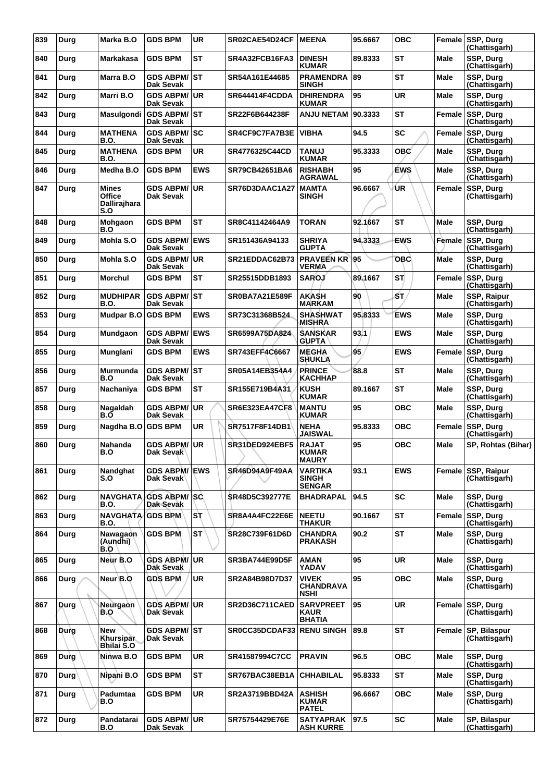| 839 | Durg        | Marka B.O                                     | <b>GDS BPM</b>                    | <b>UR</b>  | SR02CAE54D24CF        | <b>MEENA</b>                                     | 95.6667 | <b>OBC</b> |             | Female SSP, Durg<br>(Chattisgarh)   |
|-----|-------------|-----------------------------------------------|-----------------------------------|------------|-----------------------|--------------------------------------------------|---------|------------|-------------|-------------------------------------|
| 840 | Durg        | Markakasa                                     | <b>GDS BPM</b>                    | ST         | SR4A32FCB16FA3        | <b>DINESH</b><br><b>KUMAR</b>                    | 89.8333 | <b>ST</b>  | Male        | SSP, Durg<br>(Chattisgarh)          |
| 841 | Durg        | Marra B.O                                     | <b>GDS ABPM/ ST</b><br>Dak Sevak  |            | SR54A161E44685        | <b>PRAMENDRA</b><br><b>SINGH</b>                 | 89      | <b>ST</b>  | Male        | SSP, Durg<br>(Chattisgarh)          |
| 842 | Durg        | Marri B.O                                     | <b>GDS ABPM/ UR</b><br>Dak Sevak  |            | SR644414F4CDDA        | <b>DHIRENDRA</b><br><b>KUMAR</b>                 | 95      | <b>UR</b>  | Male        | SSP, Durg<br>(Chattisgarh)          |
| 843 | Durg        | Masulgondi                                    | <b>GDS ABPM/ST</b><br>Dak Sevak   |            | SR22F6B644238F        | ANJU NETAM                                       | 90.3333 | <b>ST</b>  | Female      | SSP, Durg<br>(Chattisgarh)          |
| 844 | Durg        | <b>MATHENA</b><br>B.O.                        | <b>GDS ABPM/ SC</b><br>Dak Sevak  |            | SR4CF9C7FA7B3E        | <b>VIBHA</b>                                     | 94.5    | <b>SC</b>  | Female      | SSP, Durg<br>(Chattisgarh)          |
| 845 | Durg        | <b>MATHENA</b><br><b>B.O.</b>                 | <b>GDS BPM</b>                    | <b>UR</b>  | <b>SR4776325C44CD</b> | <b>LUIAT</b><br><b>KUMAR</b>                     | 95.3333 | овс'       | Male        | SSP, Durg<br>(Chattisgarh)          |
| 846 | Durg        | Medha B.O                                     | <b>GDS BPM</b>                    | <b>EWS</b> | SR79CB42651BA6        | <b>RISHABH</b><br><b>AGRAWAL</b>                 | 95      | <b>EWS</b> | Male        | SSP, Durg<br>(Chattisgarh)          |
| 847 | Durg        | <b>Mines</b><br>Office<br>Dallirajhara<br>S.O | <b>GDS ABPM/ UR</b><br>Dak Sevak  |            | SR76D3DAAC1A27        | <b>MAMTA</b><br><b>SINGH</b>                     | 96.6667 | ÚR         | Female      | SSP, Durg<br>(Chattisgarh)          |
| 848 | Durg        | Mohgaon<br>B.O                                | <b>GDS BPM</b>                    | <b>ST</b>  | SR8C41142464A9        | <b>TORAN</b>                                     | 92.1667 | <b>ST</b>  | Male        | SSP, Durg<br>(Chattisgarh)          |
| 849 | Durg        | Mohla S.O                                     | <b>GDS ABPM/ EWS</b><br>Dak Sevak |            | SR151436A94133        | <b>SHRIYA</b><br><b>GUPTA</b>                    | 94.3333 | <b>EWS</b> | Female      | <b>SSP, Durg</b><br>(Chattisgarh)   |
| 850 | Durg        | Mohla S.O                                     | GDS ABPM/UR<br><b>Dak Sevak</b>   |            | <b>SR21EDDAC62B73</b> | <b>PRAVEEN KR</b><br><b>VERMA</b>                | 95      | <b>OBC</b> | <b>Male</b> | SSP, Durg<br>(Chattisgarh)          |
| 851 | Durg        | <b>Morchul</b>                                | <b>GDS BPM</b>                    | ST         | SR25515DDB1893        | <b>SAROJ</b>                                     | 89.1667 | ST.        | Female      | <b>SSP, Durg</b><br>(Chattisgarh)   |
| 852 | Durg        | <b>MUDHIPAR</b><br><b>B.O.</b>                | <b>GDS ABPM/ST</b><br>Dak Sevak   |            | <b>SR0BA7A21E589F</b> | <b>AKASH</b><br><b>MARKAM</b>                    | 90      | SΤ,        | Male        | SSP, Raipur<br>(Chattisgarh)        |
| 853 | Durg        | Mudpar B.O                                    | <b>GDS BPM</b>                    | <b>EWS</b> | SR73C31368B524        | <b>SHASHWAT</b><br><b>MISHRA</b>                 | 95.8333 | <b>EWS</b> | Male        | SSP, Durg<br>(Chattisgarh)          |
| 854 | Durg        | Mundgaon                                      | <b>GDS ABPM/</b><br>Dak Sevak     | <b>EWS</b> | SR6599A75DA824        | <b>SANSKAR</b><br><b>GUPTA</b>                   | 93.1    | <b>EWS</b> | <b>Male</b> | SSP, Durg<br>(Chattisgarh)          |
| 855 | Durg        | Munglani                                      | <b>GDS BPM</b>                    | <b>EWS</b> | SR743EFF4C6667        | <b>MEGHA</b><br><b>SHUKLA</b>                    | 95      | <b>EWS</b> | Female      | SSP, Durg<br>(Chattisgarh)          |
| 856 | Durg        | Murmunda<br>B.O                               | GDS ABPM/ST<br>Dak Sevak          |            | SR05A14EB354A4        | <b>PRINCE</b><br><b>KACHHAP</b>                  | 88.8    | <b>ST</b>  | Male        | SSP, Durg<br>(Chattisgarh)          |
| 857 | Durg        | Nachaniya                                     | <b>GDS BPM</b>                    | ST         | SR155E719B4A31        | <b>KUSH</b><br><b>KUMAR</b>                      | 89.1667 | <b>ST</b>  | Male        | SSP, Durg<br>(Chattisgarh)          |
| 858 | Durg        | Nagaldah<br>B.O                               | <b>GDS ABPM/</b><br>Dak Sevak     | ∣UR        | <b>SR6E323EA47CF8</b> | <b>MANTU</b><br><b>KUMAR</b>                     | 95      | <b>OBC</b> | Male        | SSP, Durg<br>(Chattisgarh)          |
| 859 | Durg        | Nagdha B.O                                    | <b>GDS BPM</b>                    | UR         | SR7517F8F14DB1        | <b>NEHA</b><br><b>JAISWAL</b>                    | 95.8333 | <b>OBC</b> | Female      | <b>SSP, Durg</b><br>(Chattisgarh)   |
| 860 | Durg        | Nahanda<br>6.U                                | <b>GDS ABPM/ UR</b><br>Dak Sevak  |            | SR31DED924EBF5        | <b>RAJAT</b><br>NUMAR<br><b>MAURY</b>            | 95      | <b>OBC</b> | <b>Male</b> | SP, Rohtas (Bihar)                  |
| 861 | Durg        | Nandghat<br>S.O                               | <b>GDS ABPM/ EWS</b><br>Dak Sevak |            | SR46D94A9F49AA        | <b>VARTIKA</b><br><b>SINGH</b><br><b>SENGAR</b>  | 93.1    | <b>EWS</b> |             | Female SSP, Raipur<br>(Chattisgarh) |
| 862 | Durg        | NAVGHATA<br>B.O.                              | <b>GDS ABPM/SC</b><br>Dak Sevak   |            | <b>SR48D5C392777E</b> | <b>BHADRAPAL</b>                                 | 94.5    | <b>SC</b>  | Male        | SSP, Durg<br>(Chattisgarh)          |
| 863 | Durg        | NAVGHATA  <br>B.O.                            | <b>GDS BPM</b>                    | SТ         | SR8A4A4FC22E6E        | <b>NEETU</b><br><b>THAKUR</b>                    | 90.1667 | <b>ST</b>  | Female      | <b>SSP, Durg</b><br>(Chattisgarh)   |
| 864 | Durg        | Nawagaon<br>(Aundhi)<br>B.O                   | <b>GDS BPM</b>                    | <b>ST</b>  | SR28C739F61D6D        | <b>CHANDRA</b><br><b>PRAKASH</b>                 | 90.2    | <b>ST</b>  | <b>Male</b> | SSP, Durg<br>(Chattisgarh)          |
| 865 | Durg        | Neur B.O                                      | <b>GDS ABPM/</b><br>Dak Sevak     | UR.        | <b>SR3BA744E99D5F</b> | AMAN<br><b>YADAV</b>                             | 95      | UR         | Male        | SSP, Durg<br>(Chattisgarh)          |
| 866 | Durg        | Neur <sup>\</sup> B.O                         | <b>GDS BPM</b>                    | <b>UR</b>  | SR2A84B98D7D37        | <b>VIVEK</b><br><b>CHANDRAVA</b><br><b>NSHI</b>  | 95      | <b>OBC</b> | Male        | SSP, Durg<br>(Chattisgarh)          |
| 867 | Durg        | Neurgaon<br>B.O                               | <b>GDS ABPM/ UR</b><br>Dak Sevak  |            | SR2D36C711CAED        | <b>SARVPREET</b><br><b>KAUR</b><br><b>BHATIA</b> | 95      | <b>UR</b>  | Female      | <b>SSP, Durg</b><br>(Chattisgarh)   |
| 868 | Durg        | New<br>Khursipar<br>Bhilai S.O                | <b>GDS ABPM/ST</b><br>Dak Sevak   |            | SR0CC35DCDAF33        | <b>RENU SINGH</b>                                | 89.8    | <b>ST</b>  | Female      | SP, Bilaspur<br>(Chattisgarh)       |
| 869 | Durg        | Ninwa B.O                                     | <b>GDS BPM</b>                    | <b>UR</b>  | SR41587994C7CC        | <b>PRAVIN</b>                                    | 96.5    | <b>OBC</b> | <b>Male</b> | SSP, Durg<br>(Chattisgarh)          |
| 870 | <b>Durg</b> | Nipahi B.O                                    | <b>GDS BPM</b>                    | <b>ST</b>  | SR767BAC38EB1A        | <b>CHHABILAL</b>                                 | 95.8333 | <b>ST</b>  | Male        | SSP, Durg<br>(Chattisgarh)          |
| 871 | Durg        | Padumtaa<br>B.O                               | <b>GDS BPM</b>                    | UR         | SR2A3719BBD42A        | <b>ASHISH</b><br><b>KUMAR</b><br><b>PATEL</b>    | 96.6667 | ОВС        | Male        | SSP, Durg<br>(Chattisgarh)          |
| 872 | Durg        | Pandatarai<br>B.O                             | GDS ABPM/UR<br>Dak Sevak          |            | SR75754429E76E        | <b>SATYAPRAK</b><br><b>ASH KURRE</b>             | 97.5    | <b>SC</b>  | Male        | SP, Bilaspur<br>(Chattisgarh)       |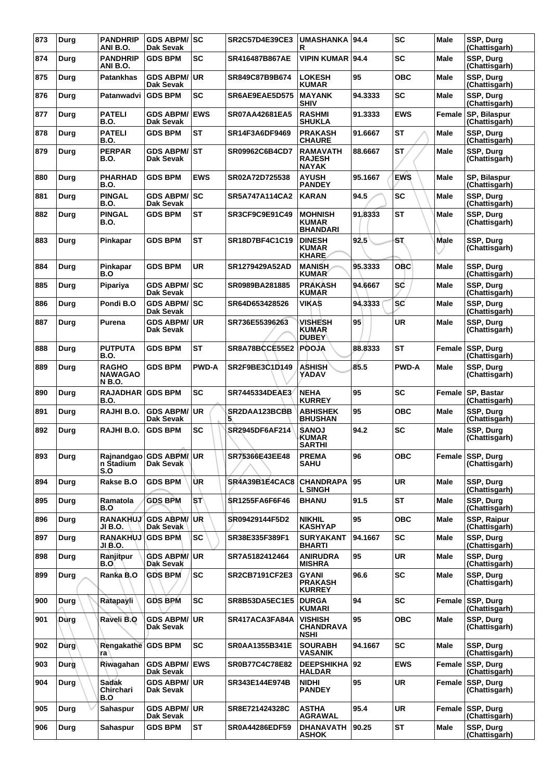| 873 | Durg          | <b>PANDHRIP</b><br>ANI B.O.                    | <b>GDS ABPM/SC</b><br>Dak Sevak      |              | <b>SR2C57D4E39CE3</b> | UMASHANKA 94.4<br>R                               |         | <b>SC</b>    | Male        | SSP, Durg<br>(Chattisgarh)        |
|-----|---------------|------------------------------------------------|--------------------------------------|--------------|-----------------------|---------------------------------------------------|---------|--------------|-------------|-----------------------------------|
| 874 | Durg          | <b>PANDHRIP</b><br>ANI B.O.                    | <b>GDS BPM</b>                       | SC           | SR416487B867AE        | <b>VIPIN KUMAR 94.4</b>                           |         | <b>SC</b>    | <b>Male</b> | SSP, Durg<br>(Chattisgarh)        |
| 875 | Durg          | <b>Patankhas</b>                               | <b>GDS ABPM/</b><br><b>Dak Sevak</b> | ∣UR          | SR849C87B9B674        | <b>LOKESH</b><br><b>KUMAR</b>                     | 95      | <b>OBC</b>   | Male        | SSP, Durg<br>(Chattisgarh)        |
| 876 | Durg          | Patanwadvi                                     | <b>GDS BPM</b>                       | <b>SC</b>    | SR6AE9EAE5D575        | <b>MAYANK</b><br><b>SHIV</b>                      | 94.3333 | <b>SC</b>    | Male        | SSP, Durg<br>(Chattisgarh)        |
| 877 | Durg          | <b>PATELI</b><br><b>B.O.</b>                   | <b>GDS ABPM/</b><br>Dak Sevak        | <b>EWS</b>   | <b>SR07AA42681EA5</b> | <b>RASHMI</b><br><b>SHUKLA</b>                    | 91.3333 | <b>EWS</b>   | Female      | SP, Bilaspur<br>(Chattisgarh)     |
| 878 | Durg          | <b>PATELI</b><br><b>B.O.</b>                   | <b>GDS BPM</b>                       | <b>ST</b>    | SR14F3A6DF9469        | <b>PRAKASH</b><br><b>CHAURE</b>                   | 91.6667 | <b>ST</b>    | Male        | SSP, Durg<br>(Chattisgarh)        |
| 879 | Durg          | <b>PERPAR</b><br><b>B.O.</b>                   | GDS ABPM/ST<br>Dak Sevak             |              | SR09962C6B4CD7        | <b>RAMAVATH</b><br><b>RAJESH</b><br><b>NAYAK</b>  | 88.6667 | <b>ST</b>    | Male        | SSP, Durg<br>(Chattisgarh)        |
| 880 | Durg          | <b>PHARHAD</b><br><b>B.O.</b>                  | <b>GDS BPM</b>                       | <b>EWS</b>   | SR02A72D725538        | <b>AYUSH</b><br><b>PANDEY</b>                     | 95.1667 | <b>EWS</b>   | Male        | SP, Bilaspur<br>(Chattisgarh)     |
| 881 | Durg          | <b>PINGAL</b><br><b>B.O.</b>                   | <b>GDS ABPM/</b><br>Dak Sevak        | lsc          | <b>SR5A747A114CA2</b> | <b>KARAN</b>                                      | 94.5    | <b>SC</b>    | Male        | SSP, Durg<br>(Chattisgarh)        |
| 882 | Durg          | <b>PINGAL</b><br><b>B.O.</b>                   | <b>GDS BPM</b>                       | <b>ST</b>    | SR3CF9C9E91C49        | <b>MOHNISH</b><br><b>KUMAR</b><br><b>BHANDARI</b> | 91.8333 | ST           | Male        | SSP, Durg<br>(Chattisgarh)        |
| 883 | Durg          | Pinkapar                                       | <b>GDS BPM</b>                       | <b>ST</b>    | SR18D7BF4C1C19        | <b>DINESH</b><br><b>KUMAR</b><br><b>KHARE</b>     | 92.5    | SŢ.          | <b>Male</b> | SSP, Durg<br>(Chattisgarh)        |
| 884 | Durg          | Pinkapar<br>B.O                                | <b>GDS BPM</b>                       | UR           | SR1279429A52AD        | <b>MANISH</b><br><b>KUMAR</b>                     | 95.3333 | <b>OBC</b>   | <b>Male</b> | SSP, Durg<br>(Chattisgarh)        |
| 885 | Durg          | Pipariya                                       | GDS ABPM/SC<br><b>Dak Sevak</b>      |              | SR0989BA281885        | <b>PRAKASH</b><br><b>KUMAR</b>                    | 94.6667 | sc           | Male        | SSP, Durg<br>(Chattisgarh)        |
| 886 | Durg          | Pondi B.O                                      | <b>GDS ABPM/SC</b><br>Dak Sevak      |              | SR64D653428526        | <b>VIKAS</b>                                      | 94.3333 | <b>SC</b>    | Male        | SSP, Durg<br>(Chattisgarh)        |
| 887 | Durg          | Purena                                         | <b>GDS ABPM/ UR</b><br>Dak Sevak     |              | SR736E55396263        | VISHESH<br><b>KUMAR</b><br><b>DUBEY</b>           | 95      | <b>UR</b>    | Male        | SSP, Durg<br>(Chattisgarh)        |
| 888 | Durg          | <b>PUTPUTA</b><br><b>B.O.</b>                  | <b>GDS BPM</b>                       | <b>ST</b>    | SR8A78BCCE55E2        | <b>POOJA</b>                                      | 88.8333 | <b>ST</b>    | Female      | SSP, Durg<br>(Chattisgarh)        |
| 889 | Durg          | <b>RAGHO</b><br><b>NAWAGAO</b><br><b>NB.O.</b> | <b>GDS BPM</b>                       | <b>PWD-A</b> | SR2F9BE3C1D149        | <b>ASHISH</b><br>YADAV                            | 85.5    | <b>PWD-A</b> | <b>Male</b> | SSP, Durg<br>(Chattisgarh)        |
| 890 | Durg          | <b>RAJADHAR</b><br><b>B.O.</b>                 | <b>GDS BPM</b>                       | <b>SC</b>    | <b>SR7445334DEAE3</b> | <b>NEHA</b><br><b>KURREY</b>                      | 95      | <b>SC</b>    | Female      | SP, Bastar<br>(Chattisgarh)       |
| 891 | Durg          | RAJHI B.O.                                     | <b>GDS ABPM/</b><br>Dak Sevak        | ∣UR.         | SR2DAA123BCBB<br>5    | <b>ABHISHEK</b><br><b>BHUSHAN</b>                 | 95      | OBC          | Male        | <b>SSP. Dura</b><br>(Chattisgarh) |
| 892 | Durg          | RAJHI B.O.                                     | <b>GDS BPM</b>                       | <b>SC</b>    | SR2945DF6AF214        | <b>SANOJ</b><br><b>KUMAR</b><br><b>SARTHI</b>     | 94.2    | <b>SC</b>    | Male        | SSP, Durg<br>(Chattisgarh)        |
| 893 | Durg          | n Stadium<br>S.O                               | Rajnandgao GDS ABPM/UR<br>Dak Sevak  |              | SR75366E43EE48        | <b>PREMA</b><br><b>SAHU</b>                       | 96      | <b>OBC</b>   |             | Female SSP, Durg<br>(Chattisgarh) |
| 894 | Durg          | Rakse B.O                                      | <b>GDS BPM</b>                       | ÙR           | SR4A39B1E4CAC8        | <b>CHANDRAPA</b><br><b>L SINGH</b>                | 95      | UR           | Male        | SSP, Durg<br>(Chattisgarh)        |
| 895 | Durg          | Ramatola<br>B.O                                | <b>GDS BPM</b>                       | <b>ST</b>    | <b>SR1255FA6F6F46</b> | <b>BHANU</b>                                      | 91.5    | <b>ST</b>    | <b>Male</b> | SSP, Durg<br>(Chattisgarh)        |
| 896 | Durg          | <b>RANAKHUJ</b><br>JI B.O.                     | <b>GDS ABPM/UR</b><br>Dak Sevak      |              | SR09429144F5D2        | <b>NIKHIL</b><br><b>KASHYAP</b>                   | 95      | OBC          | Male        | SSP, Raipur<br>(Chattisgarh)      |
| 897 | Durg          | <b>RANAKHUJ</b><br>JI B.O.                     | <b>GDS BPM</b>                       | <b>SC</b>    | SR38E335F389F1        | <b>SURYAKANT</b><br><b>BHARTI</b>                 | 94.1667 | <b>SC</b>    | Male        | SSP, Durg<br>(Chattisgarh)        |
| 898 | Durg          | Ranjitpur<br><b>B.O</b>                        | <b>GDS ABPM/UR</b><br>Dak Sevak      |              | SR7A5182412464        | <b>ANIRUDRA</b><br><b>MISHRA</b>                  | 95      | <b>UR</b>    | Male        | SSP, Durg<br>(Chattisgarh)        |
| 899 | Durg          | Ranka B.O                                      | <b>GDS BPM</b>                       | <b>SC</b>    | <b>SR2CB7191CF2E3</b> | <b>GYANI</b><br><b>PRAKASH</b><br><b>KURREY</b>   | 96.6    | <b>SC</b>    | Male        | SSP, Durg<br>(Chattisgarh)        |
| 900 | Durg          | Ratapayli                                      | <b>GDS BPM</b>                       | <b>SC</b>    | SR8B53DA5EC1E5        | <b>DURGA</b><br><b>KUMARI</b>                     | 94      | <b>SC</b>    | Female      | SSP, Durg<br>(Chattisgarh)        |
| 901 | Dùrg          | Raveli B.O                                     | <b>GDS ABPM/ UR</b><br>Dak Sevak     |              | SR417ACA3FA84A        | <b>VISHISH</b><br><b>CHANDRAVA</b><br><b>NSHI</b> | 95      | OBC          | Male        | SSP, Durg<br>(Chattisgarh)        |
| 902 | $D\hat{u}$ rg | Rengakathe GDS BPM<br>ra                       |                                      | <b>SC</b>    | SR0AA1355B341E        | <b>SOURABH</b><br>VASANIK                         | 94.1667 | SC           | <b>Male</b> | SSP, Durg<br>(Chattisgarh)        |
| 903 | Durg          | Riwagahan                                      | <b>GDS ABPM/ EWS</b><br>Dak Sevak    |              | <b>SR0B77C4C78E82</b> | <b>DEEPSHIKHA</b><br><b>HALDAR</b>                | 92      | <b>EWS</b>   | Female      | SSP, Durg<br>(Chattisgarh)        |
| 904 | Durg          | <b>Sadak</b><br>Chirchari<br>B.O               | <b>GDS ABPM/ UR</b><br>Dak Sevak     |              | SR343E144E974B        | <b>NIDHI</b><br><b>PANDEY</b>                     | 95      | UR           | Female      | SSP, Durg<br>(Chattisgarh)        |
| 905 | Durg          | Sahaspur                                       | <b>GDS ABPM/ UR</b><br>Dak Sevak     |              | SR8E721424328C        | <b>ASTHA</b><br><b>AGRAWAL</b>                    | 95.4    | UR.          | Female      | SSP, Durg<br>(Chattisgarh)        |
| 906 | Durg          | Sahaspur                                       | <b>GDS BPM</b>                       | <b>ST</b>    | SR0A44286EDF59        | <b>DHANAVATH</b><br><b>ASHOK</b>                  | 90.25   | <b>ST</b>    | Male        | SSP, Durg<br>(Chattisgarh)        |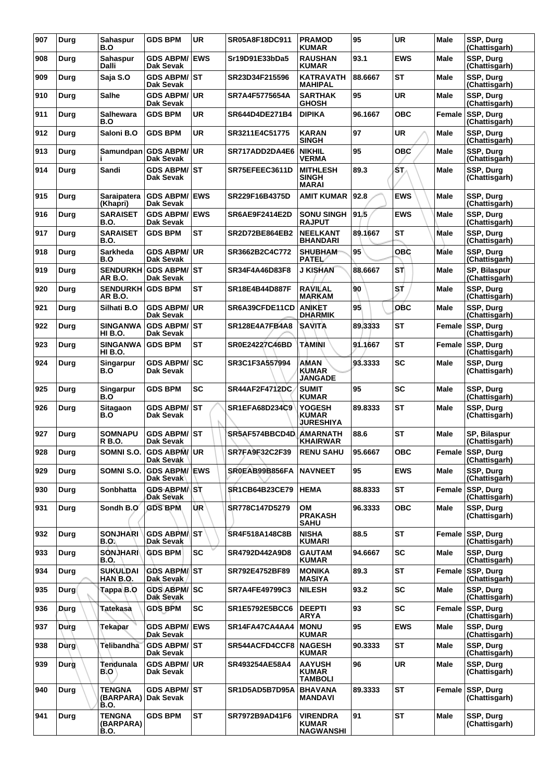| 907 | Durg        | <b>Sahaspur</b><br>B.O                              | <b>GDS BPM</b>                            | <b>UR</b>  | SR05A8F18DC911        | <b>PRAMOD</b><br><b>KUMAR</b>                   | 95      | <b>UR</b>  | <b>Male</b> | SSP, Durg<br>(Chattisgarh)        |
|-----|-------------|-----------------------------------------------------|-------------------------------------------|------------|-----------------------|-------------------------------------------------|---------|------------|-------------|-----------------------------------|
| 908 | Durg        | <b>Sahaspur</b><br>Dalli                            | <b>GDS ABPM/ EWS</b><br>Dak Sevak         |            | Sr19D91E33bDa5        | <b>RAUSHAN</b><br><b>KUMAR</b>                  | 93.1    | <b>EWS</b> | Male        | SSP, Durg<br>(Chattisgarh)        |
| 909 | Durg        | Saja S.O                                            | <b>GDS ABPM/ ST</b><br>Dak Sevak          |            | SR23D34F215596        | <b>KATRAVATH</b><br><b>MAHIPAL</b>              | 88.6667 | <b>ST</b>  | <b>Male</b> | SSP, Durg<br>(Chattisgarh)        |
| 910 | Durg        | Salhe                                               | <b>GDS ABPM/ UR</b><br>Dak Sevak          |            | SR7A4F5775654A        | <b>SARTHAK</b><br><b>GHOSH</b>                  | 95      | <b>UR</b>  | <b>Male</b> | SSP, Durg<br>(Chattisgarh)        |
| 911 | Durg        | Salhewara<br>B.O                                    | <b>GDS BPM</b>                            | <b>UR</b>  | SR644D4DE271B4        | <b>DIPIKA</b>                                   | 96.1667 | <b>OBC</b> | Female      | SSP, Durg<br>(Chattisgarh)        |
| 912 | Durg        | Saloni B.O                                          | <b>GDS BPM</b>                            | <b>UR</b>  | SR3211E4C51775        | KARAN<br><b>SINGH</b>                           | 97      | <b>UR</b>  | <b>Male</b> | SSP, Durg<br>(Chattisgarh)        |
| 913 | Durg        |                                                     | Samundpan GDS ABPM/UR<br><b>Dak Sevak</b> |            | SR717ADD2DA4E6        | <b>NIKHIL</b><br><b>VERMA</b>                   | 95      | <b>OBC</b> | <b>Male</b> | SSP, Durg<br>(Chattisgarh)        |
| 914 | Durg        | Sandi                                               | <b>GDS ABPM/ ST</b><br>Dak Sevak          |            | SR75EFEEC3611D        | <b>MITHLESH</b><br><b>SINGH</b><br><b>MARAI</b> | 89.3    | ŚΤ,        | Male        | SSP, Durg<br>(Chattisgarh)        |
| 915 | Durg        | Saraipatera<br>(Khapri)                             | <b>GDS ABPM/</b><br><b>Dak Sevak</b>      | <b>EWS</b> | SR229F16B4375D        | <b>AMIT KUMAR</b>                               | 92.8    | <b>EWS</b> | <b>Male</b> | SSP, Durg<br>(Chattisgarh)        |
| 916 | Durg        | <b>SARAISET</b><br>B.O.                             | <b>GDS ABPM/ EWS</b><br>Dak Sevak         |            | <b>SR6AE9F2414E2D</b> | <b>SONU SINGH</b><br><b>RAJPUT</b>              | 91.5    | <b>EWS</b> | Male        | SSP, Durg<br>(Chattisgarh)        |
| 917 | Durg        | <b>SARAISET</b><br>B.O.                             | <b>GDS BPM</b>                            | <b>ST</b>  | SR2D72BE864EB2        | <b>NEELKANT</b><br><b>BHANDARI</b>              | 89.1667 | <b>ST</b>  | Male        | SSP, Durg<br>(Chattisgarh)        |
| 918 | Durg        | Sarkheda<br>B.O                                     | <b>GDS ABPM/ UR</b><br><b>Dak Sevak</b>   |            | SR3662B2C4C772        | <b>SHUBHAM</b><br><b>PATEL</b>                  | 95      | OBC        | <b>Male</b> | SSP, Durg<br>(Chattisgarh)        |
| 919 | Durg        | <b>SENDURKH</b><br><b>AR B.O.</b>                   | <b>IGDS ABPM/ ST</b><br>Dak Sevak         |            | SR34F4A46D83F8        | J KISHAN                                        | 88.6667 | ST)        | Male        | SP, Bilaspur<br>(Chattisgarh)     |
| 920 | Durg        | <b>SENDURKH GDS BPM</b><br>AR B.O.                  |                                           | <b>ST</b>  | SR18E4B44D887F        | <b>RAVILAL</b><br><b>MARKAM</b>                 | 90      | st         | Male        | SSP, Durg<br>(Chattisgarh)        |
| 921 | Durg        | Silhati B.O                                         | <b>GDS ABPM/ UR</b><br><b>Dak Sevak</b>   |            | SR6A39CFDE11CD        | <b>ANIKET</b><br><b>DHARMIK</b>                 | 95      | <b>OBC</b> | Male        | SSP, Durg<br>(Chattisgarh)        |
| 922 | Durg        | <b>SINGANWA</b><br>HI B.O.                          | <b>GDS ABPM/ST</b><br>Dak Sevak           |            | SR128E4A7FB4A8        | <b>SAVITA</b>                                   | 89.3333 | ST         | Female      | SSP, Durg<br>(Chattisgarh)        |
| 923 | Durg        | <b>SINGANWA</b><br>HI B.O.                          | <b>GDS BPM</b>                            | <b>ST</b>  | SR0E24227C46BD        | TAMINI                                          | 91.1667 | <b>ST</b>  | Female      | SSP, Durg<br>(Chattisgarh)        |
| 924 | Durg        | Singarpur<br>B.O                                    | <b>GDS ABPM/SC</b><br>Dak Sevak           |            | SR3C1F3A557994        | AMAN<br><b>KUMAR</b><br><b>JANGADE</b>          | 93.3333 | <b>SC</b>  | <b>Male</b> | SSP, Durg<br>(Chattisgarh)        |
| 925 | Durg        | Singarpur<br>B.O                                    | <b>GDS BPM</b>                            | <b>SC</b>  | <b>SR44AF2F4712DC</b> | <b>SUMIT</b><br><b>KUMAR</b>                    | 95      | SC         | Male        | SSP, Durg<br>(Chattisgarh)        |
| 926 | Durg        | Sitagaon<br>B.O                                     | <b>GDS ABPM/ ST</b><br>Dak Sevak          |            | <b>SR1EFA68D234C9</b> | YOGESH<br><b>KUMAR</b><br><b>JURESHIYA</b>      | 89.8333 | <b>ST</b>  | Male        | SSP, Durg<br>(Chattisgarh)        |
| 927 | Durg        | <b>SOMNAPU</b><br>R B.O.                            | <b>GDS ABPM/ST</b><br>Dak Sevak           |            | SR5AF574BBCD4D        | <b>AMARNATH</b><br><b>KHAIRWAR</b>              | 88.6    | ST         | Male        | SP, Bilaspur<br>(Chattisgarh)     |
| 928 | Durg        |                                                     | SOMNI S.O. GDS ABPM/UR<br>Dak Sevak       |            | SR7FA9F32C2F39        | <b>RENU SAHU</b>                                | 95.6667 | <b>OBC</b> |             | Female SSP, Durg<br>(Chattisgarh) |
| 929 | Durg        | SOMNI S.O.                                          | <b>GDS ABPM/ EWS</b><br>Dak Sevak         |            | SR0EAB99B856FA        | <b>NAVNEET</b>                                  | 95      | <b>EWS</b> | Male        | SSP, Durg<br>(Chattisgarh)        |
| 930 | Durg        | <b>Sonbhatta</b>                                    | GDS ABPM/ST<br>Dak Sevak                  |            | <b>SR1CB64B23CE79</b> | <b>HEMA</b>                                     | 88.8333 | <b>ST</b>  | Female      | <b>SSP, Durg</b><br>(Chattisgarh) |
| 931 | Durg        | Sondh B.O                                           | <b>GDS BPM</b>                            | ÙR.        | SR778C147D5279        | OМ<br><b>PRAKASH</b><br>SAHU                    | 96.3333 | <b>OBC</b> | <b>Male</b> | SSP, Durg<br>(Chattisgarh)        |
| 932 | Durg        | <b>SONJHARI</b><br>B.O.\                            | GDS ABPM/ST<br>Dak Sevak                  |            | SR4F518A148C8B        | <b>NISHA</b><br><b>KUMARI</b>                   | 88.5    | <b>ST</b>  | Female      | SSP, Durg<br>(Chattisgarh)        |
| 933 | Durg        | <b>SONJHARI</b><br>B.O.                             | <b>GDS BPM</b>                            | <b>SC</b>  | SR4792D442A9D8        | <b>GAUTAM</b><br><b>KUMAR</b>                   | 94.6667 | <b>SC</b>  | <b>Male</b> | SSP, Durg<br>(Chattisgarh)        |
| 934 | Durg        | <b>SUKULDAI</b><br>HAN B.Q.                         | <b>GDS ABPM/ST</b><br>Dak Sevak           |            | SR792E4752BF89        | <b>MONIKA</b><br>MASIYA                         | 89.3    | <b>ST</b>  | Female      | SSP, Durg<br>(Chattisgarh)        |
| 935 | <b>Durg</b> | Tappa B.O                                           | GDS ABPM/SC<br>Dak Sevak                  |            | <b>SR7A4FE49799C3</b> | <b>NILESH</b>                                   | 93.2    | <b>SC</b>  | Male        | SSP, Durg<br>(Chattisgarh)        |
| 936 | Durg        | Tatekasa                                            | <b>GDS BPM</b>                            | <b>SC</b>  | <b>SR1E5792E5BCC6</b> | <b>DEEPTI</b><br><b>ARYA</b>                    | 93      | <b>SC</b>  | Female      | SSP, Durg<br>(Chattisgarh)        |
| 937 | Durg        | Tekapar                                             | <b>GDS ABPM/ EWS</b><br>Dak Sevak         |            | SR14FA47CA4AA4        | <b>MONU</b><br><b>KUMAR</b>                     | 95      | <b>EWS</b> | <b>Male</b> | SSP, Durg<br>(Chattisgarh)        |
| 938 | Dùrg        | <b>Telibandha</b>                                   | <b>GDS ABPM/ST</b><br>Dak Sevak           |            | SR544ACFD4CCF8        | <b>NAGESH</b><br>KUMAR                          | 90.3333 | <b>ST</b>  | Male        | SSP, Durg<br>(Chattisgarh)        |
| 939 | Durg        | Tendunala<br>B.O                                    | <b>GDS ABPM/ UR</b><br>Dak Sevak          |            | SR493254AE58A4        | <b>AAYUSH</b><br><b>KUMAR</b><br>TAMBOLI        | 96      | <b>UR</b>  | Male        | SSP, Durg<br>(Chattisgarh)        |
| 940 | Durg        | <b>TENGNA</b><br>(BARPARA) Dak Sevak<br><b>B.O.</b> | GDS ABPM/ST                               |            | SR1D5AD5B7D95A        | <b>BHAVANA</b><br>MANDAVI                       | 89.3333 | <b>ST</b>  | Female      | SSP, Durg<br>(Chattisgarh)        |
| 941 | Durg        | <b>TENGNA</b><br>(BARPARA)<br>B.O.                  | <b>GDS BPM</b>                            | <b>ST</b>  | SR7972B9AD41F6        | VIRENDRA<br><b>KUMAR</b><br>NAGWANSHI           | 91      | <b>ST</b>  | <b>Male</b> | SSP, Durg<br>(Chattisgarh)        |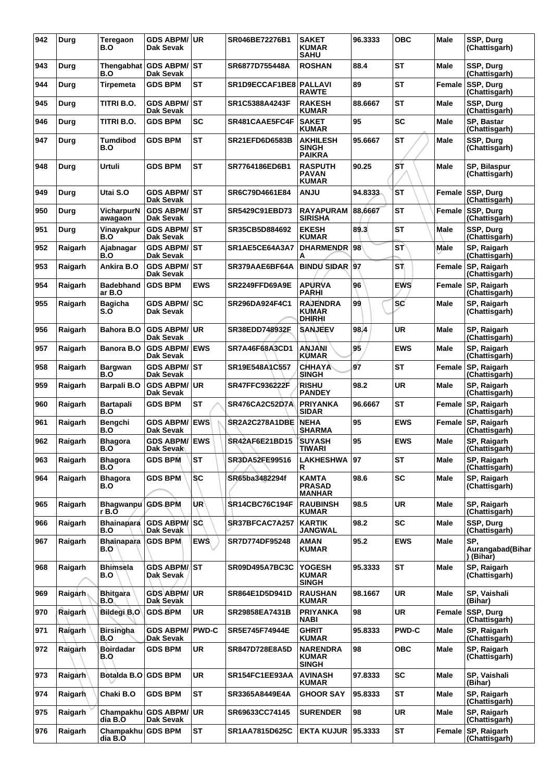| 942 | Durg    | Teregaon<br>B.O              | GDS ABPM/UR<br><b>Dak Sevak</b>         |              | SR046BE72276B1        | <b>SAKET</b><br><b>KUMAR</b><br><b>SAHU</b>      | 96.3333 | <b>OBC</b>   | <b>Male</b> | SSP, Durg<br>(Chattisgarh)           |
|-----|---------|------------------------------|-----------------------------------------|--------------|-----------------------|--------------------------------------------------|---------|--------------|-------------|--------------------------------------|
| 943 | Durg    | B.O                          | Thengabhat GDS ABPM/ST<br>Dak Sevak     |              | SR6877D755448A        | <b>ROSHAN</b>                                    | 88.4    | <b>ST</b>    | Male        | SSP, Durg<br>(Chattisgarh)           |
| 944 | Durg    | <b>Tirpemeta</b>             | <b>GDS BPM</b>                          | <b>ST</b>    | SR1D9ECCAF1BE8        | <b>PALLAVI</b><br><b>RAWTE</b>                   | 89      | <b>ST</b>    | Female      | SSP, Durg<br>(Chattisgarh)           |
| 945 | Durg    | TITRI B.O.                   | <b>GDS ABPM/ST</b><br>Dak Sevak         |              | SR1C5388A4243F        | <b>RAKESH</b><br><b>KUMAR</b>                    | 88.6667 | <b>ST</b>    | Male        | SSP, Durg<br>(Chattisgarh)           |
| 946 | Durg    | TITRI B.O.                   | <b>GDS BPM</b>                          | <b>SC</b>    | SR481CAAE5FC4F        | <b>SAKET</b><br><b>KUMAR</b>                     | 95      | SC           | Male        | SP, Bastar<br>(Chattisgarh)          |
| 947 | Durg    | <b>Tumdibod</b><br>B.O       | <b>GDS BPM</b>                          | <b>ST</b>    | <b>SR21EFD6D6583B</b> | <b>AKHILESH</b><br><b>SINGH</b><br><b>PAIKRA</b> | 95.6667 | <b>ST</b>    | Male        | SSP, Durg<br>(Chattisgarh)           |
| 948 | Durg    | Urtuli                       | <b>GDS BPM</b>                          | <b>ST</b>    | SR7764186ED6B1        | <b>RASPUTH</b><br><b>PAVAN</b><br><b>KUMAR</b>   | 90.25   | ST           | Male        | SP, Bilaspur<br>(Chattisgarh)        |
| 949 | Durg    | Utai S.O                     | <b>GDS ABPM/ ST</b><br>Dak Sevak        |              | SR6C79D4661E84        | <b>ANJU</b>                                      | 94.8333 | <b>ST</b>    | Female      | SSP, Durg<br>(Chattisgarh)           |
| 950 | Durg    | VicharpurN<br>awagaon        | <b>GDS ABPM/ST</b><br><b>Dak Sevak</b>  |              | SR5429C91EBD73        | <b>RAYAPURAM</b><br><b>SIRISHA</b>               | 88.6667 | <b>ST</b>    | Female      | SSP, Durg<br>(Chattisgarh)           |
| 951 | Durg    | Vinayakpur<br>B.O            | <b>GDS ABPM/ST</b><br>Dak Sevak         |              | SR35CB5D884692        | <b>EKESH</b><br><b>KUMAR</b>                     | 89.3    | <b>ST</b>    | Male        | SSP, Durg<br>(Chattisgarh)           |
| 952 | Raigarh | Ajabnagar<br>B.O             | <b>GDS ABPM/ST</b><br>Dak Sevak         |              | SR1AE5CE64A3A7        | <b>DHARMENDR</b><br>А                            | 98      | <b>ST</b>    | Male        | SP, Raigarh<br>(Chattisgarh)         |
| 953 | Raigarh | Ankira B.O                   | <b>GDS ABPM/ST</b><br>Dak Sevak         |              | SR379AAE6BF64A        | <b>BINDU SIDAR 97</b>                            |         | SΤ           | Female      | SP, Raigarh<br>(Chattisgarh)         |
| 954 | Raigarh | <b>Badebhand</b><br>ar B.O   | <b>GDS BPM</b>                          | <b>EWS</b>   | SR2249FFD69A9E        | <b>APURVA</b><br>PARHI                           | 96      | <b>EWS</b>   | Female      | SP, Raigarh<br>(Chattisgarh)         |
| 955 | Raigarh | <b>Bagicha</b><br>S.O        | <b>GDS ABPM/ SC</b><br>Dak Sevak        |              | SR296DA924F4C1        | <b>RAJENDRA</b><br><b>KUMAR</b><br>DHIRHI        | 99      | sc           | Male        | SP, Raigarh<br>(Chattisgarh)         |
| 956 | Raigarh | Bahora B.O                   | <b>GDS ABPM/</b><br>Dak Sevak           | UR           | SR38EDD748932F        | <b>SANJEEV</b>                                   | 98.4    | UR           | <b>Male</b> | SP, Raigarh<br>(Chattisgarh)         |
| 957 | Raigarh | <b>Banora B.O</b>            | <b>GDS ABPM/</b><br>Dak Sevak           | <b>IEWS</b>  | SR7A46F68A3CD1        | <b>ANJANI</b><br><b>KUMAR</b>                    | 95      | <b>EWS</b>   | Male        | SP, Raigarh<br>(Chattisgarh)         |
| 958 | Raigarh | <b>Bargwan</b><br>B.O        | <b>GDS ABPM/ST</b><br>Dak Sevak         |              | SR19E548A1C557        | <b>CHHAYA</b><br><b>SINGH</b>                    | 97      | <b>ST</b>    | Female      | SP, Raigarh<br>(Chattisgarh)         |
| 959 | Raigarh | Barpali B.O                  | <b>GDS ABPM/ UR</b><br><b>Dak Sevak</b> |              | <b>SR47FFC936222F</b> | <b>RISHU</b><br><b>PANDEY</b>                    | 98.2    | <b>UR</b>    | <b>Male</b> | SP, Raigarh<br>(Chattisgarh)         |
| 960 | Raigarh | <b>Bartapali</b><br>B.O      | <b>GDS BPM</b>                          | <b>ST</b>    | SR476CA2C52D7A        | <b>PRIYANKA</b><br><b>SIDAR</b>                  | 96.6667 | <b>ST</b>    | Female      | SP, Raigarh<br>(Chattisgarh)         |
| 961 | Raigarh | Bengchi<br>B.O               | <b>GDS ABPM/</b><br>Dak Sevak           | <b>EWS</b>   | SR2A2C278A1DBE        | <b>NEHA</b><br><b>SHARMA</b>                     | 95      | <b>EWS</b>   | Female      | SP, Raigarh<br>(Chattisgarh)         |
| 962 | Raigarh | <b>Bhagora</b><br>B.O        | <b>GDS ABPM/ EWS</b><br>Dak Sevak       |              | SR42AF6E21BD15        | <b>SUYASH</b><br>TIWARI                          | 95      | <b>EWS</b>   | <b>Male</b> | SP, Raigarh<br>(Chattisgarh)         |
| 963 | Raigarh | <b>Bhagora</b><br>B.O        | <b>GDS BPM</b>                          | <b>ST</b>    | SR3DA52FE99516        | <b>LAKHESHWA</b><br>R                            | 97      | <b>ST</b>    | Male        | SP, Raigarh<br>(Chattisgarh)         |
| 964 | Raigarh | <b>Bhagora</b><br>B.O        | <b>GDS BPM</b>                          | <b>SC</b>    | SR65ba3482294f        | KAMTA<br><b>PRASAD</b><br><b>MANHAR</b>          | 98.6    | <b>SC</b>    | <b>Male</b> | SP, Raigarh<br>(Chattisgarh)         |
| 965 | Raigarh | Bhagwanpu GDS BPM<br>r B.O   |                                         | UR)          | <b>SR14CBC76C194F</b> | <b>RAUBINSH</b><br>KUMAR                         | 98.5    | <b>UR</b>    | Male        | SP, Raigarh<br>(Chattisgarh)         |
| 966 | Raigarh | <b>Bhainapara</b><br>B.O     | <b>GDS ABPM/ SC</b><br>Dak Sevak        |              | SR37BFCAC7A257        | <b>KARTIK</b><br><b>JANGWAL</b>                  | 98.2    | <b>SC</b>    | Male        | SSP, Durg<br>(Chattisgarh)           |
| 967 | Raigarh | <b>Bhainapara</b><br>B.O     | <b>GDS BPM</b>                          | <b>EWS</b>   | SR7D774DF95248        | AMAN<br><b>KUMAR</b>                             | 95.2    | <b>EWS</b>   | <b>Male</b> | SP,<br>Aurangabad(Bihar<br>) (Bihar) |
| 968 | Raigarh | <b>Bhimsela</b><br>B.O       | <b>GDS ABPM/ST</b><br>Dak Sevak         |              | <b>SR09D495A7BC3C</b> | YOGESH<br><b>KUMAR</b><br><b>SINGH</b>           | 95.3333 | ST           | <b>Male</b> | SP, Raigarh<br>(Chattisgarh)         |
| 969 | Raigarh | <b>Bhitgara</b><br>B.O.      | <b>GDS ABPM/ UR</b><br>Dak Sevak        |              | SR864E1D5D941D        | <b>RAUSHAN</b><br>KUMAR                          | 98.1667 | <b>UR</b>    | <b>Male</b> | SP, Vaishali<br>(Bihar)              |
| 970 | Raigarh | <b>Bildegi B.O</b>           | <b>GDS BPM</b>                          | <b>UR</b>    | SR29858EA7431B        | <b>PRIYANKA</b><br>NABI                          | 98      | UR           | Female      | SSP, Durg<br>(Chattisgarh)           |
| 971 | Raigarh | <b>Birsingha</b><br>B.O      | <b>GDS ABPM/</b><br>Dak Sevak           | <b>PWD-C</b> | SR5E745F74944E        | <b>GHRIT</b><br><b>KUMAR</b>                     | 95.8333 | <b>PWD-C</b> | <b>Male</b> | SP, Raigarh<br>(Chattisgarh)         |
| 972 | Raigarh | <b>Boirdadar</b><br>B.O      | <b>GDS BPM</b>                          | <b>UR</b>    | SR847D728E8A5D        | <b>NARENDRA</b><br><b>KUMAR</b><br><b>SINGH</b>  | 98      | <b>OBC</b>   | <b>Male</b> | SP, Raigarh<br>(Chattisgarh)         |
| 973 | Raigarh | Botalda B.O                  | <b>GDS BPM</b>                          | <b>UR</b>    | SR154FC1EE93AA        | <b>AVINASH</b><br><b>KUMAR</b>                   | 97.8333 | <b>SC</b>    | <b>Male</b> | SP, Vaishali<br>(Bihar)              |
| 974 | Raigarh | Chaki B.O                    | <b>GDS BPM</b>                          | <b>ST</b>    | SR3365A8449E4A        | <b>GHOOR SAY</b>                                 | 95.8333 | <b>ST</b>    | Male        | SP, Raigarh<br>(Chattisgarh)         |
| 975 | Raigarh | dia B.O                      | Champakhu GDS ABPM/<br>Dak Sevak        | <b>UR</b>    | SR69633CC74145        | <b>SURENDER</b>                                  | 98      | <b>UR</b>    | Male        | SP, Raigarh<br>(Chattisgarh)         |
| 976 | Raigarh | Champakhu GDS BPM<br>dia B.O |                                         | <b>ST</b>    | SR1AA7815D625C        | <b>EKTA KUJUR</b>                                | 95.3333 | <b>ST</b>    | Female      | SP, Raigarh<br>(Chattisgarh)         |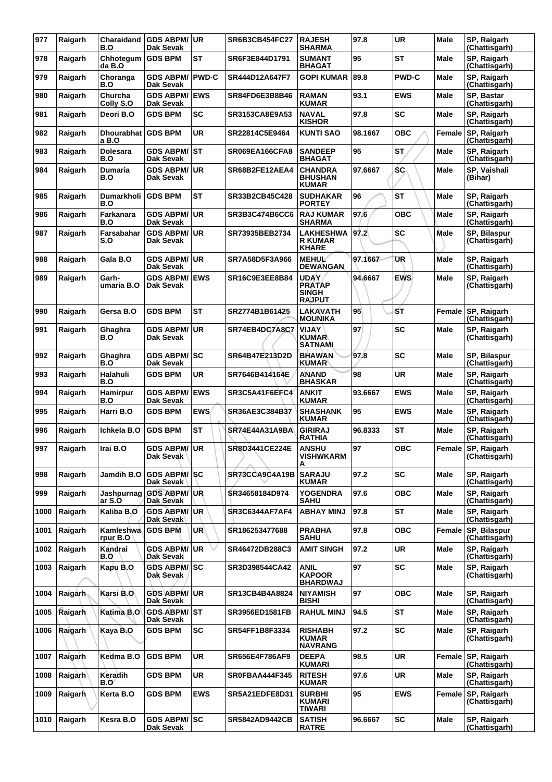| 977  | Raigarh | Charaidand<br>B.O             | <b>GDS ABPM/ UR</b><br>Dak Sevak     |                 | SR6B3CB454FC27        | <b>RAJESH</b><br><b>SHARMA</b>                                | 97.8    | <b>UR</b>    | Male        | SP, Raigarh<br>(Chattisgarh)        |
|------|---------|-------------------------------|--------------------------------------|-----------------|-----------------------|---------------------------------------------------------------|---------|--------------|-------------|-------------------------------------|
| 978  | Raigarh | Chhotegum<br>da B.O           | <b>GDS BPM</b>                       | ST              | SR6F3E844D1791        | <b>SUMANT</b><br><b>BHAGAT</b>                                | 95      | <b>ST</b>    | Male        | SP, Raigarh<br>(Chattisgarh)        |
| 979  | Raigarh | Choranga<br>B.O               | <b>GDS ABPM/</b><br>Dak Sevak        | <b>PWD-C</b>    | SR444D12A647F7        | <b>GOPI KUMAR</b>                                             | 89.8    | <b>PWD-C</b> | Male        | SP, Raigarh<br>(Chattisgarh)        |
| 980  | Raigarh | Churcha<br>Colly S.O          | <b>GDS ABPM/ EWS</b><br>Dak Sevak    |                 | SR84FD6E3B8B46        | <b>RAMAN</b><br><b>KUMAR</b>                                  | 93.1    | <b>EWS</b>   | Male        | SP, Bastar<br>(Chattisgarh)         |
| 981  | Raigarh | Deori B.O                     | <b>GDS BPM</b>                       | SC              | SR3153CA8E9A53        | <b>NAVAL</b><br><b>KISHOR</b>                                 | 97.8    | <b>SC</b>    | Male        | SP, Raigarh<br>(Chattisgarh)        |
| 982  | Raigarh | Dhourabhat   GDS BPM<br>a B.O |                                      | <b>UR</b>       | SR22814C5E9464        | <b>KUNTI SAO</b>                                              | 98.1667 | <b>OBC</b>   | Female      | SP, Raigarh<br>(Chattisgarh)        |
| 983  | Raigarh | <b>Dolesara</b><br>B.O        | GDS ABPM/ST<br>Dak Sevak             |                 | SR069EA166CFA8        | <b>SANDEEP</b><br><b>BHAGAT</b>                               | 95      | <b>ST</b>    | Male        | SP, Raigarh<br>(Chattisgarh)        |
| 984  | Raigarh | Dumaria<br>B.O                | <b>GDS ABPM/</b><br>Dak Sevak        | ∣UR             | SR68B2FE12AEA4        | <b>CHANDRA</b><br><b>BHUSHAN</b><br><b>KUMAR</b>              | 97.6667 | SC.          | Male        | SP, Vaishali<br>(Bihar)             |
| 985  | Raigarh | Dumarkholi<br>B.O             | <b>GDS BPM</b>                       | <b>ST</b>       | SR33B2CB45C428        | <b>SUDHAKAR</b><br><b>PORTEY</b>                              | 96      | <b>ST</b>    | Male        | SP, Raigarh<br>(Chattisgarh)        |
| 986  | Raigarh | Farkanara<br>B.O              | <b>GDS ABPM/</b><br>Dak Sevak        | ∣UR             | SR3B3C474B6CC6        | <b>RAJ KUMAR</b><br><b>SHARMA</b>                             | 97.6    | <b>OBC</b>   | Male        | SP, Raigarh<br>(Chattisgarh)        |
| 987  | Raigarh | Farsabahar<br>S.O             | <b>GDS ABPM/</b><br>Dak Sevak        | ∣UR             | SR73935BEB2734        | <b>LAKHESHWA</b><br><b>R KUMAR</b><br><b>KHARE</b>            | 97.2    | SC           | <b>Male</b> | SP, Bilaspur<br>(Chattisgarh)       |
| 988  | Raigarh | Gala B.O                      | <b>GDS ABPM/</b><br><b>Dak Sevak</b> | ∣UR             | SR7A58D5F3A966        | <b>MEHUL</b><br><b>DEWANGAN</b>                               | 97.1667 | UR           | <b>Male</b> | SP, Raigarh<br>(Chattisgarh)        |
| 989  | Raigarh | Garh-<br>umaria B.O           | <b>GDS ABPM/</b><br>Dak Sevak        | <b>EWS</b>      | SR16C9E3EE8B84        | <b>UDAY</b><br><b>PRATAP</b><br><b>SINGH</b><br><b>RAJPUT</b> | 94.6667 | <b>EWS</b>   | <b>Male</b> | SP, Raigarh<br>(Chattisgarh)        |
| 990  | Raigarh | Gersa B.O                     | <b>GDS BPM</b>                       | <b>ST</b>       | SR2774B1B61425        | LAKAVATH<br><b>MOUNIKA</b>                                    | 95      | ŚΤ           | Female      | SP, Raigarh<br>(Chattisgarh)        |
| 991  | Raigarh | Ghaghra<br>B.O                | <b>GDS ABPM/</b><br>Dak Sevak        | ∣UR             | SR74EB4DC7A8C7        | VIJAY<br><b>KUMAR</b><br><b>SATNAMI</b>                       | 97      | <b>SC</b>    | Male        | SP, Raigarh<br>(Chattisgarh)        |
| 992  | Raigarh | Ghaghra<br>B.O                | <b>GDS ABPM/</b><br>Dak Sevak        | lsc             | SR64B47E213D2D        | <b>BHAWAN</b><br><b>KUMAR</b>                                 | 97.8    | SC           | <b>Male</b> | SP, Bilaspur<br>(Chattisgarh)       |
| 993  | Raigarh | Halahuli<br><b>B.O</b>        | <b>GDS BPM</b>                       | <b>UR</b>       | SR7646B414164E        | <b>ANAND</b><br><b>BHASKAR</b>                                | 98      | <b>UR</b>    | Male        | SP, Raigarh<br>(Chattisgarh)        |
| 994  | Raigarh | <b>Hamirpur</b><br>B.O        | <b>GDS ABPM/</b><br>Dak Sevak        | <b>EWS</b>      | SR3C5A41F6EFC4        | ANKIT<br><b>KUMAR</b>                                         | 93.6667 | <b>EWS</b>   | Male        | SP, Raigarh<br>(Chattisgarh)        |
| 995  | Raigarh | Harri B.O                     | <b>GDS BPM</b>                       | <b>EWS</b>      | SR36AE3C384B37        | <b>SHASHANK</b><br><b>KUMAR</b>                               | 95      | <b>EWS</b>   | Male        | SP, Raigarh<br>(Chattisgarh)        |
| 996  | Raigarh | Ichkela B.O                   | <b>GDS BPM</b>                       | <b>ST</b>       | SR74E44A31A9BA        | <b>GIRIRAJ</b><br><b>RATHIA</b>                               | 96.8333 | <b>ST</b>    | Male        | SP, Raigarh<br>(Chattisgarh)        |
| 997  | Raigarh | Irai B.O                      | GDS ABPM/UR<br>Dak Sevak             |                 | <b>SR8D3441CE224E</b> | <b>ANSHU</b><br><b>VISHWKARM</b><br>А                         | 97      | <b>OBC</b>   |             | Female SP, Raigarh<br>(Chattisgarh) |
| 998  | Raigarh | Jamdih B.O                    | <b>GDS ABPM/SC</b><br>Dak Sevak      |                 | SR73CCA9C4A19B        | <b>SARAJU</b><br><b>KUMAR</b>                                 | 97.2    | <b>SC</b>    | <b>Male</b> | SP, Raigarh<br>(Chattisgarh)        |
| 999  | Raigarh | Jashpurnag<br>ar S.O          | <b>GDS ABPM/ UR</b><br>Dak Sevak     |                 | SR34658184D974        | <b>YOGENDRA</b><br><b>SAHU</b>                                | 97.6    | <b>OBC</b>   | Male        | SP, Raigarh<br>(Chattisgarh)        |
| 1000 | Raigarh | Kaliba B.O                    | <b>GDS ABPM/</b><br>Dak Sevak        | ∣UR.            | <b>SR3C6344AF7AF4</b> | <b>ABHAY MINJ</b>                                             | 97.8    | <b>ST</b>    | <b>Male</b> | SP, Raigarh<br>(Chattisgarh)        |
| 1001 | Raigarh | Kamleshwa<br>rpur B.O         | <b>GDS BPM</b>                       | UR <sup>1</sup> | SR186253477688        | <b>PRABHA</b><br><b>SAHU</b>                                  | 97.8    | <b>OBC</b>   | Female      | SP, Bilaspur<br>(Chattisgarh)       |
| 1002 | Raigarh | Kandrai<br>B.O                | <b>GDS ABPM/</b><br>Dak Sevak        | <b>UR</b>       | SR46472DB288C3        | AMIT SINGH                                                    | 97.2    | <b>UR</b>    | Male        | SP, Raigarh<br>(Chattisgarh)        |
| 1003 | Raigarh | Kapu B.O                      | GDS ABPM/ SC<br>Dak Sevak            |                 | SR3D398544CA42        | ANIL<br><b>KAPOOR</b><br><b>BHARDWAJ</b>                      | 97      | <b>SC</b>    | Male        | SP, Raigarh<br>(Chattisgarh)        |
| 1004 | Raigarh | Karsi B.O                     | GDS ABPM/UR<br>Dak Sevak             |                 | SR13CB4B4A8824        | <b>NIYAMISH</b><br><b>BISHI</b>                               | 97      | <b>OBC</b>   | Male        | SP, Raigarh<br>(Chattisgarh)        |
| 1005 | Raigarh | Katima B.O                    | GDS ABPM/ ST<br>Dak Sevak            |                 | <b>SR3956ED1581FB</b> | <b>RAHUL MINJ</b>                                             | 94.5    | <b>ST</b>    | Male        | SP, Raigarh<br>(Chattisgarh)        |
| 1006 | Raigarh | Kaya B.O                      | <b>GDS BPM</b>                       | <b>SC</b>       | SR54FF1B8F3334        | <b>RISHABH</b><br><b>KUMAR</b><br><b>NAVRANG</b>              | 97.2    | <b>SC</b>    | <b>Male</b> | SP, Raigarh<br>(Chattisgarh)        |
| 1007 | Raigarh | Kedma B.O                     | <b>GDS BPM</b>                       | <b>UR</b>       | SR656E4F786AF9        | <b>DEEPA</b><br><b>KUMARI</b>                                 | 98.5    | <b>UR</b>    | Female      | SP, Raigarh<br>(Chattisgarh)        |
| 1008 | Raigarh | Keradih<br>B.O                | <b>GDS BPM</b>                       | <b>UR</b>       | SR0FBAA444F345        | <b>RITESH</b><br><b>KUMAR</b>                                 | 97.6    | <b>UR</b>    | Male        | SP, Raigarh<br>(Chattisgarh)        |
| 1009 | Raigarh | Kerta B.O                     | <b>GDS BPM</b>                       | <b>EWS</b>      | SR5A21EDFE8D31        | <b>SURBHI</b><br><b>KUMARI</b><br><b>TIWARI</b>               | 95      | <b>EWS</b>   | Female      | SP, Raigarh<br>(Chattisgarh)        |
| 1010 | Raigarh | Kesra B.O                     | GDS ABPM/SC<br>Dak Sevak             |                 | <b>SR5842AD9442CB</b> | <b>SATISH</b><br><b>RATRE</b>                                 | 96.6667 | <b>SC</b>    | Male        | SP, Raigarh<br>(Chattisgarh)        |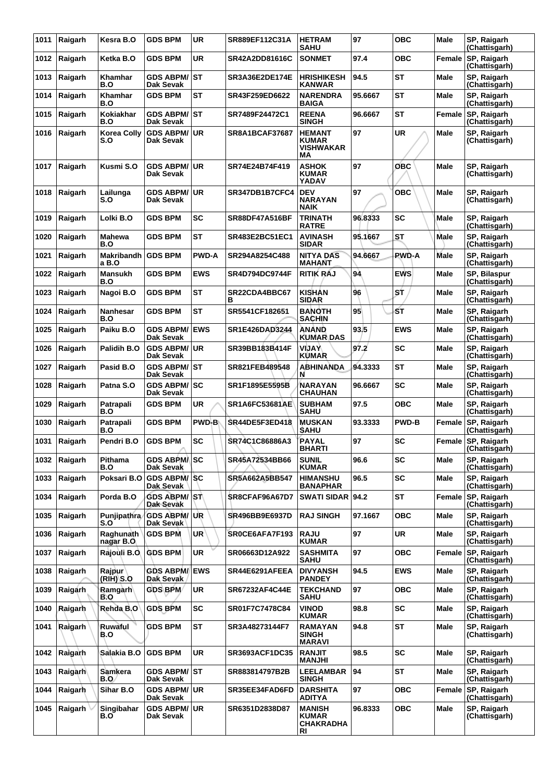| 1011 | Raigarh | Kesra B.O                   | <b>GDS BPM</b>                     | <b>UR</b>    | SR889EF112C31A        | <b>HETRAM</b><br><b>SAHU</b>                            | 97      | <b>OBC</b>   | Male        | SP, Raigarh<br>(Chattisgarh)  |
|------|---------|-----------------------------|------------------------------------|--------------|-----------------------|---------------------------------------------------------|---------|--------------|-------------|-------------------------------|
| 1012 | Raigarh | Ketka B.O                   | <b>GDS BPM</b>                     | UR           | <b>SR42A2DD81616C</b> | <b>SONMET</b>                                           | 97.4    | <b>OBC</b>   | Female      | SP, Raigarh<br>(Chattisgarh)  |
| 1013 | Raigarh | Khamhar<br>B.O              | GDS ABPM/│ST<br>Dak Sevak          |              | SR3A36E2DE174E        | <b>HRISHIKESH</b><br>KANWAR                             | 94.5    | <b>ST</b>    | <b>Male</b> | SP, Raigarh<br>(Chattisgarh)  |
| 1014 | Raigarh | Khamhar<br>B.O              | <b>GDS BPM</b>                     | <b>ST</b>    | SR43F259ED6622        | <b>NARENDRA</b><br><b>BAIGA</b>                         | 95.6667 | <b>ST</b>    | Male        | SP, Raigarh<br>(Chattisgarh)  |
| 1015 | Raigarh | Kokiakhar<br>B.O            | GDS ABPM/ ∣ST<br>Dak Sevak         |              | SR7489F24472C1        | <b>REENA</b><br><b>SINGH</b>                            | 96.6667 | <b>ST</b>    | Female      | SP, Raigarh<br>(Chattisgarh)  |
| 1016 | Raigarh | <b>Korea Colly</b><br>S.O   | <b>GDS ABPM/ UR</b><br>Dak Sevak   |              | <b>SR8A1BCAF37687</b> | <b>HEMANT</b><br><b>KUMAR</b><br><b>VISHWAKAR</b><br>МA | 97      | <b>UR</b>    | <b>Male</b> | SP, Raigarh<br>(Chattisgarh)  |
| 1017 | Raigarh | Kusmi S.O                   | <b>GDS ABPM/</b><br>Dak Sevak      | UR           | SR74E24B74F419        | <b>ASHOK</b><br><b>KUMAR</b><br>YADAV                   | 97      | ОВС          | <b>Male</b> | SP, Raigarh<br>(Chattisgarh)  |
| 1018 | Raigarh | Lailunga<br>S.O             | GDS ABPM/∣UR<br>Dak Sevak          |              | SR347DB1B7CFC4        | <b>DEV</b><br><b>NARAYAN</b><br>NAIK                    | 97      | ОВС          | Male        | SP, Raigarh<br>(Chattisgarh)  |
| 1019 | Raigarh | Lolki B.O                   | <b>GDS BPM</b>                     | <b>SC</b>    | <b>SR88DF47A516BF</b> | <b>TRINATH</b><br><b>RATRE</b>                          | 96.8333 | <b>SC</b>    | Male        | SP, Raigarh<br>(Chattisgarh)  |
| 1020 | Raigarh | <b>Mahewa</b><br>B.O        | <b>GDS BPM</b>                     | <b>ST</b>    | <b>SR483E2BC51EC1</b> | <b>AVINASH</b><br><b>SIDAR</b>                          | 95.1667 | <b>ST</b>    | <b>Male</b> | SP, Raigarh<br>(Chattisgarh)  |
| 1021 | Raigarh | Makribandh GDS BPM<br>a B.O |                                    | <b>PWD-A</b> | SR294A8254C488        | <b>NITYA DAS</b><br>MAHANT                              | 94.6667 | PWD-A        | Male        | SP, Raigarh<br>(Chattisgarh)  |
| 1022 | Raigarh | <b>Mansukh</b><br>B.O       | <b>GDS BPM</b>                     | <b>EWS</b>   | <b>SR4D794DC9744F</b> | <b>RITIK RAJ</b>                                        | 94      | <b>EWS</b>   | Male        | SP, Bilaspur<br>(Chattisgarh) |
| 1023 | Raigarh | Nagoi B.O                   | <b>GDS BPM</b>                     | <b>ST</b>    | SR22CDA4BBC67<br>в    | KISHAN<br><b>SIDAR</b>                                  | 96      | SŤ           | Male        | SP, Raigarh<br>(Chattisgarh)  |
| 1024 | Raigarh | Nanhesar<br>B.O             | <b>GDS BPM</b>                     | <b>ST</b>    | SR5541CF182651        | <b>BANOTH</b><br><b>SACHIN</b>                          | 95      | ŚΤ           | <b>Male</b> | SP, Raigarh<br>(Chattisgarh)  |
| 1025 | Raigarh | Paiku B.O                   | <b>GDS ABPM/</b><br>Dak Sevak      | <b>EWS</b>   | SR1E426DAD3244        | ANAND<br><b>KUMAR DAS</b>                               | 93.5    | <b>EWS</b>   | Male        | SP, Raigarh<br>(Chattisgarh)  |
| 1026 | Raigarh | Palidih B.O                 | <b>GDS ABPM/ UR</b><br>Dak Sevak   |              | SR39BB183B414F        | VIJAY<br>KUMAR                                          | 97.2    | SC           | Male        | SP, Raigarh<br>(Chattisgarh)  |
| 1027 | Raigarh | Pasid B.O                   | <b>GDS ABPM/ST</b><br>Dak Sevak    |              | SR821FEB489548        | <b>ABHINANDA</b><br>N                                   | 94.3333 | <b>ST</b>    | Male        | SP, Raigarh<br>(Chattisgarh)  |
| 1028 | Raigarh | Patna S.O                   | <b>GDS ABPM/ SC</b><br>Dak Sevak   |              | SR1F1895E5595B        | NARAYAN<br><b>CHAUHAN</b>                               | 96.6667 | <b>SC</b>    | Male        | SP, Raigarh<br>(Chattisgarh)  |
| 1029 | Raigarh | <b>Patrapali</b><br>B.O     | <b>GDS BPM</b>                     | UR           | <b>SR1A6FC53681AE</b> | <b>SUBHAM</b><br><b>SAHU</b>                            | 97.5    | <b>OBC</b>   | Male        | SP, Raigarh<br>(Chattisgarh)  |
| 1030 | Raigarh | Patrapali<br>B.O            | <b>GDS BPM</b>                     | <b>PWD-B</b> | <b>SR44DE5F3ED418</b> | <b>MUSKAN</b><br><b>SAHU</b>                            | 93.3333 | <b>PWD-B</b> | Female      | SP, Raigarh<br>(Chattisgarh)  |
| 1031 | Raigarh | Pendri B.O                  | <b>GDS BPM</b>                     | <b>SC</b>    | SR74C1C86886A3        | <b>PAYAL</b><br><b>BHARTI</b>                           | 97      | <b>SC</b>    | Female      | SP, Raigarh<br>(Chattisgarh)  |
| 1032 | Raigarh | Pithama<br>B.O              | GDS ABRM/ISC<br>Dak Sevak          |              | SR45A72534BB66        | <b>SUNIL</b><br><b>KUMAR</b>                            | 96.6    | SC           | Male        | SP, Raigarh<br>(Chattisgarh)  |
| 1033 | Raigarh | Poksari B.O                 | <b>GDS ABPM/SC</b><br>Dak Sevak    |              | SR5A662A5BB547        | <b>HIMANSHU</b><br>BANAPHAR                             | 96.5    | <b>SC</b>    | Male        | SP, Raigarh<br>(Chattisgarh)  |
| 1034 | Raigarh | Porda B.O                   | <b>GDS ABPM/ST</b><br>Dak Sevak    |              | SR8CFAF96A67D7        | SWATI SIDAR 94.2                                        |         | <b>ST</b>    | Female      | SP, Raigarh<br>(Chattisgarh)  |
| 1035 | Raigarh | Punjipathra<br>S.O          | <b>GDS ABPM/ UR</b><br>Dak Sevak ' |              | <b>SR496BB9E6937D</b> | <b>RAJ SINGH</b>                                        | 97.1667 | <b>OBC</b>   | <b>Male</b> | SP, Raigarh<br>(Chattisgarh)  |
| 1036 | Raigarh | Raghunath<br>nagar B.O      | <b>GDS BPM</b>                     | <b>UR</b>    | SROCE6AFA7F193        | <b>RAJU</b><br><b>KUMAR</b>                             | 97      | UR           | Male        | SP, Raigarh<br>(Chattisgarh)  |
| 1037 | Raigarh | Rajouli B.O.                | <b>GDS BPM</b>                     | <b>UR</b>    | SR06663D12A922        | <b>SASHMITA</b><br>SAHU                                 | 97      | <b>OBC</b>   | Female      | SP, Raigarh<br>(Chattisgarh)  |
| 1038 | Raigarh | Rajpur<br>(RIH) S.O         | <b>GDS ABPM/ EWS</b><br>Dak Sevak  |              | SR44E6291AFEEA        | <b>DIVYANSH</b><br><b>PANDEY</b>                        | 94.5    | <b>EWS</b>   | Male        | SP, Raigarh<br>(Chattisgarh)  |
| 1039 | Raigarh | <b>Ramgarh</b><br>B.O       | <b>GDS BPM</b>                     | <b>UR</b>    | SR67232AF4C44E        | <b>TEKCHAND</b><br><b>SAHU</b>                          | 97      | <b>OBC</b>   | Male        | SP, Raigarh<br>(Chattisgarh)  |
| 1040 | Raigarh | Rehda B.O                   | <b>GDS BPM</b>                     | <b>SC</b>    | SR01F7C7478C84        | <b>VINOD</b><br><b>KUMAR</b>                            | 98.8    | <b>SC</b>    | Male        | SP, Raigarh<br>(Chattisgarh)  |
| 1041 | Raigarh | Ruwaful<br>B.O              | <b>GDS BPM</b>                     | <b>ST</b>    | SR3A48273144F7        | <b>RAMAYAN</b><br><b>SINGH</b><br><b>MARAVI</b>         | 94.8    | ST           | Male        | SP, Raigarh<br>(Chattisgarh)  |
| 1042 | Raigarh | Salakia B.O                 | <b>GDS BPM</b>                     | <b>UR</b>    | <b>SR3693ACF1DC35</b> | <b>RANJIT</b><br><b>MANJHI</b>                          | 98.5    | <b>SC</b>    | <b>Male</b> | SP, Raigarh<br>(Chattisgarh)  |
| 1043 | Raigarh | Samkera<br>B.O              | GDS ABPM/ST<br>Dak Sevak           |              | SR883814797B2B        | <b>LEELAMBAR</b><br><b>SINGH</b>                        | 94      | <b>ST</b>    | Male        | SP, Raigarh<br>(Chattisgarh)  |
| 1044 | Raigarh | Sihar B.O                   | <b>GDS ABPM/ UR</b><br>Dak Sevak   |              | SR35EE34FAD6FD        | <b>DARSHITA</b><br><b>ADITYA</b>                        | 97      | <b>OBC</b>   | Female      | SP, Raigarh<br>(Chattisgarh)  |
| 1045 | Raigarh | Singibahar<br>B.O           | <b>GDS ABPM/ UR</b><br>Dak Sevak   |              | SR6351D2838D87        | <b>MANISH</b><br><b>KUMAR</b><br><b>CHAKRADHA</b><br>RI | 96.8333 | <b>OBC</b>   | Male        | SP, Raigarh<br>(Chattisgarh)  |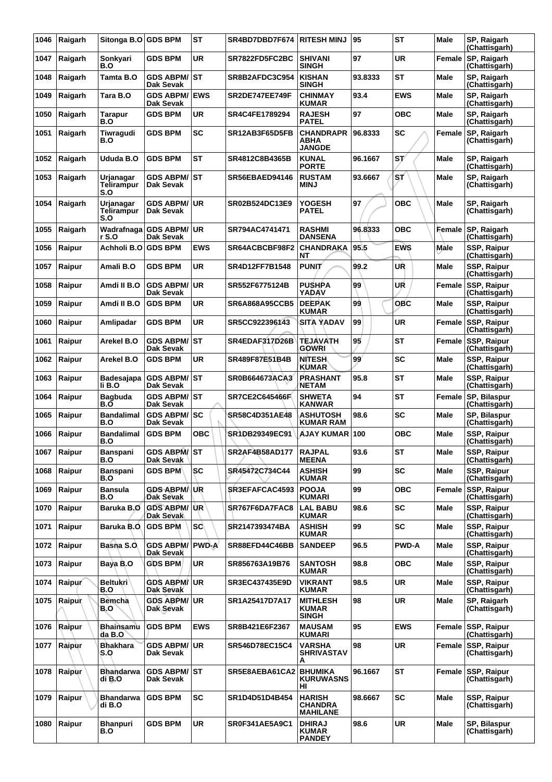| 1046 | Raigarh | Sitonga B.O GDS BPM                   |                                     | <b>ST</b>  | SR4BD7DBD7F674        | <b>RITESH MINJ</b>                                 | 95      | <b>ST</b>    | Male        | SP, Raigarh<br>(Chattisgarh)        |
|------|---------|---------------------------------------|-------------------------------------|------------|-----------------------|----------------------------------------------------|---------|--------------|-------------|-------------------------------------|
| 1047 | Raigarh | Sonkyari<br>B.O                       | <b>GDS BPM</b>                      | UR         | SR7822FD5FC2BC        | <b>SHIVANI</b><br><b>SINGH</b>                     | 97      | <b>UR</b>    | Female      | SP, Raigarh<br>(Chattisgarh)        |
| 1048 | Raigarh | Tamta B.O                             | <b>GDS ABPM/ ST</b><br>Dak Sevak    |            | SR8B2AFDC3C954        | <b>KISHAN</b><br><b>SINGH</b>                      | 93.8333 | ST           | <b>Male</b> | SP, Raigarh<br>(Chattisgarh)        |
| 1049 | Raigarh | Tara B.O                              | <b>GDS ABPM/</b><br>Dak Sevak       | <b>EWS</b> | <b>SR2DE747EE749F</b> | <b>CHINMAY</b><br><b>KUMAR</b>                     | 93.4    | <b>EWS</b>   | Male        | SP, Raigarh<br>(Chattisgarh)        |
| 1050 | Raigarh | Tarapur<br>B.O                        | <b>GDS BPM</b>                      | <b>UR</b>  | SR4C4FE1789294        | <b>RAJESH</b><br><b>PATEL</b>                      | 97      | <b>OBC</b>   | Male        | SP, Raigarh<br>(Chattisgarh)        |
| 1051 | Raigarh | Tiwragudi<br>B.O                      | <b>GDS BPM</b>                      | <b>SC</b>  | SR12AB3F65D5FB        | <b>CHANDRAPR</b><br>ABHA<br><b>JANGDE</b>          | 96.8333 | SC           | Female      | SP, Raigarh<br>(Chattisgarh)        |
| 1052 | Raigarh | Ududa B.O                             | <b>GDS BPM</b>                      | <b>ST</b>  | SR4812C8B4365B        | <b>KUNAL</b><br><b>PORTE</b>                       | 96.1667 | ST/          | Male        | SP, Raigarh<br>(Chattisgarh)        |
| 1053 | Raigarh | Urjanagar<br><b>Telirampur</b><br>S.O | GDS ABPM/│ST<br>Dak Sevak           |            | SR56EBAED94146        | <b>RUSTAM</b><br><b>MINJ</b>                       | 93.6667 | ST           | Male        | SP, Raigarh<br>(Chattisgarh)        |
| 1054 | Raigarh | Urjanagar<br><b>Telirampur</b><br>S.O | <b>GDS ABPM/</b><br>Dak Sevak       | UR         | SR02B524DC13E9        | <b>YOGESH</b><br><b>PATEL</b>                      | 97      | <b>OBC</b>   | Male        | SP, Raigarh<br>(Chattisgarh)        |
| 1055 | Raigarh | r S.O                                 | Wadrafnaga GDS ABPM/<br>Dak Sevak   | UR         | SR794AC4741471        | <b>RASHMI</b><br><b>DANSENA</b>                    | 96.8333 | <b>OBC</b>   | Female      | SP, Raigarh<br>(Chattisgarh)        |
| 1056 | Raipur  | Achholi B.O                           | <b>GDS BPM</b>                      | <b>EWS</b> | SR64ACBCBF98F2        | <b>CHANDRAKA</b><br>NΤ                             | 95.5    | <b>EWS</b>   | Male        | SSP, Raipur<br>(Chattisgarh)        |
| 1057 | Raipur  | Amali B.O                             | <b>GDS BPM</b>                      | <b>UR</b>  | SR4D12FF7B1548        | <b>PUNIT</b>                                       | 99.2    | UŘ           | <b>Male</b> | SSP, Raipur<br>(Chattisgarh)        |
| 1058 | Raipur  | Amdi II B.O                           | <b>GDS ABPM/</b><br>Dak Sevak       | <b>UR</b>  | SR552F6775124B        | <b>PUSHPA</b><br><b>YADAV</b>                      | 99      | UR           | Female      | SSP, Raipur<br>(Chattisgarh)        |
| 1059 | Raipur  | Amdi II B.O                           | <b>GDS BPM</b>                      | UR         | <b>SR6A868A95CCB5</b> | <b>DEEPAK</b><br><b>KUMAR</b>                      | 99      | <b>OBC</b>   | Male        | SSP, Raipur<br>(Chattisgarh)        |
| 1060 | Raipur  | Amlipadar                             | <b>GDS BPM</b>                      | <b>UR</b>  | SR5CC922396143        | <b>SITA YADAV</b>                                  | 99      | <b>UR</b>    | Female      | <b>SSP, Raipur</b><br>(Chattisgarh) |
| 1061 | Raipur  | Arekel B.O                            | <b>GDS ABPM/ST</b><br>Dak Sevak     |            | SR4EDAF317D26B        | <b>TEJAVATH</b><br><b>GOWRI</b>                    | 95      | <b>ST</b>    | Female      | SSP, Raipur<br>(Chattisgarh)        |
| 1062 | Raipur  | Arekel B.O                            | <b>GDS BPM</b>                      | UR         | SR489F87E51B4B        | <b>NITESH</b><br><b>KUMAR</b>                      | 99      | <b>SC</b>    | Male        | SSP, Raipur<br>(Chattisgarh)        |
| 1063 | Raipur  | Badesajapa<br>li B.O                  | <b>GDS ABPM/ST</b><br>Dak Sevak     |            | <b>SR0B664673ACA3</b> | <b>PRASHANT</b><br>NETAM                           | 95.8    | ST           | <b>Male</b> | SSP, Raipur<br>(Chattisgarh)        |
| 1064 | Raipur  | <b>Bagbuda</b><br>B.O                 | <b>GDS ABPM/ST</b><br>Dak Sevak     |            | <b>SR7CE2C645466F</b> | <b>SHWETA</b><br><b>KANWAR</b>                     | 94      | <b>ST</b>    | Female      | SP, Bilaspur<br>(Chattisgarh)       |
| 1065 | Raipur  | <b>Bandalimal</b><br>B.O              | GDS ABPM/SC<br>Dak Sevak            |            | SR58C4D351AE48        | <b>ASHUTOSH</b><br><b>KUMAR RAM</b>                | 98.6    | <b>SC</b>    | Male        | SP, Bilaspur<br>(Chattisgarh)       |
| 1066 | Raipur  | <b>Bandalimal</b><br>B.O              | <b>GDS BPM</b>                      | <b>OBC</b> | SR1DB29349EC91        | <b>AJAY KUMAR</b>                                  | 100     | <b>OBC</b>   | Male        | SSP, Raipur<br>(Chattisgarh)        |
| 1067 | Raipur  | Banspani<br>B.O                       | GDS ABPM/ST<br>Dak Sevak            |            | SR2AF4B58AD177        | <b>RAJPAL</b><br><b>MEENA</b>                      | 93.6    | <b>ST</b>    | Male        | SSP, Raipur<br>(Chattisgarh)        |
| 1068 | Raipur  | <b>Banspani</b><br>B.O                | <b>GDS BPM</b>                      | <b>SC</b>  | SR45472C734C44        | <b>ASHISH</b><br><b>KUMAR</b>                      | 99      | <b>SC</b>    | Male        | <b>SSP, Raipur</b><br>(Chattisgarh) |
| 1069 | Raipur  | <b>Bansula</b><br>B.O                 | <b>GDS ABPM</b> /UR<br>Dak Sevak    |            | SR3EFAFCAC4593        | <b>POOJA</b><br><b>KUMARI</b>                      | 99      | <b>OBC</b>   | Female      | SSP, Raipur<br>(Chattisgarh)        |
| 1070 | Raipur  | Baruka B.O                            | <b>GDS ABPM/UR</b><br>Dak Sevak     |            | SR767F6DA7FAC8        | <b>LAL BABU</b><br><b>KUMAR</b>                    | 98.6    | <b>SC</b>    | Male        | SSP, Raipur<br>(Chattisgarh)        |
| 1071 | Raipur  | Baruka B.O                            | <b>GDS BPM</b>                      | <b>SC</b>  | SR2147393474BA        | <b>ASHISH</b><br><b>KUMAR</b>                      | 99      | <b>SC</b>    | Male        | SSP, Raipur<br>(Chattisgarh)        |
| 1072 | Raipur  | Basna S.O.                            | <b>GDS ABPM/ PWD-A</b><br>Dak Sevak |            | SR88EFD44C46BB        | <b>SANDEEP</b>                                     | 96.5    | <b>PWD-A</b> | Male        | SSP, Raipur<br>(Chattisgarh)        |
| 1073 | Raipur  | Baya B.O                              | <b>GDS BPM</b>                      | <b>UR</b>  | SR856763A19B76        | <b>SANTOSH</b><br><b>KUMAR</b>                     | 98.8    | <b>OBC</b>   | Male        | SSP, Raipur<br>(Chattisgarh)        |
| 1074 | Raipur  | <b>Beltukri</b><br>B.O                | <b>GDS ABPM/ UR</b><br>Dak Sevak    |            | SR3EC437435E9D        | <b>VIKRANT</b><br><b>KUMAR</b>                     | 98.5    | UR           | Male        | SSP, Raipur<br>(Chattisgarh)        |
| 1075 | Raipur  | <b>Bemcha</b><br>B.O                  | <b>GDS ABPM/UR</b><br>Dak Sevak     |            | SR1A25417D7A17        | <b>MITHLESH</b><br><b>KUMAR</b><br><b>SINGH</b>    | 98      | <b>UR</b>    | Male        | SP, Raigarh<br>(Chattisgarh)        |
| 1076 | Raipur  | Bhainsamu<br>da B.O                   | <b>GDS BPM</b>                      | <b>EWS</b> | SR8B421E6F2367        | <b>MAUSAM</b><br><b>KUMARI</b>                     | 95      | <b>EWS</b>   | Female      | <b>SSP, Raipur</b><br>(Chattisgarh) |
| 1077 | Ràipùr  | <b>Bhakhara</b><br>S.O                | <b>GDS ABPM/ UR</b><br>Dak Sevak    |            | SR546D78EC15C4        | <b>VARSHA</b><br><b>SHRIVASTAV</b><br>A            | 98      | <b>UR</b>    | Female      | <b>SSP, Raipur</b><br>(Chattisgarh) |
| 1078 | Raipur  | Bhandarwa<br>di B.O                   | GDS ABPM/⊺ST<br>Dak Sevak           |            | SR5E8AEBA61CA2        | <b>BHUMIKA</b><br><b>KURUWASNS</b><br>HI           | 96.1667 | ST           | Female      | <b>SSP, Raipur</b><br>(Chattisgarh) |
| 1079 | Raipur  | <b>Bhandarwa</b><br>di B.O            | <b>GDS BPM</b>                      | <b>SC</b>  | SR1D4D51D4B454        | <b>HARISH</b><br><b>CHANDRA</b><br><b>MAHILANE</b> | 98.6667 | <b>SC</b>    | Male        | SSP, Raipur<br>(Chattisgarh)        |
| 1080 | Raipur  | <b>Bhanpuri</b><br>B.O                | <b>GDS BPM</b>                      | <b>UR</b>  | SR0F341AE5A9C1        | <b>DHIRAJ</b><br><b>KUMAR</b><br><b>PANDEY</b>     | 98.6    | <b>UR</b>    | Male        | SP, Bilaspur<br>(Chattisgarh)       |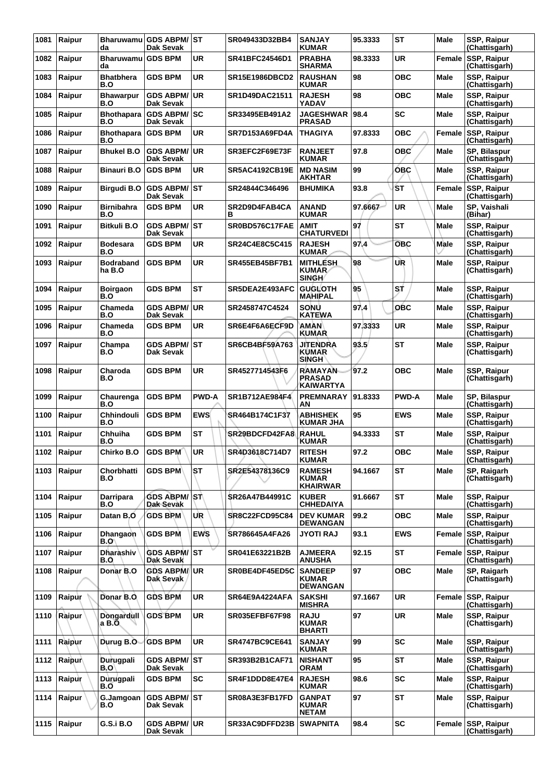| 1081 | Raipur | Bharuwamu<br>da            | <b>GDS ABPM/ST</b><br><b>Dak Sevak</b> |              | SR049433D32BB4        | <b>SANJAY</b><br><b>KUMAR</b>                       | 95.3333 | <b>ST</b>    | Male        | SSP, Raipur<br>(Chattisgarh)        |
|------|--------|----------------------------|----------------------------------------|--------------|-----------------------|-----------------------------------------------------|---------|--------------|-------------|-------------------------------------|
| 1082 | Raipur | <b>Bharuwamu</b><br>da     | <b>GDS BPM</b>                         | UR           | SR41BFC24546D1        | <b>PRABHA</b><br><b>SHARMA</b>                      | 98.3333 | UR           | Female      | <b>SSP, Raipur</b><br>(Chattisgarh) |
| 1083 | Raipur | <b>Bhatbhera</b><br>B.O    | <b>GDS BPM</b>                         | <b>UR</b>    | <b>SR15E1986DBCD2</b> | <b>RAUSHAN</b><br><b>KUMAR</b>                      | 98      | <b>OBC</b>   | <b>Male</b> | SSP, Raipur<br>(Chattisgarh)        |
| 1084 | Raipur | <b>Bhawarpur</b><br>B.O    | GDS ABPM/UR<br>Dak Sevak               |              | SR1D49DAC21511        | <b>RAJESH</b><br><b>YADAV</b>                       | 98      | <b>OBC</b>   | Male        | SSP, Raipur<br>(Chattisgarh)        |
| 1085 | Raipur | <b>Bhothapara</b><br>B.O   | <b>GDS ABPM/ SC</b><br>Dak Sevak       |              | SR33495EB491A2        | <b>JAGESHWAR</b><br><b>PRASAD</b>                   | 98.4    | <b>SC</b>    | Male        | SSP, Raipur<br>(Chattisgarh)        |
| 1086 | Raipur | <b>Bhothapara</b><br>B.O   | <b>GDS BPM</b>                         | <b>UR</b>    | SR7D153A69FD4A        | <b>THAGIYA</b>                                      | 97.8333 | <b>OBC</b>   | Female      | <b>SSP, Raipur</b><br>(Chattisgarh) |
| 1087 | Raipur | Bhukel B.O                 | <b>GDS ABPM/</b><br>Dak Sevak          | ∣UR          | SR3EFC2F69E73F        | <b>RANJEET</b><br><b>KUMAR</b>                      | 97.8    | <b>OBC</b>   | Male        | SP, Bilaspur<br>(Chattisgarh)       |
| 1088 | Raipur | Binauri B.O                | <b>GDS BPM</b>                         | UR           | <b>SR5AC4192CB19E</b> | <b>MD NASIM</b><br><b>AKHTAR</b>                    | 99      | <b>OBC</b>   | Male        | SSP, Raipur<br>(Chattisgarh)        |
| 1089 | Raipur | Birgudi B.O                | <b>GDS ABPM/</b><br>Dak Sevak          | lst          | SR24844C346496        | <b>BHUMIKA</b>                                      | 93.8    | ŚТ           | Female      | SSP, Raipur<br>(Chattisgarh)        |
| 1090 | Raipur | Birnibahra<br>B.O          | <b>GDS BPM</b>                         | <b>UR</b>    | SR2D9D4FAB4CA<br>в    | <b>ANAND</b><br><b>KUMAR</b>                        | 97.6667 | <b>UR</b>    | Male        | SP, Vaishali<br>(Bihar)             |
| 1091 | Raipur | Bitkuli B.O                | <b>GDS ABPM/ ST</b><br>Dak Sevak       |              | SR0BD576C17FAE        | <b>AMIT</b><br><b>CHATURVEDI</b>                    | 97      | ST           | Male        | SSP, Raipur<br>(Chattisgarh)        |
| 1092 | Raipur | <b>Bodesara</b><br>B.O     | <b>GDS BPM</b>                         | UR           | SR24C4E8C5C415        | <b>RAJESH</b><br><b>KUMAR</b>                       | 97,4    | <b>OBC</b>   | Male        | SSP, Raipur<br>(Chattisgarh)        |
| 1093 | Raipur | <b>Bodraband</b><br>ha B.O | <b>GDS BPM</b>                         | <b>UR</b>    | <b>SR455EB45BF7B1</b> | <b>MITHLESH</b><br><b>KUMAR</b><br><b>SINGH</b>     | 98      | UR           | <b>Male</b> | <b>SSP, Raipur</b><br>(Chattisgarh) |
| 1094 | Raipur | <b>Boirgaon</b><br>B.O     | <b>GDS BPM</b>                         | <b>ST</b>    | SR5DEA2E493AFC        | <b>GUGLOTH</b><br>MAHIPAL                           | 95      | SŤ           | <b>Male</b> | SSP, Raipur<br>(Chattisgarh)        |
| 1095 | Raipur | Chameda<br>B.O             | <b>GDS ABPM/</b><br>Dak Sevak          | ∣UR          | SR2458747C4524        | <b>SONU</b><br><b>KATEWA</b>                        | 97.4    | OBC          | <b>Male</b> | SSP, Raipur<br>(Chattisgarh)        |
| 1096 | Raipur | Chameda<br><b>B.O</b>      | <b>GDS BPM</b>                         | UR           | SR6E4F6A6ECF9D        | <b>AMAN</b><br><b>KUMAR</b>                         | 97.3333 | UR           | Male        | SSP, Raipur<br>(Chattisgarh)        |
| 1097 | Raipur | Champa<br>B.O              | <b>GDS ABPM/</b><br>Dak Sevak          | lst          | SR6CB4BF59A763        | <b>JITENDRA</b><br><b>KUMAR</b><br><b>SINGH</b>     | 93.5    | <b>ST</b>    | <b>Male</b> | SSP, Raipur<br>(Chattisgarh)        |
| 1098 | Raipur | Charoda<br>B.O             | <b>GDS BPM</b>                         | UR           | SR4527714543F6        | <b>RAMAYAN</b><br><b>PRASAD</b><br><b>KAIWARTYA</b> | 97.2    | <b>OBC</b>   | Male        | SSP, Raipur<br>(Chattisgarh)        |
| 1099 | Raipur | Chaurenga<br>B.O           | <b>GDS BPM</b>                         | <b>PWD-A</b> | SR1B712AE984F4        | <b>PREMNARAY</b><br>AN                              | 91.8333 | <b>PWD-A</b> | <b>Male</b> | SP, Bilaspur<br>(Chattisgarh)       |
| 1100 | Raipur | Chhindouli<br>B.O          | <b>GDS BPM</b>                         | <b>EWS</b>   | SR464B174C1F37        | <b>ABHISHEK</b><br><b>KUMAR JHA</b>                 | 95      | <b>EWS</b>   | Male        | SSP, Raipur<br>(Chattisgarh)        |
| 1101 | Raipur | Chhuiha<br>B.O             | <b>GDS BPM</b>                         | <b>ST</b>    | SR29BDCFD42FA8        | <b>RAHUL</b><br><b>KUMAR</b>                        | 94.3333 | <b>ST</b>    | Male        | SSP, Raipur<br>(Chattisgarh)        |
| 1102 | Raipur | Chirko B.O                 | GDS BPM                                | ∣UR          | SR4D3618C714D7        | <b>RITESH</b><br><b>KUMAR</b>                       | 97.2    | <b>OBC</b>   | <b>Male</b> | SSP, Raipur<br>(Chattisgarh)        |
| 1103 | Raipur | Chorbhatti<br>B.O          | <b>GDS BPM</b>                         | ST           | SR2E54378136C9        | <b>RAMESH</b><br><b>KUMAR</b><br><b>KHAIRWAR</b>    | 94.1667 | <b>ST</b>    | Male        | SP, Raigarh<br>(Chattisgarh)        |
| 1104 | Raipur | Darripara<br>B.O           | GDS ABPM/ST<br>Dak Sevak               |              | SR26A47B44991C        | <b>KUBER</b><br><b>CHHEDAIYA</b>                    | 91.6667 | <b>ST</b>    | Male        | <b>SSP. Raipur</b><br>(Chattisgarh) |
| 1105 | Raipur | Datan B.O                  | <b>GDS BPM</b>                         | UR           | <b>SR8C22FCD95C84</b> | <b>DEV KUMAR</b><br><b>DEWANGAN</b>                 | 99.2    | <b>OBC</b>   | Male        | SSP, Raipur<br>(Chattisgarh)        |
| 1106 | Raipur | Dhangaon<br>B.O\           | <b>GDS BPM</b>                         | <b>EWS</b>   | SR786645A4FA26        | <b>JYOTI RAJ</b>                                    | 93.1    | <b>EWS</b>   | Female      | SSP, Raipur<br>(Chattisgarh)        |
| 1107 | Raipur | <b>Dharashiv</b><br>B.O    | <b>GDS ABPM/ST</b><br>Dak Sevak        |              | SR041E63221B2B        | <b>AJMEERA</b><br><b>ANUSHA</b>                     | 92.15   | <b>ST</b>    |             | Female SSP, Raipur<br>(Chattisgarh) |
| 1108 | Raipur | Donar B.O                  | <b>GDS ABPM/IUR</b><br>Dak Sevak       |              | SR0BE4DF45ED5C        | <b>SANDEEP</b><br><b>KUMAR</b><br><b>DEWANGAN</b>   | 97      | <b>OBC</b>   | <b>Male</b> | SP, Raigarh<br>(Chattisgarh)        |
| 1109 | Raipur | Donar B.O.                 | <b>GDS BPM</b>                         | <b>UR</b>    | SR64E9A4224AFA        | <b>SAKSHI</b><br><b>MISHRA</b>                      | 97.1667 | <b>UR</b>    |             | Female SSP, Raipur<br>(Chattisgarh) |
| 1110 | Raipur | Dongardull<br>a B.O.       | <b>GDS BPM</b>                         | <b>UR</b>    | SR035EFBF67F98        | <b>RAJU</b><br><b>KUMAR</b><br><b>BHARTI</b>        | 97      | <b>UR</b>    | <b>Male</b> | <b>SSP, Raipur</b><br>(Chattisgarh) |
| 1111 | Raipur | Durug B.O                  | <b>GDS BPM</b>                         | <b>UR</b>    | <b>SR4747BC9CE641</b> | <b>SANJAY</b><br><b>KUMAR</b>                       | 99      | <b>SC</b>    | Male        | SSP, Raipur<br>(Chattisgarh)        |
| 1112 | Raipur | Durugpali<br>B.O'          | GDS ABPM/ST<br>Dak Sevak               |              | SR393B2B1CAF71        | <b>NISHANT</b><br>ORAM                              | 95      | <b>ST</b>    | Male        | <b>SSP, Raipur</b><br>(Chattisgarh) |
| 1113 | Raipur | Durugpali<br>B.O           | <b>GDS BPM</b>                         | <b>SC</b>    | SR4F1DDD8E47E4        | <b>RAJESH</b><br><b>KUMAR</b>                       | 98.6    | <b>SC</b>    | Male        | SSP, Raipur<br>(Chattisgarh)        |
| 1114 | Raipur | G.Jamgoan<br>B.O           | GDS ABPM/ST<br>Dak Sevak               |              | SR08A3E3FB17FD        | <b>GANPAT</b><br><b>KUMAR</b><br><b>NETAM</b>       | 97      | <b>ST</b>    | Male        | SSP, Raipur<br>(Chattisgarh)        |
| 1115 | Raipur | <b>G.S.i B.O</b>           | <b>GDS ABPM/ UR</b><br>Dak Sevak       |              | SR33AC9DFFD23B        | <b>SWAPNITA</b>                                     | 98.4    | <b>SC</b>    | Female      | SSP, Raipur<br>(Chattisgarh)        |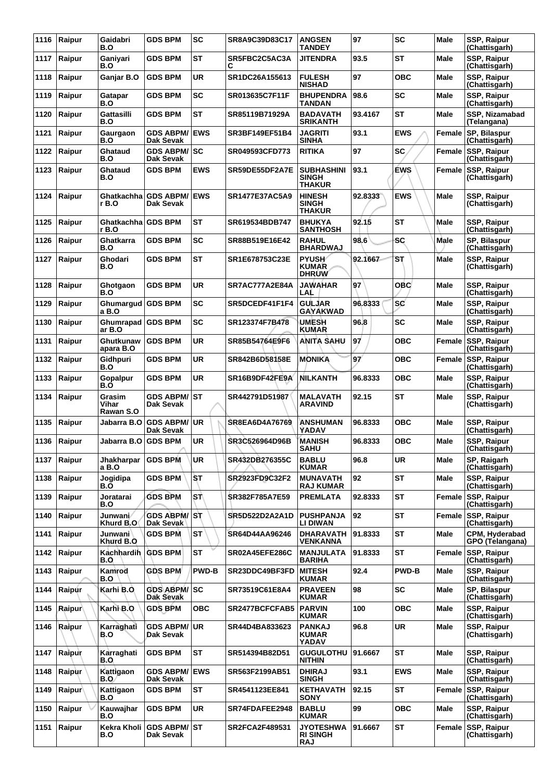| 1116 | Raipur | Gaidabri<br>B.O              | <b>GDS BPM</b>                    | <b>SC</b>    | SR8A9C39D83C17        | <b>ANGSEN</b><br><b>TANDEY</b>                     | 97      | <b>SC</b>      | Male          | SSP, Raipur<br>(Chattisgarh)        |
|------|--------|------------------------------|-----------------------------------|--------------|-----------------------|----------------------------------------------------|---------|----------------|---------------|-------------------------------------|
| 1117 | Raipur | Ganiyari<br>B.O              | <b>GDS BPM</b>                    | <b>ST</b>    | SR5FBC2C5AC3A<br>С    | <b>JITENDRA</b>                                    | 93.5    | <b>ST</b>      | Male          | SSP, Raipur<br>(Chattisgarh)        |
| 1118 | Raipur | Ganjar B.O                   | <b>GDS BPM</b>                    | <b>UR</b>    | SR1DC26A155613        | <b>FULESH</b><br><b>NISHAD</b>                     | 97      | <b>OBC</b>     | <b>Male</b>   | SSP, Raipur<br>(Chattisgarh)        |
| 1119 | Raipur | Gatapar<br>B.O               | <b>GDS BPM</b>                    | <b>SC</b>    | SR013635C7F11F        | <b>BHUPENDRA</b><br><b>TANDAN</b>                  | 98.6    | <b>SC</b>      | <b>Male</b>   | <b>SSP, Raipur</b><br>(Chattisgarh) |
| 1120 | Raipur | Gattasilli<br>B.O            | <b>GDS BPM</b>                    | ST           | SR85119B71929A        | <b>BADAVATH</b><br><b>SRIKANTH</b>                 | 93.4167 | ST             | Male          | SSP, Nizamabad<br>(Telangana)       |
| 1121 | Raipur | Gaurgaon<br>B.O              | <b>GDS ABPM/</b><br>Dak Sevak     | <b>EWS</b>   | SR3BF149EF51B4        | <b>JAGRITI</b><br><b>SINHA</b>                     | 93.1    | <b>EWS</b>     | Female        | SP, Bilaspur<br>(Chattisgarh)       |
| 1122 | Raipur | Ghataud<br>B.O               | <b>GDS ABPM/ SC</b><br>Dak Sevak  |              | SR049593CFD773        | <b>RITIKA</b>                                      | 97      | <b>SC</b>      | <b>Female</b> | SSP, Raipur<br>(Chattisgarh)        |
| 1123 | Raipur | Ghataud<br>B.O               | <b>GDS BPM</b>                    | <b>EWS</b>   | SR59DE55DF2A7E        | <b>SUBHASHINI</b><br><b>SINGH</b><br><b>THAKUR</b> | 93.1    | <b>EWS</b>     | Female        | SSP, Raipur<br>(Chattisgarh)        |
| 1124 | Raipur | Ghatkachha l<br>r B.O        | <b>GDS ABPM/</b><br>Dak Sevak     | <b>EWS</b>   | <b>SR1477E37AC5A9</b> | <b>HINESH</b><br><b>SINGH</b><br><b>THAKUR</b>     | 92.8333 | <b>EWS</b>     | <b>Male</b>   | SSP, Raipur<br>(Chattisgarh)        |
| 1125 | Raipur | Ghatkachha GDS BPM<br>r B.O  |                                   | ST           | SR619534BDB747        | <b>BHUKYA</b><br><b>SANTHOSH</b>                   | 92.15   | <b>ST</b>      | Male          | SSP, Raipur<br>(Chattisgarh)        |
| 1126 | Raipur | Ghatkarra<br>B.O             | <b>GDS BPM</b>                    | <b>SC</b>    | SR88B519E16E42        | <b>RAHUL</b><br><b>BHARDWAJ</b>                    | 98.6    | <b>SC</b>      | Male          | SP, Bilaspur<br>(Chattisgarh)       |
| 1127 | Raipur | Ghodari<br>B.O               | <b>GDS BPM</b>                    | ST           | SR1E678753C23E        | <b>PYUSH</b><br><b>KUMAR</b><br><b>DHRUW</b>       | 92.1667 | S <sub>T</sub> | Male          | SSP, Raipur<br>(Chattisgarh)        |
| 1128 | Raipur | Ghotgaon<br>B.O              | <b>GDS BPM</b>                    | <b>UR</b>    | SR7AC777A2E84A        | <b>JAWAHAR</b><br>LAL                              | 97      | <b>OBC</b>     | <b>Male</b>   | SSP, Raipur<br>(Chattisgarh)        |
| 1129 | Raipur | Ghumargud<br>a B.O           | <b>GDS BPM</b>                    | SC           | SR5DCEDF41F1F4        | <b>GULJAR</b><br>GAYAKWAD                          | 96.8333 | <b>SC</b>      | Male          | <b>SSP, Raipur</b><br>(Chattisgarh) |
| 1130 | Raipur | Ghumrapad GDS BPM<br>ar B.O  |                                   | <b>SC</b>    | SR123374F7B478        | <b>UMESH</b><br><b>KUMAR</b>                       | 96.8    | <b>SC</b>      | Male          | SSP, Raipur<br>(Chattisgarh)        |
| 1131 | Raipur | Ghutkunaw<br>apara B.O       | <b>GDS BPM</b>                    | <b>UR</b>    | SR85B54764E9F6        | <b>ANITA SAHU</b>                                  | 97      | <b>OBC</b>     | Female        | <b>SSP, Raipur</b><br>(Chattisgarh) |
| 1132 | Raipur | Gidhpuri<br>B.O              | <b>GDS BPM</b>                    | <b>UR</b>    | SR842B6D58158E        | <b>MONIKA</b>                                      | 97      | <b>OBC</b>     | Female        | <b>SSP, Raipur</b><br>(Chattisgarh) |
| 1133 | Raipur | Gopalpur<br>B.Ő              | <b>GDS BPM</b>                    | UR           | SR16B9DF42FE9A        | <b>NILKANTH</b>                                    | 96.8333 | <b>OBC</b>     | Male          | SSP, Raipur<br>(Chattisgarh)        |
| 1134 | Raipur | Grasim<br>Vihar<br>Rawan S.O | <b>GDS ABPM/ ST</b><br>Dak Sevak  |              | SR442791D51987        | <b>MALAVATH</b><br><b>ARAVIND</b>                  | 92.15   | <b>ST</b>      | <b>Male</b>   | SSP, Raipur<br>(Chattisgarh)        |
| 1135 | Raipur | Jabarra B.O                  | <b>GDS ABPM/</b><br>Dak Sevak     | UR           | <b>SR8EA6D4A76769</b> | ANSHUMAN<br>YADAV                                  | 96.8333 | <b>OBC</b>     | Male          | SSP, Raipur<br>(Chattisgarh)        |
| 1136 | Raipur | Jabarra B.O                  | <b>GDS BPM</b>                    | <b>UR</b>    | SR3C526964D96B        | <b>MANISH</b><br><b>SAHU</b>                       | 96.8333 | <b>OBC</b>     | Male          | SSP, Raipur<br>(Chattisgarh)        |
| 1137 | Raipur | <b>Jhakharpar</b><br>a B.O   | <b>GDS BPM</b>                    | <b>UR</b>    | SR432DB276355C        | <b>BABLU</b><br><b>KUMAR</b>                       | 96.8    | <b>UR</b>      | Male          | SP, Raigarh<br>(Chattisgarh)        |
| 1138 | Raipur | Jogidipa<br>B.Ō              | <b>GDS BPM</b>                    | ÌSТ          | SR2923FD9C32F2        | <b>MUNAVATH</b><br><b>RAJ KUMAR</b>                | 92      | <b>ST</b>      | Male          | SSP, Raipur<br>(Chattisgarh)        |
| 1139 | Raipur | Joratarai<br>B.O             | <b>GDS BPM</b>                    | \SΤ∖         | <b>SR382F785A7E59</b> | <b>PREMLATA</b>                                    | 92.8333 | <b>ST</b>      | Female        | <b>SSP, Raipur</b><br>(Chattisgarh) |
| 1140 | Raipur | Junwani/<br>Khurd B.O        | <b>GDS ABPM/ST</b><br>Dak Sevak   |              | SR5D522D2A2A1D        | <b>PUSHPANJA</b><br>LI DIWAN                       | 92      | <b>ST</b>      | Female        | <b>SSP, Raipur</b><br>(Chattisgarh) |
| 1141 | Raipur | <b>Junwani</b><br>Khurd B.O  | <b>GDS BPM</b>                    | <b>ST</b>    | SR64D44AA96246        | <b>DHARAVATH</b><br>VENKANNA                       | 91.8333 | <b>ST</b>      | Male          | CPM, Hyderabad<br>GPO (Telangana)   |
| 1142 | Raipur | Kachhardih<br>B.O            | <b>GDS BPM</b>                    | <b>ST</b>    | SR02A45EFE286C        | <b>MANJULATA</b><br><b>BARIHA</b>                  | 91.8333 | <b>ST</b>      | Female        | <b>SSP, Raipur</b><br>(Chattisgarh) |
| 1143 | Raipur | Kamrod<br>B.O                | <b>GDS BPM</b>                    | <b>PWD-B</b> | SR23DDC49BF3FD        | <b>MITESH</b><br><b>KUMAR</b>                      | 92.4    | <b>PWD-B</b>   | Male          | <b>SSP, Raipur</b><br>(Chattisgarh) |
| 1144 | Raipur | Karhi B.O.                   | GDS ABPM/SC<br>Dak Sevak          |              | SR73519C61E8A4        | <b>PRAVEEN</b><br><b>KUMAR</b>                     | 98      | <b>SC</b>      | Male          | SP, Bilaspur<br>(Chattisgarh)       |
| 1145 | Raipur | Karhi B.O                    | <b>GDS BPM</b>                    | <b>OBC</b>   | SR2477BCFCFAB5        | <b>PARVIN</b><br><b>KUMAR</b>                      | 100     | <b>OBC</b>     | <b>Male</b>   | SSP, Raipur<br>(Chattisgarh)        |
| 1146 | Raipur | Karraghati<br>B.O            | <b>GDS ABPM/ UR</b><br>Dak Sevak  |              | SR44D4BA833623        | <b>PANKAJ</b><br><b>KUMAR</b><br>YADAV             | 96.8    | <b>UR</b>      | Male          | <b>SSP, Raipur</b><br>(Chattisgarh) |
| 1147 | Raipur | Karraghati<br>B.O            | <b>GDS BPM</b>                    | <b>ST</b>    | SR514394B82D51        | <b>GUGULOTHU</b><br><b>NITHIN</b>                  | 91.6667 | <b>ST</b>      | <b>Male</b>   | SSP, Raipur<br>(Chattisgarh)        |
| 1148 | Raipur | Kattigaon<br>B.O.            | <b>GDS ABPM/ EWS</b><br>Dak Sevak |              | SR563F2199AB51        | <b>DHIRAJ</b><br>SINGH                             | 93.1    | <b>EWS</b>     | Male          | <b>SSP, Raipur</b><br>(Chattisgarh) |
| 1149 | Raipur | Kattigaon<br>B.O             | <b>GDS BPM</b>                    | <b>ST</b>    | SR4541123EE841        | <b>KETHAVATH</b><br><b>SONY</b>                    | 92.15   | <b>ST</b>      | Female        | <b>SSP, Raipur</b><br>(Chattisgarh) |
| 1150 | Raipur | Kauwajhar<br>B.O             | <b>GDS BPM</b>                    | <b>UR</b>    | SR74FDAFEE2948        | <b>BABLU</b><br><b>KUMAR</b>                       | 99      | <b>OBC</b>     | <b>Male</b>   | SSP, Raipur<br>(Chattisgarh)        |
| 1151 | Raipur | Kekra Kholi<br>B.O           | <b>GDS ABPM/ST</b><br>Dak Sevak   |              | SR2FCA2F489531        | <b>JYOTESHWA</b><br><b>RI SINGH</b><br><b>RAJ</b>  | 91.6667 | <b>ST</b>      | Female        | <b>SSP, Raipur</b><br>(Chattisgarh) |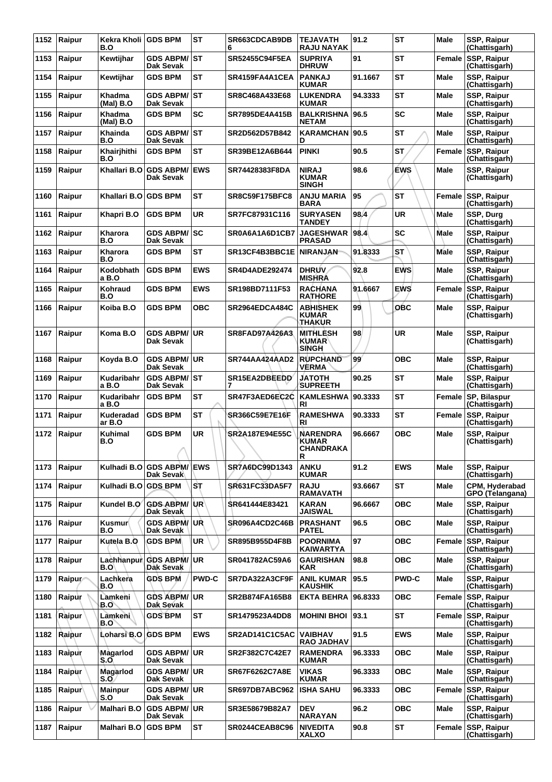| 1152 | Raipur        | Kekra Kholi GDS BPM<br>B.O |                                   | <b>ST</b>    | SR663CDCAB9DB<br>6    | <b>TEJAVATH</b><br><b>RAJU NAYAK</b>                                | 91.2    | <b>ST</b>    | Male        | SSP, Raipur<br>(Chattisgarh)         |
|------|---------------|----------------------------|-----------------------------------|--------------|-----------------------|---------------------------------------------------------------------|---------|--------------|-------------|--------------------------------------|
| 1153 | Raipur        | Kewtijhar                  | <b>GDS ABPM/ ST</b><br>Dak Sevak  |              | <b>SR52455C94F5EA</b> | <b>SUPRIYA</b><br><b>DHRUW</b>                                      | 91      | <b>ST</b>    | Female      | <b>SSP, Raipur</b><br>(Chattisgarh)  |
| 1154 | Raipur        | Kewtijhar                  | <b>GDS BPM</b>                    | <b>ST</b>    | SR4159FA4A1CEA        | <b>PANKAJ</b><br><b>KUMAR</b>                                       | 91.1667 | <b>ST</b>    | Male        | SSP, Raipur<br>(Chattisgarh)         |
| 1155 | Raipur        | Khadma<br>(Mal) B.O        | GDS ABPM/ST<br><b>Dak Sevak</b>   |              | SR8C468A433E68        | <b>LUKENDRA</b><br><b>KUMAR</b>                                     | 94.3333 | <b>ST</b>    | <b>Male</b> | SSP, Raipur<br>(Chattisgarh)         |
| 1156 | Raipur        | Khadma<br>(Mal) B.O        | <b>GDS BPM</b>                    | <b>SC</b>    | SR7895DE4A415B        | <b>BALKRISHNA</b><br><b>NETAM</b>                                   | 96.5    | <b>SC</b>    | Male        | SSP, Raipur<br>(Chattisgarh)         |
| 1157 | Raipur        | Khainda<br>B.O             | <b>GDS ABPM/ ST</b><br>Dak Sevak  |              | SR2D562D57B842        | <b>KARAMCHAN</b><br>D                                               | 90.5    | <b>ST</b>    | Male        | SSP, Raipur<br>(Chattisgarh)         |
| 1158 | Raipur        | Khairjhithi<br>B.O         | <b>GDS BPM</b>                    | <b>ST</b>    | SR39BE12A6B644        | <b>PINKI</b>                                                        | 90.5    | <b>ST</b>    | Female      | <b>SSP, Raipur</b><br>(Chattisgarh)  |
| 1159 | Raipur        | Khallari B.O               | <b>GDS ABPM/</b><br>Dak Sevak     | <b>IEWS</b>  | SR74428383F8DA        | <b>NIRAJ</b><br><b>KUMAR</b><br><b>SINGH</b>                        | 98.6    | <b>EWS</b>   | Male        | SSP, Raipur<br>(Chattisgarh)         |
| 1160 | Raipur        | Khallari B.O               | <b>GDS BPM</b>                    | <b>ST</b>    | <b>SR8C59F175BFC8</b> | <b>ANJU MARIA</b><br><b>BARA</b>                                    | 95      | <b>ST</b>    | Female      | <b>SSP, Raipur</b><br>(Chattisgarh)  |
| 1161 | Raipur        | Khapri B.O                 | <b>GDS BPM</b>                    | <b>UR</b>    | SR7FC87931C116        | <b>SURYASEN</b><br><b>TANDEY</b>                                    | 98.4    | <b>UR</b>    | Male        | SSP, Durg<br>(Chattisgarh)           |
| 1162 | Raipur        | Kharora<br>B.O             | <b>GDS ABPM/ SC</b><br>Dak Sevak  |              | SR0A6A1A6D1CB7        | <b>JAGESHWAR</b><br><b>PRASAD</b>                                   | 98.4    | <b>SC</b>    | <b>Male</b> | SSP, Raipur<br>(Chattisgarh)         |
| 1163 | Raipur        | Kharora<br>B.O             | <b>GDS BPM</b>                    | <b>ST</b>    | SR13CF4B3BBC1E        | <b>NIRANJAN</b>                                                     | 91.8333 | <b>ST</b>    | Male        | SSP, Raipur<br>(Chattisgarh)         |
| 1164 | Raipur        | Kodobhath<br>a B.O         | <b>GDS BPM</b>                    | <b>EWS</b>   | SR4D4ADE292474        | <b>DHRUV</b><br><b>MISHRA</b>                                       | 92.8    | <b>EWS</b>   | Male        | SSP, Raipur<br>(Chattisgarh)         |
| 1165 | Raipur        | Kohraud<br>B.O             | <b>GDS BPM</b>                    | <b>EWS</b>   | SR198BD7111F53        | <b>RACHANA</b><br><b>RATHORE</b>                                    | 91.6667 | <b>EWS</b>   | Female      | SSP, Raipur<br>(Chattisgarh)         |
| 1166 | Raipur        | Koiba B.O                  | <b>GDS BPM</b>                    | <b>OBC</b>   | <b>SR2964EDCA484C</b> | <b>ABHISHEK</b><br><b>KUMAR</b><br>THAKUR                           | 99      | OBC          | <b>Male</b> | SSP, Raipur<br>(Chattisgarh)         |
| 1167 | Raipur        | Koma B.O                   | <b>GDS ABPM/</b><br>Dak Sevak     | ∣UR          | SR8FAD97A426A3        | MITHLESH<br><b>KUMAR</b><br><b>SINGH</b>                            | 98      | <b>UR</b>    | <b>Male</b> | SSP, Raipur<br>(Chattisgarh)         |
| 1168 | Raipur        | Koyda B.O                  | <b>GDS ABPM/ UR</b><br>Dak Sevak  |              | SR744AA424AAD2        | <b>RUPCHAND</b><br><b>VERMA</b>                                     | 99      | <b>OBC</b>   | Male        | SSP, Raipur<br>(Chattisgarh)         |
| 1169 | Raipur        | Kudaribahr<br>a B.O        | <b>GDS ABPM/ST</b><br>Dak Sevak   |              | SR15EA2DBEEDD         | <b>JATOTH</b><br><b>SUPREETH</b>                                    | 90.25   | <b>ST</b>    | <b>Male</b> | SSP, Raipur<br>(Chattisgarh)         |
| 1170 | Raipur        | Kudaribahr<br>a B.O        | <b>GDS BPM</b>                    | <b>ST</b>    | SR47F3AED6EC2C        | <b>KAMLESHWA</b><br>RI                                              | 90.3333 | <b>ST</b>    |             | Female SP, Bilaspur<br>(Chattisgarh) |
| 1171 | Raipur        | Kuderadad<br>ar B.O        | <b>GDS BPM</b>                    | ST           | SR366C59E7E16F        | <b>RAMESHWA</b><br>RI                                               | 90.3333 | <b>ST</b>    | Female      | <b>SSP, Raipur</b><br>(Chattisgarh)  |
| 1172 | Raipur        | Kuhimal<br>B.O             | <b>GDS BPM</b>                    | <b>UR</b>    | SR2A187E94E55C        | <b>NARENDRA</b><br><b>KUMAR</b><br><b>CHANDRAKA</b><br>$\mathsf{R}$ | 96.6667 | <b>OBC</b>   | <b>Male</b> | SSP, Raipur<br>(Chattisgarh)         |
| 1173 | Raipur        | Kulhadi B.O                | <b>GDS ABPM/ EWS</b><br>Dak Sevak |              | SR7A6DC99D1343        | <b>ANKU</b><br><b>KUMAR</b>                                         | 91.2    | <b>EWS</b>   | Male        | SSP, Raipur<br>(Chattisgarh)         |
| 1174 | Raipur        | Kulhadi B.O                | <b>GDS BPM</b>                    | IST.         | SR631FC33DA5F7        | <b>RAJU</b><br><b>RAMAVATH</b>                                      | 93.6667 | <b>ST</b>    | <b>Male</b> | CPM, Hyderabad<br>GPO (Telangana)    |
| 1175 | Raipur        | Kundel B.O                 | <b>GDS ABPM/UR</b><br>Dak Sevak   |              | SR641444E83421        | <b>KARAN</b><br><b>JAISWAL</b>                                      | 96.6667 | <b>OBC</b>   | Male        | SSP, Raipur<br>(Chattisgarh)         |
| 1176 | Raipur        | Kusmur∫<br>B.O             | <b>GDS ABPM/UR</b><br>Dak Sevak   |              | SR096A4CD2C46B        | <b>PRASHANT</b><br><b>PATEL</b>                                     | 96.5    | <b>OBC</b>   | Male        | SSP, Raipur<br>(Chattisgarh)         |
| 1177 | Raipur        | Kutela B.O                 | <b>GDS BPM</b>                    | <b>UR</b>    | SR895B955D4F8B        | <b>POORNIMA</b><br><b>KAIWARTYA</b>                                 | 97      | <b>OBC</b>   | Female      | <b>SSP, Raipur</b><br>(Chattisgarh)  |
| 1178 | Raipur        | Lachhanpur<br>B.O'         | <b>GDS ABPM/UR</b><br>Dak Sevak   |              | SR041782AC59A6        | <b>GAURISHAN</b><br><b>KAR</b>                                      | 98.8    | <b>OBC</b>   | <b>Male</b> | SSP, Raipur<br>(Chattisgarh)         |
| 1179 | Raipur        | Lachkera<br>B.O            | <b>GDS BPM</b>                    | <b>PWD-C</b> | SR7DA322A3CF9F        | <b>ANIL KUMAR</b><br><b>KAUSHIK</b>                                 | 95.5    | <b>PWD-C</b> | Male        | SSP, Raipur<br>(Chattisgarh)         |
| 1180 | Raipur        | Lamkeni<br>B.O`            | GDS ABPM/UR<br>Dak Sevak          |              | SR2B874FA165B8        | <b>EKTA BEHRA</b>                                                   | 96.8333 | <b>OBC</b>   |             | Female SSP, Raipur<br>(Chattisgarh)  |
| 1181 | Raipur        | Lamkeni<br>B.O             | <b>GDS BPM</b>                    | <b>ST</b>    | SR1479523A4DD8        | <b>MOHINI BHOI</b>                                                  | 93.1    | <b>ST</b>    | Female      | <b>SSP, Raipur</b><br>(Chattisgarh)  |
| 1182 | Raipur        | Loharsi B.O                | <b>GDS BPM</b>                    | <b>EWS</b>   | SR2AD141C1C5AC        | <b>VAIBHAV</b><br><b>RAO JADHAV</b>                                 | 91.5    | <b>EWS</b>   | Male        | SSP, Raipur<br>(Chattisgarh)         |
| 1183 | Raipur        | Magarlod<br>S.O            | <b>GDS ABPM/ UR</b><br>Dak Sevak  |              | SR2F382C7C42E7        | <b>RAMENDRA</b><br><b>KUMAR</b>                                     | 96.3333 | <b>OBC</b>   | <b>Male</b> | SSP, Raipur<br>(Chattisgarh)         |
| 1184 | Raipur        | Magarlod<br>S.O            | <b>GDS ABPM/ UR</b><br>Dak Sevak  |              | SR67F6262C7A8E        | <b>VIKAS</b><br><b>KUMAR</b>                                        | 96.3333 | <b>OBC</b>   | Male        | <b>SSP, Raipur</b><br>(Chattisgarh)  |
| 1185 | <b>Raipur</b> | <b>Mainpur</b><br>S.O      | <b>GDS ABPM/</b><br>Dak Sevak     | ∣UR          | SR697DB7ABC962        | <b>ISHA SAHU</b>                                                    | 96.3333 | <b>OBC</b>   | Female      | SSP, Raipur<br>(Chattisgarh)         |
| 1186 | Raipur        | Malhari B.O                | <b>GDS ABPM/ UR</b><br>Dak Sevak  |              | SR3E58679B82A7        | <b>DEV</b><br><b>NARAYAN</b>                                        | 96.2    | <b>OBC</b>   | Male        | SSP, Raipur<br>(Chattisgarh)         |
| 1187 | Raipur        | Malhari B.O                | <b>GDS BPM</b>                    | <b>ST</b>    | <b>SR0244CEAB8C96</b> | <b>NIVEDITA</b><br><b>XALXO</b>                                     | 90.8    | <b>ST</b>    | Female      | <b>SSP, Raipur</b><br>(Chattisgarh)  |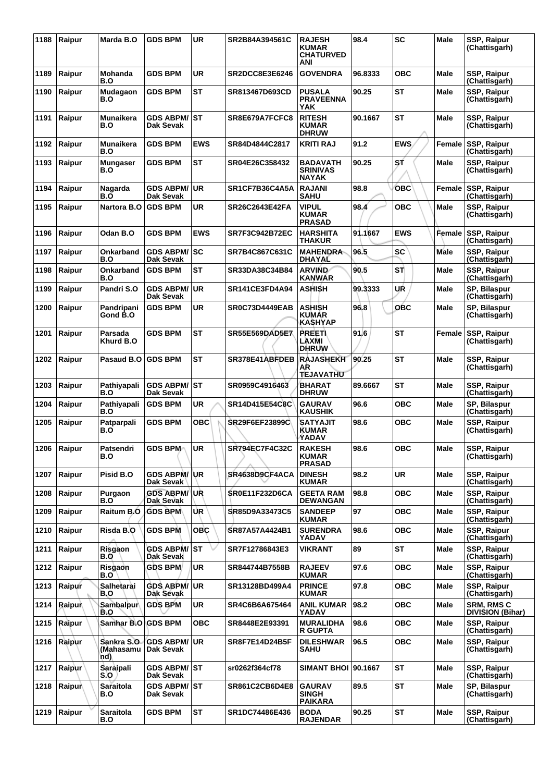| 1188 | Raipur        | Marda B.O                         | <b>GDS BPM</b>                          | <b>UR</b>  | SR2B84A394561C        | <b>RAJESH</b><br><b>KUMAR</b><br><b>CHATURVED</b><br>ANI | 98.4    | <b>SC</b>  | Male        | SSP, Raipur<br>(Chattisgarh)          |
|------|---------------|-----------------------------------|-----------------------------------------|------------|-----------------------|----------------------------------------------------------|---------|------------|-------------|---------------------------------------|
| 1189 | Raipur        | <b>Mohanda</b><br>B.O             | <b>GDS BPM</b>                          | <b>UR</b>  | SR2DCC8E3E6246        | <b>GOVENDRA</b>                                          | 96.8333 | <b>OBC</b> | Male        | SSP, Raipur<br>(Chattisgarh)          |
| 1190 | Raipur        | Mudagaon<br>B.O                   | <b>GDS BPM</b>                          | <b>ST</b>  | SR813467D693CD        | <b>PUSALA</b><br><b>PRAVEENNA</b><br>YAK                 | 90.25   | ST         | Male        | SSP, Raipur<br>(Chattisgarh)          |
| 1191 | Raipur        | Munaikera<br>B.O                  | GDS ABPM/│ST<br>Dak Sevak               |            | SR8E679A7FCFC8        | <b>RITESH</b><br><b>KUMAR</b><br><b>DHRUW</b>            | 90.1667 | <b>ST</b>  | <b>Male</b> | SSP, Raipur<br>(Chattisgarh)          |
| 1192 | Raipur        | Munaikera<br>B.O                  | <b>GDS BPM</b>                          | <b>EWS</b> | SR84D4844C2817        | <b>KRITI RAJ</b>                                         | 91.2    | <b>EWS</b> | Female      | SSP, Raipur<br>(Chattisgarh)          |
| 1193 | Raipur        | <b>Mungaser</b><br>B.O            | <b>GDS BPM</b>                          | <b>ST</b>  | SR04E26C358432        | <b>BADAVATH</b><br><b>SRINIVAS</b><br><b>NAYAK</b>       | 90.25   | SŤ         | Male        | SSP, Raipur<br>(Chattisgarh)          |
| 1194 | Raipur        | Nagarda<br>B.O                    | <b>GDS ABPM/</b><br>Dak Sevak           | <b>UR</b>  | SR1CF7B36C4A5A        | <b>RAJANI</b><br><b>SAHU</b>                             | 98.8    | <b>OBC</b> | Female      | SSP, Raipur<br>(Chattisgarh)          |
| 1195 | Raipur        | Nartora B.O                       | <b>GDS BPM</b>                          | <b>UR</b>  | SR26C2643E42FA        | <b>VIPUL</b><br><b>KUMAR</b><br><b>PRASAD</b>            | 98.4    | <b>OBC</b> | <b>Male</b> | SSP, Raipur<br>(Chattisgarh)          |
| 1196 | Raipur        | Odan B.O                          | <b>GDS BPM</b>                          | <b>EWS</b> | <b>SR7F3C942B72EC</b> | <b>HARSHITA</b><br><b>THAKUR</b>                         | 91.1667 | <b>EWS</b> | Female      | SSP, Raipur<br>(Chattisgarh)          |
| 1197 | Raipur        | Onkarband<br>B.O                  | <b>GDS ABPM/ SC</b><br><b>Dak Sevak</b> |            | SR7B4C867C631C        | <b>MAHENDRA</b><br><b>DHAYAL</b>                         | 96.5    | <b>SC</b>  | Male        | SSP, Raipur<br>(Chattisgarh)          |
| 1198 | Raipur        | Onkarband<br>B.O                  | <b>GDS BPM</b>                          | <b>ST</b>  | SR33DA38C34B84        | <b>ARVIND</b><br><b>KANWAR</b>                           | 90.5    | STÌ        | Male        | SSP, Raipur<br>(Chattisgarh)          |
| 1199 | Raipur        | Pandri S.O                        | <b>GDS ABPM/</b><br>Dak Sevak           | UR         | SR141CE3FD4A94        | <b>ASHISH</b>                                            | 99.3333 | UŔ         | Male        | SP, Bilaspur<br>(Chattisgarh)         |
| 1200 | Raipur        | Pandripani<br>Gond B.O            | <b>GDS BPM</b>                          | <b>UR</b>  | SR0C73D4449EAB        | <b>ASHISH</b><br><b>KUMAR</b><br>KASHYAP                 | 96.8    | <b>OBC</b> | Male        | SP, Bilaspur<br>(Chattisgarh)         |
| 1201 | Raipur        | Parsada<br>Khurd B.O              | <b>GDS BPM</b>                          | <b>ST</b>  | <b>SR55E569DAD5E7</b> | <b>PREETI</b><br>LAXMI<br><b>DHRUW</b>                   | 91.6    | <b>ST</b>  | Female      | SSP, Raipur<br>(Chattisgarh)          |
| 1202 | Raipur        | Pasaud B.O                        | <b>GDS BPM</b>                          | <b>ST</b>  | SR378E41ABFDEB        | <b>RAJASHEKH</b><br>AR<br><b>TEJAVATHU</b>               | 90.25   | ST         | Male        | SSP, Raipur<br>(Chattisgarh)          |
| 1203 | Raipur        | Pathiyapali<br>B.O                | <b>GDS ABPM/ST</b><br>Dak Sevak         |            | SR0959C4916463        | <b>BHARAT</b><br><b>DHRUW</b>                            | 89.6667 | <b>ST</b>  | Male        | SSP, Raipur<br>(Chattisgarh)          |
| 1204 | Raipur        | Pathiyapali<br>B.O                | <b>GDS BPM</b>                          | UR         | <b>SR14D415E54C8C</b> | <b>GAURAV</b><br><b>KAUSHIK</b>                          | 96.6    | <b>OBC</b> | Male        | SP, Bilaspur<br>(Chattisgarh)         |
| 1205 | Raipur        | Patparpali<br>B.O                 | <b>GDS BPM</b>                          | <b>OBC</b> | SR29F6EF23899C        | <b>SATYAJIT</b><br><b>KUMAR</b><br>YADAV                 | 98.6    | ОВС        | Male        | SSP, Raipur<br>(Chattisgarh)          |
| 1206 | Raipur        | Patsendri<br>B.O                  | <b>GDS BPM</b>                          | <b>UR</b>  | SR794EC7F4C32C        | <b>RAKESH</b><br><b>KUMAR</b><br><b>PRASAD</b>           | 98.6    | <b>OBC</b> | Male        | SSP, Raipur<br>(Chattisgarh)          |
| 1207 | Raipur        | Pisid B.O                         | <b>GDS ABPM/UR</b><br>Dak Sevak         |            | SR4638D9CF4ACA        | <b>DINESH</b><br><b>KUMAR</b>                            | 98.2    | <b>UR</b>  | <b>Male</b> | <b>SSP, Raipur</b><br>(Chattisgarh)   |
| 1208 | Raipur        | Purgaon<br>B.O                    | <b>GDS ABPM/ UR</b><br>Dak Sevak        |            | <b>SR0E11F232D6CA</b> | <b>GEETA RAM</b><br>DEWANGAN                             | 98.8    | <b>OBC</b> | Male        | SSP, Raipur<br>(Chattisgarh)          |
| 1209 | Raipur        | Raitum B.O                        | <b>GDS BPM</b>                          | UR.        | SR85D9A33473C5        | <b>SANDEEP</b><br><b>KUMAR</b>                           | 97      | <b>OBC</b> | Male        | SSP, Raipur<br>(Chattisgarh)          |
| 1210 | Raipur        | Risda B.O                         | <b>GDS BPM</b>                          | <b>OBC</b> | SR87A57A4424B1        | <b>SURENDRA</b><br>YADAV                                 | 98.6    | <b>OBC</b> | <b>Male</b> | SSP, Raipur<br>(Chattisgarh)          |
| 1211 | Raipur        | Risgaon<br>B.O                    | <b>GDS ABPM/ ST</b><br>Dak Sevak        |            | SR7F12786843E3        | <b>VIKRANT</b>                                           | 89      | <b>ST</b>  | Male        | SSP, Raipur<br>(Chattisgarh)          |
| 1212 | Raipur        | Risgaon<br>B.O                    | GDS BPM                                 | <b>UR</b>  | SR844744B7558B        | <b>RAJEEV</b><br><b>KUMAR</b>                            | 97.6    | <b>OBC</b> | Male        | SSP, Raipur<br>(Chattisgarh)          |
| 1213 | Raipur        | Salhetarai<br>B.O                 | GDS ABPM/│UR<br>Dak Sevak               |            | SR13128BD499A4        | <b>PRINCE</b><br><b>KUMAR</b>                            | 97.8    | <b>OBC</b> | Male        | SSP, Raipur<br>(Chattisgarh)          |
| 1214 | <b>Raipur</b> | Sambalpur<br>B.O                  | <b>GDS BPM</b>                          | <b>UR</b>  | SR4C6B6A675464        | <b>ANIL KUMAR</b><br>YADAV                               | 98.2    | <b>OBC</b> | Male        | <b>SRM, RMS C</b><br>DIVISION (Bihar) |
| 1215 | Raipur        | Samhar B.O GDS BPM                |                                         | <b>OBC</b> | SR8448E2E93391        | <b>MURALIDHA</b><br><b>R GUPTA</b>                       | 98.6    | <b>OBC</b> | Male        | SSP, Raipur<br>(Chattisgarh)          |
| 1216 | Raipur        | Sankra S.O.<br>(Mahasamu  <br>nd) | <b>GDS ABPM/ UR</b><br>Dak Sevak        |            | SR8F7E14D24B5F        | <b>DILESHWAR</b><br><b>SAHU</b>                          | 96.5    | <b>OBC</b> | Male        | SSP, Raipur<br>(Chattisgarh)          |
| 1217 | Raipur        | Saraipali<br>S.O                  | GDS ABPM/ST<br>Dak Sevak                |            | sr0262f364cf78        | <b>SIMANT BHOI 90.1667</b>                               |         | <b>ST</b>  | Male        | SSP, Raipur<br>(Chattisgarh)          |
| 1218 | <b>Raipur</b> | Saraitola<br>B.O                  | <b>GDS ABPM/ ST</b><br>Dak Sevak        |            | SR861C2CB6D4E8        | <b>GAURAV</b><br><b>SINGH</b><br><b>PAIKARA</b>          | 89.5    | <b>ST</b>  | Male        | SP, Bilaspur<br>(Chattisgarh)         |
| 1219 | Raipur        | Saraitola<br>B.O                  | <b>GDS BPM</b>                          | <b>ST</b>  | SR1DC74486E436        | <b>BODA</b><br><b>RAJENDAR</b>                           | 90.25   | <b>ST</b>  | Male        | SSP, Raipur<br>(Chattisgarh)          |